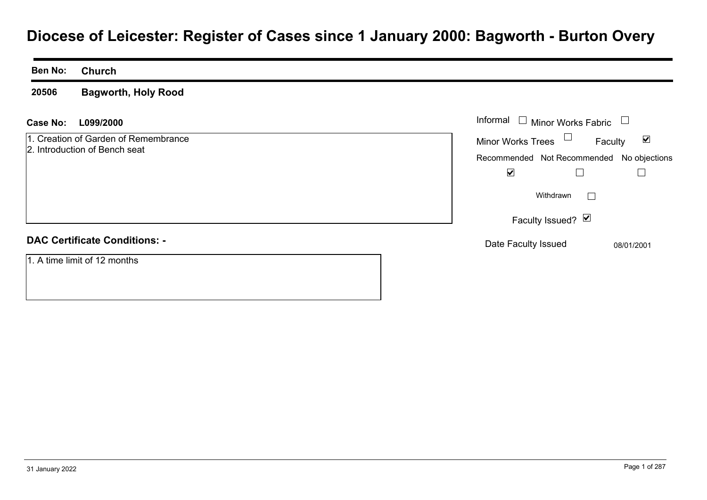# **Diocese of Leicester: Register of Cases since 1 January 2000: Bagworth - Burton Overy**

**Ben No: Church**

**20506Bagworth, Holy Rood**

**L099/2000Case No:** Informal

1. Creation of Garden of Remembrance2. Introduction of Bench seat

# **DAC Certificate Conditions: -**

1. A time limit of 12 months

| Informal                                  | $\Box$ Minor Works Fabric |         |            |
|-------------------------------------------|---------------------------|---------|------------|
| <b>Minor Works Trees</b>                  |                           | Faculty | M          |
| Recommended Not Recommended No objections |                           |         |            |
| V                                         |                           |         |            |
|                                           | Withdrawn                 |         |            |
|                                           | Faculty Issued? Ø         |         |            |
| Date Faculty Issued                       |                           |         | 08/01/2001 |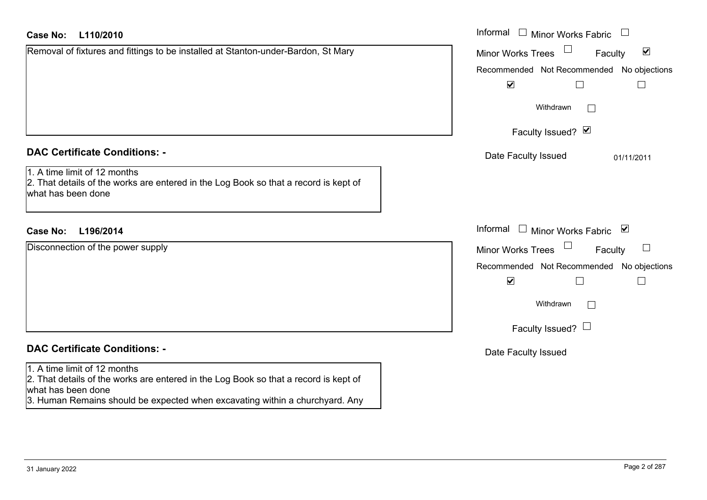| Case No:<br>L110/2010 |  |
|-----------------------|--|
|-----------------------|--|

| Removal of fixtures and fittings to be installed at Stanton-under-Bardon, St Mary |  |
|-----------------------------------------------------------------------------------|--|
|                                                                                   |  |
|                                                                                   |  |

# **DAC Certificate Conditions: -**

| $\vert$ 1. A time limit of 12 months                                                 |
|--------------------------------------------------------------------------------------|
| 2. That details of the works are entered in the Log Book so that a record is kept of |
| what has been done                                                                   |

# **DAC Certificate Conditions: -**

## 1. A time limit of 12 months

2. That details of the works are entered in the Log Book so that a record is kept of what has been done

3. Human Remains should be expected when excavating within a churchyard. Any

| <b>Case No:</b><br>L110/2010                                                                                                               | Informal $\Box$ Minor Works Fabric $\Box$                      |
|--------------------------------------------------------------------------------------------------------------------------------------------|----------------------------------------------------------------|
| Removal of fixtures and fittings to be installed at Stanton-under-Bardon, St Mary                                                          | $\Box$<br>$\blacktriangledown$<br>Minor Works Trees<br>Faculty |
|                                                                                                                                            | Recommended Not Recommended No objections                      |
|                                                                                                                                            | $\blacktriangledown$<br>$\Box$<br>$\Box$                       |
|                                                                                                                                            | Withdrawn                                                      |
|                                                                                                                                            | Faculty Issued? Ø                                              |
| <b>DAC Certificate Conditions: -</b>                                                                                                       | Date Faculty Issued<br>01/11/2011                              |
| 1. A time limit of 12 months<br>2. That details of the works are entered in the Log Book so that a record is kept of<br>what has been done |                                                                |
| Case No:<br>L196/2014                                                                                                                      | Informal □ Minor Works Fabric ⊠                                |
| Disconnection of the power supply                                                                                                          | Minor Works Trees<br>$\Box$<br>Faculty                         |
|                                                                                                                                            | Recommended Not Recommended No objections                      |
|                                                                                                                                            | $\blacktriangledown$<br>$\Box$<br>$\Box$                       |
|                                                                                                                                            | Withdrawn                                                      |
|                                                                                                                                            | Faculty Issued? $\Box$                                         |
| <b>DAC Certificate Conditions: -</b>                                                                                                       | Date Faculty Issued                                            |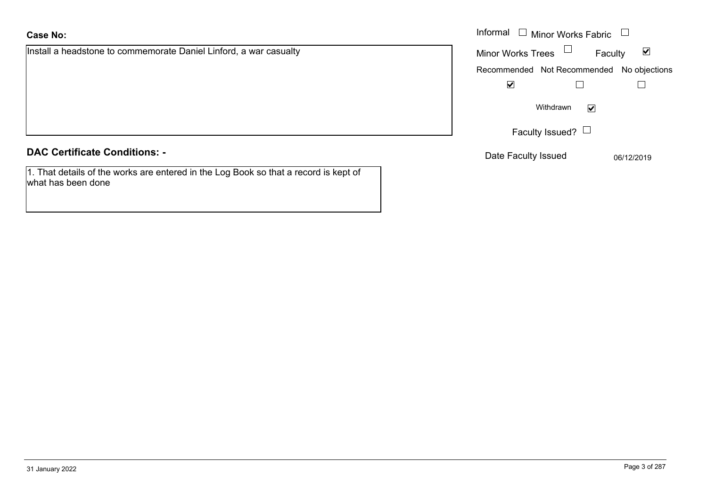Install a headstone to commemorate Daniel Linford, a war casualty

**DAC Certificate Conditions: -**

1. That details of the works are entered in the Log Book so that a record is kept of what has been done

|                                                        | Informal $\Box$ Minor Works Fabric $\Box$                   |
|--------------------------------------------------------|-------------------------------------------------------------|
| eadstone to commemorate Daniel Linford, a war casualty | Minor Works Trees $\Box$<br>$\blacktriangledown$<br>Faculty |
|                                                        | Recommended Not Recommended No objections                   |
|                                                        | $\blacktriangledown$                                        |
|                                                        | Withdrawn<br>$\blacktriangledown$                           |
|                                                        | Faculty Issued? $\Box$                                      |
| rtificate Conditions: -                                | Date Faculty Issued<br>06/12/2019                           |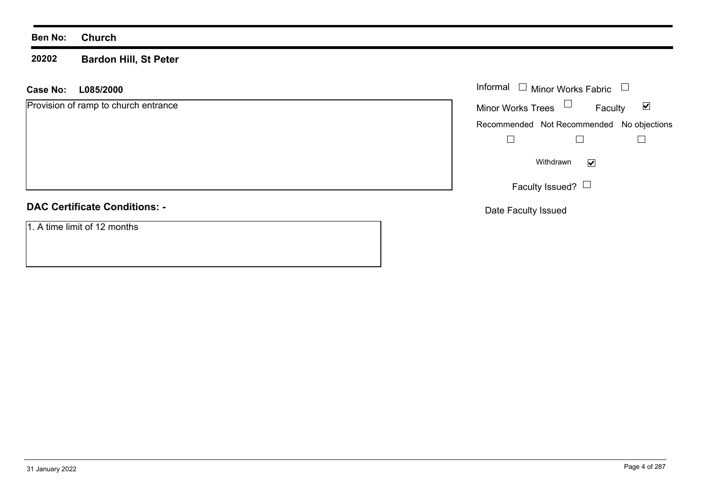#### **20202Bardon Hill, St Peter**

# **L085/2000 Case No:** Informal

Provision of ramp to church entrance

# **DAC Certificate Conditions: -**

1. A time limit of 12 months

| Informal                 | $\Box$ Minor Works Fabric                 |   |
|--------------------------|-------------------------------------------|---|
| <b>Minor Works Trees</b> | Faculty                                   | M |
|                          | Recommended Not Recommended No objections |   |
|                          |                                           |   |
|                          | Withdrawn                                 |   |
|                          | Faculty Issued?                           |   |

Date Faculty Issued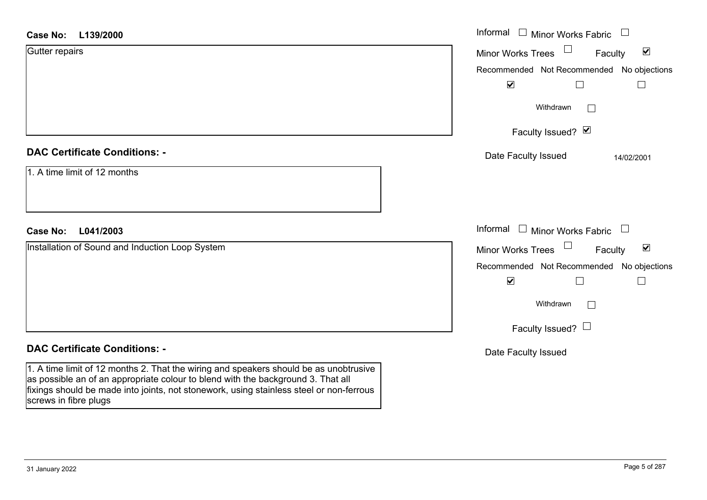| <b>Case No:</b><br>L139/2000                                                                                                                                                                                                                                         | Informal $\Box$ Minor Works Fabric $\Box$               |
|----------------------------------------------------------------------------------------------------------------------------------------------------------------------------------------------------------------------------------------------------------------------|---------------------------------------------------------|
| Gutter repairs                                                                                                                                                                                                                                                       | $\blacktriangledown$<br>Minor Works Trees<br>Faculty    |
|                                                                                                                                                                                                                                                                      | Recommended Not Recommended No objections               |
|                                                                                                                                                                                                                                                                      | $\blacktriangledown$<br>$\mathbf{L}$<br>$\vert$ $\vert$ |
|                                                                                                                                                                                                                                                                      | Withdrawn<br>$\mathbb{R}^n$                             |
|                                                                                                                                                                                                                                                                      | Faculty Issued? Ø                                       |
| <b>DAC Certificate Conditions: -</b>                                                                                                                                                                                                                                 | Date Faculty Issued<br>14/02/2001                       |
| 1. A time limit of 12 months                                                                                                                                                                                                                                         |                                                         |
| L041/2003<br><b>Case No:</b>                                                                                                                                                                                                                                         | Informal $\Box$ Minor Works Fabric $\Box$               |
| Installation of Sound and Induction Loop System                                                                                                                                                                                                                      | Minor Works Trees<br>$\blacktriangledown$<br>Faculty    |
|                                                                                                                                                                                                                                                                      | Recommended Not Recommended No objections               |
|                                                                                                                                                                                                                                                                      | $\blacktriangledown$<br>$\Box$<br>$\Box$                |
|                                                                                                                                                                                                                                                                      | Withdrawn<br>$\Box$                                     |
|                                                                                                                                                                                                                                                                      | Faculty Issued? $\Box$                                  |
| <b>DAC Certificate Conditions: -</b>                                                                                                                                                                                                                                 | Date Faculty Issued                                     |
| 1. A time limit of 12 months 2. That the wiring and speakers should be as unobtrusive<br>as possible an of an appropriate colour to blend with the background 3. That all<br>fixings should be made into joints, not stonework, using stainless steel or non-ferrous |                                                         |

screws in fibre plugs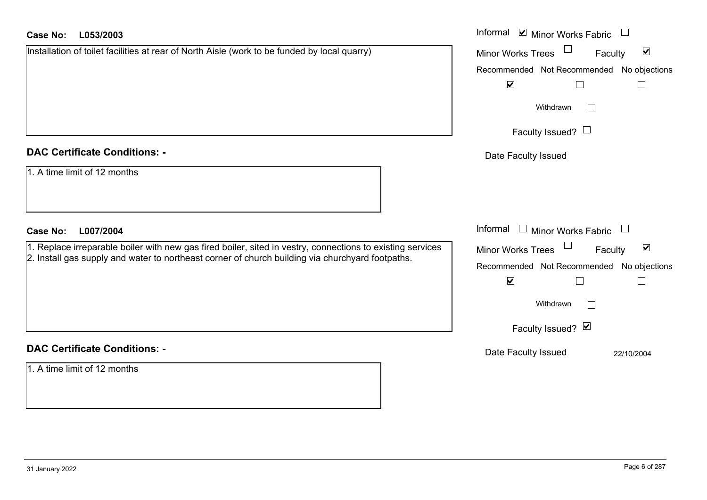#### **L053/2003Case No:**

| <b>Case No:</b><br>L053/2003                                                                                                                                                                                   | Informal ⊠ Minor Works Fabric                        |
|----------------------------------------------------------------------------------------------------------------------------------------------------------------------------------------------------------------|------------------------------------------------------|
| Installation of toilet facilities at rear of North Aisle (work to be funded by local quarry)                                                                                                                   | $\blacktriangledown$<br>Minor Works Trees<br>Faculty |
|                                                                                                                                                                                                                | No objections<br>Recommended Not Recommended         |
|                                                                                                                                                                                                                | $\blacktriangledown$<br>$\mathbb{L}$                 |
|                                                                                                                                                                                                                | Withdrawn<br>$\mathbb{R}^n$                          |
|                                                                                                                                                                                                                | Faculty Issued? $\Box$                               |
| <b>DAC Certificate Conditions: -</b>                                                                                                                                                                           | Date Faculty Issued                                  |
| 1. A time limit of 12 months                                                                                                                                                                                   |                                                      |
| <b>Case No:</b><br>L007/2004                                                                                                                                                                                   | Informal<br>$\Box$<br><b>Minor Works Fabric</b>      |
| 1. Replace irreparable boiler with new gas fired boiler, sited in vestry, connections to existing services<br>2. Install gas supply and water to northeast corner of church building via churchyard footpaths. | $\blacktriangledown$<br>Minor Works Trees<br>Faculty |
|                                                                                                                                                                                                                | Recommended Not Recommended No objections            |
|                                                                                                                                                                                                                | $\blacktriangledown$                                 |
|                                                                                                                                                                                                                | Withdrawn<br>$\mathbb{R}^n$                          |
|                                                                                                                                                                                                                | Faculty Issued? Ø                                    |
| <b>DAC Certificate Conditions: -</b>                                                                                                                                                                           | Date Faculty Issued<br>22/10/2004                    |
| 1. A time limit of 12 months                                                                                                                                                                                   |                                                      |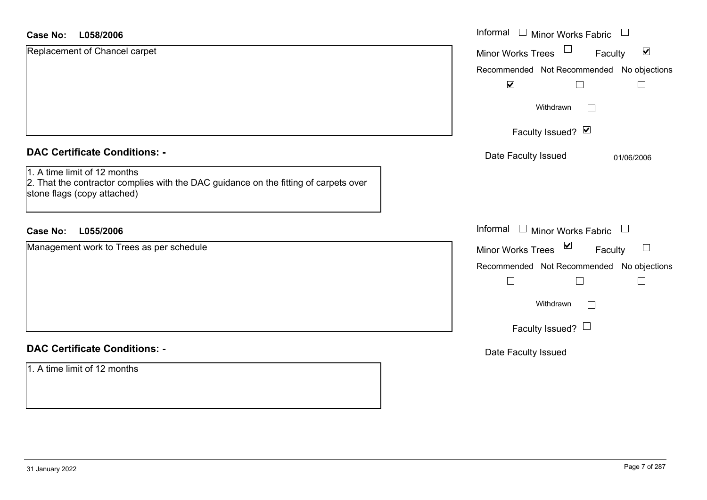| L058/2006<br><b>Case No:</b>                                                                                                                        | Informal □ Minor Works Fabric<br>$\begin{array}{c} \hline \end{array}$ |
|-----------------------------------------------------------------------------------------------------------------------------------------------------|------------------------------------------------------------------------|
| Replacement of Chancel carpet                                                                                                                       | $\Box$<br>$\blacktriangledown$<br>Minor Works Trees<br>Faculty         |
|                                                                                                                                                     | Recommended Not Recommended No objections<br>$\blacktriangledown$      |
|                                                                                                                                                     | Withdrawn<br>$\Box$                                                    |
|                                                                                                                                                     | Faculty Issued? Ø                                                      |
| <b>DAC Certificate Conditions: -</b>                                                                                                                | Date Faculty Issued<br>01/06/2006                                      |
| 1. A time limit of 12 months<br>2. That the contractor complies with the DAC guidance on the fitting of carpets over<br>stone flags (copy attached) |                                                                        |
| <b>Case No:</b><br>L055/2006                                                                                                                        | Informal □ Minor Works Fabric<br>$\Box$                                |
| Management work to Trees as per schedule                                                                                                            | Minor Works Trees ⊠<br>Faculty                                         |
|                                                                                                                                                     | Recommended Not Recommended No objections                              |
|                                                                                                                                                     | $\vert$<br>$\mathbb{R}^n$                                              |
|                                                                                                                                                     | Withdrawn<br>$\Box$                                                    |
|                                                                                                                                                     | Faculty Issued? $\Box$                                                 |
| <b>DAC Certificate Conditions: -</b>                                                                                                                | Date Faculty Issued                                                    |
| 1. A time limit of 12 months                                                                                                                        |                                                                        |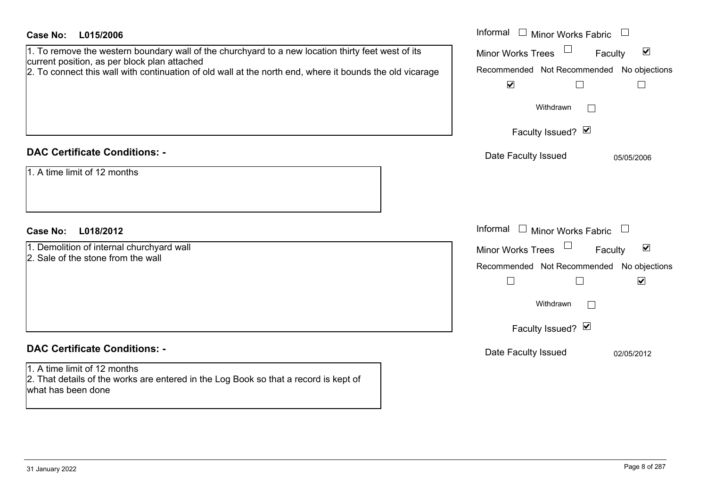| 1. To remove the western boundary wall of the churchyard to a new location thirty feet west of its<br><b>Minor Works Trees</b><br>Faculty<br>current position, as per block plan attached<br>Recommended Not Recommended<br>2. To connect this wall with continuation of old wall at the north end, where it bounds the old vicarage<br>$\blacktriangledown$<br>$\Box$<br>Withdrawn<br>Faculty Issued? Ø<br><b>DAC Certificate Conditions: -</b><br>Date Faculty Issued<br>1. A time limit of 12 months<br>Informal<br><b>Minor Works Fabric</b><br><b>Case No:</b><br>L018/2012<br>1. Demolition of internal churchyard wall<br><b>Minor Works Trees</b><br>Faculty | $\blacktriangledown$<br>No objections<br>$\Box$ |
|----------------------------------------------------------------------------------------------------------------------------------------------------------------------------------------------------------------------------------------------------------------------------------------------------------------------------------------------------------------------------------------------------------------------------------------------------------------------------------------------------------------------------------------------------------------------------------------------------------------------------------------------------------------------|-------------------------------------------------|
|                                                                                                                                                                                                                                                                                                                                                                                                                                                                                                                                                                                                                                                                      |                                                 |
|                                                                                                                                                                                                                                                                                                                                                                                                                                                                                                                                                                                                                                                                      |                                                 |
|                                                                                                                                                                                                                                                                                                                                                                                                                                                                                                                                                                                                                                                                      |                                                 |
|                                                                                                                                                                                                                                                                                                                                                                                                                                                                                                                                                                                                                                                                      | 05/05/2006                                      |
|                                                                                                                                                                                                                                                                                                                                                                                                                                                                                                                                                                                                                                                                      |                                                 |
|                                                                                                                                                                                                                                                                                                                                                                                                                                                                                                                                                                                                                                                                      |                                                 |
| 2. Sale of the stone from the wall<br>Recommended Not Recommended No objections<br>$\Box$<br>$\Box$<br>Withdrawn                                                                                                                                                                                                                                                                                                                                                                                                                                                                                                                                                     | $\blacktriangledown$<br>$\blacktriangledown$    |
| Faculty Issued? Ø                                                                                                                                                                                                                                                                                                                                                                                                                                                                                                                                                                                                                                                    |                                                 |
| <b>DAC Certificate Conditions: -</b><br>Date Faculty Issued<br>1. A time limit of 12 months<br>2. That details of the works are entered in the Log Book so that a record is kept of<br>what has been done                                                                                                                                                                                                                                                                                                                                                                                                                                                            | 02/05/2012                                      |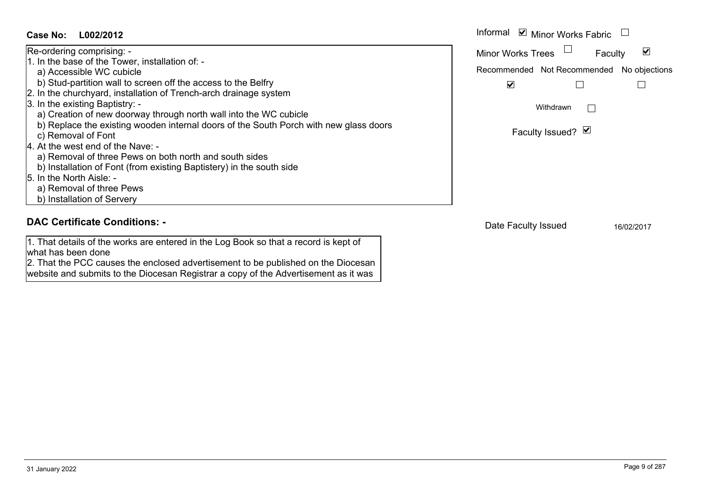#### Informal  $\vee$  Minor Works Fabric  $\Box$ **L002/2012Case No:** Informal Re-ordering comprising: -  $\blacktriangledown$ Faculty Minor Works Trees 1. In the base of the Tower, installation of: a) Accessible WC cubicle Recommended Not Recommended No objections b) Stud-partition wall to screen off the access to the Belfry  $\overline{\mathbf{v}}$  $\Box$  $\Box$ 2. In the churchyard, installation of Trench-arch drainage system 3. In the existing Baptistry: - Withdrawn $\Box$  a) Creation of new doorway through north wall into the WC cubicle b) Replace the existing wooden internal doors of the South Porch with new glass doors Faculty Issued? Ø c) Removal of Font 4. At the west end of the Nave: a) Removal of three Pews on both north and south sides b) Installation of Font (from existing Baptistery) in the south side 5. In the North Aisle: a) Removal of three Pews b) Installation of Servery **DAC Certificate Conditions: -**Date Faculty Issued 16/02/2017

1. That details of the works are entered in the Log Book so that a record is kept of

2. That the PCC causes the enclosed advertisement to be published on the Diocesan website and submits to the Diocesan Registrar a copy of the Advertisement as it was

what has been done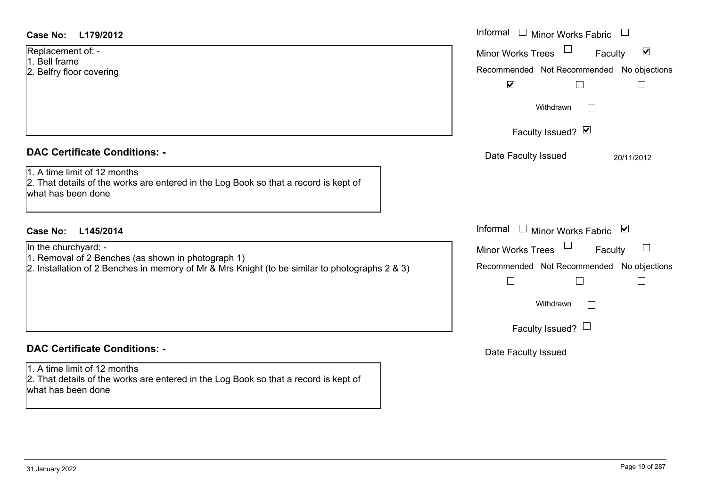| <b>Case No:</b><br>L179/2012                                                                                                                                                       | Informal<br>$\Box$ Minor Works Fabric                                                                                                                                                             |
|------------------------------------------------------------------------------------------------------------------------------------------------------------------------------------|---------------------------------------------------------------------------------------------------------------------------------------------------------------------------------------------------|
| Replacement of: -<br>1. Bell frame<br>2. Belfry floor covering                                                                                                                     | Minor Works Trees<br>$\blacktriangledown$<br>Faculty<br>Recommended Not Recommended No objections<br>$\blacktriangledown$<br>$\Box$<br>$\Box$<br>Withdrawn<br>$\mathbb{R}^n$<br>Faculty Issued? Ø |
| <b>DAC Certificate Conditions: -</b><br>1. A time limit of 12 months<br>2. That details of the works are entered in the Log Book so that a record is kept of<br>what has been done | Date Faculty Issued<br>20/11/2012                                                                                                                                                                 |
| <b>Case No:</b><br>L145/2014                                                                                                                                                       | Informal<br>$\Box$ Minor Works Fabric $\Box$                                                                                                                                                      |
| In the churchyard: -<br>1. Removal of 2 Benches (as shown in photograph 1)<br>2. Installation of 2 Benches in memory of Mr & Mrs Knight (to be similar to photographs 2 & 3)       | <b>Minor Works Trees</b><br>Faculty<br>Recommended Not Recommended No objections<br>$\Box$<br>П<br>$\mathbb{R}$<br>Withdrawn<br>Faculty Issued? $\Box$                                            |
| <b>DAC Certificate Conditions: -</b>                                                                                                                                               | Date Faculty Issued                                                                                                                                                                               |
| 1. A time limit of 12 months<br>2. That details of the works are entered in the Log Book so that a record is kept of<br>what has been done                                         |                                                                                                                                                                                                   |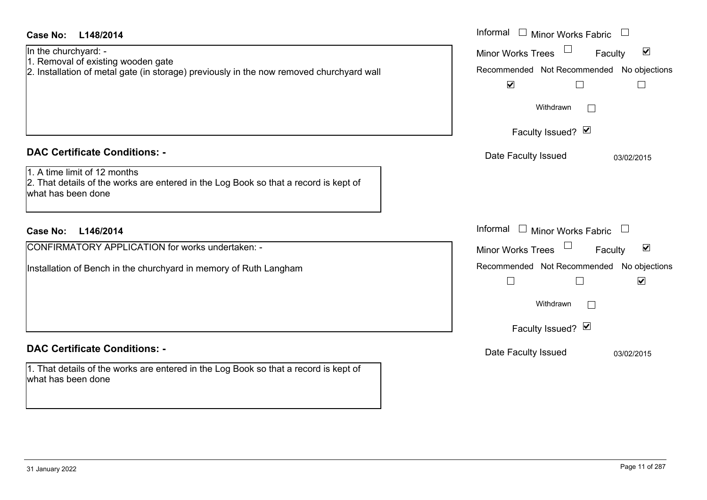| Case No:<br>L148/2014                                                                                                                                        | Informal □ Minor Works Fabric                                                                                                                                |
|--------------------------------------------------------------------------------------------------------------------------------------------------------------|--------------------------------------------------------------------------------------------------------------------------------------------------------------|
| In the churchyard: -<br>1. Removal of existing wooden gate<br>2. Installation of metal gate (in storage) previously in the now removed churchyard wall       | $\blacktriangledown$<br><b>Minor Works Trees</b><br>Faculty<br>Recommended Not Recommended No objections<br>$\blacktriangledown$<br>$\Box$<br>$\mathbb{R}^n$ |
|                                                                                                                                                              | Withdrawn<br>$\mathbb{R}^n$<br>Faculty Issued? Ø                                                                                                             |
| <b>DAC Certificate Conditions: -</b><br>1. A time limit of 12 months<br>2. That details of the works are entered in the Log Book so that a record is kept of | Date Faculty Issued<br>03/02/2015                                                                                                                            |
| what has been done                                                                                                                                           | Informal                                                                                                                                                     |
| <b>Case No:</b><br>L146/2014                                                                                                                                 | $\Box$ Minor Works Fabric                                                                                                                                    |
| CONFIRMATORY APPLICATION for works undertaken: -                                                                                                             | $\blacktriangledown$<br><b>Minor Works Trees</b><br>Faculty                                                                                                  |
| Installation of Bench in the churchyard in memory of Ruth Langham                                                                                            | Recommended Not Recommended No objections<br>$\blacktriangledown$<br>$\Box$<br>$\Box$<br>Withdrawn                                                           |
|                                                                                                                                                              | Faculty Issued? Ø                                                                                                                                            |
| <b>DAC Certificate Conditions: -</b>                                                                                                                         | Date Faculty Issued<br>03/02/2015                                                                                                                            |
| 1. That details of the works are entered in the Log Book so that a record is kept of<br>what has been done                                                   |                                                                                                                                                              |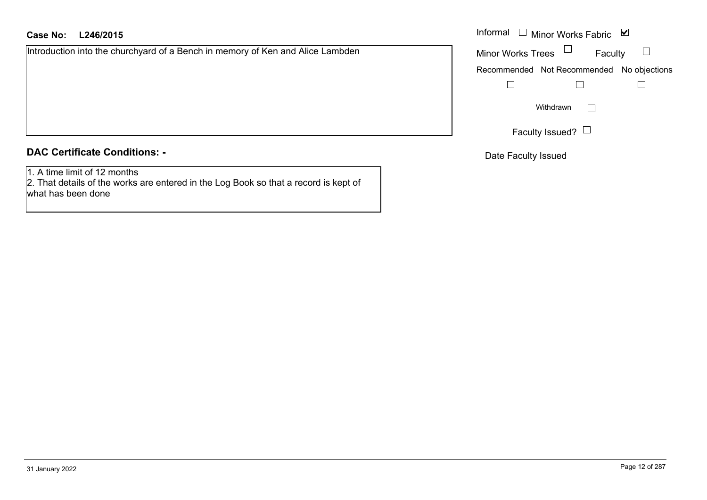# **L246/2015Case No:** Informal

Introduction into the churchyard of a Bench in memory of Ken and Alice Lambden

## **DAC Certificate Conditions: -**

1. A time limit of 12 months

 2. That details of the works are entered in the Log Book so that a record is kept of what has been done

| Informal                 | $\Box$ Minor Works Fabric                 | び |
|--------------------------|-------------------------------------------|---|
| <b>Minor Works Trees</b> | Faculty                                   |   |
|                          | Recommended Not Recommended No objections |   |
|                          |                                           |   |
|                          | Withdrawn                                 |   |
|                          | Faculty Issued?                           |   |

Date Faculty Issued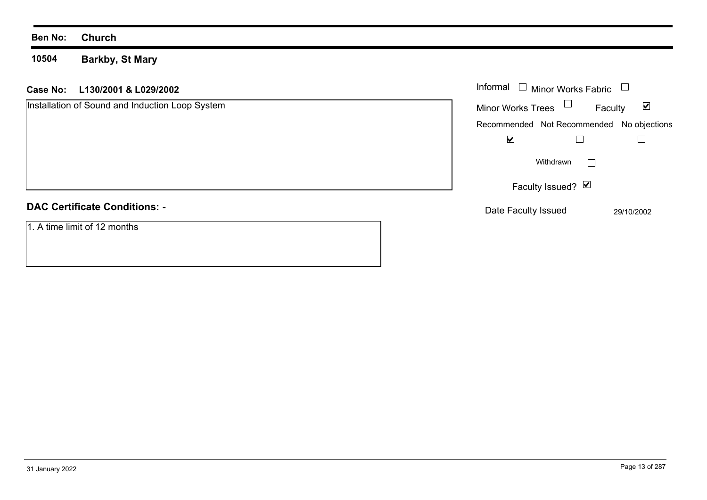### **10504 Barkby, St Mary**

# **L130/2001 & L029/2002 Case No:** Informal

| Installation of Sound and Induction Loop System | <b>Minor Works Trees</b>                  | Faculty        | $\blacktriangledown$ |
|-------------------------------------------------|-------------------------------------------|----------------|----------------------|
|                                                 | Recommended Not Recommended No objections |                |                      |
|                                                 | $\blacktriangledown$                      |                |                      |
|                                                 | Withdrawn                                 | $\mathbb{R}^n$ |                      |
|                                                 | Faculty Issued? Ø                         |                |                      |
| <b>DAC Certificate Conditions: -</b>            | Date Faculty Issued                       |                | 29/10/2002           |
| 1. A time limit of 12 months                    |                                           |                |                      |

Minor Works Fabric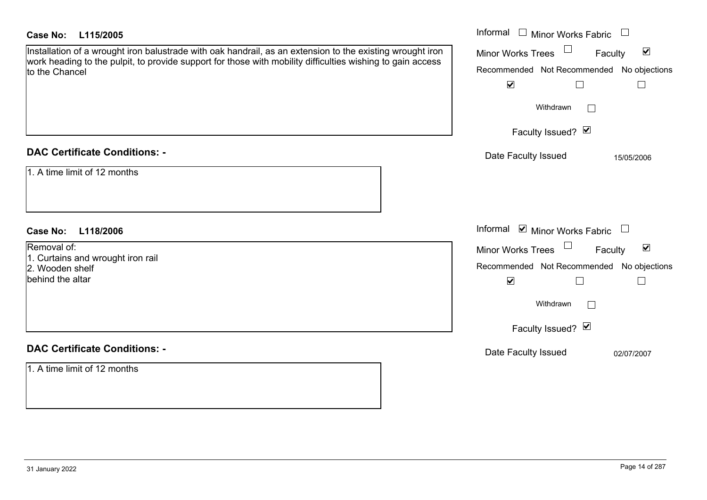| <b>Case No:</b><br>L115/2005                                                                                                                                                                                                              | Informal $\Box$ Minor Works Fabric $\Box$                                                                                                                                       |
|-------------------------------------------------------------------------------------------------------------------------------------------------------------------------------------------------------------------------------------------|---------------------------------------------------------------------------------------------------------------------------------------------------------------------------------|
| Installation of a wrought iron balustrade with oak handrail, as an extension to the existing wrought iron<br>work heading to the pulpit, to provide support for those with mobility difficulties wishing to gain access<br>to the Chancel | $\Box$<br>$\blacktriangledown$<br>Minor Works Trees<br>Faculty<br>Recommended Not Recommended No objections<br>$\blacktriangledown$<br>$\Box$                                   |
|                                                                                                                                                                                                                                           | Withdrawn<br>$\mathbb{R}$<br>Faculty Issued? Ø                                                                                                                                  |
| <b>DAC Certificate Conditions: -</b>                                                                                                                                                                                                      | Date Faculty Issued<br>15/05/2006                                                                                                                                               |
| 1. A time limit of 12 months                                                                                                                                                                                                              |                                                                                                                                                                                 |
| <b>Case No:</b><br>L118/2006                                                                                                                                                                                                              | Informal $\blacksquare$ Minor Works Fabric $\Box$                                                                                                                               |
| Removal of:<br>1. Curtains and wrought iron rail<br>2. Wooden shelf<br>behind the altar                                                                                                                                                   | $\Box$<br>$\blacktriangledown$<br>Minor Works Trees<br>Faculty<br>Recommended Not Recommended No objections<br>$\blacktriangledown$<br>$\Box$<br>Withdrawn<br>Faculty Issued? Ø |
| <b>DAC Certificate Conditions: -</b>                                                                                                                                                                                                      | Date Faculty Issued<br>02/07/2007                                                                                                                                               |
| 1. A time limit of 12 months                                                                                                                                                                                                              |                                                                                                                                                                                 |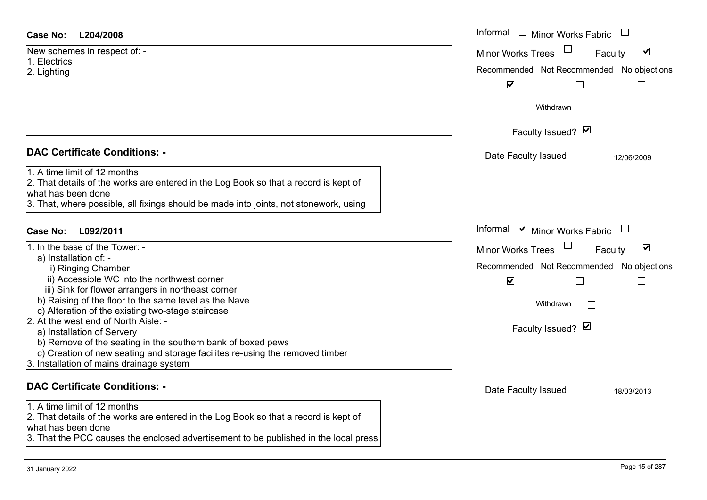| New schemes in respect of: - |  |
|------------------------------|--|
| 1. Electrics                 |  |
| 2. Lighting                  |  |
|                              |  |
|                              |  |
|                              |  |
|                              |  |

# **DAC Certificate Conditions: -**

| 1. A time limit of 12 months                                                         |
|--------------------------------------------------------------------------------------|
| 2. That details of the works are entered in the Log Book so that a record is kept of |
| what has been done                                                                   |

| 11. In the base of the Tower: -                                                                                                                                                         | <b>Minor Works Trees</b><br>Faculty |
|-----------------------------------------------------------------------------------------------------------------------------------------------------------------------------------------|-------------------------------------|
| a) Installation of: -<br>i) Ringing Chamber                                                                                                                                             | Recommended Not Recommended N       |
| ii) Accessible WC into the northwest corner                                                                                                                                             | V                                   |
| iii) Sink for flower arrangers in northeast corner<br>b) Raising of the floor to the same level as the Nave<br>c) Alteration of the existing two-stage staircase                        | Withdrawn                           |
| 2. At the west end of North Aisle: -<br>a) Installation of Servery                                                                                                                      | Faculty Issued? Ø                   |
| b) Remove of the seating in the southern bank of boxed pews<br>c) Creation of new seating and storage facilites re-using the removed timber<br>3. Installation of mains drainage system |                                     |
| <b>DAC Certificate Conditions: -</b>                                                                                                                                                    | Dota Foouth Loouad                  |

1. A time limit of 12 months

2. That details of the works are entered in the Log Book so that a record is kept of what has been done

3. That the PCC causes the enclosed advertisement to be published in the local press

| <b>Case No:</b><br>L204/2008                                                                                                                                                                                                                                                                                                                                                                                                                                                                                                                                                                      | Informal □ Minor Works Fabric                                                                                                                                                                                         |
|---------------------------------------------------------------------------------------------------------------------------------------------------------------------------------------------------------------------------------------------------------------------------------------------------------------------------------------------------------------------------------------------------------------------------------------------------------------------------------------------------------------------------------------------------------------------------------------------------|-----------------------------------------------------------------------------------------------------------------------------------------------------------------------------------------------------------------------|
| New schemes in respect of: -<br>1. Electrics<br>2. Lighting                                                                                                                                                                                                                                                                                                                                                                                                                                                                                                                                       | $\blacktriangledown$<br><b>Minor Works Trees</b><br>Faculty<br>Recommended Not Recommended No objections<br>$\blacktriangledown$<br>Withdrawn<br>Faculty Issued? Ø                                                    |
| <b>DAC Certificate Conditions: -</b><br>1. A time limit of 12 months<br>2. That details of the works are entered in the Log Book so that a record is kept of<br>what has been done<br>3. That, where possible, all fixings should be made into joints, not stonework, using                                                                                                                                                                                                                                                                                                                       | Date Faculty Issued<br>12/06/2009                                                                                                                                                                                     |
| <b>Case No:</b><br>L092/2011<br>1. In the base of the Tower: -<br>a) Installation of: -<br>i) Ringing Chamber<br>ii) Accessible WC into the northwest corner<br>iii) Sink for flower arrangers in northeast corner<br>b) Raising of the floor to the same level as the Nave<br>c) Alteration of the existing two-stage staircase<br>2. At the west end of North Aisle: -<br>a) Installation of Servery<br>b) Remove of the seating in the southern bank of boxed pews<br>c) Creation of new seating and storage facilites re-using the removed timber<br>3. Installation of mains drainage system | Informal ☑ Minor Works Fabric<br>$\blacktriangledown$<br><b>Minor Works Trees</b><br>Faculty<br>Recommended Not Recommended No objections<br>$\blacktriangledown$<br>$\mathbb{R}^n$<br>Withdrawn<br>Faculty Issued? Ø |
| <b>DAC Certificate Conditions: -</b>                                                                                                                                                                                                                                                                                                                                                                                                                                                                                                                                                              | Date Faculty Issued<br>18/03/2013                                                                                                                                                                                     |
|                                                                                                                                                                                                                                                                                                                                                                                                                                                                                                                                                                                                   |                                                                                                                                                                                                                       |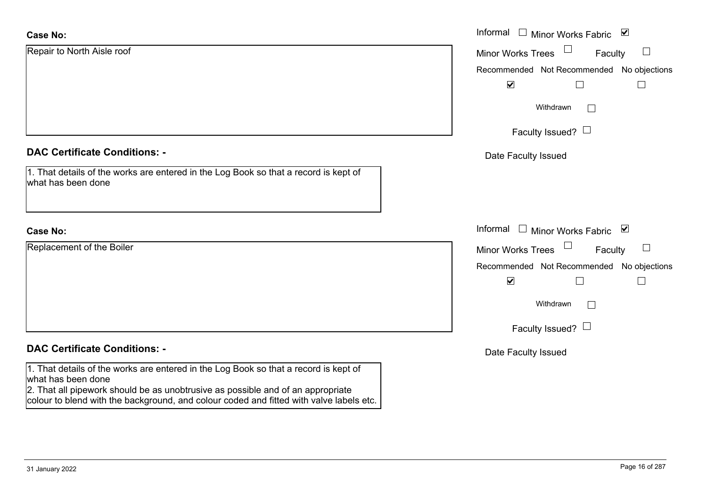| <b>Case No:</b>                                                                                                                                                                                                                                                                          | Informal □ Minor Works Fabric ⊠                                              |
|------------------------------------------------------------------------------------------------------------------------------------------------------------------------------------------------------------------------------------------------------------------------------------------|------------------------------------------------------------------------------|
| Repair to North Aisle roof                                                                                                                                                                                                                                                               | $\Box$<br><b>Minor Works Trees</b><br>Faculty                                |
|                                                                                                                                                                                                                                                                                          | Recommended Not Recommended No objections                                    |
|                                                                                                                                                                                                                                                                                          | $\blacktriangledown$                                                         |
|                                                                                                                                                                                                                                                                                          | Withdrawn<br>$\mathbf{1}$                                                    |
|                                                                                                                                                                                                                                                                                          | Faculty Issued? $\Box$                                                       |
| <b>DAC Certificate Conditions: -</b>                                                                                                                                                                                                                                                     | Date Faculty Issued                                                          |
| 1. That details of the works are entered in the Log Book so that a record is kept of<br>what has been done                                                                                                                                                                               |                                                                              |
| <b>Case No:</b>                                                                                                                                                                                                                                                                          | Informal $\Box$ Minor Works Fabric $\Box$                                    |
| Replacement of the Boiler                                                                                                                                                                                                                                                                | $\Box$<br>Faculty<br>$\mathcal{L}_{\mathcal{A}}$<br><b>Minor Works Trees</b> |
|                                                                                                                                                                                                                                                                                          | Recommended Not Recommended No objections                                    |
|                                                                                                                                                                                                                                                                                          | $\blacktriangledown$<br>H                                                    |
|                                                                                                                                                                                                                                                                                          | Withdrawn                                                                    |
|                                                                                                                                                                                                                                                                                          | Faculty Issued? $\Box$                                                       |
| <b>DAC Certificate Conditions: -</b>                                                                                                                                                                                                                                                     | Date Faculty Issued                                                          |
| 1. That details of the works are entered in the Log Book so that a record is kept of<br>what has been done<br>2. That all pipework should be as unobtrusive as possible and of an appropriate<br>colour to blend with the background, and colour coded and fitted with valve labels etc. |                                                                              |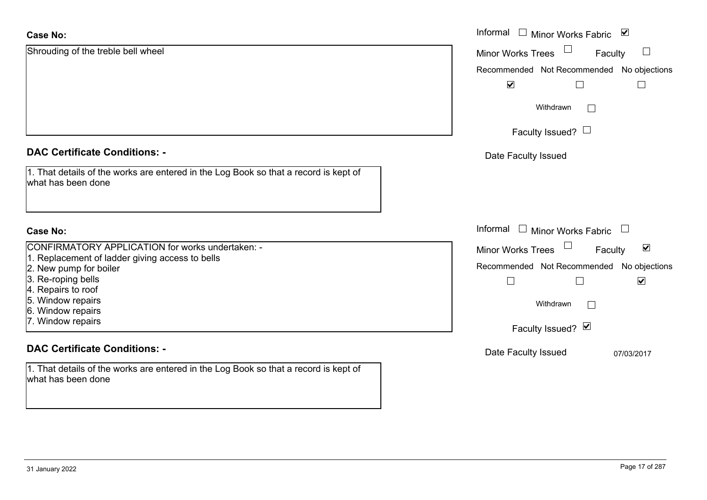| <b>Case No:</b>                                                                                            | Informal $\square$<br>⊻<br>Minor Works Fabric                     |
|------------------------------------------------------------------------------------------------------------|-------------------------------------------------------------------|
| Shrouding of the treble bell wheel                                                                         | Minor Works Trees<br>$\Box$<br>Faculty                            |
|                                                                                                            | Recommended Not Recommended No objections                         |
|                                                                                                            | $\blacktriangledown$<br>$\Box$<br>$\sqcup$                        |
|                                                                                                            | Withdrawn<br>$\Box$                                               |
|                                                                                                            | Faculty Issued? $\Box$                                            |
| <b>DAC Certificate Conditions: -</b>                                                                       | Date Faculty Issued                                               |
| 1. That details of the works are entered in the Log Book so that a record is kept of<br>what has been done |                                                                   |
| <b>Case No:</b>                                                                                            | Informal<br>$\overline{\phantom{a}}$<br>Minor Works Fabric $\Box$ |
| <b>CONFIRMATORY APPLICATION for works undertaken: -</b>                                                    | $\blacktriangledown$<br><b>Minor Works Trees</b><br>Faculty       |
| 1. Replacement of ladder giving access to bells                                                            | Recommended Not Recommended No objections                         |
| 2. New pump for boiler<br>3. Re-roping bells                                                               | $\blacktriangledown$<br>$\Box$<br>$\Box$                          |
| 4. Repairs to roof                                                                                         |                                                                   |
| 5. Window repairs                                                                                          | Withdrawn<br>$\Box$                                               |
| 6. Window repairs                                                                                          |                                                                   |
| 7. Window repairs                                                                                          | Faculty Issued? Ø                                                 |
| <b>DAC Certificate Conditions: -</b>                                                                       | Date Faculty Issued<br>07/03/2017                                 |
| 1. That details of the works are entered in the Log Book so that a record is kept of<br>what has been done |                                                                   |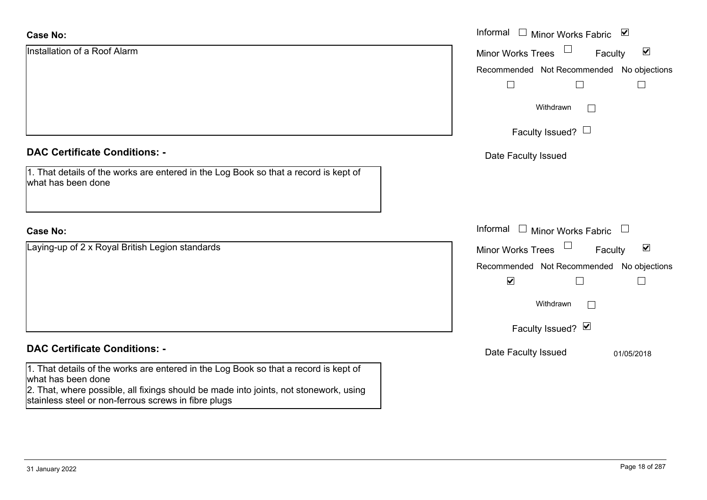| <b>Case No:</b>                                                                                                                               | Informal<br>□ Minor Works Fabric                                      |
|-----------------------------------------------------------------------------------------------------------------------------------------------|-----------------------------------------------------------------------|
| Installation of a Roof Alarm                                                                                                                  | $\blacktriangledown$<br><b>Minor Works Trees</b><br>Faculty           |
|                                                                                                                                               | Recommended Not Recommended No objections                             |
|                                                                                                                                               |                                                                       |
|                                                                                                                                               | Withdrawn<br>$\Box$                                                   |
|                                                                                                                                               | Faculty Issued? $\Box$                                                |
| <b>DAC Certificate Conditions: -</b>                                                                                                          | Date Faculty Issued                                                   |
| 1. That details of the works are entered in the Log Book so that a record is kept of<br>what has been done                                    |                                                                       |
| <b>Case No:</b>                                                                                                                               | Informal<br>$\Box$ Minor Works Fabric $\Box$                          |
| Laying-up of 2 x Royal British Legion standards                                                                                               | $\Box$<br>$\blacktriangledown$<br><b>Minor Works Trees</b><br>Faculty |
|                                                                                                                                               | Recommended Not Recommended No objections                             |
|                                                                                                                                               | $\blacktriangledown$                                                  |
|                                                                                                                                               | Withdrawn                                                             |
|                                                                                                                                               | Faculty Issued? Ø                                                     |
| <b>DAC Certificate Conditions: -</b>                                                                                                          | Date Faculty Issued<br>01/05/2018                                     |
| 1. That details of the works are entered in the Log Book so that a record is kept of<br>what has been done                                    |                                                                       |
| 2. That, where possible, all fixings should be made into joints, not stonework, using<br>stainless steel or non-ferrous screws in fibre plugs |                                                                       |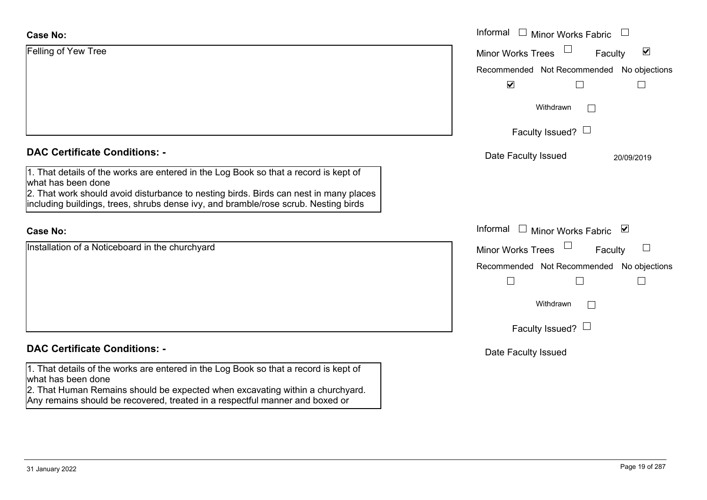### **Case No:**

| <b>Case No:</b>                                                                                                                                                                                                                                                                            | Informal □ Minor Works Fabric                               |
|--------------------------------------------------------------------------------------------------------------------------------------------------------------------------------------------------------------------------------------------------------------------------------------------|-------------------------------------------------------------|
| Felling of Yew Tree                                                                                                                                                                                                                                                                        | $\blacktriangledown$<br><b>Minor Works Trees</b><br>Faculty |
|                                                                                                                                                                                                                                                                                            | Recommended Not Recommended<br>No objections                |
|                                                                                                                                                                                                                                                                                            | $\blacktriangledown$                                        |
|                                                                                                                                                                                                                                                                                            | Withdrawn                                                   |
|                                                                                                                                                                                                                                                                                            | Faculty Issued? $\Box$                                      |
| <b>DAC Certificate Conditions: -</b>                                                                                                                                                                                                                                                       | Date Faculty Issued<br>20/09/2019                           |
| 1. That details of the works are entered in the Log Book so that a record is kept of<br>what has been done<br>2. That work should avoid disturbance to nesting birds. Birds can nest in many places<br>including buildings, trees, shrubs dense ivy, and bramble/rose scrub. Nesting birds |                                                             |
| <b>Case No:</b>                                                                                                                                                                                                                                                                            | Informal<br>Minor Works Fabric ⊠                            |
| Installation of a Noticeboard in the churchyard                                                                                                                                                                                                                                            | <b>Minor Works Trees</b><br>$\Box$<br>Faculty               |
|                                                                                                                                                                                                                                                                                            | Recommended Not Recommended<br>No objections                |
|                                                                                                                                                                                                                                                                                            | $\Box$<br>$\overline{\phantom{a}}$                          |
|                                                                                                                                                                                                                                                                                            | Withdrawn                                                   |
|                                                                                                                                                                                                                                                                                            | Faculty Issued? $\Box$                                      |
| <b>DAC Certificate Conditions: -</b>                                                                                                                                                                                                                                                       | Date Faculty Issued                                         |
| 1. That details of the works are entered in the Log Book so that a record is kept of<br>what has been done<br>2. That Human Remains should be expected when excavating within a churchyard.<br>Any remains should be recovered, treated in a respectful manner and boxed or                |                                                             |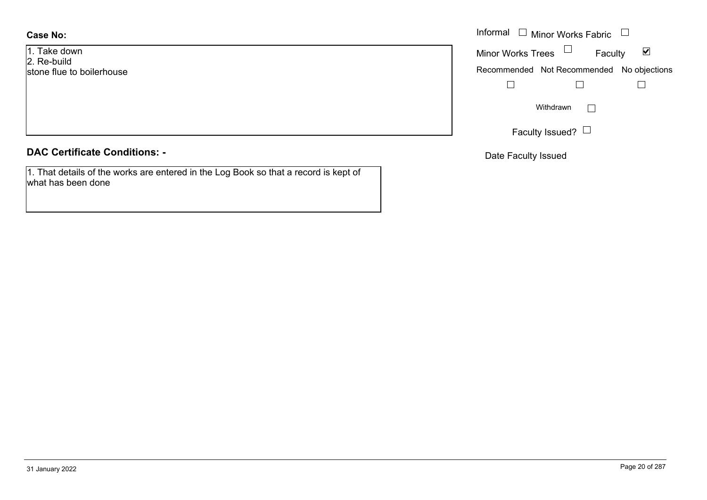# **Case No:**

1. Take down2. Re-build stone flue to boilerhouse

# **DAC Certificate Conditions: -**

1. That details of the works are entered in the Log Book so that a record is kept of what has been done

|                  | Informal □ Minor Works Fabric □                                   |
|------------------|-------------------------------------------------------------------|
| lown<br>ild      | Minor Works Trees $\quad \Box$<br>$\blacktriangledown$<br>Faculty |
| e to boilerhouse | Recommended Not Recommended No objections                         |
|                  |                                                                   |
|                  | Withdrawn                                                         |
|                  | Faculty Issued? $\Box$                                            |

Date Faculty Issued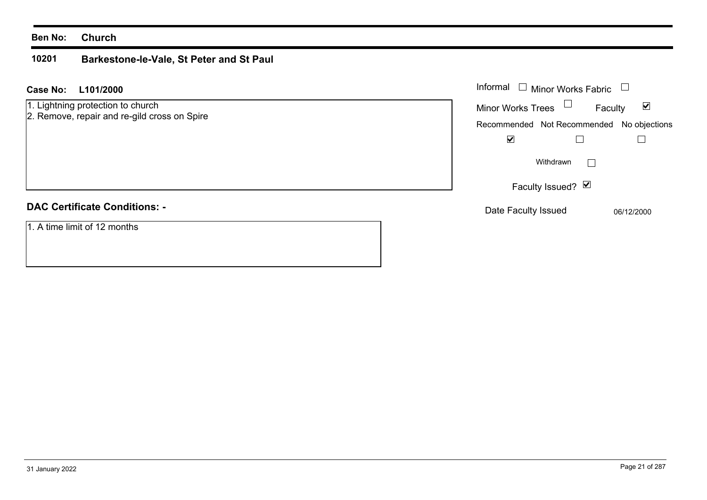### **10201 Barkestone-le-Vale, St Peter and St Paul**

| L101/2000<br><b>Case No:</b>                 | Informal $\Box$ Minor Works Fabric $\Box$ |
|----------------------------------------------|-------------------------------------------|
| 1. Lightning protection to church            | Minor Works Trees<br>⊻<br>Faculty         |
| 2. Remove, repair and re-gild cross on Spire | Recommended Not Recommended No objections |
|                                              | $\blacktriangledown$                      |
|                                              | Withdrawn                                 |
|                                              | Faculty Issued? $\Box$                    |
| <b>DAC Certificate Conditions: -</b>         | Date Faculty Issued<br>06/12/2000         |
| 1. A time limit of 12 months                 |                                           |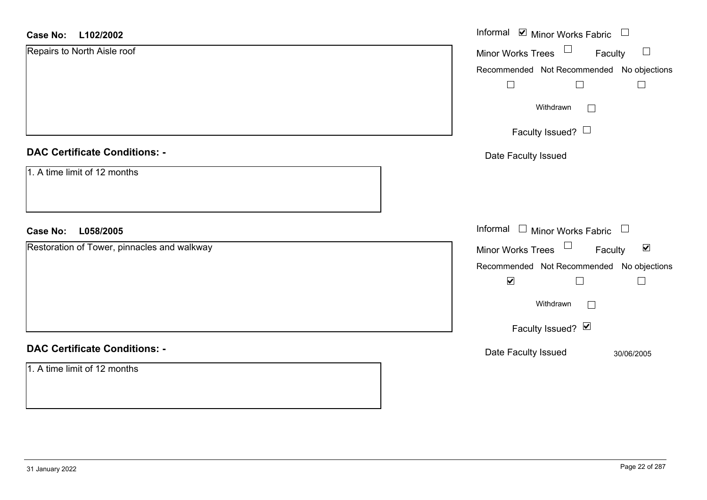#### **L102/2002Case No:**

| L102/2002<br><b>Case No:</b>                | Informal $\blacksquare$ Minor Works Fabric $\Box$    |
|---------------------------------------------|------------------------------------------------------|
| Repairs to North Aisle roof                 | Minor Works Trees $\Box$<br>$\Box$<br>Faculty        |
|                                             | Recommended Not Recommended No objections            |
|                                             | $\Box$<br>$\Box$<br>$\Box$                           |
|                                             | Withdrawn<br>П                                       |
|                                             | Faculty Issued? $\Box$                               |
| <b>DAC Certificate Conditions: -</b>        | Date Faculty Issued                                  |
| 1. A time limit of 12 months                |                                                      |
| <b>Case No:</b><br>L058/2005                | Informal $\Box$ Minor Works Fabric $\Box$            |
| Restoration of Tower, pinnacles and walkway | Minor Works Trees<br>$\blacktriangledown$<br>Faculty |
|                                             | Recommended Not Recommended No objections            |
|                                             | $\blacktriangledown$<br>$\Box$<br>$\Box$             |
|                                             | Withdrawn<br>П                                       |
|                                             | Faculty Issued? Ø                                    |
| <b>DAC Certificate Conditions: -</b>        | Date Faculty Issued<br>30/06/2005                    |
| 1. A time limit of 12 months                |                                                      |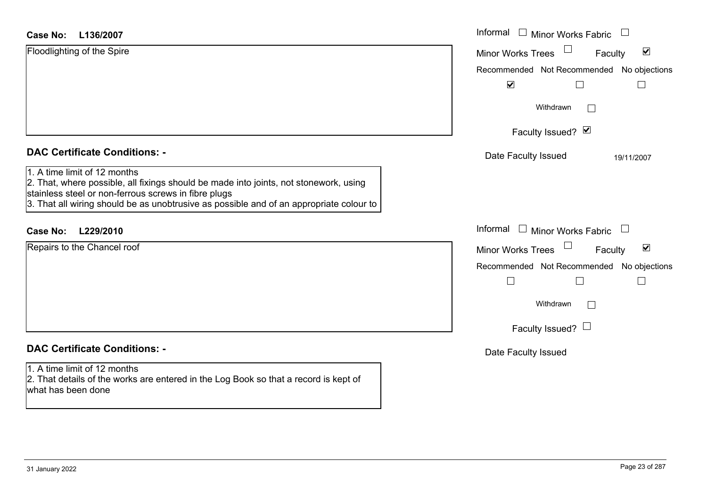| L136/2007<br>Case No:                                                                                                                                                                                                                                                    | Informal $\square$<br><b>Minor Works Fabric</b>                                 |
|--------------------------------------------------------------------------------------------------------------------------------------------------------------------------------------------------------------------------------------------------------------------------|---------------------------------------------------------------------------------|
| Floodlighting of the Spire                                                                                                                                                                                                                                               | $\blacktriangledown$<br><b>Minor Works Trees</b><br>Faculty                     |
|                                                                                                                                                                                                                                                                          | Recommended Not Recommended No objections<br>$\blacktriangledown$               |
|                                                                                                                                                                                                                                                                          | Withdrawn<br>$\mathcal{L}^{\mathcal{A}}$                                        |
|                                                                                                                                                                                                                                                                          | Faculty Issued? Ø                                                               |
| <b>DAC Certificate Conditions: -</b>                                                                                                                                                                                                                                     | Date Faculty Issued<br>19/11/2007                                               |
| 1. A time limit of 12 months<br>2. That, where possible, all fixings should be made into joints, not stonework, using<br>stainless steel or non-ferrous screws in fibre plugs<br>3. That all wiring should be as unobtrusive as possible and of an appropriate colour to |                                                                                 |
| L229/2010<br><b>Case No:</b>                                                                                                                                                                                                                                             | Informal<br>$\Box$ Minor Works Fabric<br>$\begin{array}{c} \square \end{array}$ |
| Repairs to the Chancel roof                                                                                                                                                                                                                                              | $\blacktriangledown$<br><b>Minor Works Trees</b><br>Faculty                     |
|                                                                                                                                                                                                                                                                          | Recommended Not Recommended No objections                                       |
|                                                                                                                                                                                                                                                                          | $\mathbf{L}$                                                                    |
|                                                                                                                                                                                                                                                                          | Withdrawn<br>$\Box$                                                             |
|                                                                                                                                                                                                                                                                          | Faculty Issued? $\Box$                                                          |
| <b>DAC Certificate Conditions: -</b>                                                                                                                                                                                                                                     | Date Faculty Issued                                                             |
| 1. A time limit of 12 months<br>2. That details of the works are entered in the Log Book so that a record is kept of<br>what has been done                                                                                                                               |                                                                                 |
|                                                                                                                                                                                                                                                                          |                                                                                 |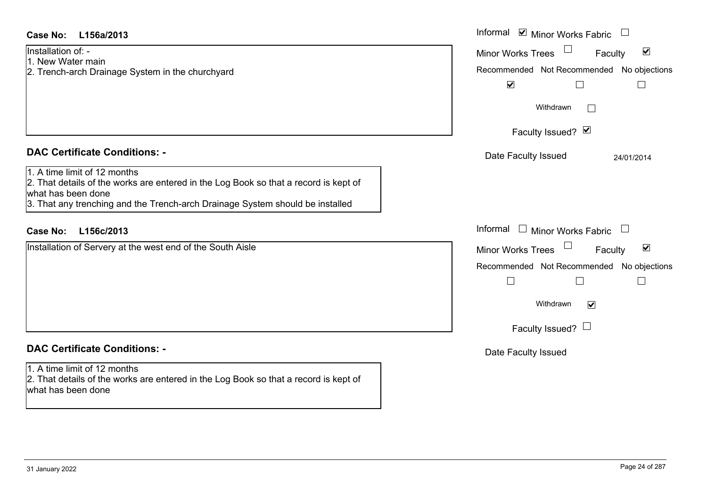| <b>Case No:</b><br>L156a/2013                                                                                                                                                                                               | Informal ☑ Minor Works Fabric<br>$\begin{array}{c} \hline \end{array}$                                                                                                                                 |
|-----------------------------------------------------------------------------------------------------------------------------------------------------------------------------------------------------------------------------|--------------------------------------------------------------------------------------------------------------------------------------------------------------------------------------------------------|
| Installation of: -<br>1. New Water main<br>2. Trench-arch Drainage System in the churchyard                                                                                                                                 | $\blacktriangledown$<br><b>Minor Works Trees</b><br>Faculty<br>Recommended Not Recommended No objections<br>$\blacktriangledown$<br>$\Box$                                                             |
|                                                                                                                                                                                                                             | Withdrawn<br>$\mathcal{L}_{\mathcal{A}}$                                                                                                                                                               |
|                                                                                                                                                                                                                             | Faculty Issued? Ø                                                                                                                                                                                      |
| <b>DAC Certificate Conditions: -</b>                                                                                                                                                                                        | Date Faculty Issued<br>24/01/2014                                                                                                                                                                      |
| 1. A time limit of 12 months<br>2. That details of the works are entered in the Log Book so that a record is kept of<br>what has been done<br>3. That any trenching and the Trench-arch Drainage System should be installed |                                                                                                                                                                                                        |
| <b>Case No:</b><br>L156c/2013                                                                                                                                                                                               | Informal □ Minor Works Fabric                                                                                                                                                                          |
| Installation of Servery at the west end of the South Aisle                                                                                                                                                                  | $\blacktriangledown$<br><b>Minor Works Trees</b><br>Faculty<br>Recommended Not Recommended No objections<br>$\overline{\phantom{a}}$<br>Withdrawn<br>$\overline{\mathbf{v}}$<br>Faculty Issued? $\Box$ |
| <b>DAC Certificate Conditions: -</b>                                                                                                                                                                                        | Date Faculty Issued                                                                                                                                                                                    |
| 1. A time limit of 12 months<br>2. That details of the works are entered in the Log Book so that a record is kept of<br>what has been done                                                                                  |                                                                                                                                                                                                        |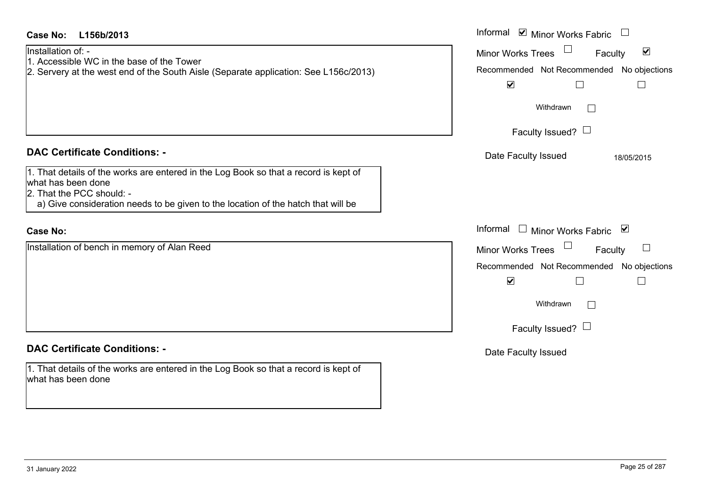| Case No:<br>L156b/2013                                                                                                                                                                                                                                               | Informal $\blacksquare$ Minor Works Fabric $\blacksquare$                                                                                                                                  |
|----------------------------------------------------------------------------------------------------------------------------------------------------------------------------------------------------------------------------------------------------------------------|--------------------------------------------------------------------------------------------------------------------------------------------------------------------------------------------|
| Installation of: -<br>1. Accessible WC in the base of the Tower<br>2. Servery at the west end of the South Aisle (Separate application: See L156c/2013)                                                                                                              | $\Box$<br>$\boxed{\mathbf{v}}$<br><b>Minor Works Trees</b><br>Faculty<br>Recommended Not Recommended No objections<br>$\blacktriangledown$                                                 |
|                                                                                                                                                                                                                                                                      | Withdrawn<br>$\mathbb{R}^n$<br>Faculty Issued? $\Box$                                                                                                                                      |
| <b>DAC Certificate Conditions: -</b><br>1. That details of the works are entered in the Log Book so that a record is kept of<br>what has been done<br>2. That the PCC should: -<br>a) Give consideration needs to be given to the location of the hatch that will be | Date Faculty Issued<br>18/05/2015                                                                                                                                                          |
| <b>Case No:</b>                                                                                                                                                                                                                                                      | Informal<br>$\Box$<br>Minor Works Fabric ⊠                                                                                                                                                 |
| Installation of bench in memory of Alan Reed                                                                                                                                                                                                                         | <b>Minor Works Trees</b><br>$\boxed{\phantom{1}}$<br>Faculty<br>Recommended Not Recommended No objections<br>$\blacktriangledown$<br>Withdrawn<br>$\mathbb{R}^n$<br>Faculty Issued? $\Box$ |
| <b>DAC Certificate Conditions: -</b>                                                                                                                                                                                                                                 | Date Faculty Issued                                                                                                                                                                        |
| 1. That details of the works are entered in the Log Book so that a record is kept of<br>what has been done                                                                                                                                                           |                                                                                                                                                                                            |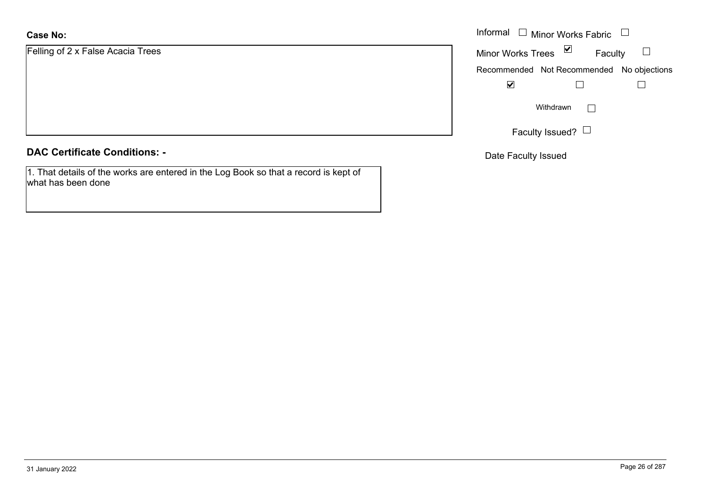# **Case No:**

Felling of 2 x False Acacia Trees

# **DAC Certificate Conditions: -**

1. That details of the works are entered in the Log Book so that a record is kept of what has been done

|                        | Informal $\Box$ Minor Works Fabric $\Box$                  |
|------------------------|------------------------------------------------------------|
| 2 x False Acacia Trees | Minor Works Trees ⊠<br>Faculty<br>$\overline{\phantom{a}}$ |
|                        | Recommended Not Recommended No objections                  |
|                        | ⊻                                                          |
|                        | Withdrawn<br>$\mathbf{L}$                                  |
|                        | Faculty Issued? $\Box$                                     |

Date Faculty Issued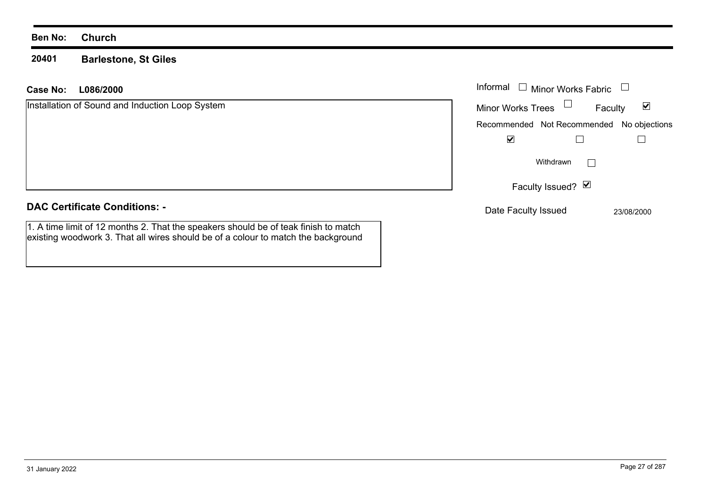#### **20401Barlestone, St Giles**

1. A time limit of 12 months 2. That the speakers should be of teak finish to match existing woodwork 3. That all wires should be of a colour to match the background

## **L086/2000Case No:** Informal

| Installation of Sound and Induction Loop System | <b>Minor Works Trees</b><br>Faculty       | ⊻ |
|-------------------------------------------------|-------------------------------------------|---|
|                                                 | Recommended Not Recommended No objections |   |
|                                                 | ⊻                                         |   |
|                                                 | Withdrawn                                 |   |
|                                                 | Faculty Issued? $\vert \mathbf{v} \vert$  |   |
| <b>DAC Certificate Conditions: -</b>            | Date Faculty Issued<br>23/08/2000         |   |

Minor Works Fabric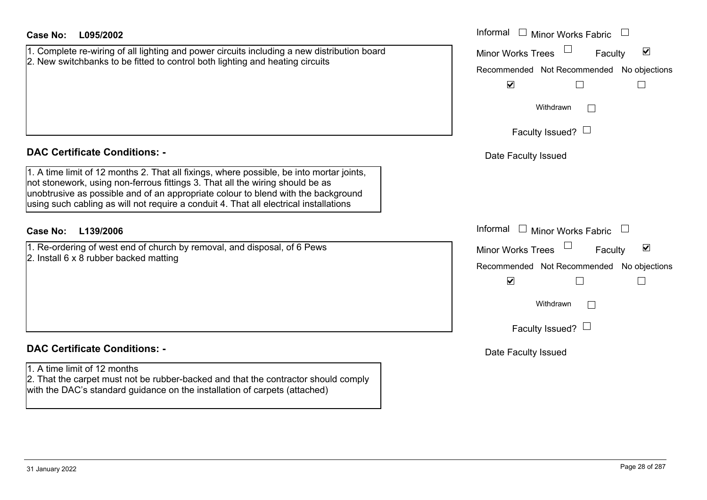| <b>Case No:</b><br>L095/2002                                                                                                                                                                                                                                                                                                                            | Informal $\Box$ Minor Works Fabric                          |
|---------------------------------------------------------------------------------------------------------------------------------------------------------------------------------------------------------------------------------------------------------------------------------------------------------------------------------------------------------|-------------------------------------------------------------|
| 1. Complete re-wiring of all lighting and power circuits including a new distribution board                                                                                                                                                                                                                                                             | $\blacktriangledown$<br><b>Minor Works Trees</b><br>Faculty |
| 2. New switchbanks to be fitted to control both lighting and heating circuits                                                                                                                                                                                                                                                                           | Recommended Not Recommended No objections                   |
|                                                                                                                                                                                                                                                                                                                                                         | $\blacktriangledown$                                        |
|                                                                                                                                                                                                                                                                                                                                                         | Withdrawn<br>$\mathbf{L}$                                   |
|                                                                                                                                                                                                                                                                                                                                                         | Faculty Issued? $\Box$                                      |
| <b>DAC Certificate Conditions: -</b>                                                                                                                                                                                                                                                                                                                    | Date Faculty Issued                                         |
| 1. A time limit of 12 months 2. That all fixings, where possible, be into mortar joints,<br>not stonework, using non-ferrous fittings 3. That all the wiring should be as<br>unobtrusive as possible and of an appropriate colour to blend with the background<br>using such cabling as will not require a conduit 4. That all electrical installations |                                                             |
| L139/2006<br>Case No:                                                                                                                                                                                                                                                                                                                                   | Informal<br>Minor Works Fabric<br>$\Box$                    |
| 1. Re-ordering of west end of church by removal, and disposal, of 6 Pews                                                                                                                                                                                                                                                                                | $\blacktriangledown$<br><b>Minor Works Trees</b><br>Faculty |
| 2. Install $6 \times 8$ rubber backed matting                                                                                                                                                                                                                                                                                                           | Recommended Not Recommended No objections                   |
|                                                                                                                                                                                                                                                                                                                                                         | $\blacktriangledown$                                        |
|                                                                                                                                                                                                                                                                                                                                                         | Withdrawn                                                   |
|                                                                                                                                                                                                                                                                                                                                                         | Faculty Issued? $\Box$                                      |
| <b>DAC Certificate Conditions: -</b>                                                                                                                                                                                                                                                                                                                    | Date Faculty Issued                                         |
| 1. A time limit of 12 months                                                                                                                                                                                                                                                                                                                            |                                                             |
| 2. That the carpet must not be rubber-backed and that the contractor should comply<br>with the DAC's standard guidance on the installation of carpets (attached)                                                                                                                                                                                        |                                                             |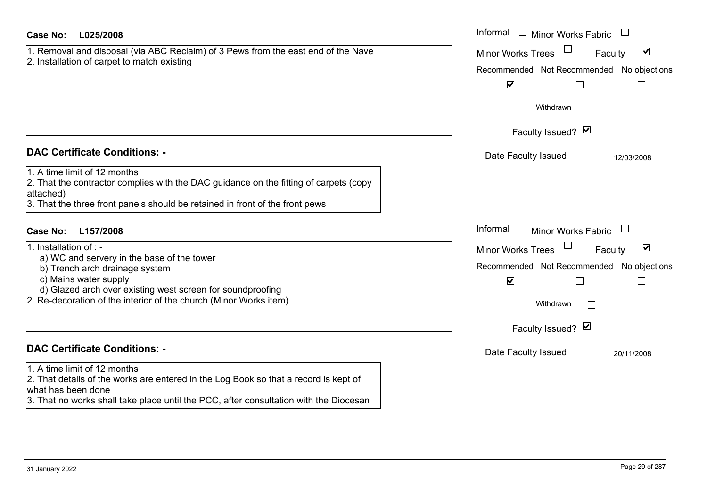| <b>Case No:</b><br>L025/2008                                                                                                                                                                                                                                       | Informal<br>$\Box$ Minor Works Fabric                                                                                                                              |
|--------------------------------------------------------------------------------------------------------------------------------------------------------------------------------------------------------------------------------------------------------------------|--------------------------------------------------------------------------------------------------------------------------------------------------------------------|
| 1. Removal and disposal (via ABC Reclaim) of 3 Pews from the east end of the Nave                                                                                                                                                                                  | $\blacktriangledown$<br><b>Minor Works Trees</b><br>Faculty                                                                                                        |
| 2. Installation of carpet to match existing                                                                                                                                                                                                                        | Recommended Not Recommended No objections                                                                                                                          |
|                                                                                                                                                                                                                                                                    | $\blacktriangledown$                                                                                                                                               |
|                                                                                                                                                                                                                                                                    | Withdrawn                                                                                                                                                          |
|                                                                                                                                                                                                                                                                    | Faculty Issued? M                                                                                                                                                  |
| <b>DAC Certificate Conditions: -</b>                                                                                                                                                                                                                               | Date Faculty Issued<br>12/03/2008                                                                                                                                  |
| 1. A time limit of 12 months<br>2. That the contractor complies with the DAC guidance on the fitting of carpets (copy<br>attached)<br>3. That the three front panels should be retained in front of the front pews                                                 |                                                                                                                                                                    |
| <b>Case No:</b><br>L157/2008                                                                                                                                                                                                                                       | Informal<br>$\Box$ Minor Works Fabric                                                                                                                              |
| 1. Installation of : -<br>a) WC and servery in the base of the tower<br>b) Trench arch drainage system<br>c) Mains water supply<br>d) Glazed arch over existing west screen for soundproofing<br>2. Re-decoration of the interior of the church (Minor Works item) | $\blacktriangledown$<br><b>Minor Works Trees</b><br>Faculty<br>Recommended Not Recommended No objections<br>$\blacktriangledown$<br>Withdrawn<br>Faculty Issued? Ø |
| <b>DAC Certificate Conditions: -</b>                                                                                                                                                                                                                               | Date Faculty Issued<br>20/11/2008                                                                                                                                  |
| 1. A time limit of 12 months<br>2. That details of the works are entered in the Log Book so that a record is kept of<br>what has been done<br>3. That no works shall take place until the PCC, after consultation with the Diocesan                                |                                                                                                                                                                    |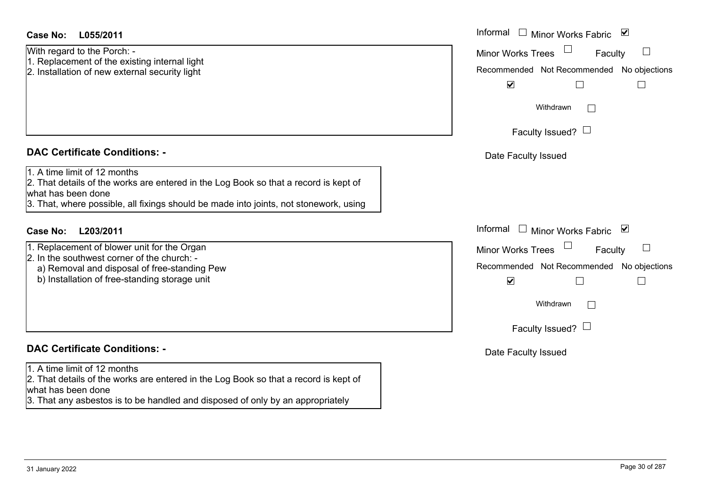| Case No: | L055/2011 |
|----------|-----------|
|----------|-----------|

With regard to the Porch: - 1. Replacement of the existing internal light

2. Installation of new external security light

# **DAC Certificate Conditions: -**

1. A time limit of 12 months

2. That details of the works are entered in the Log Book so that a record is kept of what has been done

3. That, where possible, all fixings should be made into joints, not stonework, using

# **L203/2011Case No:** Informal

- 1. Replacement of blower unit for the Organ
- 2. In the southwest corner of the church: -
- a) Removal and disposal of free-standing Pew
- b) Installation of free-standing storage unit

# **DAC Certificate Conditions: -**

1. A time limit of 12 months

2. That details of the works are entered in the Log Book so that a record is kept of what has been done

3. That any asbestos is to be handled and disposed of only by an appropriately

| L055/2011                                                                                                                                                                                      | Informal<br>⊻<br>$\Box$ Minor Works Fabric                                                                                                                                       |
|------------------------------------------------------------------------------------------------------------------------------------------------------------------------------------------------|----------------------------------------------------------------------------------------------------------------------------------------------------------------------------------|
| ard to the Porch: -<br>cement of the existing internal light<br>ation of new external security light                                                                                           | <b>Minor Works Trees</b><br>Faculty<br>$\Box$<br>Recommended Not Recommended No objections<br>$\blacktriangledown$                                                               |
|                                                                                                                                                                                                | Withdrawn<br>$\mathbf{L}$                                                                                                                                                        |
|                                                                                                                                                                                                | Faculty Issued? $\Box$                                                                                                                                                           |
| rtificate Conditions: -                                                                                                                                                                        | Date Faculty Issued                                                                                                                                                              |
| limit of 12 months<br>etails of the works are entered in the Log Book so that a record is kept of<br>been done<br>vhere possible, all fixings should be made into joints, not stonework, using |                                                                                                                                                                                  |
| L203/2011                                                                                                                                                                                      | Informal<br><b>Minor Works Fabric</b><br>⊻                                                                                                                                       |
| cement of blower unit for the Organ<br>southwest corner of the church: -<br>noval and disposal of free-standing Pew<br>allation of free-standing storage unit                                  | <b>Minor Works Trees</b><br>$\begin{array}{c} \boxed{1} \end{array}$<br>Faculty<br>Recommended Not Recommended No objections<br>$\blacktriangledown$<br>$\overline{\phantom{a}}$ |
|                                                                                                                                                                                                | Withdrawn<br>$\mathbf{L}$                                                                                                                                                        |
|                                                                                                                                                                                                | Faculty Issued? $\Box$                                                                                                                                                           |
| rtificate Conditions: -                                                                                                                                                                        | Date Faculty Issued                                                                                                                                                              |
| limit of 12 months                                                                                                                                                                             |                                                                                                                                                                                  |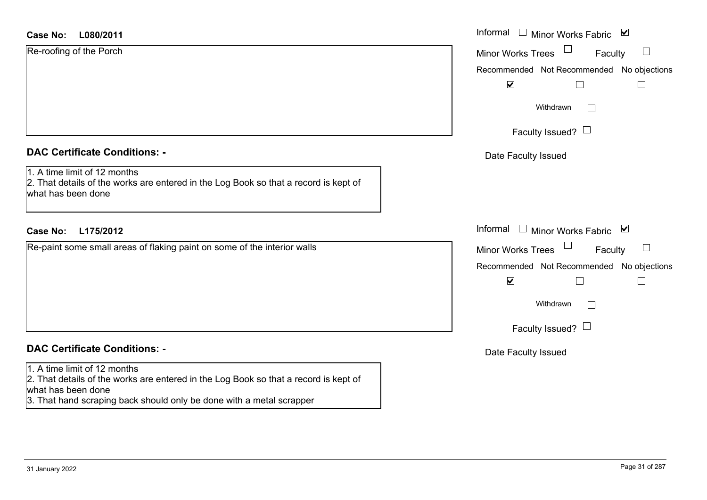# **L080/2011Case No:** Informal Re-roofing of the Porch

| $\mathbf{A} \mathbf{A} \mathbf{A} \mathbf{A}$ |  |  |
|-----------------------------------------------|--|--|
|                                               |  |  |
|                                               |  |  |
|                                               |  |  |

# **DAC Certificate Conditions: -**

1. A time limit of 12 months

 2. That details of the works are entered in the Log Book so that a record is kept of what has been done

# **L175/2012Case No:** Informal

Re-paint some small areas of flaking paint on some of the interior walls

# **DAC Certificate Conditions: -**

### 1. A time limit of 12 months

2. That details of the works are entered in the Log Book so that a record is kept of what has been done

3. That hand scraping back should only be done with a metal scrapper

| Informal<br>$\begin{array}{c} \hline \end{array}$<br>Minor Works Fabric ⊠ |
|---------------------------------------------------------------------------|
| <b>Minor Works Trees</b><br>Faculty                                       |
| Recommended Not Recommended No objections<br>$\blacktriangledown$         |
| Withdrawn                                                                 |
| Faculty Issued?                                                           |
| Date Faculty Issued                                                       |
|                                                                           |
| Informal<br>⊻<br><b>Minor Works Fabric</b><br>$\Box$                      |
| <b>Minor Works Trees</b><br>Faculty                                       |
| Recommended Not Recommended No objections<br>$\blacktriangledown$         |
| Withdrawn                                                                 |
| Faculty Issued?                                                           |
| Date Faculty Issued                                                       |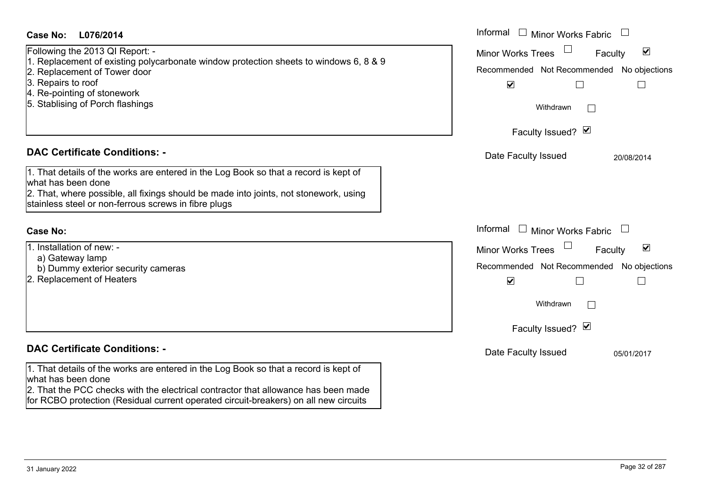| Case No:<br>L076/2014                                                                                                 | Informal |
|-----------------------------------------------------------------------------------------------------------------------|----------|
| Following the 2013 QI Report: -                                                                                       | Minor W  |
| 1. Replacement of existing polycarbonate window protection sheets to windows 6, 8 & 9<br>2. Replacement of Tower door | Recomm   |
| 3. Repairs to roof                                                                                                    |          |
| 4. Re-pointing of stonework                                                                                           |          |
| 5. Stablising of Porch flashings                                                                                      |          |
|                                                                                                                       |          |
|                                                                                                                       |          |
| <b>DAC Certificate Conditions: -</b>                                                                                  | Date I   |
|                                                                                                                       |          |
| 1. That details of the works are entered in the Log Book so that a record is kept of<br>what has been done            |          |
| 2. That, where possible, all fixings should be made into joints, not stonework, using                                 |          |
| stainless steel or non-ferrous screws in fibre plugs                                                                  |          |
|                                                                                                                       |          |
| <b>Case No:</b>                                                                                                       |          |
|                                                                                                                       | Informal |
| 1. Installation of new: -                                                                                             | Minor W  |

2. Replacement of Heaters

# **DAC Certificate Con**

b) Dummy exterior security cameras

|                                                                                                                                                                                                                                                                                          | vviindrawn          |                |
|------------------------------------------------------------------------------------------------------------------------------------------------------------------------------------------------------------------------------------------------------------------------------------------|---------------------|----------------|
|                                                                                                                                                                                                                                                                                          | Faculty Issued? Ø   |                |
| <b>DAC Certificate Conditions: -</b>                                                                                                                                                                                                                                                     | Date Faculty Issued | 05/01/2017     |
| 1. That details of the works are entered in the Log Book so that a record is kept of<br>what has been done<br>2. That the PCC checks with the electrical contractor that allowance has been made<br>for RCBO protection (Residual current operated circuit-breakers) on all new circuits |                     |                |
| 31 January 2022                                                                                                                                                                                                                                                                          |                     | Page 32 of 287 |
|                                                                                                                                                                                                                                                                                          |                     |                |

| Informal<br><b>Minor Works Fabric</b>                                                                                                   |
|-----------------------------------------------------------------------------------------------------------------------------------------|
| $\vert\bm{\mathsf{v}}\vert$<br><b>Minor Works Trees</b><br>Faculty<br>Recommended Not Recommended No objections<br>$\blacktriangledown$ |
| Withdrawn                                                                                                                               |
| Faculty Issued? Ø                                                                                                                       |
| Date Faculty Issued<br>20/08/2014                                                                                                       |
| Informal<br><b>Minor Works Fabric</b>                                                                                                   |
| ⊻<br><b>Minor Works Trees</b><br>Faculty                                                                                                |
| Recommended Not Recommended No objections<br>$\blacktriangledown$                                                                       |
| Withdrawn                                                                                                                               |
| Faculty Issued? Ø                                                                                                                       |
| Date Faculty Issued<br>05/01/2017                                                                                                       |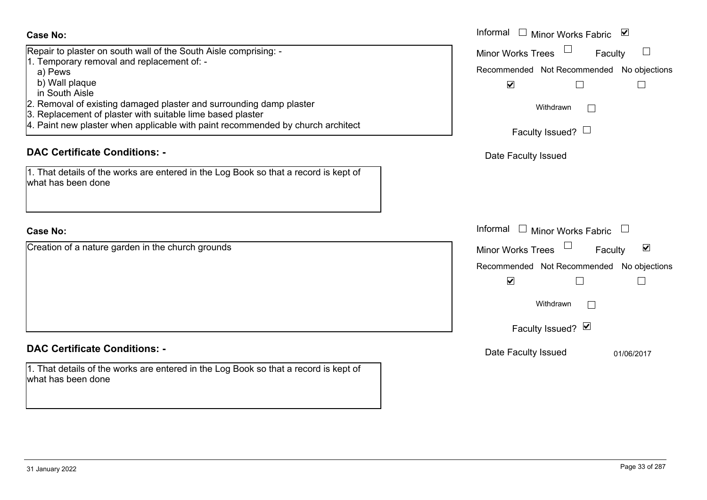| ι ριαγαν<br>th Aisle                                                                                               | M                                     |
|--------------------------------------------------------------------------------------------------------------------|---------------------------------------|
| val of existing damaged plaster and surrounding damp plaster<br>cement of plaster with suitable lime based plaster | Withdrawn                             |
| ew plaster when applicable with paint recommended by church architect                                              | Faculty Issued? $\Box$                |
| rtificate Conditions: -                                                                                            | Date Faculty Issued                   |
| etails of the works are entered in the Log Book so that a record is kept of<br>been done                           |                                       |
|                                                                                                                    | Informal<br><b>Minor Works Fabric</b> |
| of a nature garden in the church grounds                                                                           | <b>Minor Works Trees</b><br>Fac       |
|                                                                                                                    | Recommended Not Recommended           |
|                                                                                                                    | $\blacktriangledown$                  |
|                                                                                                                    | Withdrawn                             |
|                                                                                                                    | Faculty Issued? Ø                     |
| rtificate Conditions: -                                                                                            | Dota Foouth Loouad                    |

#### **Case No:**Informal

Repair to plaster on south wall of the South Aisle comprising: - 1. Temporary removal and replacement of: a) Pews

- b) Wall plaque
- in South Ais
- 2. Removal of
- 3. Replaceme
- 4. Paint new p

# **DAC Certific**

1. That details what has beer

# **Case No:**

Creation of a

# **DAC Certificate Conditions**

1. That details of the works are entered in the Log Book so that a record is kept of what has been done

Recommended Not Recommended No objections  $\Box$  $\Box$  $\Box$  $\Box$  $\blacktriangledown$ ulty d No objections  $\Box$ 

Informal  $\Box$  Minor Works Fabric  $\Box$ 

Minor Works Trees

Faculty  $\square$ 

Date Faculty Issued 01/06/2017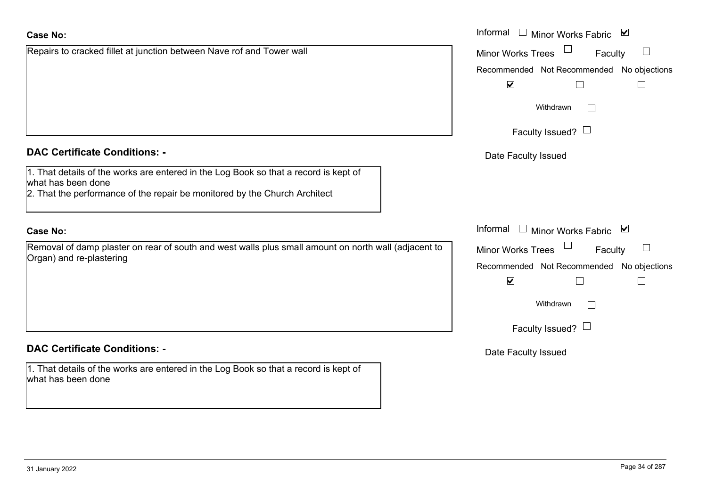## **Case No:**

# **DAC Certificate Conditions: -**

1. That details of the works are entered in the Log Book so that a record is kept of what has been done

2. That the performance of the repair be monitored by the Church Architect

Repairs to cracked fillet at junction between Nave rof and Tower wall

# **Case No:**

Removal of damp plaster on rear of south and west walls plus small amount on north wall (adjace Organ) and re-plastering

# **DAC Certificate Conditions: -**

1. That details of the works are entered in the Log Book so that a record is kept of what has been done

|                                                                                              | Informal <u>I</u> Minor Works Fabric <b>⊻</b>                      |
|----------------------------------------------------------------------------------------------|--------------------------------------------------------------------|
| o cracked fillet at junction between Nave rof and Tower wall                                 | $\Box$<br>$\overline{\phantom{a}}$<br>Minor Works Trees<br>Faculty |
|                                                                                              | Recommended Not Recommended No objections                          |
|                                                                                              | $\blacktriangledown$                                               |
|                                                                                              | Withdrawn                                                          |
|                                                                                              | Faculty Issued? $\Box$                                             |
| rtificate Conditions: -                                                                      | Date Faculty Issued                                                |
| etails of the works are entered in the Log Book so that a record is kept of<br>been done     |                                                                    |
| e performance of the repair be monitored by the Church Architect                             |                                                                    |
|                                                                                              | Informal □ Minor Works Fabric ⊠                                    |
| of damp plaster on rear of south and west walls plus small amount on north wall (adjacent to | Minor Works Trees<br>Faculty                                       |
| nd re-plastering                                                                             | Recommended Not Recommended No objections                          |
|                                                                                              | $\blacktriangledown$<br>$\Box$<br>$\Box$                           |
|                                                                                              | Withdrawn                                                          |
|                                                                                              | Faculty Issued? $\Box$                                             |
| rtificate Conditions: -                                                                      | Date Faculty Issued                                                |
| etails of the works are entered in the Log Book so that a record is kept of<br>been done     |                                                                    |
|                                                                                              |                                                                    |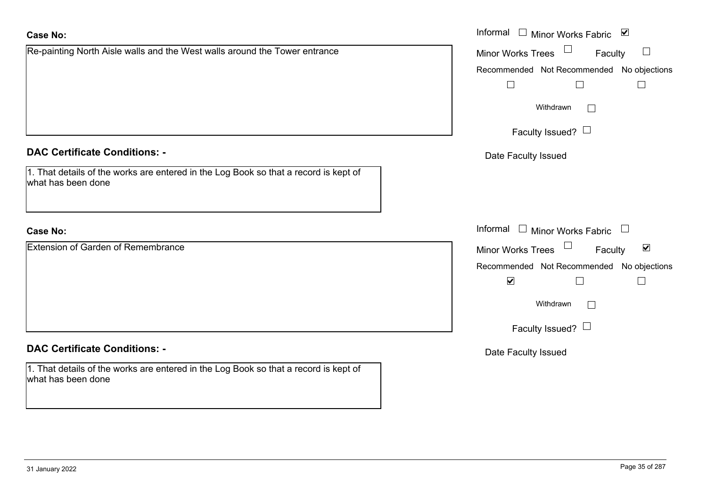| <b>Case No:</b>                                                                                            | Informal □ Minor Works Fabric ☑                                       |
|------------------------------------------------------------------------------------------------------------|-----------------------------------------------------------------------|
| Re-painting North Aisle walls and the West walls around the Tower entrance                                 | $\Box$<br>Minor Works Trees<br>Faculty                                |
|                                                                                                            | Recommended Not Recommended No objections                             |
|                                                                                                            | $\Box$                                                                |
|                                                                                                            | Withdrawn                                                             |
|                                                                                                            | Faculty Issued? $\Box$                                                |
| <b>DAC Certificate Conditions: -</b>                                                                       | Date Faculty Issued                                                   |
| 1. That details of the works are entered in the Log Book so that a record is kept of<br>what has been done |                                                                       |
| <b>Case No:</b>                                                                                            | Informal $\Box$ Minor Works Fabric $\Box$                             |
| <b>Extension of Garden of Remembrance</b>                                                                  | $\Box$<br>$\blacktriangledown$<br><b>Minor Works Trees</b><br>Faculty |
|                                                                                                            | Recommended Not Recommended No objections                             |
|                                                                                                            | $\blacktriangledown$<br>$\Box$                                        |
|                                                                                                            | Withdrawn                                                             |
|                                                                                                            | Faculty Issued? $\Box$                                                |
| <b>DAC Certificate Conditions: -</b>                                                                       | Date Faculty Issued                                                   |
| 1. That details of the works are entered in the Log Book so that a record is kept of<br>what has been done |                                                                       |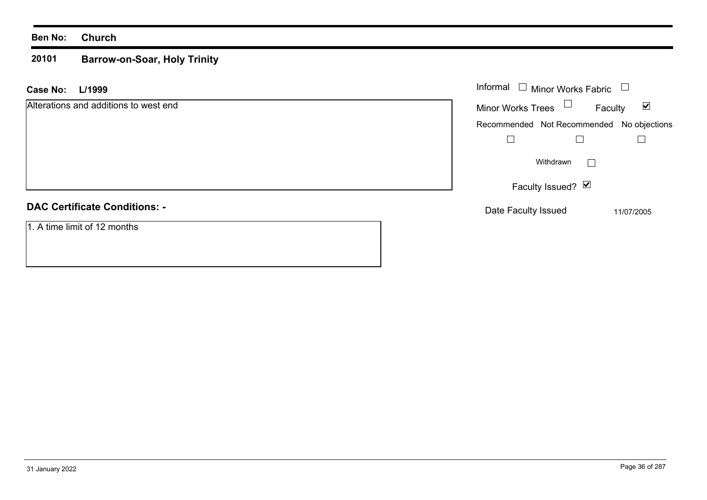### **20101 Barrow-on-Soar, Holy Trinity**

| L/1999<br><b>Case No:</b>             | Informal $\Box$ Minor Works Fabric $\Box$                   |
|---------------------------------------|-------------------------------------------------------------|
| Alterations and additions to west end | Minor Works Trees $\Box$<br>Faculty<br>$\blacktriangledown$ |
|                                       | Recommended Not Recommended No objections                   |
|                                       |                                                             |
|                                       | Withdrawn<br>$\Box$                                         |
|                                       | Faculty Issued? Ø                                           |
| <b>DAC Certificate Conditions: -</b>  | Date Faculty Issued<br>11/07/2005                           |
| 1. A time limit of 12 months          |                                                             |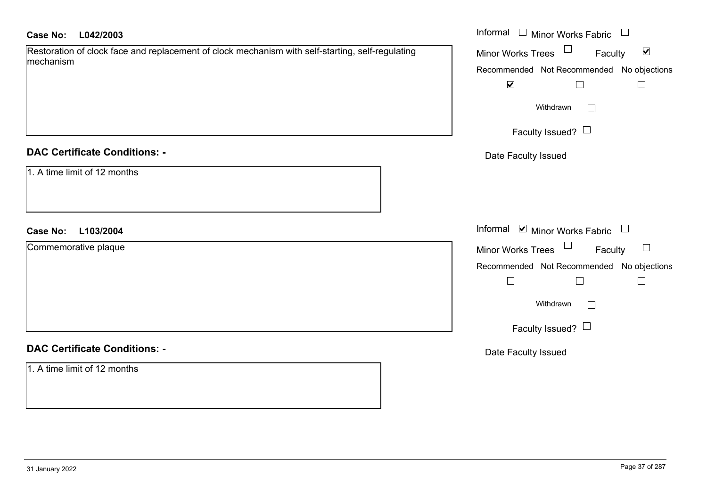| <b>Case No:</b><br>L042/2003                                                                     | Informal $\Box$ Minor Works Fabric $\Box$            |  |  |
|--------------------------------------------------------------------------------------------------|------------------------------------------------------|--|--|
| Restoration of clock face and replacement of clock mechanism with self-starting, self-regulating | $\blacktriangledown$<br>Minor Works Trees<br>Faculty |  |  |
| mechanism                                                                                        | Recommended Not Recommended No objections            |  |  |
|                                                                                                  | $\blacktriangledown$<br>$\Box$<br>$\Box$             |  |  |
|                                                                                                  | Withdrawn                                            |  |  |
|                                                                                                  | Faculty Issued?                                      |  |  |
| <b>DAC Certificate Conditions: -</b>                                                             | Date Faculty Issued                                  |  |  |
| 1. A time limit of 12 months                                                                     |                                                      |  |  |
| L103/2004<br><b>Case No:</b>                                                                     | Informal Ø Minor Works Fabric □                      |  |  |
| Commemorative plaque                                                                             | Minor Works Trees<br>Faculty<br>$\Box$               |  |  |
|                                                                                                  | Recommended Not Recommended No objections            |  |  |
|                                                                                                  | $\Box$<br>$\Box$                                     |  |  |
|                                                                                                  | Withdrawn                                            |  |  |
|                                                                                                  | Faculty Issued? $\Box$                               |  |  |
| <b>DAC Certificate Conditions: -</b>                                                             | Date Faculty Issued                                  |  |  |
| 1. A time limit of 12 months                                                                     |                                                      |  |  |
|                                                                                                  |                                                      |  |  |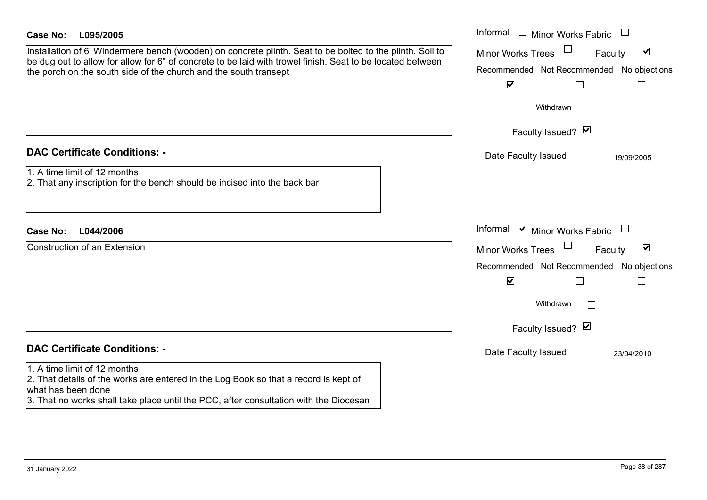| Case No:<br>L095/2005                                                                                                                                                                                                                                                                       | Informal $\Box$ Minor Works Fabric<br>$\overline{\phantom{a}}$                                                                                                               |
|---------------------------------------------------------------------------------------------------------------------------------------------------------------------------------------------------------------------------------------------------------------------------------------------|------------------------------------------------------------------------------------------------------------------------------------------------------------------------------|
| Installation of 6' Windermere bench (wooden) on concrete plinth. Seat to be bolted to the plinth. Soil to<br>be dug out to allow for allow for 6" of concrete to be laid with trowel finish. Seat to be located between<br>the porch on the south side of the church and the south transept | $\blacktriangledown$<br><b>Minor Works Trees</b><br>Faculty<br>Recommended Not Recommended No objections<br>$\blacktriangledown$<br>$\Box$<br>Withdrawn<br>$\vert \ \ \vert$ |
|                                                                                                                                                                                                                                                                                             | Faculty Issued? Ø                                                                                                                                                            |
| <b>DAC Certificate Conditions: -</b><br>1. A time limit of 12 months<br>2. That any inscription for the bench should be incised into the back bar                                                                                                                                           | Date Faculty Issued<br>19/09/2005                                                                                                                                            |
| L044/2006<br><b>Case No:</b>                                                                                                                                                                                                                                                                | Informal ⊠ Minor Works Fabric                                                                                                                                                |
| <b>Construction of an Extension</b>                                                                                                                                                                                                                                                         | $\blacktriangledown$<br><b>Minor Works Trees</b><br>Faculty<br>Recommended Not Recommended No objections<br>$\blacktriangledown$<br>$\Box$<br>Withdrawn<br>Faculty Issued? Ø |
| <b>DAC Certificate Conditions: -</b>                                                                                                                                                                                                                                                        | Date Faculty Issued<br>23/04/2010                                                                                                                                            |
| 1. A time limit of 12 months<br>2. That details of the works are entered in the Log Book so that a record is kept of<br>what has been done<br>3. That no works shall take place until the PCC, after consultation with the Diocesan                                                         |                                                                                                                                                                              |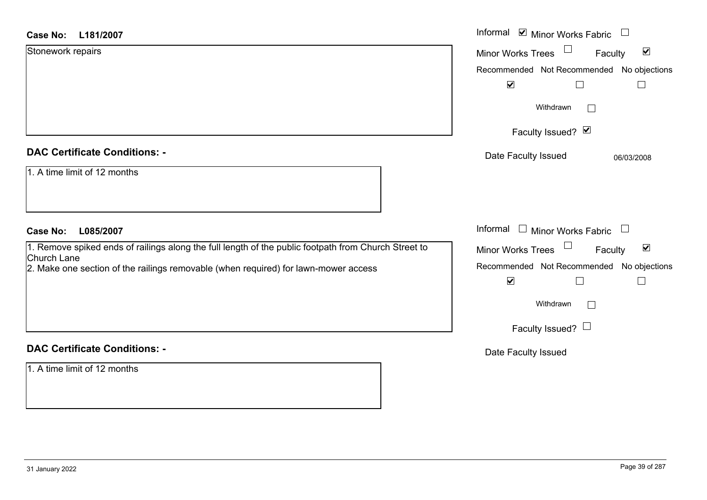| <b>Case No:</b><br>L181/2007                                                                                                                                                                               | Informal Ø Minor Works Fabric □                                                                                                           |
|------------------------------------------------------------------------------------------------------------------------------------------------------------------------------------------------------------|-------------------------------------------------------------------------------------------------------------------------------------------|
| Stonework repairs                                                                                                                                                                                          | $\blacktriangledown$<br><b>Minor Works Trees</b><br>Faculty                                                                               |
|                                                                                                                                                                                                            | Recommended Not Recommended No objections                                                                                                 |
|                                                                                                                                                                                                            | $\blacktriangledown$<br>$\mathsf{L}$                                                                                                      |
|                                                                                                                                                                                                            | Withdrawn                                                                                                                                 |
|                                                                                                                                                                                                            | Faculty Issued? Ø                                                                                                                         |
| <b>DAC Certificate Conditions: -</b>                                                                                                                                                                       | Date Faculty Issued<br>06/03/2008                                                                                                         |
| 1. A time limit of 12 months                                                                                                                                                                               |                                                                                                                                           |
| <b>Case No:</b><br>L085/2007                                                                                                                                                                               | Informal $\Box$ Minor Works Fabric $\Box$                                                                                                 |
| 1. Remove spiked ends of railings along the full length of the public footpath from Church Street to<br>Church Lane<br>2. Make one section of the railings removable (when required) for lawn-mower access | $\blacktriangledown$<br>Minor Works Trees<br>Faculty<br>Recommended Not Recommended No objections<br>$\blacktriangledown$<br>$\mathsf{L}$ |
|                                                                                                                                                                                                            | Withdrawn                                                                                                                                 |
|                                                                                                                                                                                                            | Faculty Issued? $\Box$                                                                                                                    |
| <b>DAC Certificate Conditions: -</b>                                                                                                                                                                       | Date Faculty Issued                                                                                                                       |
| 1. A time limit of 12 months                                                                                                                                                                               |                                                                                                                                           |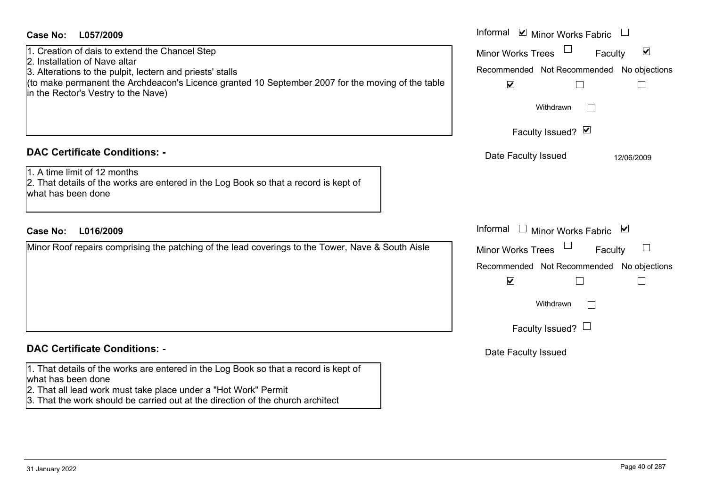| <b>Case No:</b><br>L057/2009                                                                                                                                                                          | Informal $\blacksquare$ Minor Works Fabric $\blacksquare$                                     |
|-------------------------------------------------------------------------------------------------------------------------------------------------------------------------------------------------------|-----------------------------------------------------------------------------------------------|
| 1. Creation of dais to extend the Chancel Step<br>2. Installation of Nave altar                                                                                                                       | $\blacktriangledown$<br><b>Minor Works Trees</b><br>Faculty                                   |
| 3. Alterations to the pulpit, lectern and priests' stalls<br>(to make permanent the Archdeacon's Licence granted 10 September 2007 for the moving of the table<br>in the Rector's Vestry to the Nave) | Recommended Not Recommended No objections<br>$\blacktriangledown$<br>$\overline{\phantom{a}}$ |
|                                                                                                                                                                                                       | Withdrawn                                                                                     |
|                                                                                                                                                                                                       | Faculty Issued? Ø                                                                             |
| <b>DAC Certificate Conditions: -</b>                                                                                                                                                                  | Date Faculty Issued<br>12/06/2009                                                             |
| 1. A time limit of 12 months<br>2. That details of the works are entered in the Log Book so that a record is kept of<br>what has been done                                                            |                                                                                               |
| <b>Case No:</b><br>L016/2009                                                                                                                                                                          | Informal $\Box$ Minor Works Fabric $\Box$                                                     |
| Minor Roof repairs comprising the patching of the lead coverings to the Tower, Nave & South Aisle                                                                                                     | <b>Minor Works Trees</b><br>$\Box$<br>Faculty                                                 |
|                                                                                                                                                                                                       | Recommended Not Recommended No objections                                                     |
|                                                                                                                                                                                                       | $\blacktriangledown$                                                                          |
|                                                                                                                                                                                                       | Withdrawn<br>$\mathbb{R}^n$                                                                   |
|                                                                                                                                                                                                       | Faculty Issued? $\Box$                                                                        |
| <b>DAC Certificate Conditions: -</b>                                                                                                                                                                  | Date Faculty Issued                                                                           |
| 1. That details of the works are entered in the Log Book so that a record is kept of<br>what has been done<br>2. That all lead work must take place under a "Hot Work" Permit                         |                                                                                               |
| 3. That the work should be carried out at the direction of the church architect                                                                                                                       |                                                                                               |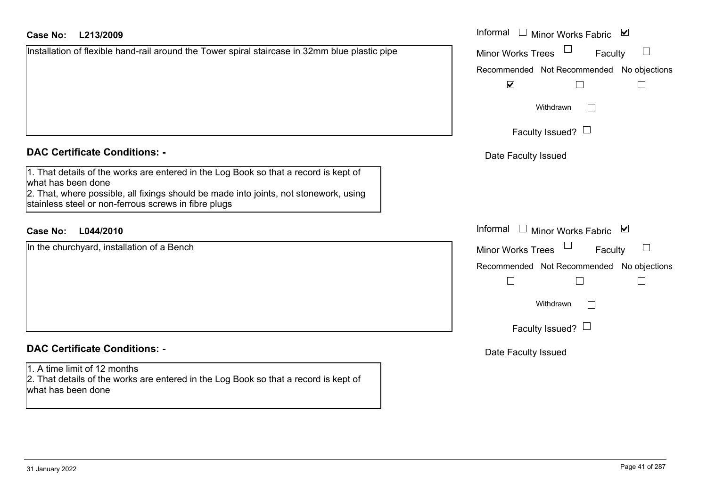# **L213/2009Case No:** Informal

|  |  | Installation of flexible hand-rail around the Tower spiral staircase in 32mm blue plastic pipe |  |
|--|--|------------------------------------------------------------------------------------------------|--|
|  |  |                                                                                                |  |
|  |  |                                                                                                |  |
|  |  |                                                                                                |  |
|  |  |                                                                                                |  |

# **DAC Certificate Conditions: -**

1. That details of the works are entered in the Log Book so that a record is kept of what has been done 2. That, where possible, all fixings should be made into joints, not stonework, using stainless steel or non-ferrous screws in fibre plugs

# **L044/2010Case No:** Informal

In the churchyard, installation of a Bench

# **DAC Certificate Conditions: -**

1. A time limit of 12 months 2. That details of the works are entered in the Log Book so that a record is kept of what has been done

| Informal<br>Minor Works Fabric            | $\overline{\mathbf{v}}$ |
|-------------------------------------------|-------------------------|
| <b>Minor Works Trees</b><br>Faculty       |                         |
| Recommended Not Recommended No objections |                         |
| ⊻                                         |                         |
| Withdrawn                                 |                         |
| Faculty Issued?                           |                         |
| Date Faculty Issued                       |                         |
|                                           |                         |
|                                           |                         |
| Informal<br><b>Minor Works Fabric</b>     | ⊻                       |
| <b>Minor Works Trees</b><br>Faculty       |                         |
| Recommended Not Recommended No objections |                         |
|                                           |                         |
| Withdrawn                                 |                         |
| Faculty Issued?                           |                         |
| Date Faculty Issued                       |                         |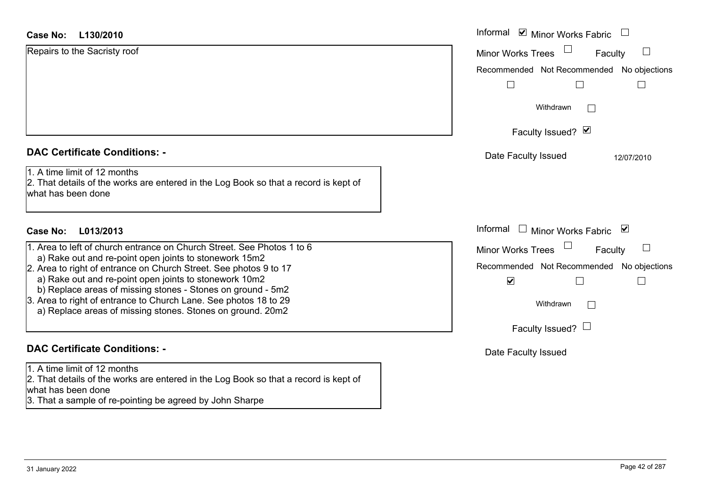| <b>Case No:</b><br>L130/2010                                                                                                                                                                  | Informal ⊠ Minor Works Fabric             |
|-----------------------------------------------------------------------------------------------------------------------------------------------------------------------------------------------|-------------------------------------------|
| Repairs to the Sacristy roof                                                                                                                                                                  | <b>Minor Works Trees</b><br>Faculty       |
|                                                                                                                                                                                               | Recommended Not Recommended No objections |
|                                                                                                                                                                                               |                                           |
|                                                                                                                                                                                               | Withdrawn                                 |
|                                                                                                                                                                                               | Faculty Issued? Ø                         |
| <b>DAC Certificate Conditions: -</b>                                                                                                                                                          | Date Faculty Issued<br>12/07/2010         |
| 1. A time limit of 12 months<br>2. That details of the works are entered in the Log Book so that a record is kept of<br>what has been done                                                    |                                           |
| <b>Case No:</b><br>L013/2013                                                                                                                                                                  | Informal □ Minor Works Fabric<br>⊻        |
| 1. Area to left of church entrance on Church Street. See Photos 1 to 6                                                                                                                        | <b>Minor Works Trees</b><br>Faculty       |
| a) Rake out and re-point open joints to stonework 15m2<br>2. Area to right of entrance on Church Street. See photos 9 to 17                                                                   | Recommended Not Recommended No objections |
| a) Rake out and re-point open joints to stonework 10m2                                                                                                                                        | $\blacktriangledown$                      |
| b) Replace areas of missing stones - Stones on ground - 5m2<br>3. Area to right of entrance to Church Lane. See photos 18 to 29<br>a) Replace areas of missing stones. Stones on ground. 20m2 | Withdrawn<br>$\sim$                       |
|                                                                                                                                                                                               | Faculty Issued? $\Box$                    |
| <b>DAC Certificate Conditions: -</b>                                                                                                                                                          | Date Faculty Issued                       |
| 1. A time limit of 12 months                                                                                                                                                                  |                                           |
| 2. That details of the works are entered in the Log Book so that a record is kept of<br>what has been done                                                                                    |                                           |
| 3. That a sample of re-pointing be agreed by John Sharpe                                                                                                                                      |                                           |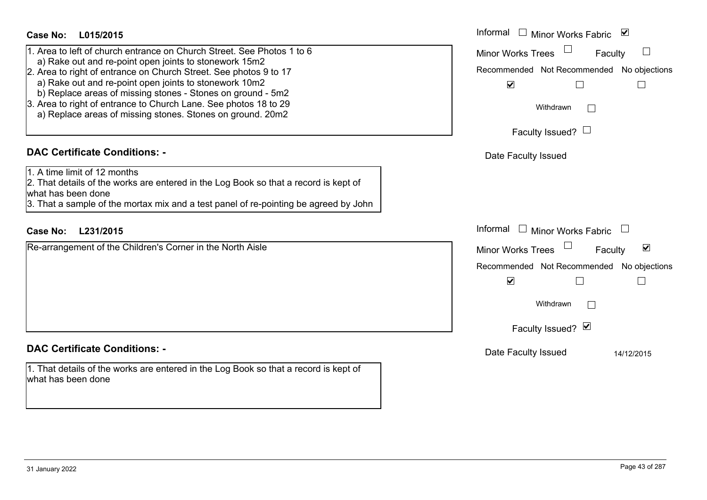- 1. Area to left of church entrance on Church Street. See Photos 1 to 6
- a) Rake out and re-point open joints to stonework 15m2
- 2. Area to right of entrance on Church Street. See photos 9 to 17
	- a) Rake out and re-point open joints to stonework 10m2
- b) Replace areas of missing stones Stones on ground 5m2
- 3. Area to right of entrance to Church Lane. See photos 18 to 29
- a) Replace areas of missing stones. Stones on ground. 20m2

# **DAC Certificate Conditions: -**

1. A time limit of 12 months

2. That details of the works are entered in the Log Book so that a record is kept of what has been done

3. That a sample of the mortax mix and a test panel of re-pointing be agreed by John

# **L231/2015Case No:** Informal

Re-arrangement of the Children's Corner in the North Aisle

# **DAC Certificate Conditions: -**

1. That details of the works are entered in the Log Book so that a record is kept of what has been done

| Informal<br>$\overline{\mathbf{v}}$<br>Minor Works Fabric         |
|-------------------------------------------------------------------|
| <b>Minor Works Trees</b><br>Faculty                               |
| Recommended Not Recommended No objections<br>$\blacktriangledown$ |
| Withdrawn                                                         |
| Faculty Issued? $\Box$                                            |
| Date Faculty Issued                                               |
|                                                                   |
|                                                                   |
| Informal<br><b>Minor Works Fabric</b>                             |
| ⊻<br><b>Minor Works Trees</b><br>Faculty                          |
| Recommended Not Recommended No objections<br>$\blacktriangledown$ |
| Withdrawn                                                         |
| Faculty Issued? Ø                                                 |
|                                                                   |
| Date Faculty Issued<br>14/12/2015                                 |
|                                                                   |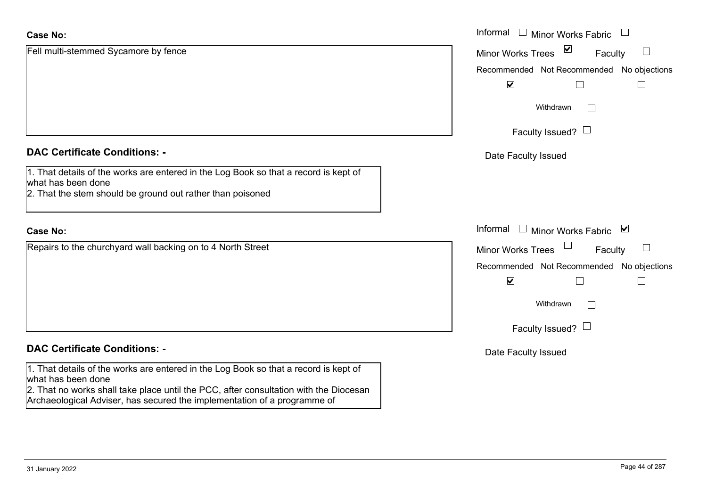| <b>Case No:</b>                                                                                                                                                                                     | Informal $\Box$<br><b>Minor Works Fabric</b>         |
|-----------------------------------------------------------------------------------------------------------------------------------------------------------------------------------------------------|------------------------------------------------------|
| Fell multi-stemmed Sycamore by fence                                                                                                                                                                | $\triangledown$<br>Minor Works Trees<br>ப<br>Faculty |
|                                                                                                                                                                                                     | Recommended Not Recommended No objections            |
|                                                                                                                                                                                                     | $\blacktriangledown$                                 |
|                                                                                                                                                                                                     | Withdrawn<br>$\Box$                                  |
|                                                                                                                                                                                                     | Faculty Issued? $\Box$                               |
| <b>DAC Certificate Conditions: -</b>                                                                                                                                                                | Date Faculty Issued                                  |
| 1. That details of the works are entered in the Log Book so that a record is kept of<br>what has been done<br>2. That the stem should be ground out rather than poisoned                            |                                                      |
| <b>Case No:</b>                                                                                                                                                                                     | Informal $\Box$<br><b>Minor Works Fabric</b><br>⊻    |
| Repairs to the churchyard wall backing on to 4 North Street                                                                                                                                         | <b>Minor Works Trees</b><br>Faculty                  |
|                                                                                                                                                                                                     | Recommended Not Recommended No objections            |
|                                                                                                                                                                                                     | $\blacktriangledown$                                 |
|                                                                                                                                                                                                     | Withdrawn<br>$\Box$                                  |
|                                                                                                                                                                                                     | Faculty Issued? $\Box$                               |
| <b>DAC Certificate Conditions: -</b>                                                                                                                                                                | Date Faculty Issued                                  |
| 1. That details of the works are entered in the Log Book so that a record is kept of<br>what has been done<br>2. That no works shall take place until the PCC, after consultation with the Diocesan |                                                      |
| Archaeological Adviser, has secured the implementation of a programme of                                                                                                                            |                                                      |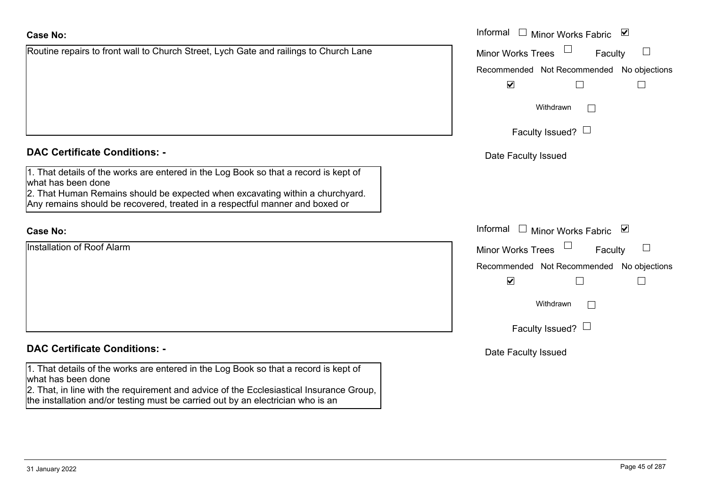| <b>Case No:</b>                                                                                                                                                                                                                                                                          | Informal □ Minor Works Fabric ☑     |
|------------------------------------------------------------------------------------------------------------------------------------------------------------------------------------------------------------------------------------------------------------------------------------------|-------------------------------------|
| Routine repairs to front wall to Church Street, Lych Gate and railings to Church Lane                                                                                                                                                                                                    | <b>Minor Works Trees</b><br>Faculty |
|                                                                                                                                                                                                                                                                                          | Recommended Not Recommended No      |
|                                                                                                                                                                                                                                                                                          | $\blacktriangledown$                |
|                                                                                                                                                                                                                                                                                          | Withdrawn                           |
|                                                                                                                                                                                                                                                                                          | Faculty Issued? $\Box$              |
| <b>DAC Certificate Conditions: -</b>                                                                                                                                                                                                                                                     | Date Faculty Issued                 |
| 1. That details of the works are entered in the Log Book so that a record is kept of<br>what has been done<br>2. That Human Remains should be expected when excavating within a churchyard.<br>Any remains should be recovered, treated in a respectful manner and boxed or              |                                     |
| <b>Case No:</b>                                                                                                                                                                                                                                                                          | Informal □ Minor Works Fabric ⊠     |
| <b>Installation of Roof Alarm</b>                                                                                                                                                                                                                                                        | <b>Minor Works Trees</b><br>Faculty |
|                                                                                                                                                                                                                                                                                          | Recommended Not Recommended No      |
|                                                                                                                                                                                                                                                                                          | $\blacktriangledown$                |
|                                                                                                                                                                                                                                                                                          | Withdrawn                           |
|                                                                                                                                                                                                                                                                                          | Faculty Issued? $\Box$              |
| <b>DAC Certificate Conditions: -</b>                                                                                                                                                                                                                                                     | Date Faculty Issued                 |
| 1. That details of the works are entered in the Log Book so that a record is kept of<br>what has been done<br>2. That, in line with the requirement and advice of the Ecclesiastical Insurance Group,<br>the installation and/or testing must be carried out by an electrician who is an |                                     |

Faculty  $\Box$ Minor Works Trees Recommended Not Recommended No objections  $\Box$  $\Box$  $\blacktriangledown$  $\Box$ Withdrawn Faculty Issued?  $\Box$ **Faculty Issued** Minor Works Fabric Faculty  $\overline{\phantom{a}}$ Minor Works Trees Recommended Not Recommended No objections  $\blacktriangledown$  $\Box$  $\Box$ Withdrawn Faculty Issued?  $\Box$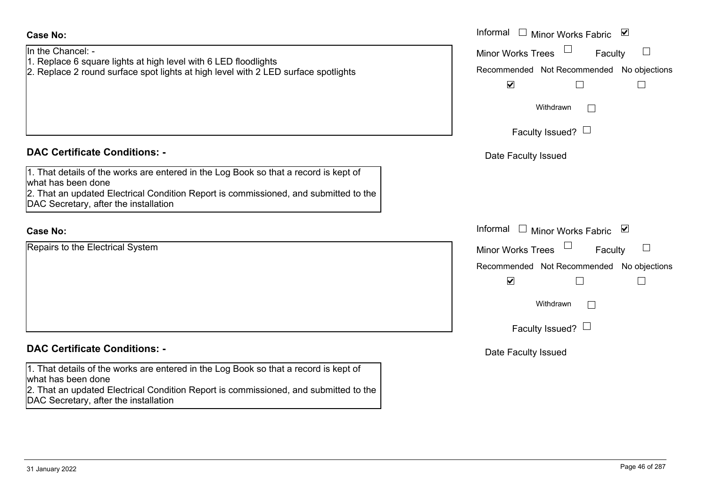# **DAC Certificate Conditions: -**1. That details of the works are entered in the Log Book so that a record is kept of what has been done 2. That an updated Electrical Condition Report is commissioned, and submitted to the DAC Secretary, after the installation Repairs to the Electrical System **Case No:** Informal **DAC Certificate Conditions: -**1. That details of the works are entered in the Log Book so that a record is kept of

In the Chancel: -

**Case No:**

- 1. Replace 6 square lights at high level with 6 LED floodlights
- 2. Replace 2 round surface spot lights at high level with 2 LED surface spotlights

what has been done

2. That an updated Electrical Condition Report is commissioned, and submitted to the DAC Secretary, after the installation

|                                                                                                                                                                                                           | Informal □ Minor Works Fabric ⊠                      |
|-----------------------------------------------------------------------------------------------------------------------------------------------------------------------------------------------------------|------------------------------------------------------|
| ancel: -                                                                                                                                                                                                  | $\frac{1}{2}$<br><b>Minor Works Trees</b><br>Faculty |
| ce 6 square lights at high level with 6 LED floodlights<br>ce 2 round surface spot lights at high level with 2 LED surface spotlights                                                                     | Recommended Not Recommended No objections            |
|                                                                                                                                                                                                           | $\blacktriangledown$<br>$\mathbb{R}^n$               |
|                                                                                                                                                                                                           | Withdrawn<br>l.                                      |
|                                                                                                                                                                                                           | Faculty Issued? $\Box$                               |
| rtificate Conditions: -                                                                                                                                                                                   | Date Faculty Issued                                  |
| etails of the works are entered in the Log Book so that a record is kept of<br>been done<br>n updated Electrical Condition Report is commissioned, and submitted to the<br>retary, after the installation |                                                      |
|                                                                                                                                                                                                           | Informal □ Minor Works Fabric ⊠                      |
| o the Electrical System                                                                                                                                                                                   | Minor Works Trees<br>$\Box$<br>Faculty               |
|                                                                                                                                                                                                           | Recommended Not Recommended No objections            |
|                                                                                                                                                                                                           | $\blacktriangledown$<br>$\mathbb{R}^n$               |
|                                                                                                                                                                                                           | Withdrawn<br>$\vert \ \ \vert$                       |
|                                                                                                                                                                                                           | Faculty Issued? $\Box$                               |
| rtificate Conditions: -                                                                                                                                                                                   | Date Faculty Issued                                  |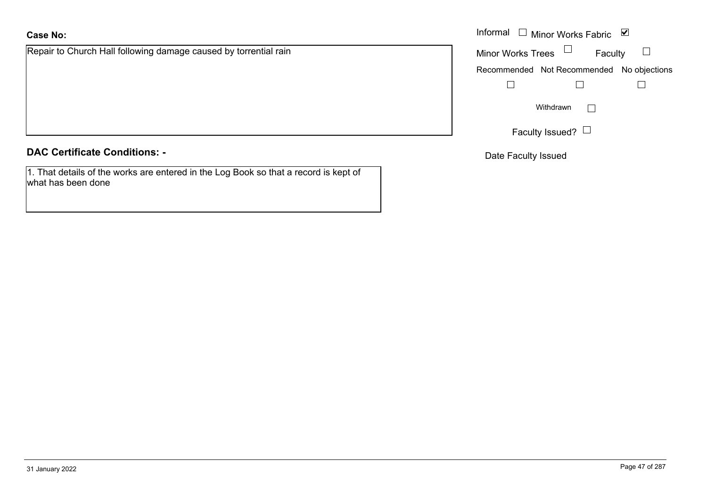# **Case No:**

Repair to Church Hall following damage caused by torrential rain

**DAC Certificate Conditions: -**

1. That details of the works are entered in the Log Book so that a record is kept of what has been done

|                                                        | Informal $\Box$ Minor Works Fabric $\Box$ |  |  |
|--------------------------------------------------------|-------------------------------------------|--|--|
| Church Hall following damage caused by torrential rain | Minor Works Trees $\Box$<br>Faculty       |  |  |
|                                                        | Recommended Not Recommended No objections |  |  |
|                                                        |                                           |  |  |
|                                                        | Withdrawn<br>$\mathbf{L}$                 |  |  |
|                                                        | Faculty Issued? $\Box$                    |  |  |

Date Faculty Issued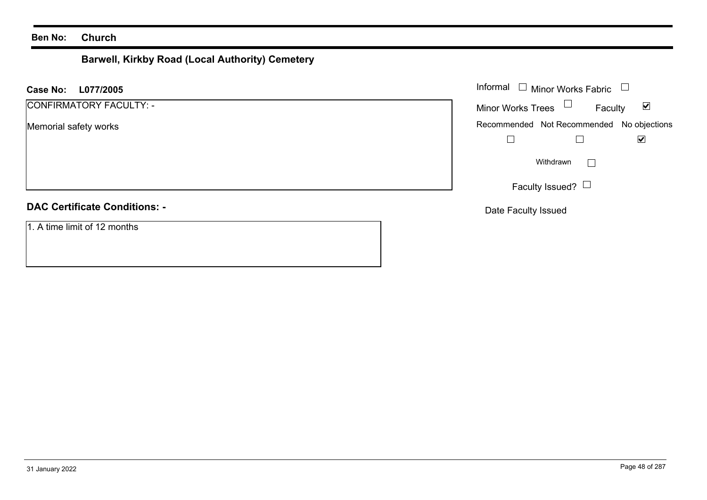# **Barwell, Kirkby Road (Local Authority) Cemetery**

| L077/2005<br><b>Case No:</b>         | Informal $\Box$ Minor Works Fabric $\Box$                   |  |  |
|--------------------------------------|-------------------------------------------------------------|--|--|
| CONFIRMATORY FACULTY: -              | Minor Works Trees $\Box$<br>$\blacktriangledown$<br>Faculty |  |  |
| Memorial safety works                | Recommended Not Recommended No objections<br>☑              |  |  |
|                                      | Withdrawn<br>$\mathbb{R}^n$                                 |  |  |
|                                      | Faculty Issued? $\Box$                                      |  |  |
| <b>DAC Certificate Conditions: -</b> | Date Faculty Issued                                         |  |  |
| 1. A time limit of 12 months         |                                                             |  |  |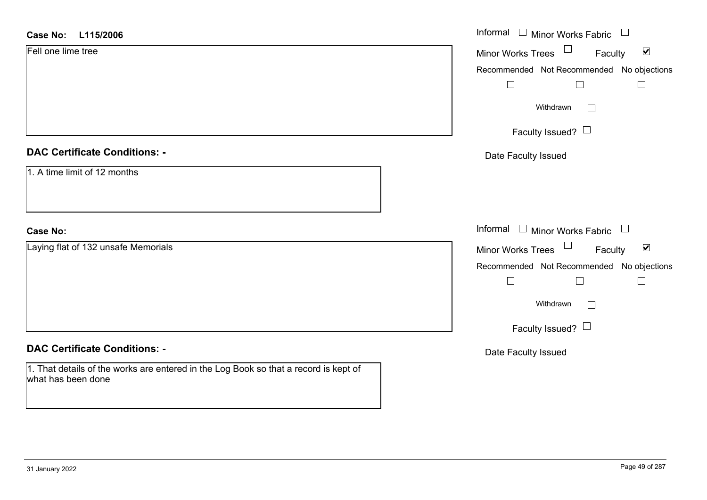| <b>Case No:</b><br>L115/2006                                                                               | Informal $\Box$ Minor Works Fabric $\Box$                      |  |
|------------------------------------------------------------------------------------------------------------|----------------------------------------------------------------|--|
| Fell one lime tree                                                                                         | $\Box$<br>$\blacktriangledown$<br>Minor Works Trees<br>Faculty |  |
|                                                                                                            | Recommended Not Recommended No objections                      |  |
|                                                                                                            |                                                                |  |
|                                                                                                            | Withdrawn<br>$\mathbf{I}$                                      |  |
|                                                                                                            | Faculty Issued? $\Box$                                         |  |
| <b>DAC Certificate Conditions: -</b>                                                                       | Date Faculty Issued                                            |  |
| 1. A time limit of 12 months                                                                               |                                                                |  |
| <b>Case No:</b>                                                                                            | Informal $\Box$ Minor Works Fabric $\Box$                      |  |
| Laying flat of 132 unsafe Memorials                                                                        | $\blacktriangledown$<br>Minor Works Trees<br>Faculty           |  |
|                                                                                                            | Recommended Not Recommended No objections                      |  |
|                                                                                                            |                                                                |  |
|                                                                                                            | Withdrawn<br>$\Box$                                            |  |
|                                                                                                            | Faculty Issued? $\Box$                                         |  |
| <b>DAC Certificate Conditions: -</b>                                                                       | Date Faculty Issued                                            |  |
| 1. That details of the works are entered in the Log Book so that a record is kept of<br>what has been done |                                                                |  |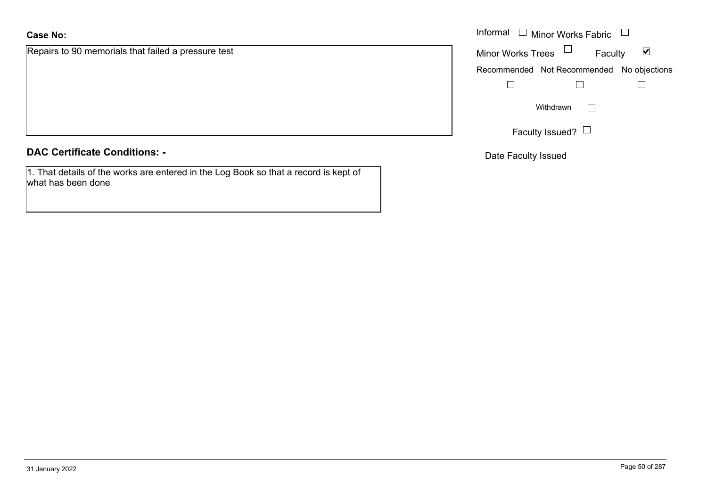# **Case No:**

Repairs to 90 memorials that failed a pressure test

**DAC Certificate Conditions: -**

1. That details of the works are entered in the Log Book so that a record is kept of what has been done

|                                            | Informal $\Box$ Minor Works Fabric $\Box$ |  |  |
|--------------------------------------------|-------------------------------------------|--|--|
| o 90 memorials that failed a pressure test | Minor Works Trees $\Box$<br>⊻<br>Faculty  |  |  |
|                                            | Recommended Not Recommended No objections |  |  |
|                                            |                                           |  |  |
|                                            | Withdrawn<br>$\mathbf{I}$                 |  |  |
|                                            | Faculty Issued? $L$                       |  |  |

Date Faculty Issued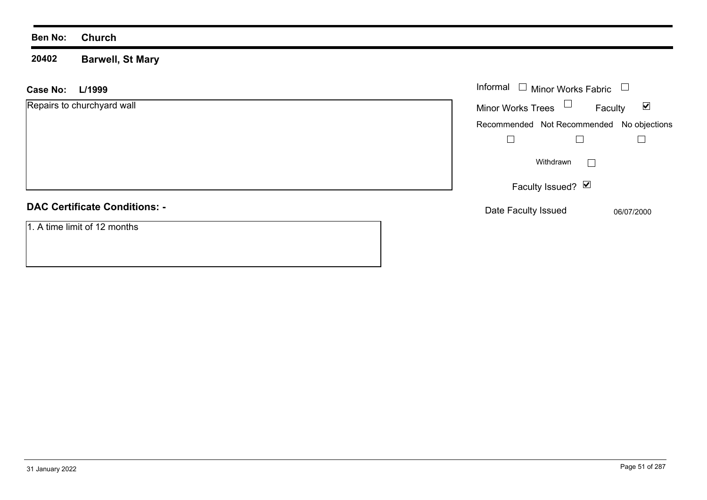#### **20402 Barwell, St Mary**

| <b>Case No:</b><br>L/1999            | Informal<br>$\Box$ Minor Works Fabric                       |  |  |
|--------------------------------------|-------------------------------------------------------------|--|--|
| Repairs to churchyard wall           | Minor Works Trees $\Box$<br>$\blacktriangledown$<br>Faculty |  |  |
|                                      | Recommended Not Recommended No objections                   |  |  |
|                                      |                                                             |  |  |
|                                      | Withdrawn                                                   |  |  |
|                                      | Faculty Issued? Ø                                           |  |  |
| <b>DAC Certificate Conditions: -</b> | Date Faculty Issued<br>06/07/2000                           |  |  |
| 1. A time limit of 12 months         |                                                             |  |  |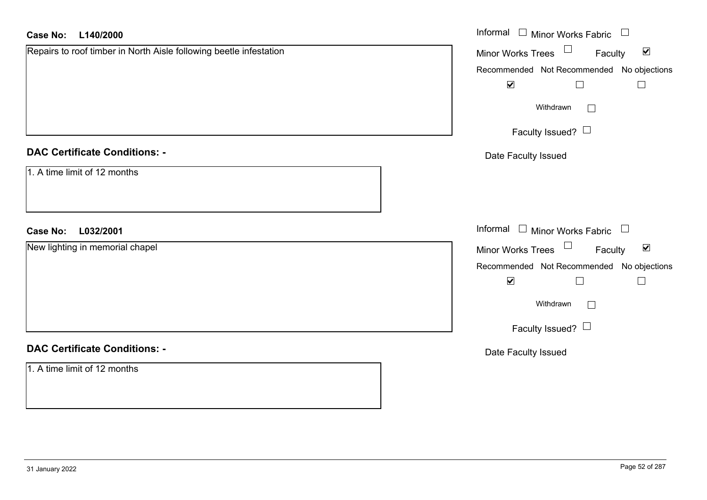| <b>Case No:</b><br>L140/2000                                       | Informal $\Box$ Minor Works Fabric $\Box$                   |
|--------------------------------------------------------------------|-------------------------------------------------------------|
| Repairs to roof timber in North Aisle following beetle infestation | Minor Works Trees $\Box$<br>Faculty<br>$\blacktriangledown$ |
|                                                                    | Recommended Not Recommended No objections                   |
|                                                                    | $\blacktriangledown$<br>$\Box$<br>$\Box$                    |
|                                                                    | Withdrawn<br>$\Box$                                         |
|                                                                    | Faculty Issued? $\Box$                                      |
| <b>DAC Certificate Conditions: -</b>                               | Date Faculty Issued                                         |
| 1. A time limit of 12 months                                       |                                                             |
| <b>Case No:</b><br>L032/2001                                       | Informal □ Minor Works Fabric □                             |
| New lighting in memorial chapel                                    | Minor Works Trees $\Box$ Faculty<br>$\blacktriangledown$    |
|                                                                    | Recommended Not Recommended No objections                   |
|                                                                    | $\blacktriangledown$<br>$\Box$<br>$\Box$                    |
|                                                                    | Withdrawn<br>$\Box$                                         |
|                                                                    | Faculty Issued?                                             |
| <b>DAC Certificate Conditions: -</b>                               | Date Faculty Issued                                         |
| 1. A time limit of 12 months                                       |                                                             |
|                                                                    |                                                             |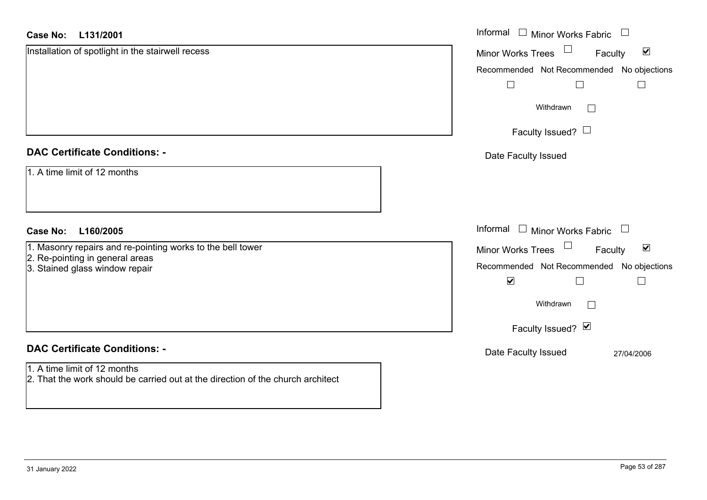#### **L131/2001Case No:**

| <b>Case No:</b><br>L131/2001                                                                                    | Informal □ Minor Works Fabric<br>$\begin{array}{c} \hline \end{array}$       |  |  |
|-----------------------------------------------------------------------------------------------------------------|------------------------------------------------------------------------------|--|--|
| Installation of spotlight in the stairwell recess                                                               | $\blacktriangledown$<br><b>Minor Works Trees</b><br>Faculty                  |  |  |
|                                                                                                                 | Recommended Not Recommended No objections                                    |  |  |
|                                                                                                                 |                                                                              |  |  |
|                                                                                                                 | Withdrawn                                                                    |  |  |
|                                                                                                                 | Faculty Issued? $\Box$                                                       |  |  |
| <b>DAC Certificate Conditions: -</b>                                                                            | Date Faculty Issued                                                          |  |  |
| 1. A time limit of 12 months                                                                                    |                                                                              |  |  |
| L160/2005<br><b>Case No:</b>                                                                                    | Informal $\Box$ Minor Works Fabric<br>$\begin{array}{c} \square \end{array}$ |  |  |
| 1. Masonry repairs and re-pointing works to the bell tower                                                      | Minor Works Trees<br>$\blacktriangledown$<br>Faculty                         |  |  |
| 2. Re-pointing in general areas<br>3. Stained glass window repair                                               | Recommended Not Recommended No objections                                    |  |  |
|                                                                                                                 | $\blacktriangledown$                                                         |  |  |
|                                                                                                                 | Withdrawn                                                                    |  |  |
|                                                                                                                 | Faculty Issued? Ø                                                            |  |  |
| <b>DAC Certificate Conditions: -</b>                                                                            | Date Faculty Issued<br>27/04/2006                                            |  |  |
| 1. A time limit of 12 months<br>2. That the work should be carried out at the direction of the church architect |                                                                              |  |  |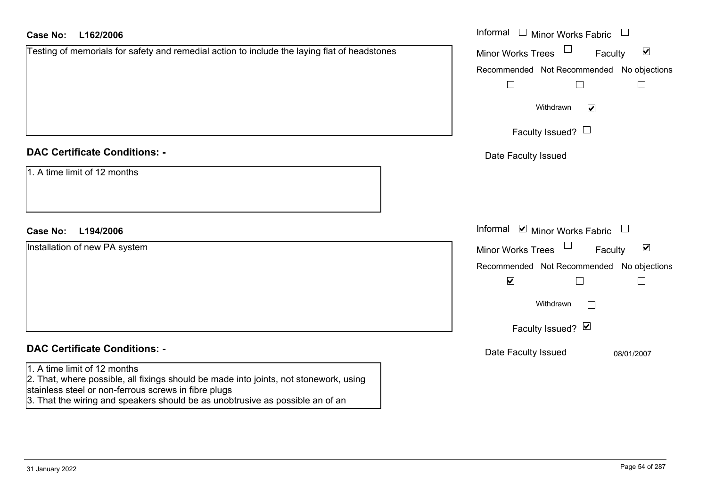## Informal  $\Box$  Minor Works Fabric  $\Box$ **L162/2006Case No:** Informal Testing of memorials for safety and remedial action to include the laying flat of headstones  $\blacktriangledown$ Faculty Minor Works Trees Recommended Not Recommended No objections  $\Box$  $\Box$  $\Box$ Withdrawn $\overline{\mathbf{v}}$ Faculty Issued?  $\Box$ **DAC Certificate Conditions: -**Date Faculty Issued 1. A time limit of 12 monthsInformal  $\vee$  Minor Works Fabric  $\Box$ **L194/2006Case No:** Informal Installation of new PA system  $\overline{\mathbf{v}}$ Faculty Minor Works Trees Recommended Not Recommended No objections  $\overline{\mathbf{v}}$  $\Box$  $\Box$ Withdrawn $\Box$ Faculty Issued? Ø **DAC Certificate Conditions: -**Date Faculty Issued 08/01/2007 1. A time limit of 12 months2. That, where possible, all fixings should be made into joints, not stonework, using stainless steel or non-ferrous screws in fibre plugs

3. That the wiring and speakers should be as unobtrusive as possible an of an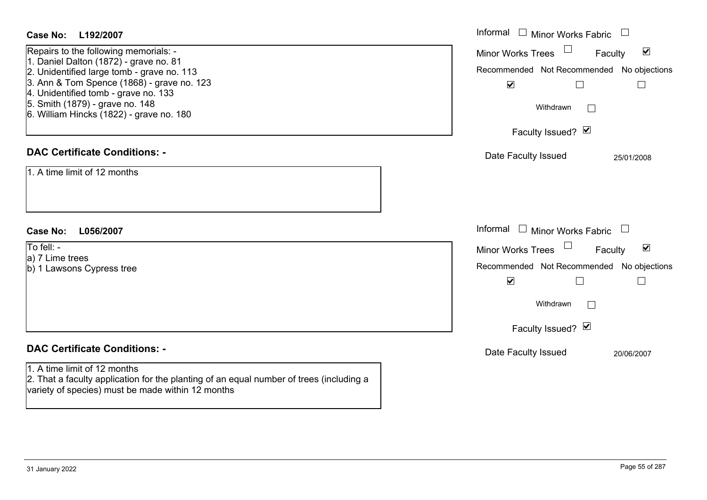| Case No:<br>L192/2007                                                                                                                                                                                                                                                                              | Informal $\Box$ Minor Works Fabric $\Box$                                                                                                                                                      |  |  |
|----------------------------------------------------------------------------------------------------------------------------------------------------------------------------------------------------------------------------------------------------------------------------------------------------|------------------------------------------------------------------------------------------------------------------------------------------------------------------------------------------------|--|--|
| Repairs to the following memorials: -<br>1. Daniel Dalton (1872) - grave no. 81<br>2. Unidentified large tomb - grave no. 113<br>3. Ann & Tom Spence (1868) - grave no. 123<br>4. Unidentified tomb - grave no. 133<br>5. Smith (1879) - grave no. 148<br>6. William Hincks (1822) - grave no. 180 | $\blacktriangledown$<br>Minor Works Trees<br>Faculty<br>Recommended Not Recommended No objections<br>$\blacktriangledown$<br>$\Box$<br>$\Box$<br>Withdrawn<br>$\Box$<br>Faculty Issued? $\vee$ |  |  |
| <b>DAC Certificate Conditions: -</b><br>1. A time limit of 12 months                                                                                                                                                                                                                               | Date Faculty Issued<br>25/01/2008                                                                                                                                                              |  |  |
| <b>Case No:</b><br>L056/2007                                                                                                                                                                                                                                                                       | Informal<br>□ Minor Works Fabric                                                                                                                                                               |  |  |
| To fell: -<br>a) 7 Lime trees<br>b) 1 Lawsons Cypress tree                                                                                                                                                                                                                                         | $\blacktriangledown$<br>Minor Works Trees<br>Faculty<br>Recommended Not Recommended No objections<br>$\blacktriangledown$<br>$\Box$                                                            |  |  |
|                                                                                                                                                                                                                                                                                                    | Withdrawn<br>$\Box$                                                                                                                                                                            |  |  |
|                                                                                                                                                                                                                                                                                                    | Faculty Issued? Ø                                                                                                                                                                              |  |  |
| <b>DAC Certificate Conditions: -</b><br>1. A time limit of 12 months<br>2. That a faculty application for the planting of an equal number of trees (including a<br>variety of species) must be made within 12 months                                                                               | Date Faculty Issued<br>20/06/2007                                                                                                                                                              |  |  |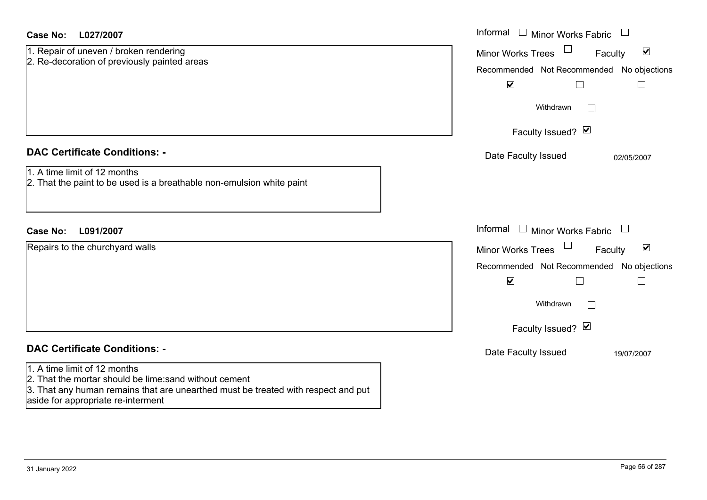| Case No:<br>L027/2007                                                                                                                                                                                             | Informal<br>$\Box$ Minor Works Fabric $\Box$                                                                                                                                 |  |  |
|-------------------------------------------------------------------------------------------------------------------------------------------------------------------------------------------------------------------|------------------------------------------------------------------------------------------------------------------------------------------------------------------------------|--|--|
| 1. Repair of uneven / broken rendering<br>2. Re-decoration of previously painted areas                                                                                                                            | $\blacktriangledown$<br><b>Minor Works Trees</b><br>Faculty<br>Recommended Not Recommended No objections                                                                     |  |  |
|                                                                                                                                                                                                                   | $\blacktriangledown$<br>$\Box$                                                                                                                                               |  |  |
|                                                                                                                                                                                                                   | Withdrawn<br>$\perp$                                                                                                                                                         |  |  |
|                                                                                                                                                                                                                   | Faculty Issued? Ø                                                                                                                                                            |  |  |
| <b>DAC Certificate Conditions: -</b><br>1. A time limit of 12 months<br>2. That the paint to be used is a breathable non-emulsion white paint                                                                     | Date Faculty Issued<br>02/05/2007                                                                                                                                            |  |  |
| <b>Case No:</b><br>L091/2007                                                                                                                                                                                      | Informal<br>□ Minor Works Fabric □                                                                                                                                           |  |  |
| Repairs to the churchyard walls                                                                                                                                                                                   | $\blacktriangledown$<br><b>Minor Works Trees</b><br>Faculty<br>Recommended Not Recommended No objections<br>$\blacktriangledown$<br>$\Box$<br>Withdrawn<br>Faculty Issued? Ø |  |  |
| <b>DAC Certificate Conditions: -</b>                                                                                                                                                                              | Date Faculty Issued<br>19/07/2007                                                                                                                                            |  |  |
| 1. A time limit of 12 months<br>2. That the mortar should be lime: sand without cement<br>3. That any human remains that are unearthed must be treated with respect and put<br>aside for appropriate re-interment |                                                                                                                                                                              |  |  |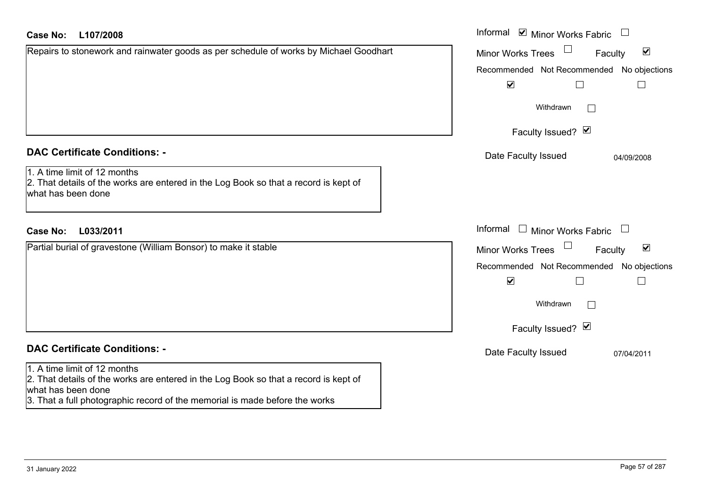| <b>Case No:</b><br>L107/2008                                                                                                               | Informal <b>☑</b> Minor Works Fabric                        |  |  |
|--------------------------------------------------------------------------------------------------------------------------------------------|-------------------------------------------------------------|--|--|
| Repairs to stonework and rainwater goods as per schedule of works by Michael Goodhart                                                      | $\blacktriangledown$<br><b>Minor Works Trees</b><br>Faculty |  |  |
|                                                                                                                                            | Recommended Not Recommended No objections                   |  |  |
|                                                                                                                                            | $\blacktriangledown$                                        |  |  |
|                                                                                                                                            | Withdrawn                                                   |  |  |
|                                                                                                                                            | Faculty Issued? Ø                                           |  |  |
| <b>DAC Certificate Conditions: -</b>                                                                                                       | Date Faculty Issued<br>04/09/2008                           |  |  |
| 1. A time limit of 12 months<br>2. That details of the works are entered in the Log Book so that a record is kept of<br>what has been done |                                                             |  |  |
| L033/2011<br><b>Case No:</b>                                                                                                               | Informal □ Minor Works Fabric                               |  |  |
| Partial burial of gravestone (William Bonsor) to make it stable                                                                            | $\blacktriangledown$<br>Minor Works Trees<br>Faculty        |  |  |
|                                                                                                                                            | Recommended Not Recommended No objections                   |  |  |
|                                                                                                                                            | $\blacktriangledown$                                        |  |  |
|                                                                                                                                            | Withdrawn<br>$\vert \ \ \vert$                              |  |  |
|                                                                                                                                            | Faculty Issued? Ø                                           |  |  |
| <b>DAC Certificate Conditions: -</b>                                                                                                       | Date Faculty Issued<br>07/04/2011                           |  |  |
| 1. A time limit of 12 months<br>2. That details of the works are entered in the Log Book so that a record is kept of<br>what has been done |                                                             |  |  |

3. That a full photographic record of the memorial is made before the works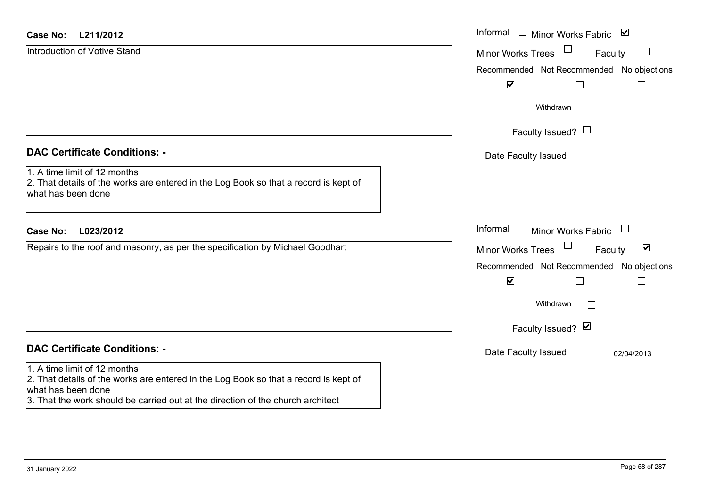#### **L211/2012Case No:**

| L211/2012<br>Case No:                                                                                                                                                                                                         | Informal □ Minor Works Fabric ⊠                                |  |  |  |
|-------------------------------------------------------------------------------------------------------------------------------------------------------------------------------------------------------------------------------|----------------------------------------------------------------|--|--|--|
| Introduction of Votive Stand                                                                                                                                                                                                  | $\Box$<br>$\Box$<br><b>Minor Works Trees</b><br>Faculty        |  |  |  |
|                                                                                                                                                                                                                               | Recommended Not Recommended No objections                      |  |  |  |
|                                                                                                                                                                                                                               | $\blacktriangledown$                                           |  |  |  |
|                                                                                                                                                                                                                               | Withdrawn<br>$\Box$                                            |  |  |  |
|                                                                                                                                                                                                                               | Faculty Issued? $\Box$                                         |  |  |  |
| <b>DAC Certificate Conditions: -</b>                                                                                                                                                                                          | Date Faculty Issued                                            |  |  |  |
| 1. A time limit of 12 months<br>2. That details of the works are entered in the Log Book so that a record is kept of<br>what has been done                                                                                    |                                                                |  |  |  |
| <b>Case No:</b><br>L023/2012                                                                                                                                                                                                  | Informal<br>$\Box$ Minor Works Fabric                          |  |  |  |
| Repairs to the roof and masonry, as per the specification by Michael Goodhart                                                                                                                                                 | $\Box$<br>$\blacktriangledown$<br>Minor Works Trees<br>Faculty |  |  |  |
|                                                                                                                                                                                                                               | Recommended Not Recommended No objections                      |  |  |  |
|                                                                                                                                                                                                                               | $\blacktriangledown$                                           |  |  |  |
|                                                                                                                                                                                                                               | Withdrawn<br>$\vert \ \ \vert$                                 |  |  |  |
|                                                                                                                                                                                                                               | Faculty Issued? Ø                                              |  |  |  |
| <b>DAC Certificate Conditions: -</b>                                                                                                                                                                                          | Date Faculty Issued<br>02/04/2013                              |  |  |  |
| 1. A time limit of 12 months<br>2. That details of the works are entered in the Log Book so that a record is kept of<br>what has been done<br>3. That the work should be carried out at the direction of the church architect |                                                                |  |  |  |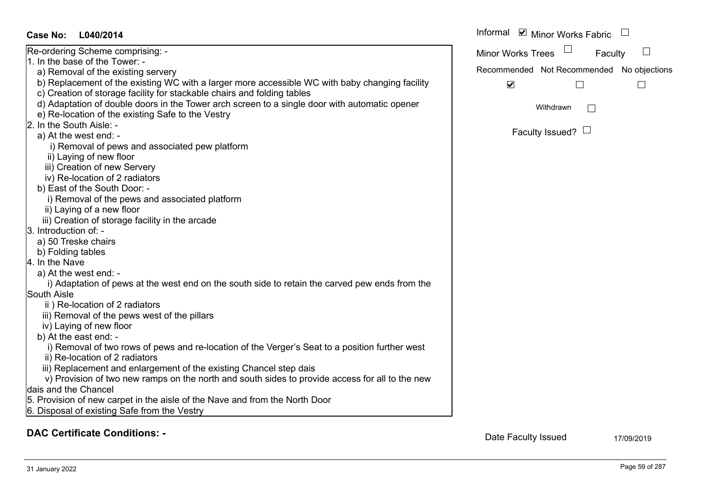|                                                                                                 | <b>UNILIUI VYUINS LICCS</b> | <b>T</b> aculty                           |  |
|-------------------------------------------------------------------------------------------------|-----------------------------|-------------------------------------------|--|
| 1. In the base of the Tower: -                                                                  |                             | Recommended Not Recommended No objections |  |
| a) Removal of the existing servery                                                              |                             |                                           |  |
| b) Replacement of the existing WC with a larger more accessible WC with baby changing facility  | $\blacktriangledown$        |                                           |  |
| c) Creation of storage facility for stackable chairs and folding tables                         |                             |                                           |  |
| d) Adaptation of double doors in the Tower arch screen to a single door with automatic opener   |                             | Withdrawn                                 |  |
| e) Re-location of the existing Safe to the Vestry                                               |                             |                                           |  |
| 2. In the South Aisle: -                                                                        |                             |                                           |  |
| a) At the west end: -                                                                           |                             | Faculty Issued? $\Box$                    |  |
| i) Removal of pews and associated pew platform                                                  |                             |                                           |  |
| ii) Laying of new floor                                                                         |                             |                                           |  |
| iii) Creation of new Servery                                                                    |                             |                                           |  |
| iv) Re-location of 2 radiators                                                                  |                             |                                           |  |
| b) East of the South Door: -                                                                    |                             |                                           |  |
| i) Removal of the pews and associated platform                                                  |                             |                                           |  |
| ii) Laying of a new floor                                                                       |                             |                                           |  |
| iii) Creation of storage facility in the arcade                                                 |                             |                                           |  |
| 3. Introduction of: -                                                                           |                             |                                           |  |
| a) 50 Treske chairs                                                                             |                             |                                           |  |
| b) Folding tables                                                                               |                             |                                           |  |
| 4. In the Nave                                                                                  |                             |                                           |  |
| a) At the west end: -                                                                           |                             |                                           |  |
| i) Adaptation of pews at the west end on the south side to retain the carved pew ends from the  |                             |                                           |  |
| South Aisle                                                                                     |                             |                                           |  |
| ii) Re-location of 2 radiators                                                                  |                             |                                           |  |
| iii) Removal of the pews west of the pillars                                                    |                             |                                           |  |
| iv) Laying of new floor                                                                         |                             |                                           |  |
| b) At the east end: -                                                                           |                             |                                           |  |
| i) Removal of two rows of pews and re-location of the Verger's Seat to a position further west  |                             |                                           |  |
| ii) Re-location of 2 radiators                                                                  |                             |                                           |  |
| iii) Replacement and enlargement of the existing Chancel step dais                              |                             |                                           |  |
| v) Provision of two new ramps on the north and south sides to provide access for all to the new |                             |                                           |  |
| dais and the Chancel                                                                            |                             |                                           |  |
| 5. Provision of new carpet in the aisle of the Nave and from the North Door                     |                             |                                           |  |
| 6. Disposal of existing Safe from the Vestry                                                    |                             |                                           |  |
|                                                                                                 |                             |                                           |  |
|                                                                                                 |                             |                                           |  |

Faculty

 $\Box$ 

Informal  $\vee$  Minor Works Fabric  $\Box$ 

Minor Works Trees

# Re-ordering Scheme comprising: -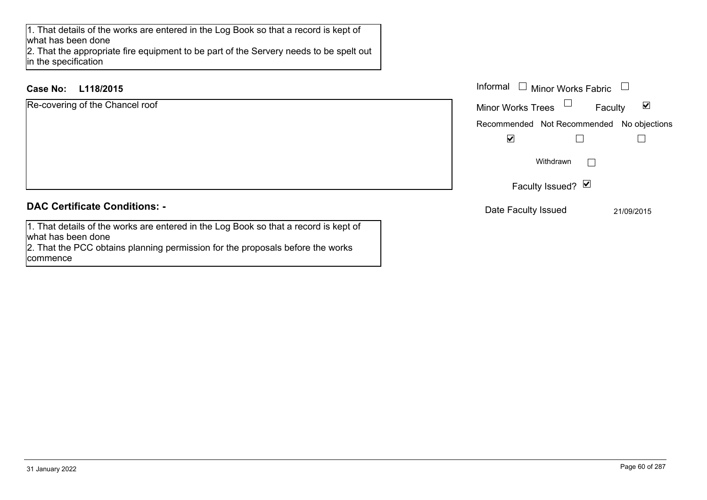1. That details of the works are entered in the Log Book so that a record is kept of what has been done

 2. That the appropriate fire equipment to be part of the Servery needs to be spelt out in the specification

2. That the PCC obtains planning permission for the proposals before the works

# **L118/2015Case No:** Informal

what has been done

commence

| Re-covering of the Chancel roof                                                      | <b>Minor Works Trees</b> |
|--------------------------------------------------------------------------------------|--------------------------|
|                                                                                      | Recommended Not          |
|                                                                                      | $\blacktriangledown$     |
|                                                                                      | Witho                    |
|                                                                                      | <b>Faculty Iss</b>       |
| <b>DAC Certificate Conditions: -</b>                                                 | Date Faculty Issu        |
| 1. That details of the works are entered in the Log Book so that a record is kept of |                          |

 $\blacktriangledown$ Faculty Not Recommended No objections  $\Box$  $\Box$  $\Box$ Withdrawn Issued?  $\triangledown$ **Saued** 21/09/2015

Minor Works Fabric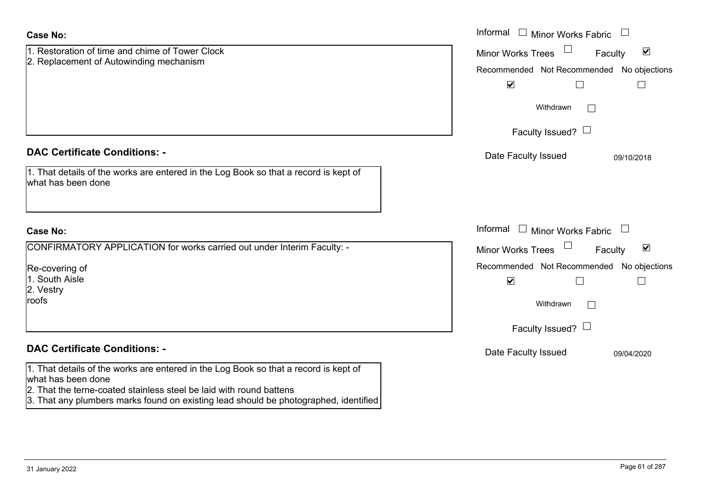| <b>Case No:</b>                                                                                                                                             | Informal $\Box$ Minor Works Fabric $\Box$                             |
|-------------------------------------------------------------------------------------------------------------------------------------------------------------|-----------------------------------------------------------------------|
| 1. Restoration of time and chime of Tower Clock<br>2. Replacement of Autowinding mechanism                                                                  | $\blacktriangledown$<br><b>Minor Works Trees</b><br>Faculty           |
|                                                                                                                                                             | Recommended Not Recommended No objections                             |
|                                                                                                                                                             | $\blacktriangledown$                                                  |
|                                                                                                                                                             | Withdrawn                                                             |
|                                                                                                                                                             | Faculty Issued? $\Box$                                                |
| <b>DAC Certificate Conditions: -</b>                                                                                                                        | Date Faculty Issued<br>09/10/2018                                     |
| 1. That details of the works are entered in the Log Book so that a record is kept of<br>what has been done                                                  |                                                                       |
| <b>Case No:</b>                                                                                                                                             | Informal $\Box$ Minor Works Fabric $\Box$                             |
| CONFIRMATORY APPLICATION for works carried out under Interim Faculty: -                                                                                     | $\Box$<br>$\blacktriangledown$<br><b>Minor Works Trees</b><br>Faculty |
| Re-covering of                                                                                                                                              | Recommended Not Recommended No objections                             |
| 1. South Aisle                                                                                                                                              | $\blacktriangledown$                                                  |
| 2. Vestry<br>roofs                                                                                                                                          | Withdrawn                                                             |
|                                                                                                                                                             | Faculty Issued? $\Box$                                                |
| <b>DAC Certificate Conditions: -</b>                                                                                                                        | Date Faculty Issued<br>09/04/2020                                     |
| 1. That details of the works are entered in the Log Book so that a record is kept of<br>what has been done                                                  |                                                                       |
| 2. That the terne-coated stainless steel be laid with round battens<br>3. That any plumbers marks found on existing lead should be photographed, identified |                                                                       |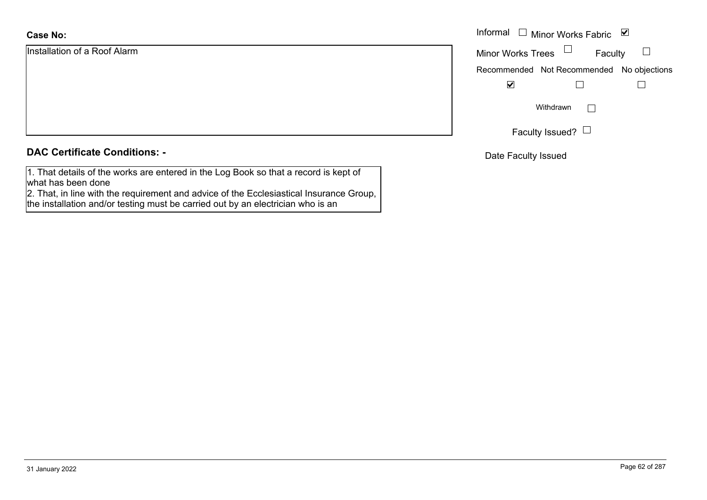# **Case No:**

Installation of a Roof Alarm

|  |  | <b>DAC Certificate Conditions: -</b> |
|--|--|--------------------------------------|
|--|--|--------------------------------------|

1. That details of the works are entered in the Log Book so that a record is kept of what has been done

 2. That, in line with the requirement and advice of the Ecclesiastical Insurance Group, the installation and/or testing must be carried out by an electrician who is an

|                    |                          | Informal $\Box$ Minor Works Fabric $\Box$ |  |
|--------------------|--------------------------|-------------------------------------------|--|
| on of a Roof Alarm | Minor Works Trees $\Box$ | Faculty                                   |  |
|                    |                          | Recommended Not Recommended No objections |  |
|                    | $\blacktriangledown$     |                                           |  |
|                    |                          | Withdrawn                                 |  |
|                    |                          | Faculty Issued? $\Box$                    |  |

Date Faculty Issued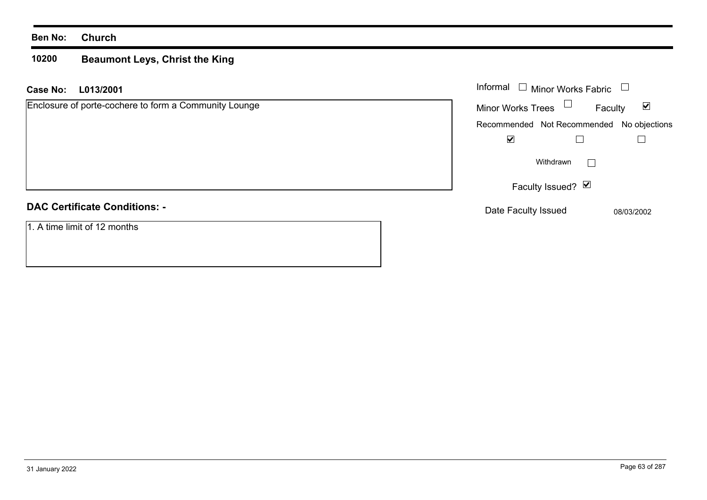#### **10200 Beaumont Leys, Christ the King**

**L013/2001 Case No:** Informal

| Enclosure of porte-cochere to form a Community Lounge |  |
|-------------------------------------------------------|--|
|                                                       |  |
|                                                       |  |
|                                                       |  |
|                                                       |  |
|                                                       |  |
| <b>BAO Osattissts Osattisses</b>                      |  |

# **DAC Certificate Conditions: -**

1. A time limit of 12 months

| Informal                                  | Minor Works Fabric |              |
|-------------------------------------------|--------------------|--------------|
| <b>Minor Works Trees</b>                  |                    | M<br>Faculty |
| Recommended Not Recommended No objections |                    |              |
|                                           |                    |              |
|                                           | Withdrawn          |              |
|                                           | Faculty Issued? Ø  |              |
| Date Faculty Issued                       |                    | 08/03/2002   |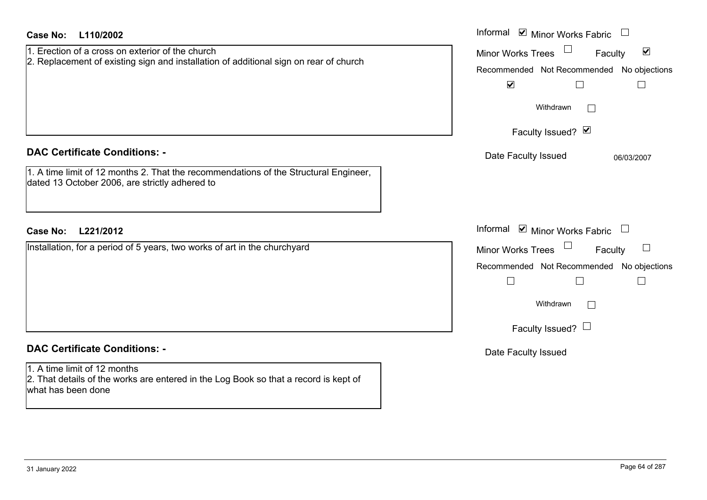| <b>Case No:</b><br>L110/2002                                                                                                                                                       | Informal Ø Minor Works Fabric □                                                                                                                                                        |
|------------------------------------------------------------------------------------------------------------------------------------------------------------------------------------|----------------------------------------------------------------------------------------------------------------------------------------------------------------------------------------|
| 1. Erection of a cross on exterior of the church<br>2. Replacement of existing sign and installation of additional sign on rear of church                                          | $\blacktriangledown$<br><b>Minor Works Trees</b><br>Faculty<br>Recommended Not Recommended No objections<br>$\blacktriangledown$<br>$\Box$<br>$\Box$<br>Withdrawn<br>Faculty Issued? Ø |
| <b>DAC Certificate Conditions: -</b><br>1. A time limit of 12 months 2. That the recommendations of the Structural Engineer,<br>dated 13 October 2006, are strictly adhered to     | Date Faculty Issued<br>06/03/2007                                                                                                                                                      |
| <b>Case No:</b><br>L221/2012                                                                                                                                                       | Informal $\blacksquare$ Minor Works Fabric $\Box$                                                                                                                                      |
| Installation, for a period of 5 years, two works of art in the churchyard                                                                                                          | <b>Minor Works Trees</b><br>Faculty<br>Recommended Not Recommended No objections<br>$\Box$<br>$\Box$<br>$\Box$<br>Withdrawn<br>$\Box$<br>Faculty Issued? $\Box$                        |
| <b>DAC Certificate Conditions: -</b><br>1. A time limit of 12 months<br>2. That details of the works are entered in the Log Book so that a record is kept of<br>what has been done | Date Faculty Issued                                                                                                                                                                    |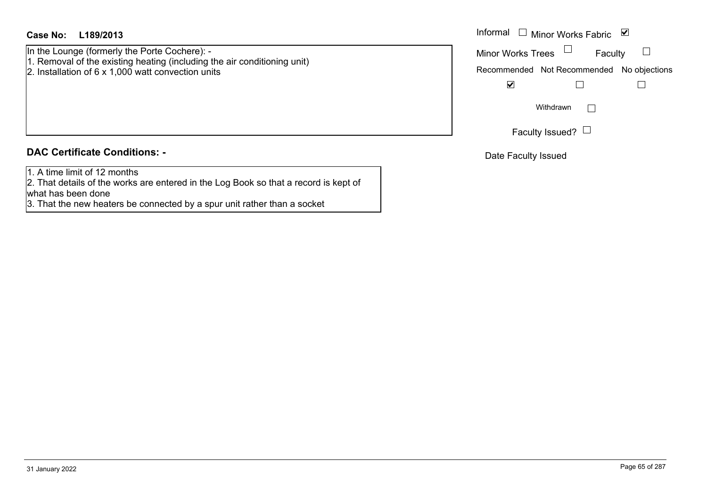In the Lounge (formerly the Porte Cochere): - 1. Removal of the existing heating (including the air conditioning unit) 2. Installation of 6 x 1,000 watt convection units

# **DAC Certificate Conditions: -**

1. A time limit of 12 months

2. That details of the works are entered in the Log Book so that a record is kept of what has been done

3. That the new heaters be connected by a spur unit rather than a socket

| Informal                 | $\Box$ Minor Works Fabric                 | $\vee$ |
|--------------------------|-------------------------------------------|--------|
| <b>Minor Works Trees</b> | Faculty                                   |        |
|                          | Recommended Not Recommended No objections |        |
|                          |                                           |        |
|                          | Withdrawn                                 |        |
|                          | Faculty Issued?                           |        |

Date Faculty Issued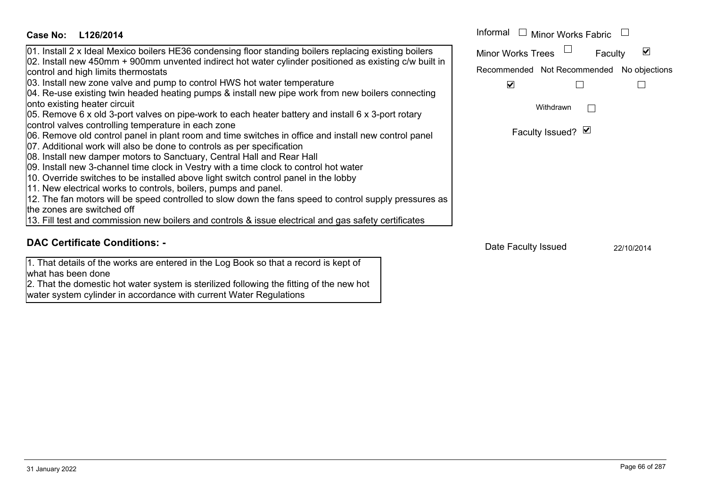| Case No:<br>L126/2014                                                                                                                                                                                                                                                                                                                             | Informal $\Box$ Minor Works Fabric        |
|---------------------------------------------------------------------------------------------------------------------------------------------------------------------------------------------------------------------------------------------------------------------------------------------------------------------------------------------------|-------------------------------------------|
| 01. Install 2 x Ideal Mexico boilers HE36 condensing floor standing boilers replacing existing boilers<br>02. Install new 450mm + 900mm unvented indirect hot water cylinder positioned as existing c/w built in                                                                                                                                  | <b>Minor Works Trees</b><br>Faculty       |
| control and high limits thermostats                                                                                                                                                                                                                                                                                                               | Recommended Not Recommended No objections |
| 03. Install new zone valve and pump to control HWS hot water temperature                                                                                                                                                                                                                                                                          | $\vert\bm{\mathsf{v}}\vert$               |
| 04. Re-use existing twin headed heating pumps & install new pipe work from new boilers connecting<br>onto existing heater circuit<br>05. Remove 6 x old 3-port valves on pipe-work to each heater battery and install 6 x 3-port rotary<br>control valves controlling temperature in each zone                                                    | Withdrawn                                 |
| 06. Remove old control panel in plant room and time switches in office and install new control panel<br>07. Additional work will also be done to controls as per specification<br>08. Install new damper motors to Sanctuary, Central Hall and Rear Hall<br>09. Install new 3-channel time clock in Vestry with a time clock to control hot water | Faculty Issued? Ø                         |
| 10. Override switches to be installed above light switch control panel in the lobby<br>11. New electrical works to controls, boilers, pumps and panel.                                                                                                                                                                                            |                                           |
| 12. The fan motors will be speed controlled to slow down the fans speed to control supply pressures as<br>the zones are switched off                                                                                                                                                                                                              |                                           |
| 13. Fill test and commission new boilers and controls & issue electrical and gas safety certificates                                                                                                                                                                                                                                              |                                           |
| <b>DAC Certificate Conditions: -</b>                                                                                                                                                                                                                                                                                                              | Date Faculty Issued<br>22/10/2014         |

# **DAC Certificate Conditions: -**

1. That details of the works are entered in the Log Book so that a record is kept of what has been done

2. That the domestic hot water system is sterilized following the fitting of the new hot water system cylinder in accordance with current Water Regulations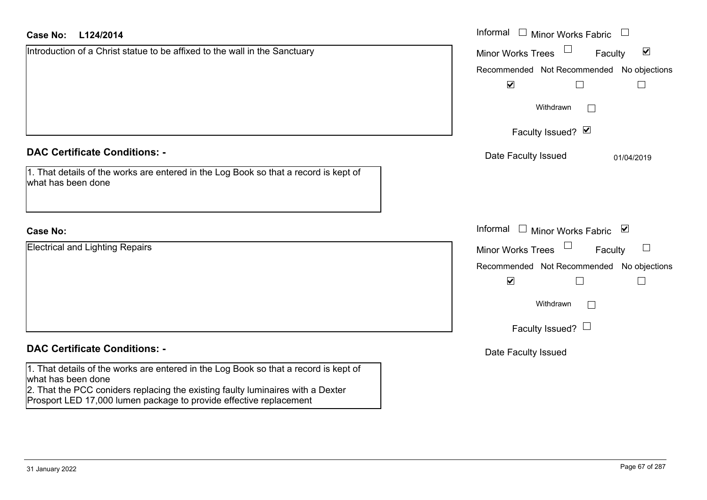| Case No:<br>L124/2014                                                                                                                                                                                                                                               | Informal $\Box$ Minor Works Fabric $\Box$                   |
|---------------------------------------------------------------------------------------------------------------------------------------------------------------------------------------------------------------------------------------------------------------------|-------------------------------------------------------------|
| Introduction of a Christ statue to be affixed to the wall in the Sanctuary                                                                                                                                                                                          | $\blacktriangledown$<br><b>Minor Works Trees</b><br>Faculty |
|                                                                                                                                                                                                                                                                     | Recommended Not Recommended No objections                   |
|                                                                                                                                                                                                                                                                     | $\blacktriangledown$<br>$\Box$                              |
|                                                                                                                                                                                                                                                                     | Withdrawn                                                   |
|                                                                                                                                                                                                                                                                     | Faculty Issued? Ø                                           |
| <b>DAC Certificate Conditions: -</b>                                                                                                                                                                                                                                | Date Faculty Issued<br>01/04/2019                           |
| 1. That details of the works are entered in the Log Book so that a record is kept of<br>what has been done                                                                                                                                                          |                                                             |
| <b>Case No:</b>                                                                                                                                                                                                                                                     | Informal □ Minor Works Fabric ⊠                             |
| Electrical and Lighting Repairs                                                                                                                                                                                                                                     | <b>Minor Works Trees</b><br>Faculty                         |
|                                                                                                                                                                                                                                                                     | Recommended Not Recommended No objections                   |
|                                                                                                                                                                                                                                                                     | $\blacktriangledown$<br>$\mathbf{L}$                        |
|                                                                                                                                                                                                                                                                     | Withdrawn                                                   |
|                                                                                                                                                                                                                                                                     | Faculty Issued? $\Box$                                      |
| <b>DAC Certificate Conditions: -</b>                                                                                                                                                                                                                                | Date Faculty Issued                                         |
| 1. That details of the works are entered in the Log Book so that a record is kept of<br>what has been done<br>2. That the PCC coniders replacing the existing faulty luminaires with a Dexter<br>Prosport LED 17,000 lumen package to provide effective replacement |                                                             |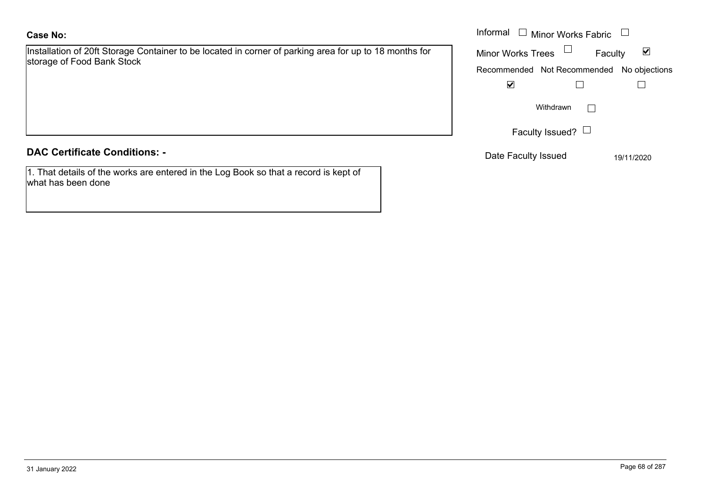# **Case No:**

Installation of 20ft Storage Container to be located in corner of parking area for up to 18 months for storage of Food Bank Stock

# **DAC Certificate Conditions: -**

1. That details of the works are entered in the Log Book so that a record is kept of what has been done

|                                                                                                                    | Informal<br>Minor Works Fabric $\;\;\sqcup\;$                                                                                |
|--------------------------------------------------------------------------------------------------------------------|------------------------------------------------------------------------------------------------------------------------------|
| on of 20ft Storage Container to be located in corner of parking area for up to 18 months for<br>of Food Bank Stock | Minor Works Trees<br>$\overline{\mathbf{v}}$<br>Faculty<br>Recommended Not Recommended No objections<br>$\blacktriangledown$ |
|                                                                                                                    | Withdrawn                                                                                                                    |
| rtificate Conditions: -                                                                                            | Faculty Issued? $\Box$<br>Date Faculty Issued<br>19/11/2020                                                                  |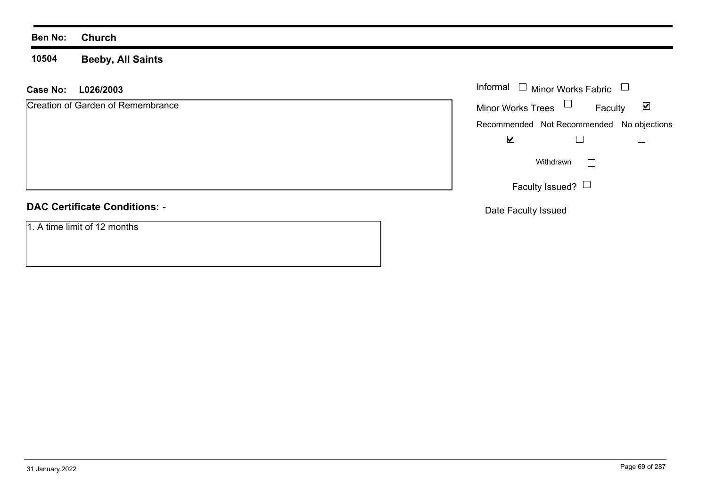**10504Beeby, All Saints**

# **L026/2003 Case No:** Informal

| Creation of Garden of Remembrance |
|-----------------------------------|
|                                   |
|                                   |
|                                   |

### Minor Works Fabric  $\blacktriangledown$ Faculty Minor Works Trees Recommended Not Recommended No objections  $\blacktriangledown$  $\Box$  $\Box$  $\Box$ Withdrawn Faculty Issued?  $\Box$

Date Faculty Issued

1. A time limit of 12 months

**DAC Certificate Conditions: -**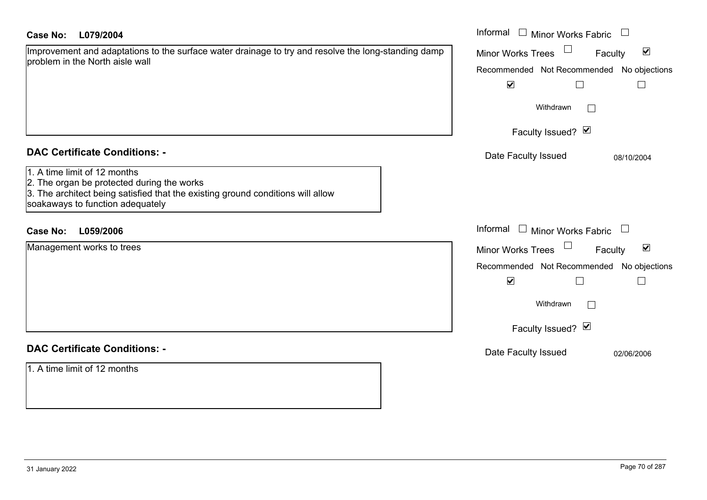| <b>Case No:</b><br>L079/2004                                                                                                                                                                      | Informal □ Minor Works Fabric<br>$\begin{array}{c} \hline \end{array}$                                                                                                                       |  |  |  |
|---------------------------------------------------------------------------------------------------------------------------------------------------------------------------------------------------|----------------------------------------------------------------------------------------------------------------------------------------------------------------------------------------------|--|--|--|
| Improvement and adaptations to the surface water drainage to try and resolve the long-standing damp<br>problem in the North aisle wall                                                            | $\blacktriangledown$<br>Minor Works Trees<br>Faculty<br>Recommended Not Recommended No objections<br>$\blacktriangledown$<br>$\Box$<br>Withdrawn<br>$\perp$<br>Faculty Issued? Ø             |  |  |  |
| <b>DAC Certificate Conditions: -</b>                                                                                                                                                              | Date Faculty Issued<br>08/10/2004                                                                                                                                                            |  |  |  |
| 1. A time limit of 12 months<br>2. The organ be protected during the works<br>3. The architect being satisfied that the existing ground conditions will allow<br>soakaways to function adequately |                                                                                                                                                                                              |  |  |  |
| L059/2006<br><b>Case No:</b>                                                                                                                                                                      | Informal □ Minor Works Fabric<br>$\Box$                                                                                                                                                      |  |  |  |
| Management works to trees                                                                                                                                                                         | Minor Works Trees <sup>1</sup><br>$\blacktriangledown$<br>Faculty<br>Recommended Not Recommended No objections<br>$\blacktriangledown$<br>$\Box$<br>Withdrawn<br>$\sim$<br>Faculty Issued? Ø |  |  |  |
| <b>DAC Certificate Conditions: -</b>                                                                                                                                                              | Date Faculty Issued<br>02/06/2006                                                                                                                                                            |  |  |  |
| 1. A time limit of 12 months                                                                                                                                                                      |                                                                                                                                                                                              |  |  |  |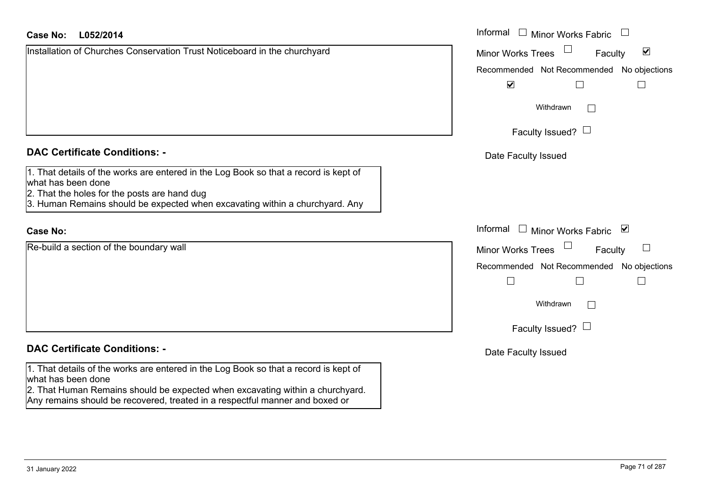# **L052/2014Case No:** Informal

| Installation of Churches Conservation Trust Noticeboard in the churchyard |
|---------------------------------------------------------------------------|
|                                                                           |
|                                                                           |
|                                                                           |
|                                                                           |
|                                                                           |
|                                                                           |
|                                                                           |

## **DAC Certificate Conditions: -**

|                    | 1. That details of the works are entered in the Log Book so that a record is kept of |  |  |
|--------------------|--------------------------------------------------------------------------------------|--|--|
| what has been done |                                                                                      |  |  |

- 2. That the holes for the posts are hand dug
- 3. Human Remains should be expected when excavating within a churchyard. Any

# **Case No:**

Re-build a section of the boundary wall

## **DAC Certificate Conditions: -**

1. That details of the works are entered in the Log Book so that a record is kept of what has been done

2. That Human Remains should be expected when excavating within a churchyard. Any remains should be recovered, treated in a respectful manner and boxed or

| L052/2014                                                                                                   | Informal<br><b>Minor Works Fabric</b>                       |  |  |  |
|-------------------------------------------------------------------------------------------------------------|-------------------------------------------------------------|--|--|--|
| on of Churches Conservation Trust Noticeboard in the churchyard                                             | $\blacktriangledown$<br><b>Minor Works Trees</b><br>Faculty |  |  |  |
|                                                                                                             | Recommended Not Recommended No objections                   |  |  |  |
|                                                                                                             | $\blacktriangledown$                                        |  |  |  |
|                                                                                                             | Withdrawn<br>$\Box$                                         |  |  |  |
|                                                                                                             | Faculty Issued? $\Box$                                      |  |  |  |
| rtificate Conditions: -                                                                                     | Date Faculty Issued                                         |  |  |  |
| etails of the works are entered in the Log Book so that a record is kept of                                 |                                                             |  |  |  |
| been done                                                                                                   |                                                             |  |  |  |
| e holes for the posts are hand dug<br>n Remains should be expected when excavating within a churchyard. Any |                                                             |  |  |  |
|                                                                                                             |                                                             |  |  |  |
|                                                                                                             | Informal<br>Minor Works Fabric ⊠                            |  |  |  |
| a section of the boundary wall                                                                              | Minor Works Trees<br>Faculty                                |  |  |  |
|                                                                                                             | Recommended Not Recommended No objections                   |  |  |  |
|                                                                                                             | $\Box$                                                      |  |  |  |
|                                                                                                             | Withdrawn                                                   |  |  |  |
|                                                                                                             | Faculty Issued? $\Box$                                      |  |  |  |
| rtificate Conditions: -                                                                                     | Date Faculty Issued                                         |  |  |  |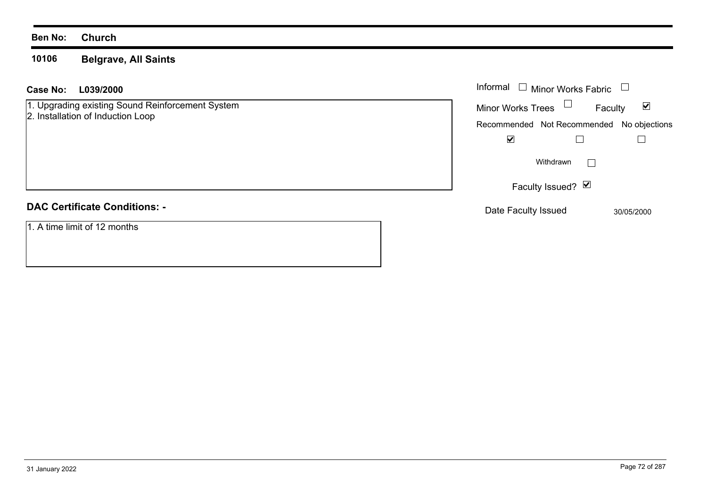#### **10106Belgrave, All Saints**

| Case No: | L039/2000 | Informal |  |
|----------|-----------|----------|--|
|          |           |          |  |

1. Upgrading existing Sound Reinforcement System 2. Installation of Induction Loop

# **DAC Certificate Conditions: -**

1. A time limit of 12 months

| Informal                                  | <b>Minor Works Fabric</b> |         |            |
|-------------------------------------------|---------------------------|---------|------------|
| <b>Minor Works Trees</b>                  |                           | Faculty | V          |
| Recommended Not Recommended No objections |                           |         |            |
|                                           |                           |         |            |
|                                           | Withdrawn                 |         |            |
|                                           | Faculty Issued? Ø         |         |            |
| Date Faculty Issued                       |                           |         | 30/05/2000 |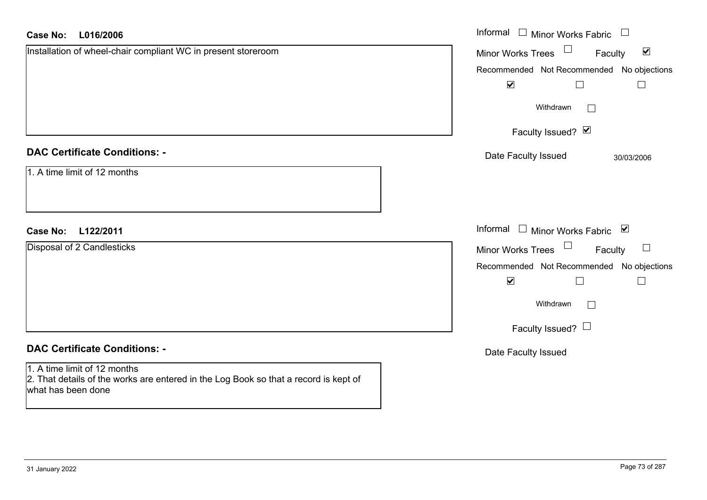| <b>Case No:</b><br>L016/2006                                                                                                               | Informal $\Box$ Minor Works Fabric $\Box$                             |
|--------------------------------------------------------------------------------------------------------------------------------------------|-----------------------------------------------------------------------|
| Installation of wheel-chair compliant WC in present storeroom                                                                              | $\Box$<br>$\blacktriangledown$<br><b>Minor Works Trees</b><br>Faculty |
|                                                                                                                                            | Recommended Not Recommended No objections                             |
|                                                                                                                                            | $\blacktriangledown$<br>$\Box$<br>$\Box$                              |
|                                                                                                                                            | Withdrawn                                                             |
|                                                                                                                                            | Faculty Issued? Ø                                                     |
| <b>DAC Certificate Conditions: -</b>                                                                                                       | Date Faculty Issued<br>30/03/2006                                     |
| 1. A time limit of 12 months                                                                                                               |                                                                       |
|                                                                                                                                            |                                                                       |
| L122/2011<br><b>Case No:</b>                                                                                                               | Informal<br>$\Box$ Minor Works Fabric $\Box$                          |
| Disposal of 2 Candlesticks                                                                                                                 | $\Box$<br><b>Minor Works Trees</b><br>$\Box$<br>Faculty               |
|                                                                                                                                            | Recommended Not Recommended No objections                             |
|                                                                                                                                            | $\blacktriangledown$<br>$\Box$<br>$\Box$                              |
|                                                                                                                                            | Withdrawn                                                             |
|                                                                                                                                            | Faculty Issued? $\Box$                                                |
| <b>DAC Certificate Conditions: -</b>                                                                                                       | Date Faculty Issued                                                   |
| 1. A time limit of 12 months<br>2. That details of the works are entered in the Log Book so that a record is kept of<br>what has been done |                                                                       |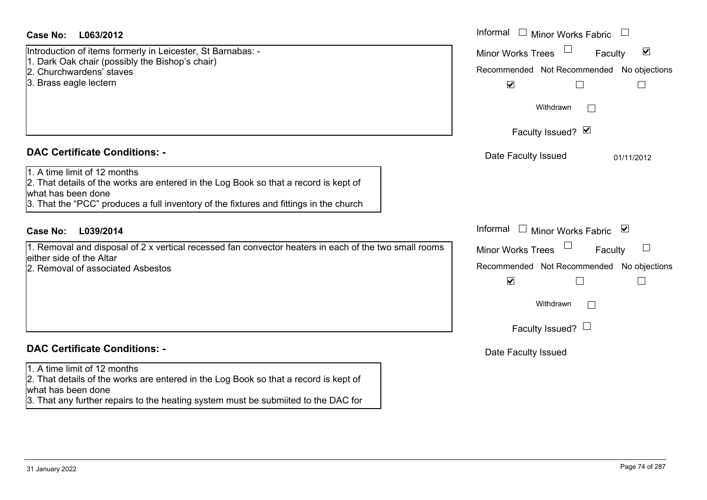| Case No:<br>L063/2012                                                                                                                                                                                                                | Informal $\Box$ Minor Works Fabric                                                                                               |
|--------------------------------------------------------------------------------------------------------------------------------------------------------------------------------------------------------------------------------------|----------------------------------------------------------------------------------------------------------------------------------|
| Introduction of items formerly in Leicester, St Barnabas: -<br>1. Dark Oak chair (possibly the Bishop's chair)<br>2. Churchwardens' staves<br>3. Brass eagle lectern                                                                 | $\blacktriangledown$<br><b>Minor Works Trees</b><br>Faculty<br>Recommended Not Recommended No objections<br>$\blacktriangledown$ |
|                                                                                                                                                                                                                                      | Withdrawn                                                                                                                        |
|                                                                                                                                                                                                                                      | Faculty Issued? Ø                                                                                                                |
| <b>DAC Certificate Conditions: -</b>                                                                                                                                                                                                 | Date Faculty Issued<br>01/11/2012                                                                                                |
| 1. A time limit of 12 months<br>2. That details of the works are entered in the Log Book so that a record is kept of<br>what has been done<br>3. That the "PCC" produces a full inventory of the fixtures and fittings in the church |                                                                                                                                  |
| L039/2014<br><b>Case No:</b>                                                                                                                                                                                                         | Informal<br>$\perp$<br>Minor Works Fabric ⊠                                                                                      |
| 1. Removal and disposal of 2 x vertical recessed fan convector heaters in each of the two small rooms<br>leither side of the Altar<br>2. Removal of associated Asbestos                                                              | <b>Minor Works Trees</b><br>ப<br>Faculty<br>Recommended Not Recommended No objections<br>$\blacktriangledown$<br>П               |
|                                                                                                                                                                                                                                      | Withdrawn                                                                                                                        |
|                                                                                                                                                                                                                                      | Faculty Issued? $\Box$                                                                                                           |
| <b>DAC Certificate Conditions: -</b>                                                                                                                                                                                                 | Date Faculty Issued                                                                                                              |
| 1. A time limit of 12 months<br>2. That details of the works are entered in the Log Book so that a record is kept of<br>what has been done<br>3. That any further repairs to the heating system must be submiited to the DAC for     |                                                                                                                                  |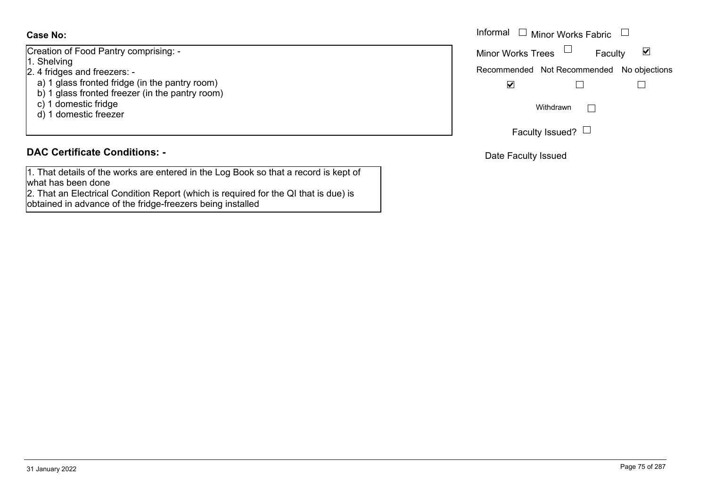Creation of Food Pantry comprising: -

- 1. Shelving
- 2. 4 fridges and freezers:
	- a) 1 glass fronted fridge (in the pantry room)
	- b) 1 glass fronted freezer (in the pantry room)
	- c) 1 domestic fridge
	- d) 1 domestic freezer

### **DAC Certificate Conditions: -**

1. That details of the works are entered in the Log Book so that a record is kept of what has been done

2. That an Electrical Condition Report (which is required for the QI that is due) is obtained in advance of the fridge-freezers being installed

|                                                                                     | Informal $\Box$ Minor Works Fabric $\Box$                   |
|-------------------------------------------------------------------------------------|-------------------------------------------------------------|
| of Food Pantry comprising: -                                                        | $\blacktriangledown$<br><b>Minor Works Trees</b><br>Faculty |
| ng<br>es and freezers: -                                                            | Recommended Not Recommended No objections                   |
| ass fronted fridge (in the pantry room)<br>ass fronted freezer (in the pantry room) | ⊻                                                           |
| omestic fridge<br>omestic freezer                                                   | Withdrawn                                                   |
|                                                                                     | Faculty Issued? $\Box$                                      |

Date Faculty Issued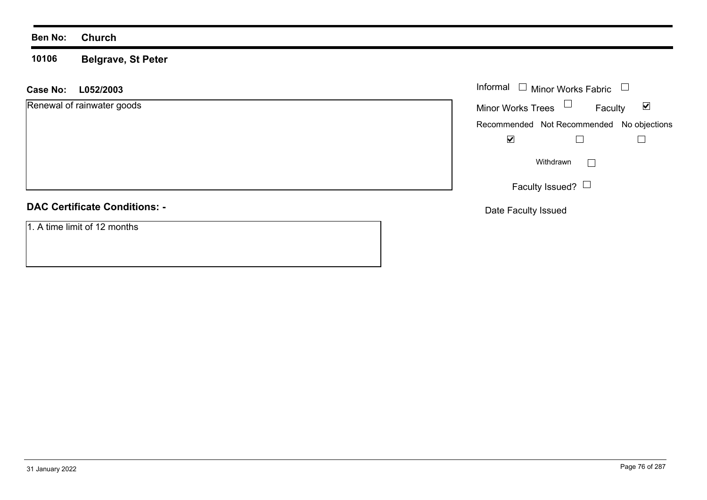#### **10106 Belgrave, St Peter**

| L052/2003<br><b>Case No:</b>         | Informal $\square$<br>Minor Works Fabric                    |
|--------------------------------------|-------------------------------------------------------------|
| Renewal of rainwater goods           | Minor Works Trees $\Box$<br>$\blacktriangledown$<br>Faculty |
|                                      | Recommended Not Recommended No objections                   |
|                                      | $\blacktriangledown$                                        |
|                                      | $\Box$<br>Withdrawn                                         |
|                                      | Faculty Issued? $\Box$                                      |
| <b>DAC Certificate Conditions: -</b> | Date Faculty Issued                                         |
| 1. A time limit of 12 months         |                                                             |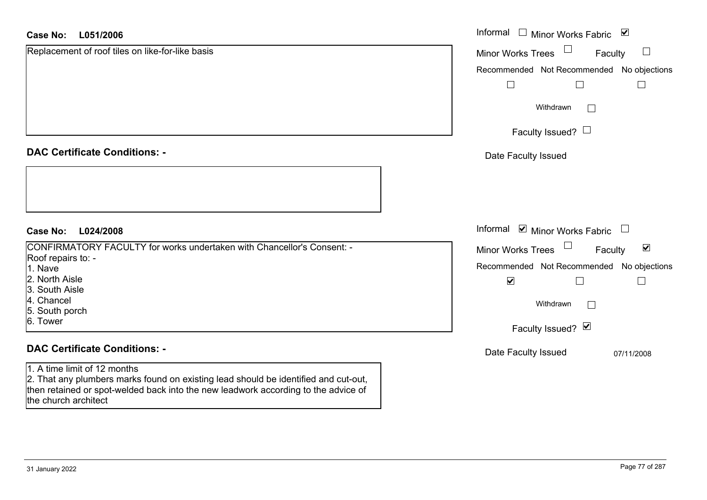#### **L051/2006Case No:**

| <b>Case No:</b><br>L051/2006                                                                                                                                                                              | Informal $\Box$ Minor Works Fabric $\Box$                 |
|-----------------------------------------------------------------------------------------------------------------------------------------------------------------------------------------------------------|-----------------------------------------------------------|
| Replacement of roof tiles on like-for-like basis                                                                                                                                                          | Minor Works Trees<br>$\Box$<br>Faculty                    |
|                                                                                                                                                                                                           | Recommended Not Recommended<br>No objections              |
|                                                                                                                                                                                                           | $\Box$<br>$\Box$<br>$\Box$                                |
|                                                                                                                                                                                                           | Withdrawn<br>$\mathbf{L}$                                 |
|                                                                                                                                                                                                           | Faculty Issued? $\Box$                                    |
| <b>DAC Certificate Conditions: -</b>                                                                                                                                                                      | Date Faculty Issued                                       |
|                                                                                                                                                                                                           |                                                           |
| L024/2008<br><b>Case No:</b>                                                                                                                                                                              | Informal $\blacksquare$ Minor Works Fabric $\blacksquare$ |
| CONFIRMATORY FACULTY for works undertaken with Chancellor's Consent: -                                                                                                                                    | Minor Works Trees<br>$\blacktriangledown$<br>Faculty      |
| Roof repairs to: -<br>1. Nave                                                                                                                                                                             | Recommended Not Recommended<br>No objections              |
| 2. North Aisle<br>3. South Aisle                                                                                                                                                                          | $\blacktriangledown$<br>$\Box$<br>$\Box$                  |
| 4. Chancel                                                                                                                                                                                                | Withdrawn                                                 |
| 5. South porch                                                                                                                                                                                            |                                                           |
| 6. Tower                                                                                                                                                                                                  | Faculty Issued? Ø                                         |
| <b>DAC Certificate Conditions: -</b>                                                                                                                                                                      | Date Faculty Issued<br>07/11/2008                         |
| 1. A time limit of 12 months<br>2. That any plumbers marks found on existing lead should be identified and cut-out,<br>then retained or spot-welded back into the new leadwork according to the advice of |                                                           |

the church architect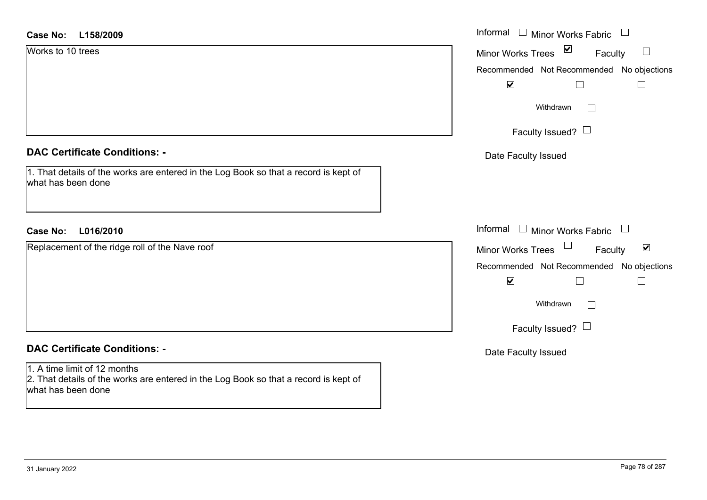| Case No:<br>L158/2009                                                                                      | Informal □ Minor Works Fabric<br>$\Box$                        |
|------------------------------------------------------------------------------------------------------------|----------------------------------------------------------------|
| Works to 10 trees                                                                                          | $\blacktriangledown$<br>$\Box$<br>Minor Works Trees<br>Faculty |
|                                                                                                            | Recommended Not Recommended No objections                      |
|                                                                                                            | $\blacktriangledown$                                           |
|                                                                                                            | Withdrawn<br>$\Box$                                            |
|                                                                                                            | Faculty Issued? $\Box$                                         |
| <b>DAC Certificate Conditions: -</b>                                                                       | Date Faculty Issued                                            |
| 1. That details of the works are entered in the Log Book so that a record is kept of<br>what has been done |                                                                |
| L016/2010<br><b>Case No:</b>                                                                               | Informal<br>$\Box$ Minor Works Fabric $\Box$                   |
| Replacement of the ridge roll of the Nave roof                                                             | Minor Works Trees<br>$\blacktriangledown$<br>Faculty           |
|                                                                                                            | Recommended Not Recommended No objections                      |
|                                                                                                            | $\blacktriangledown$                                           |
|                                                                                                            | Withdrawn<br>$\Box$                                            |
|                                                                                                            | Faculty Issued? $\Box$                                         |
| <b>DAC Certificate Conditions: -</b>                                                                       | Date Faculty Issued                                            |
| 1. A time limit of 12 months                                                                               |                                                                |
| 2. That details of the works are entered in the Log Book so that a record is kept of                       |                                                                |

what has been done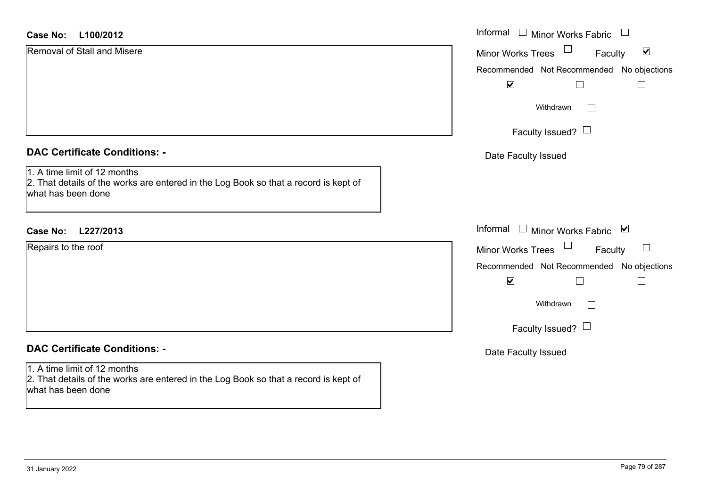| <b>Case No:</b><br>L100/2012                                                                                                               | Informal                                  | $\Box$ Minor Works Fabric                | $\Box$               |
|--------------------------------------------------------------------------------------------------------------------------------------------|-------------------------------------------|------------------------------------------|----------------------|
| Removal of Stall and Misere                                                                                                                | Minor Works Trees                         | Faculty                                  | $\blacktriangledown$ |
|                                                                                                                                            | Recommended Not Recommended No objections |                                          |                      |
|                                                                                                                                            | $\blacktriangledown$                      |                                          |                      |
|                                                                                                                                            |                                           | Withdrawn<br>$\mathbb{R}^n$              |                      |
|                                                                                                                                            |                                           | Faculty Issued? $\Box$                   |                      |
| <b>DAC Certificate Conditions: -</b>                                                                                                       | Date Faculty Issued                       |                                          |                      |
| 1. A time limit of 12 months<br>2. That details of the works are entered in the Log Book so that a record is kept of<br>what has been done |                                           |                                          |                      |
| Case No: L227/2013                                                                                                                         | Informal □ Minor Works Fabric ⊠           |                                          |                      |
| Repairs to the roof                                                                                                                        | Minor Works Trees                         | Faculty                                  | $\Box$               |
|                                                                                                                                            | Recommended Not Recommended No objections |                                          |                      |
|                                                                                                                                            | $\blacktriangledown$                      |                                          |                      |
|                                                                                                                                            |                                           | Withdrawn<br>$\mathcal{L}^{\mathcal{A}}$ |                      |
|                                                                                                                                            |                                           | Faculty Issued? $\Box$                   |                      |
| <b>DAC Certificate Conditions: -</b>                                                                                                       | Date Faculty Issued                       |                                          |                      |
| 1. A time limit of 12 months<br>2. That details of the works are entered in the Log Book so that a record is kept of<br>what has been done |                                           |                                          |                      |
|                                                                                                                                            |                                           |                                          |                      |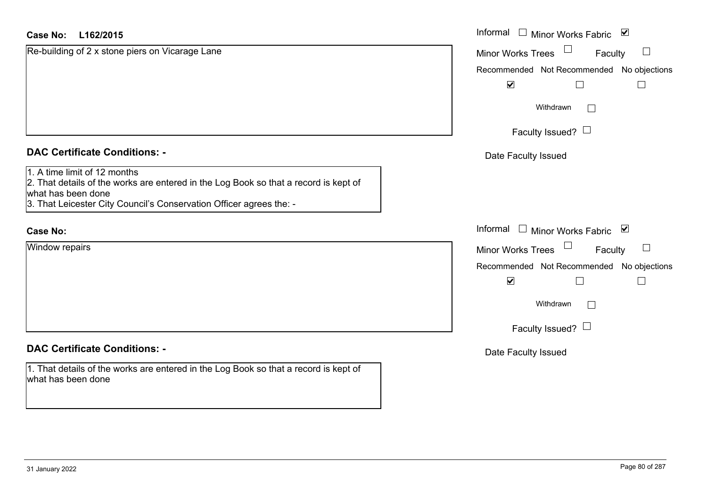| <b>Case No:</b><br>L162/2015                                                                                                                                                                                      | Informal □ Minor Works Fabric 凶           |
|-------------------------------------------------------------------------------------------------------------------------------------------------------------------------------------------------------------------|-------------------------------------------|
| Re-building of 2 x stone piers on Vicarage Lane                                                                                                                                                                   | Minor Works Trees<br>$\Box$<br>Faculty    |
|                                                                                                                                                                                                                   | Recommended Not Recommended No objections |
|                                                                                                                                                                                                                   | $\blacktriangledown$                      |
|                                                                                                                                                                                                                   | Withdrawn<br>$\Box$                       |
|                                                                                                                                                                                                                   | Faculty Issued? $\Box$                    |
| <b>DAC Certificate Conditions: -</b>                                                                                                                                                                              | Date Faculty Issued                       |
| 1. A time limit of 12 months<br>2. That details of the works are entered in the Log Book so that a record is kept of<br>what has been done<br>3. That Leicester City Council's Conservation Officer agrees the: - |                                           |
| <b>Case No:</b>                                                                                                                                                                                                   | Informal<br>□ Minor Works Fabric ⊠        |
| <b>Window repairs</b>                                                                                                                                                                                             | Minor Works Trees<br>$\sqcup$<br>Faculty  |
|                                                                                                                                                                                                                   | Recommended Not Recommended No objections |
|                                                                                                                                                                                                                   | $\blacktriangledown$                      |
|                                                                                                                                                                                                                   | Withdrawn                                 |
|                                                                                                                                                                                                                   | Faculty Issued? $\Box$                    |
| <b>DAC Certificate Conditions: -</b>                                                                                                                                                                              | Date Faculty Issued                       |
| 1. That details of the works are entered in the Log Book so that a record is kept of<br>what has been done                                                                                                        |                                           |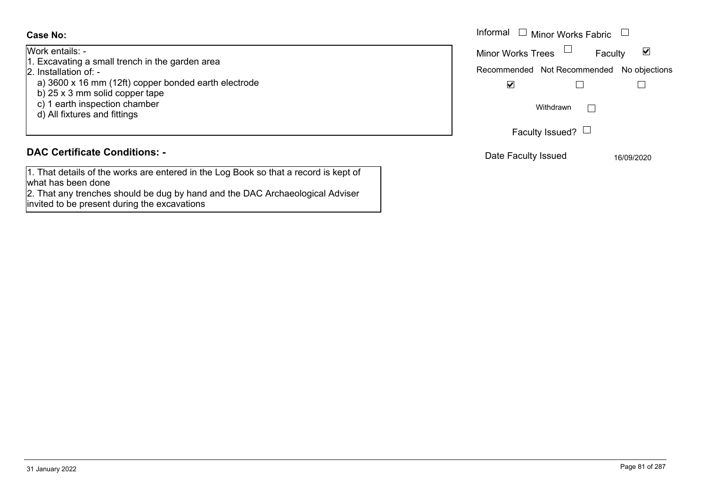Work entails: -

- 1. Excavating a small trench in the garden area
- 2. Installation of:
	- a) 3600 x 16 mm (12ft) copper bonded earth electrode
	- b) 25 x 3 mm solid copper tape
	- c) 1 earth inspection chamber
	- d) All fixtures and fittings

# **DAC Certificate Conditions: -**

1. That details of the works are entered in the Log Book so that a record is kept of what has been done

2. That any trenches should be dug by hand and the DAC Archaeological Adviser invited to be present during the excavations

|                                                                                                                             | Informal $\Box$ Minor Works Fabric                                                                |  |
|-----------------------------------------------------------------------------------------------------------------------------|---------------------------------------------------------------------------------------------------|--|
| ails: -<br>ating a small trench in the garden area<br>ation of: -                                                           | Minor Works Trees<br>$\blacktriangledown$<br>Faculty<br>Recommended Not Recommended No objections |  |
| 0 x 16 mm (12ft) copper bonded earth electrode<br>3 mm solid copper tape<br>irth inspection chamber<br>ixtures and fittings | $\overline{\mathbf{v}}$<br>Withdrawn                                                              |  |
|                                                                                                                             | Faculty Issued? $\Box$                                                                            |  |
| rtificate Conditions: -                                                                                                     | Date Faculty Issued<br>16/09/2020                                                                 |  |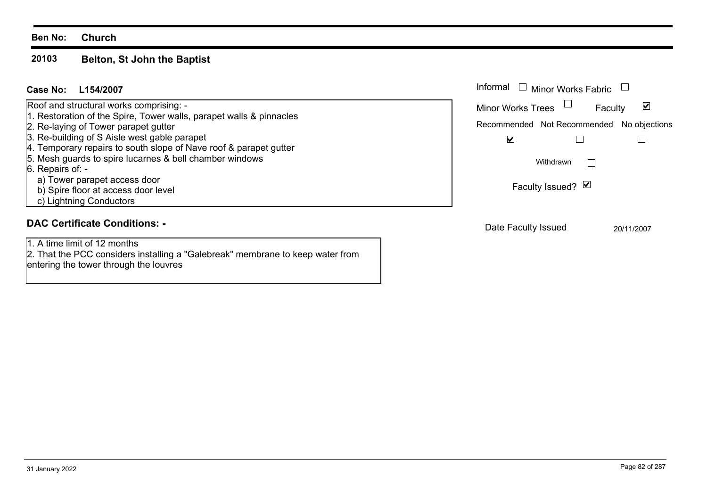#### **20103 Belton, St John the Baptist**

entering the tower through the louvres

| Case No:<br>L154/2007                                                                                             | Informal<br>$\Box$ Minor Works Fabric                |
|-------------------------------------------------------------------------------------------------------------------|------------------------------------------------------|
| Roof and structural works comprising: -<br>1. Restoration of the Spire, Tower walls, parapet walls & pinnacles    | $\blacktriangledown$<br>Minor Works Trees<br>Faculty |
| 2. Re-laying of Tower parapet gutter                                                                              | Recommended Not Recommended No objections            |
| 3. Re-building of S Aisle west gable parapet<br>4. Temporary repairs to south slope of Nave roof & parapet gutter | ☑                                                    |
| 5. Mesh guards to spire lucarnes & bell chamber windows<br>$6.$ Repairs of: -                                     | Withdrawn                                            |
| a) Tower parapet access door<br>b) Spire floor at access door level                                               | Faculty Issued? Ø                                    |
| c) Lightning Conductors                                                                                           |                                                      |
| <b>DAC Certificate Conditions: -</b>                                                                              | Date Faculty Issued<br>20/11/2007                    |
| 1. A time limit of 12 months                                                                                      |                                                      |
| [2. That the PCC considers installing a "Galebreak" membrane to keep water from                                   |                                                      |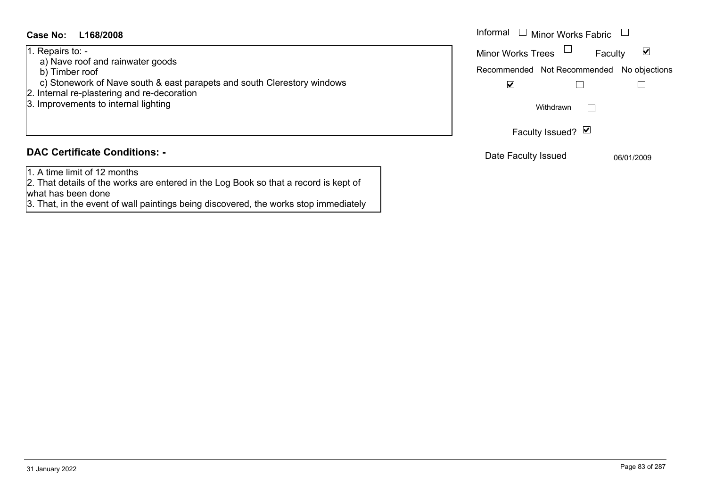#### **L168/2008Case No:** Informal

#### 1. Repairs to: -

- a) Nave roof and rainwater goods
- b) Timber roof
- c) Stonework of Nave south & east parapets and south Clerestory windows
- 2. Internal re-plastering and re-decoration
- 3. Improvements to internal lighting

#### **DAC Certificate Conditions: -**

1. A time limit of 12 months

2. That details of the works are entered in the Log Book so that a record is kept of what has been done

3. That, in the event of wall paintings being discovered, the works stop immediately

| Informal<br>Minor Works Fabric            |  |            |  |
|-------------------------------------------|--|------------|--|
| <b>Minor Works Trees</b><br>Faculty       |  |            |  |
| Recommended Not Recommended No objections |  |            |  |
|                                           |  |            |  |
| Withdrawn                                 |  |            |  |
| Faculty Issued? Ø                         |  |            |  |
| Date Faculty Issued                       |  | 06/01/2009 |  |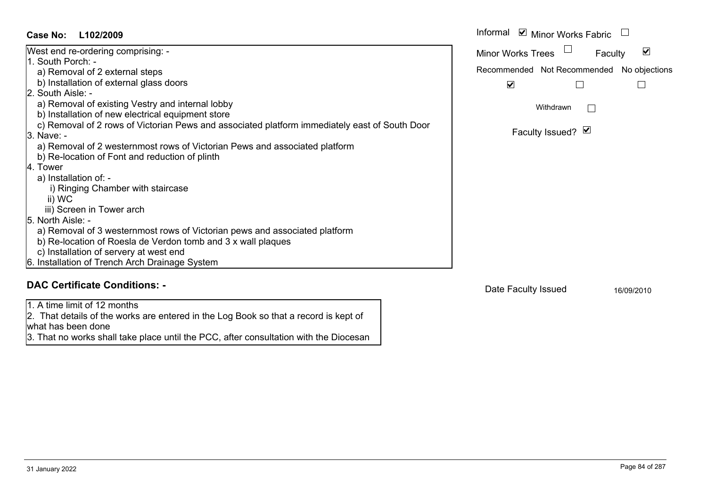Informal  $\vee$  Minor Works Fabric  $\Box$ **L102/2009Case No:** Informal West end re-ordering comprising: -  $\blacktriangledown$ Faculty Minor Works Trees 1. South Porch: a) Removal of 2 external steps Recommended Not Recommended No objections b) Installation of external glass doors  $\overline{\mathbf{v}}$  $\Box$  $\Box$ 2. South Aisle: a) Removal of existing Vestry and internal lobby Withdrawn $\Box$  b) Installation of new electrical equipment store c) Removal of 2 rows of Victorian Pews and associated platform immediately east of South Door Faculty Issued? Ø 3. Nave: a) Removal of 2 westernmost rows of Victorian Pews and associated platform b) Re-location of Font and reduction of plinth 4. Tower a) Installation of: i) Ringing Chamber with staircase ii) WC iii) Screen in Tower arch 5. North Aisle: a) Removal of 3 westernmost rows of Victorian pews and associated platform b) Re-location of Roesla de Verdon tomb and 3 x wall plaques c) Installation of servery at west end 6. Installation of Trench Arch Drainage System **DAC Certificate Conditions: -**Date Faculty Issued 16/09/2010

1. A time limit of 12 months

2. That details of the works are entered in the Log Book so that a record is kept of what has been done

3. That no works shall take place until the PCC, after consultation with the Diocesan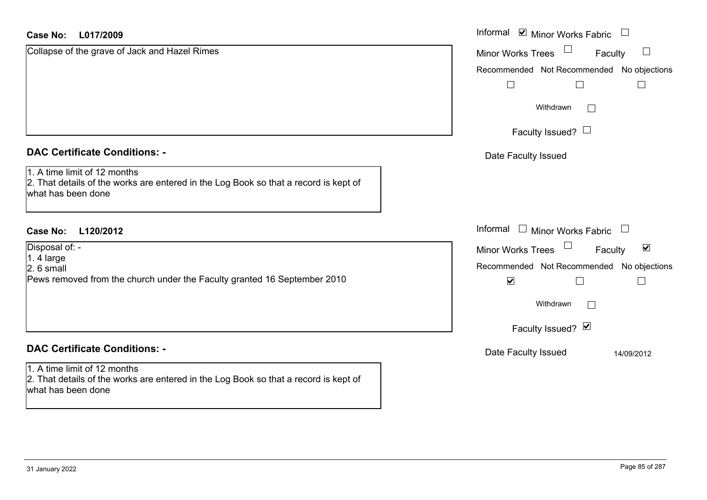#### **L017/2009Case No:**

| $\begin{array}{c} \hline \end{array}$                                        |
|------------------------------------------------------------------------------|
| $\Box$<br>Faculty                                                            |
| Recommended Not Recommended No objections                                    |
|                                                                              |
|                                                                              |
|                                                                              |
|                                                                              |
| $\Box$                                                                       |
| $\blacktriangledown$<br>Faculty<br>Recommended Not Recommended No objections |
|                                                                              |
|                                                                              |
| 14/09/2012                                                                   |
|                                                                              |
|                                                                              |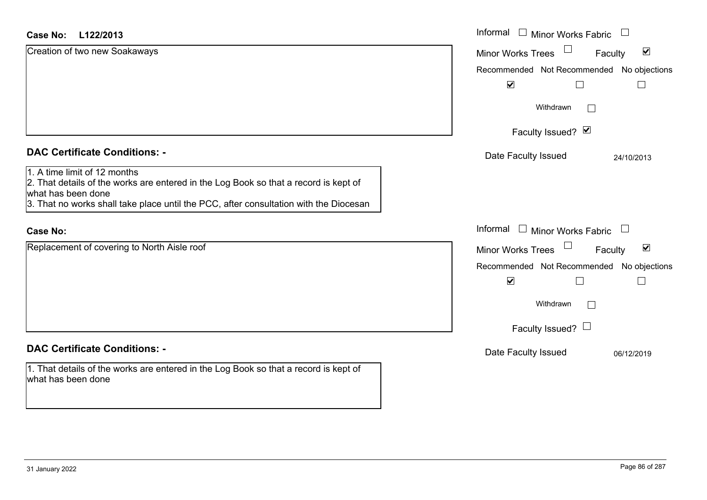#### **L122/2013Case No:**

| L122/2013<br>Case No:                                                                                                                                                                                                               | Informal □ Minor Works Fabric                               |
|-------------------------------------------------------------------------------------------------------------------------------------------------------------------------------------------------------------------------------------|-------------------------------------------------------------|
| Creation of two new Soakaways                                                                                                                                                                                                       | $\blacktriangledown$<br><b>Minor Works Trees</b><br>Faculty |
|                                                                                                                                                                                                                                     | Recommended Not Recommended No objections                   |
|                                                                                                                                                                                                                                     | $\blacktriangledown$                                        |
|                                                                                                                                                                                                                                     | Withdrawn                                                   |
|                                                                                                                                                                                                                                     | Faculty Issued? $\vee$                                      |
| <b>DAC Certificate Conditions: -</b>                                                                                                                                                                                                | Date Faculty Issued<br>24/10/2013                           |
| 1. A time limit of 12 months<br>2. That details of the works are entered in the Log Book so that a record is kept of<br>what has been done<br>3. That no works shall take place until the PCC, after consultation with the Diocesan |                                                             |
| <b>Case No:</b>                                                                                                                                                                                                                     | Informal<br>$\Box$ Minor Works Fabric                       |
| Replacement of covering to North Aisle roof                                                                                                                                                                                         | $\blacktriangledown$<br>Minor Works Trees<br>Faculty        |
|                                                                                                                                                                                                                                     | Recommended Not Recommended No objections                   |
|                                                                                                                                                                                                                                     | $\blacktriangledown$                                        |
|                                                                                                                                                                                                                                     | Withdrawn                                                   |
|                                                                                                                                                                                                                                     | Faculty Issued? $\Box$                                      |
| <b>DAC Certificate Conditions: -</b>                                                                                                                                                                                                | Date Faculty Issued<br>06/12/2019                           |
| 1. That details of the works are entered in the Log Book so that a record is kept of<br>what has been done                                                                                                                          |                                                             |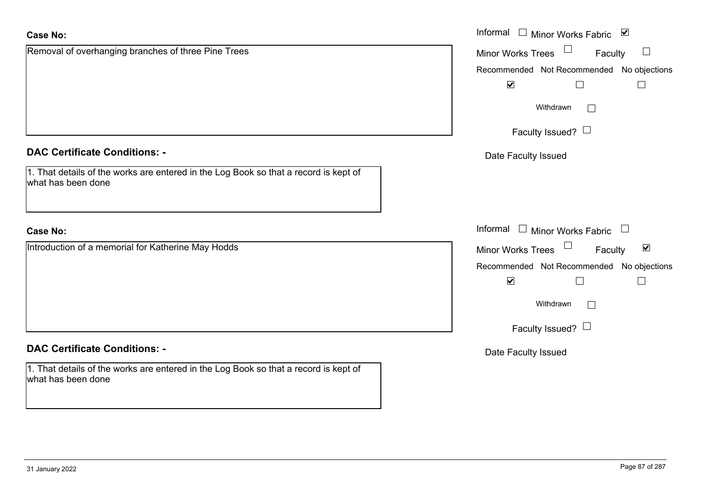| <b>Case No:</b>                                                                                            | Informal $\Box$ Minor Works Fabric $\Box$                     |
|------------------------------------------------------------------------------------------------------------|---------------------------------------------------------------|
| Removal of overhanging branches of three Pine Trees                                                        | Minor Works Trees<br>Faculty                                  |
|                                                                                                            | Recommended Not Recommended No objections                     |
|                                                                                                            | $\blacktriangledown$<br>$\Box$                                |
|                                                                                                            | Withdrawn<br>$\Box$                                           |
|                                                                                                            | Faculty Issued? $\Box$                                        |
| <b>DAC Certificate Conditions: -</b>                                                                       | Date Faculty Issued                                           |
| 1. That details of the works are entered in the Log Book so that a record is kept of<br>what has been done |                                                               |
| <b>Case No:</b>                                                                                            | Informal<br>$\mathrel{\boxplus}$ Minor Works Fabric<br>$\Box$ |
| Introduction of a memorial for Katherine May Hodds                                                         | Minor Works Trees<br>$\blacktriangledown$<br>Faculty          |
|                                                                                                            | Recommended Not Recommended No objections                     |
|                                                                                                            | $\blacktriangledown$<br>$\Box$                                |
|                                                                                                            | Withdrawn<br>$\mathbf{L}$                                     |
|                                                                                                            | Faculty Issued? $\Box$                                        |
| <b>DAC Certificate Conditions: -</b>                                                                       | Date Faculty Issued                                           |
| 1. That details of the works are entered in the Log Book so that a record is kept of<br>what has been done |                                                               |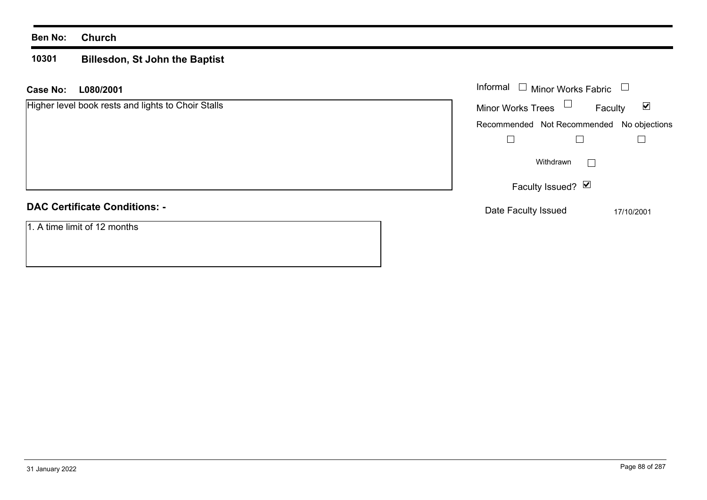#### **10301 Billesdon, St John the Baptist**

| L080/2001<br>Case No:                              | Informal $\Box$<br><b>Minor Works Fabric</b>                |
|----------------------------------------------------|-------------------------------------------------------------|
| Higher level book rests and lights to Choir Stalls | $\blacktriangledown$<br><b>Minor Works Trees</b><br>Faculty |
|                                                    | Recommended Not Recommended No objections                   |
|                                                    |                                                             |
|                                                    | Withdrawn<br>$\vert \ \ \vert$                              |
|                                                    | Faculty Issued? Ø                                           |
| <b>DAC Certificate Conditions: -</b>               | Date Faculty Issued<br>17/10/2001                           |
| 1. A time limit of 12 months                       |                                                             |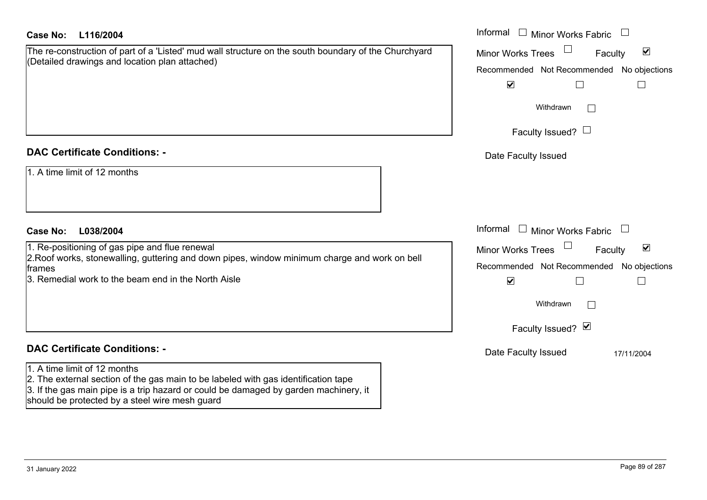| <b>Case No:</b><br>L116/2004                                                                                                                                                                                                                                 | Informal<br>$\perp$<br><b>Minor Works Fabric</b>            |
|--------------------------------------------------------------------------------------------------------------------------------------------------------------------------------------------------------------------------------------------------------------|-------------------------------------------------------------|
| The re-construction of part of a 'Listed' mud wall structure on the south boundary of the Churchyard                                                                                                                                                         | $\blacktriangledown$<br><b>Minor Works Trees</b><br>Faculty |
| (Detailed drawings and location plan attached)                                                                                                                                                                                                               | Recommended Not Recommended No objections                   |
|                                                                                                                                                                                                                                                              | $\blacktriangledown$<br>$\Box$                              |
|                                                                                                                                                                                                                                                              | Withdrawn<br>$\perp$                                        |
|                                                                                                                                                                                                                                                              | Faculty Issued? $\Box$                                      |
| <b>DAC Certificate Conditions: -</b>                                                                                                                                                                                                                         | Date Faculty Issued                                         |
| 1. A time limit of 12 months                                                                                                                                                                                                                                 |                                                             |
| <b>Case No:</b><br>L038/2004                                                                                                                                                                                                                                 | Informal<br><b>Minor Works Fabric</b>                       |
| 1. Re-positioning of gas pipe and flue renewal                                                                                                                                                                                                               | $\blacktriangledown$<br><b>Minor Works Trees</b><br>Faculty |
| 2. Roof works, stonewalling, guttering and down pipes, window minimum charge and work on bell<br>frames                                                                                                                                                      | Recommended Not Recommended No objections                   |
| 3. Remedial work to the beam end in the North Aisle                                                                                                                                                                                                          | $\blacktriangledown$<br>$\Box$                              |
|                                                                                                                                                                                                                                                              | Withdrawn<br>I.                                             |
|                                                                                                                                                                                                                                                              | Faculty Issued? Ø                                           |
| <b>DAC Certificate Conditions: -</b>                                                                                                                                                                                                                         | Date Faculty Issued<br>17/11/2004                           |
| 1. A time limit of 12 months<br>2. The external section of the gas main to be labeled with gas identification tape<br>3. If the gas main pipe is a trip hazard or could be damaged by garden machinery, it<br>should be protected by a steel wire mesh guard |                                                             |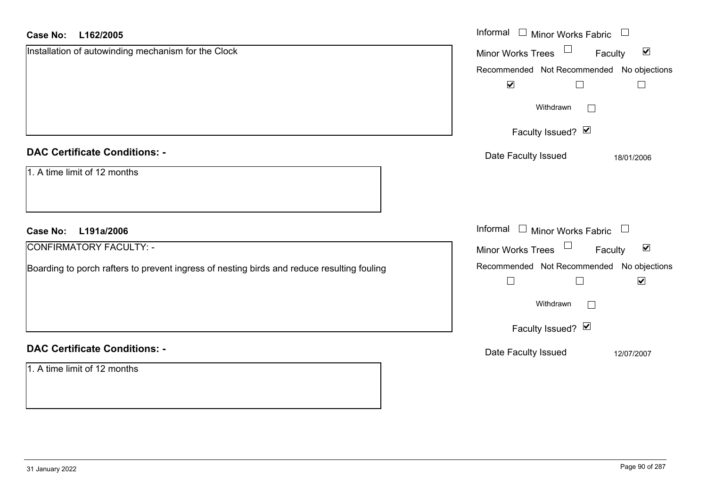| <b>Case No:</b><br>L162/2005                                                               | Informal $\Box$ Minor Works Fabric $\Box$                              |
|--------------------------------------------------------------------------------------------|------------------------------------------------------------------------|
| Installation of autowinding mechanism for the Clock                                        | Minor Works Trees<br>$\blacktriangledown$<br>Faculty                   |
|                                                                                            | Recommended Not Recommended No objections                              |
|                                                                                            | $\blacktriangledown$<br>$\Box$<br>$\Box$                               |
|                                                                                            | Withdrawn<br>$\Box$                                                    |
|                                                                                            | Faculty Issued? Ø                                                      |
| <b>DAC Certificate Conditions: -</b>                                                       | Date Faculty Issued<br>18/01/2006                                      |
| 1. A time limit of 12 months                                                               |                                                                        |
| L191a/2006<br><b>Case No:</b>                                                              | Informal $\Box$ Minor Works Fabric $\Box$                              |
| <b>CONFIRMATORY FACULTY: -</b>                                                             | Minor Works Trees<br>$\blacktriangledown$<br>Faculty                   |
| Boarding to porch rafters to prevent ingress of nesting birds and reduce resulting fouling | Recommended Not Recommended No objections<br>$\blacktriangledown$<br>П |
|                                                                                            | Withdrawn<br>$\Box$                                                    |
|                                                                                            | Faculty Issued? Ø                                                      |
| <b>DAC Certificate Conditions: -</b>                                                       | Date Faculty Issued<br>12/07/2007                                      |
| 1. A time limit of 12 months                                                               |                                                                        |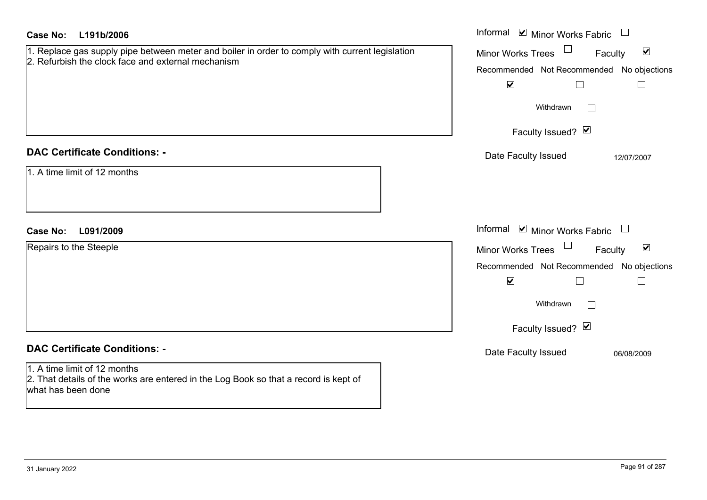| <b>Case No:</b><br>L191b/2006                                                                                                                         | Informal $\blacksquare$ Minor Works Fabric $\blacksquare$   |
|-------------------------------------------------------------------------------------------------------------------------------------------------------|-------------------------------------------------------------|
| 1. Replace gas supply pipe between meter and boiler in order to comply with current legislation<br>2. Refurbish the clock face and external mechanism | Minor Works Trees<br>$\blacktriangledown$<br>Faculty        |
|                                                                                                                                                       | Recommended Not Recommended No objections                   |
|                                                                                                                                                       | $\blacktriangledown$<br>$\Box$<br>$\Box$                    |
|                                                                                                                                                       | Withdrawn                                                   |
|                                                                                                                                                       | Faculty Issued? Ø                                           |
| <b>DAC Certificate Conditions: -</b>                                                                                                                  | Date Faculty Issued<br>12/07/2007                           |
| 1. A time limit of 12 months                                                                                                                          |                                                             |
|                                                                                                                                                       |                                                             |
|                                                                                                                                                       |                                                             |
| L091/2009<br><b>Case No:</b>                                                                                                                          | Informal $\blacksquare$ Minor Works Fabric $\Box$           |
| Repairs to the Steeple                                                                                                                                | $\blacktriangledown$<br><b>Minor Works Trees</b><br>Faculty |
|                                                                                                                                                       | Recommended Not Recommended No objections                   |
|                                                                                                                                                       | $\blacktriangledown$<br>$\Box$<br>$\Box$                    |
|                                                                                                                                                       | Withdrawn                                                   |
|                                                                                                                                                       | Faculty Issued? Ø                                           |
| <b>DAC Certificate Conditions: -</b>                                                                                                                  | Date Faculty Issued<br>06/08/2009                           |
| 1. A time limit of 12 months<br>2. That details of the works are entered in the Log Book so that a record is kept of<br>what has been done            |                                                             |
|                                                                                                                                                       |                                                             |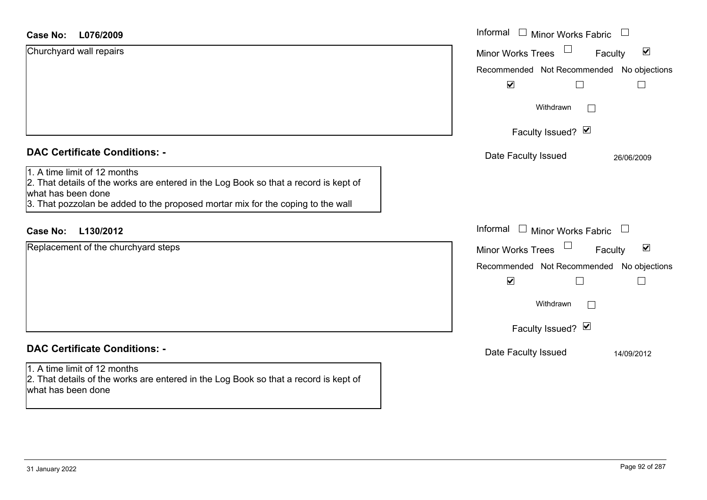#### **L076/2009Case No:**

| L076/2009<br><b>Case No:</b>                                                                                                                                                                                                  | Informal<br>Minor Works Fabric                                        |
|-------------------------------------------------------------------------------------------------------------------------------------------------------------------------------------------------------------------------------|-----------------------------------------------------------------------|
| Churchyard wall repairs                                                                                                                                                                                                       | $\Box$<br>$\blacktriangledown$<br><b>Minor Works Trees</b><br>Faculty |
|                                                                                                                                                                                                                               | Recommended Not Recommended No objections                             |
|                                                                                                                                                                                                                               | $\blacktriangledown$<br>$\Box$                                        |
|                                                                                                                                                                                                                               | Withdrawn<br>$\Box$                                                   |
|                                                                                                                                                                                                                               | Faculty Issued? Ø                                                     |
| <b>DAC Certificate Conditions: -</b>                                                                                                                                                                                          | Date Faculty Issued<br>26/06/2009                                     |
| 1. A time limit of 12 months<br>2. That details of the works are entered in the Log Book so that a record is kept of<br>what has been done<br>3. That pozzolan be added to the proposed mortar mix for the coping to the wall |                                                                       |
| L130/2012<br><b>Case No:</b>                                                                                                                                                                                                  | Informal<br>$\Box$ Minor Works Fabric<br>$\Box$                       |
| Replacement of the churchyard steps                                                                                                                                                                                           | $\Box$<br>$\blacktriangledown$<br>Minor Works Trees<br>Faculty        |
|                                                                                                                                                                                                                               | No objections<br>Recommended Not Recommended                          |
|                                                                                                                                                                                                                               | $\blacktriangledown$<br>$\Box$<br>$\Box$                              |
|                                                                                                                                                                                                                               | Withdrawn<br>$\Box$                                                   |
|                                                                                                                                                                                                                               | Faculty Issued? Ø                                                     |
| <b>DAC Certificate Conditions: -</b>                                                                                                                                                                                          | Date Faculty Issued<br>14/09/2012                                     |
| 1. A time limit of 12 months<br>2. That details of the works are entered in the Log Book so that a record is kept of<br>what has been done                                                                                    |                                                                       |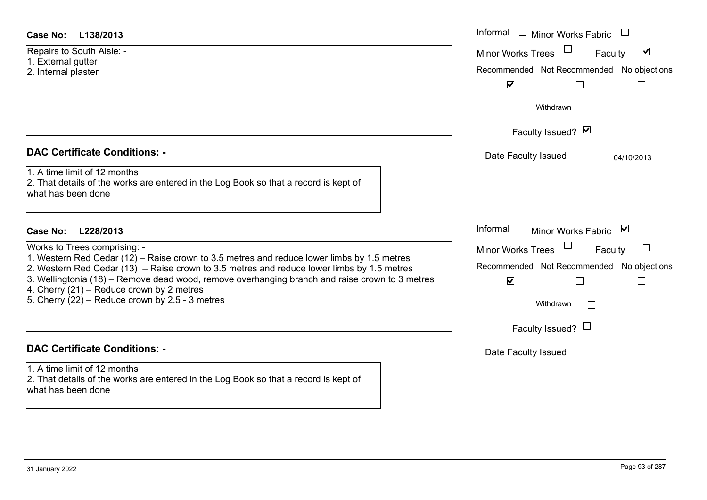| Case No: | L138/2013 |
|----------|-----------|
|----------|-----------|

#### **DAC Certificate Conditions: -**

| Works to Trees comprising: -                                                                   |
|------------------------------------------------------------------------------------------------|
| 1. Western Red Cedar (12) – Raise crown to 3.5 metres and reduce lower limbs by 1.5 metres     |
| 2. Western Red Cedar (13) – Raise crown to 3.5 metres and reduce lower limbs by 1.5 metres     |
| 3. Wellingtonia (18) – Remove dead wood, remove overhanging branch and raise crown to 3 metres |
| 4. Cherry $(21)$ – Reduce crown by 2 metres                                                    |
| 5. Cherry $(22)$ – Reduce crown by 2.5 - 3 metres                                              |
|                                                                                                |

# **DAC Certificate Conditions: -**

1. A time limit of 12 months 2. That details of the works are entered in the Log Book so that a record is kept of what has been done

| Case No:<br>L138/2013                                                                                                                                                                                                                                                                                                                                                                                                      | Informal □ Minor Works Fabric                                                                                                                                  |
|----------------------------------------------------------------------------------------------------------------------------------------------------------------------------------------------------------------------------------------------------------------------------------------------------------------------------------------------------------------------------------------------------------------------------|----------------------------------------------------------------------------------------------------------------------------------------------------------------|
| Repairs to South Aisle: -<br>1. External gutter<br>2. Internal plaster                                                                                                                                                                                                                                                                                                                                                     | $\blacktriangledown$<br><b>Minor Works Trees</b><br>Faculty<br>Recommended Not Recommended No objections<br>$\blacktriangledown$<br>$\Box$                     |
|                                                                                                                                                                                                                                                                                                                                                                                                                            | Withdrawn                                                                                                                                                      |
|                                                                                                                                                                                                                                                                                                                                                                                                                            | Faculty Issued? Ø                                                                                                                                              |
| <b>DAC Certificate Conditions: -</b>                                                                                                                                                                                                                                                                                                                                                                                       | Date Faculty Issued<br>04/10/2013                                                                                                                              |
| 1. A time limit of 12 months<br>2. That details of the works are entered in the Log Book so that a record is kept of<br>what has been done                                                                                                                                                                                                                                                                                 |                                                                                                                                                                |
| <b>Case No:</b><br>L228/2013                                                                                                                                                                                                                                                                                                                                                                                               | Informal $\square$<br>Minor Works Fabric ⊠                                                                                                                     |
| Works to Trees comprising: -<br>1. Western Red Cedar (12) – Raise crown to 3.5 metres and reduce lower limbs by 1.5 metres<br>2. Western Red Cedar (13) – Raise crown to 3.5 metres and reduce lower limbs by 1.5 metres<br>3. Wellingtonia (18) – Remove dead wood, remove overhanging branch and raise crown to 3 metres<br>4. Cherry (21) – Reduce crown by 2 metres<br>5. Cherry (22) – Reduce crown by 2.5 - 3 metres | <b>Minor Works Trees</b><br>$\Box$<br>Faculty<br>Recommended Not Recommended No objections<br>$\blacktriangledown$<br>$\Box$<br>Withdrawn<br>$\vert \ \ \vert$ |
|                                                                                                                                                                                                                                                                                                                                                                                                                            | Faculty Issued? $\Box$                                                                                                                                         |
| <b>DAC Certificate Conditions: -</b>                                                                                                                                                                                                                                                                                                                                                                                       | Date Faculty Issued                                                                                                                                            |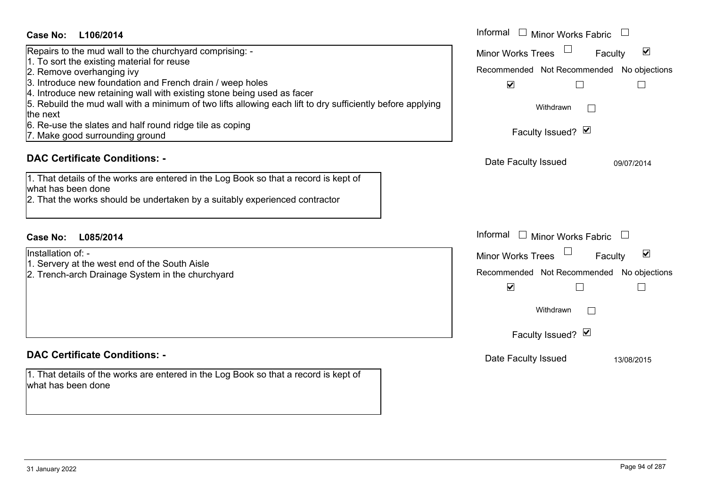| <b>Case No:</b><br>L106/2014                                                                                                                                                                                                                                                                                                                                                                                                                                                                                                                                                                                                                              | Informal □ Minor Works Fabric                                                                                                                                                                                        |
|-----------------------------------------------------------------------------------------------------------------------------------------------------------------------------------------------------------------------------------------------------------------------------------------------------------------------------------------------------------------------------------------------------------------------------------------------------------------------------------------------------------------------------------------------------------------------------------------------------------------------------------------------------------|----------------------------------------------------------------------------------------------------------------------------------------------------------------------------------------------------------------------|
| Repairs to the mud wall to the churchyard comprising: -<br>1. To sort the existing material for reuse<br>2. Remove overhanging ivy<br>3. Introduce new foundation and French drain / weep holes<br>4. Introduce new retaining wall with existing stone being used as facer<br>5. Rebuild the mud wall with a minimum of two lifts allowing each lift to dry sufficiently before applying<br>the next<br>6. Re-use the slates and half round ridge tile as coping<br>7. Make good surrounding ground<br><b>DAC Certificate Conditions: -</b><br>1. That details of the works are entered in the Log Book so that a record is kept of<br>what has been done | $\blacktriangledown$<br><b>Minor Works Trees</b><br>Faculty<br>Recommended Not Recommended<br>No objections<br>$\blacktriangledown$<br>$\Box$<br>Withdrawn<br>Faculty Issued? Ø<br>Date Faculty Issued<br>09/07/2014 |
| 2. That the works should be undertaken by a suitably experienced contractor<br><b>Case No:</b><br>L085/2014                                                                                                                                                                                                                                                                                                                                                                                                                                                                                                                                               | Informal<br>$\Box$ Minor Works Fabric                                                                                                                                                                                |
| Installation of: -<br>1. Servery at the west end of the South Aisle<br>2. Trench-arch Drainage System in the churchyard                                                                                                                                                                                                                                                                                                                                                                                                                                                                                                                                   | ⊻<br><b>Minor Works Trees</b><br>Faculty<br>Recommended Not Recommended<br>No objections<br>$\blacktriangledown$<br>$\mathbb{R}$<br>Withdrawn<br>Faculty Issued? Ø                                                   |
| <b>DAC Certificate Conditions: -</b>                                                                                                                                                                                                                                                                                                                                                                                                                                                                                                                                                                                                                      | Date Faculty Issued<br>13/08/2015                                                                                                                                                                                    |
| 1. That details of the works are entered in the Log Book so that a record is kept of<br>what has been done                                                                                                                                                                                                                                                                                                                                                                                                                                                                                                                                                |                                                                                                                                                                                                                      |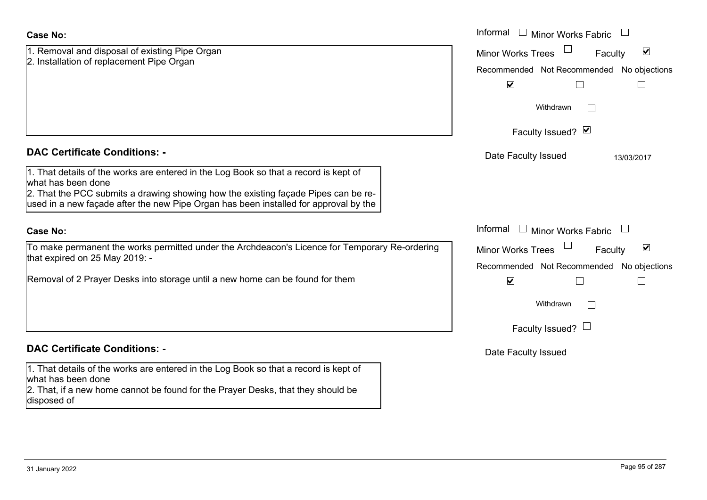| <b>Case No:</b>                                                                                                                                                                                                                                                                          | Informal □ Minor Works Fabric                                                                                                    |
|------------------------------------------------------------------------------------------------------------------------------------------------------------------------------------------------------------------------------------------------------------------------------------------|----------------------------------------------------------------------------------------------------------------------------------|
| 1. Removal and disposal of existing Pipe Organ<br>2. Installation of replacement Pipe Organ                                                                                                                                                                                              | $\blacktriangledown$<br><b>Minor Works Trees</b><br>Faculty<br>Recommended Not Recommended No objections<br>$\blacktriangledown$ |
|                                                                                                                                                                                                                                                                                          | Withdrawn<br>$\perp$                                                                                                             |
|                                                                                                                                                                                                                                                                                          | Faculty Issued? Ø                                                                                                                |
| <b>DAC Certificate Conditions: -</b>                                                                                                                                                                                                                                                     | Date Faculty Issued<br>13/03/2017                                                                                                |
| 1. That details of the works are entered in the Log Book so that a record is kept of<br>what has been done<br>2. That the PCC submits a drawing showing how the existing façade Pipes can be re-<br>used in a new façade after the new Pipe Organ has been installed for approval by the |                                                                                                                                  |
| <b>Case No:</b>                                                                                                                                                                                                                                                                          | Informal<br>$\perp$<br><b>Minor Works Fabric</b>                                                                                 |
| To make permanent the works permitted under the Archdeacon's Licence for Temporary Re-ordering<br>that expired on 25 May 2019: -                                                                                                                                                         | $\blacktriangledown$<br><b>Minor Works Trees</b><br>Faculty<br>Recommended Not Recommended No objections                         |
| Removal of 2 Prayer Desks into storage until a new home can be found for them                                                                                                                                                                                                            | $\blacktriangledown$                                                                                                             |
|                                                                                                                                                                                                                                                                                          | Withdrawn                                                                                                                        |
|                                                                                                                                                                                                                                                                                          | Faculty Issued? $\Box$                                                                                                           |
| <b>DAC Certificate Conditions: -</b>                                                                                                                                                                                                                                                     | Date Faculty Issued                                                                                                              |
| 1. That details of the works are entered in the Log Book so that a record is kept of<br>what has been done<br>2. That, if a new home cannot be found for the Prayer Desks, that they should be<br>disposed of                                                                            |                                                                                                                                  |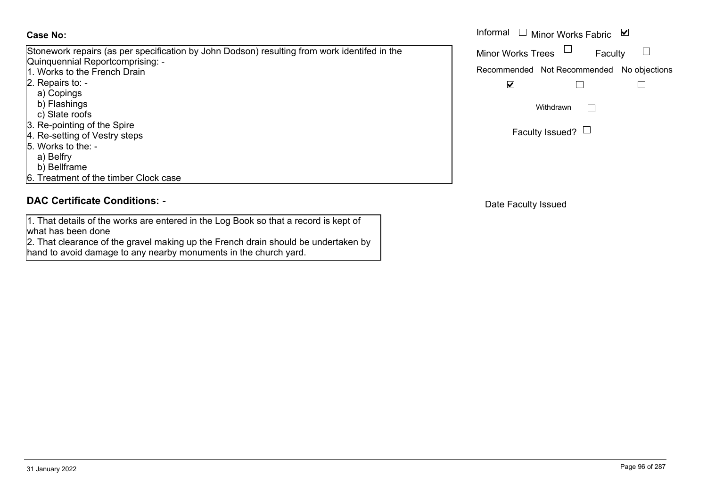Stonework repairs (as per specification by John Dodson) resulting from work identifed in the Quinquennial Reportcomprising: - 1. Works to the French Drain 2. Repairs to: -

- 
- a) Copings
- b) Flashings c) Slate roofs
- 3. Re-pointing of the Spire
- 4. Re-setting of Vestry steps
- 5. Works to the:
	- a) Belfry
	- b) Bellframe
- 6. Treatment of the timber Clock case

### **DAC Certificate Conditions: -**

1. That details of the works are entered in the Log Book so that a record is kept of what has been done

 2. That clearance of the gravel making up the French drain should be undertaken by hand to avoid damage to any nearby monuments in the church yard.

|                                                                                                                    | Informal<br>□ Minor Works Fabric $\vert \mathbf{v} \vert$ |
|--------------------------------------------------------------------------------------------------------------------|-----------------------------------------------------------|
| rk repairs (as per specification by John Dodson) resulting from work identifed in the<br>nnial Reportcomprising: - | <b>Minor Works Trees</b><br>Faculty                       |
| to the French Drain                                                                                                | Recommended Not Recommended No objections                 |
| s to:  -                                                                                                           | V                                                         |
| ings                                                                                                               |                                                           |
| shings                                                                                                             | Withdrawn                                                 |
| e roofs                                                                                                            |                                                           |
| inting of the Spire                                                                                                |                                                           |
| ting of Veetry stens                                                                                               | Faculty Issued? $\Box$                                    |

Date Faculty Issued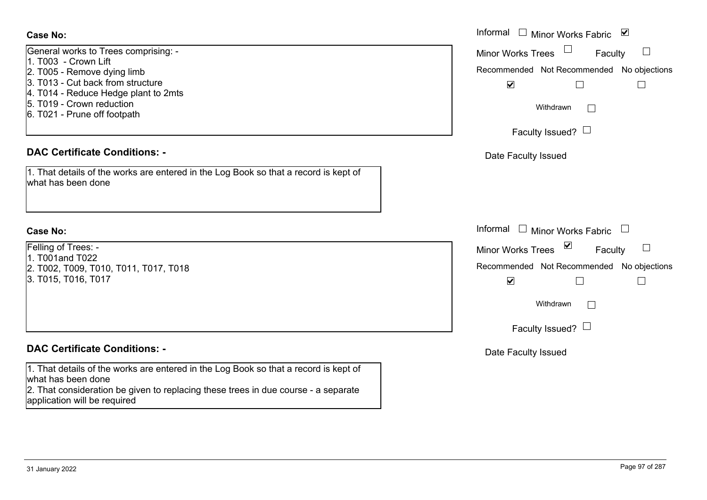General works to Trees comprising: - 1. T003 - Crown Lift 2. T005 - Remove dying limb 3. T013 - Cut back from structure4. T014 - Reduce Hedge plant to 2mts 5. T019 - Crown reduction6. T021 - Prune off footpath

#### **DAC Certificate Conditions: -**

1. That details of the works are entered in the Log Book so that a record is kept of what has been done

#### **Case No:**

Felling of Trees: -  $1.$  T001and T022 2. T002, T009, T010, T011, T017, T018 3. T015, T016, T017

### **DAC Certificate Conditions: -**

1. That details of the works are entered in the Log Book so that a record is kept of what has been done

2. That consideration be given to replacing these trees in due course - a separate application will be required

|                                                                                                                                                                     | Informal □ Minor Works Fabric ⊠                                                                                                          |
|---------------------------------------------------------------------------------------------------------------------------------------------------------------------|------------------------------------------------------------------------------------------------------------------------------------------|
| works to Trees comprising: -<br>- Crown Lift<br>Remove dying limb<br>Cut back from structure<br>Reduce Hedge plant to 2mts<br>Crown reduction<br>Prune off footpath | Minor Works Trees<br>Faculty<br>Recommended Not Recommended No objections<br>$\blacktriangledown$<br>Withdrawn<br>Faculty Issued? $\Box$ |
| rtificate Conditions: -                                                                                                                                             | Date Faculty Issued                                                                                                                      |
| etails of the works are entered in the Log Book so that a record is kept of<br>been done                                                                            |                                                                                                                                          |
|                                                                                                                                                                     | Informal $\Box$ Minor Works Fabric $\Box$                                                                                                |
| Trees: -                                                                                                                                                            | Minor Works Trees <b>■</b><br>$\Box$<br>Faculty                                                                                          |
| nd T022<br>T009, T010, T011, T017, T018<br>T016, T017                                                                                                               | Recommended Not Recommended No objections<br>$\blacktriangledown$                                                                        |
|                                                                                                                                                                     | Withdrawn<br>$\vert \ \ \vert$                                                                                                           |
|                                                                                                                                                                     | Faculty Issued? $\Box$                                                                                                                   |
| rtificate Conditions: -                                                                                                                                             | Date Faculty Issued                                                                                                                      |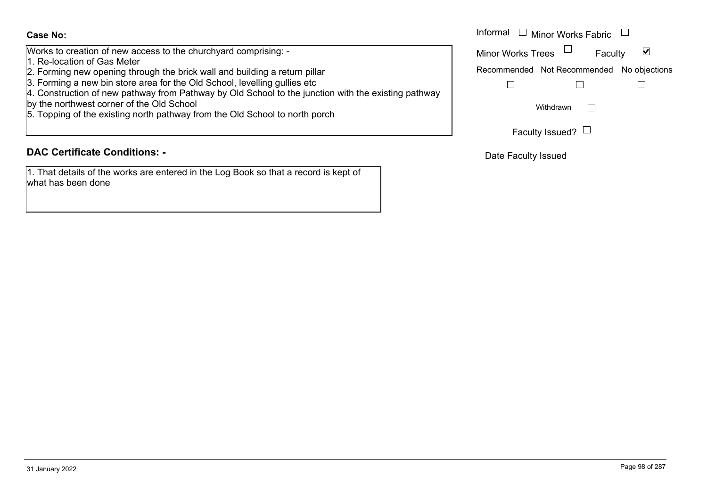Works to creation of new access to the churchyard comprising: -

- 1. Re-location of Gas Meter
- 2. Forming new opening through the brick wall and building a return pillar
- 3. Forming a new bin store area for the Old School, levelling gullies etc
- 4. Construction of new pathway from Pathway by Old School to the junction with the existing pathway
- by the northwest corner of the Old School
- 5. Topping of the existing north pathway from the Old School to north porch

### **DAC Certificate Conditions: -**

1. That details of the works are entered in the Log Book so that a record is kept of what has been done

|                                                                                                                                                                 | Informal<br>Minor Works Fabric L          |
|-----------------------------------------------------------------------------------------------------------------------------------------------------------------|-------------------------------------------|
| creation of new access to the churchyard comprising: -<br>ation of Gas Meter                                                                                    | <b>Minor Works Trees</b><br>Faculty       |
| ig new opening through the brick wall and building a return pillar                                                                                              | Recommended Not Recommended No objections |
| ng a new bin store area for the Old School, levelling gullies etc<br>uction of new pathway from Pathway by Old School to the junction with the existing pathway |                                           |
| rthwest corner of the Old School<br>g of the existing north pathway from the Old School to north porch                                                          | Withdrawn                                 |
|                                                                                                                                                                 | Faculty Issued? L                         |

Date Faculty Issued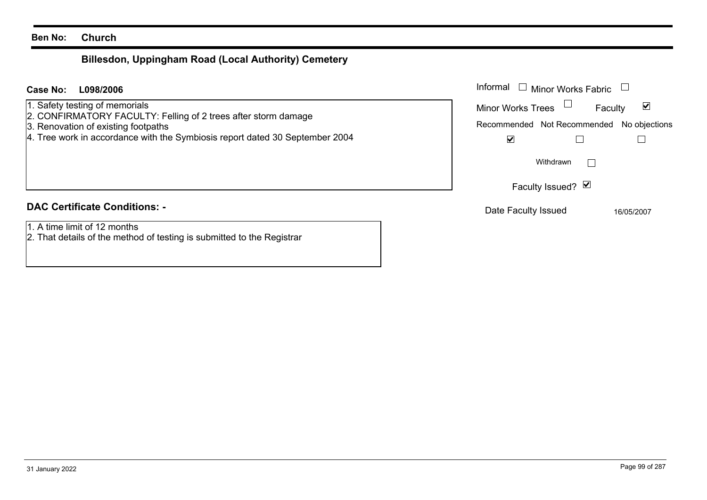# **Billesdon, Uppingham Road (Local Authority) Cemetery**

#### **L098/2006Case No:** Informal

- 1. Safety testing of memorials
- 2. CONFIRMATORY FACULTY: Felling of 2 trees after storm damage
- 3. Renovation of existing footpaths
- 4. Tree work in accordance with the Symbiosis report dated 30 September 2004

# **DAC Certificate Conditions: -**

- 1. A time limit of 12 months
- 2. That details of the method of testing is submitted to the Registrar

| Informal<br>$\Box$ Minor Works Fabric     |            |
|-------------------------------------------|------------|
| Minor Works Trees                         | Faculty    |
| Recommended Not Recommended No objections |            |
|                                           |            |
| Withdrawn                                 |            |
| Faculty Issued? Ø                         |            |
| Date Faculty Issued                       | 16/05/2007 |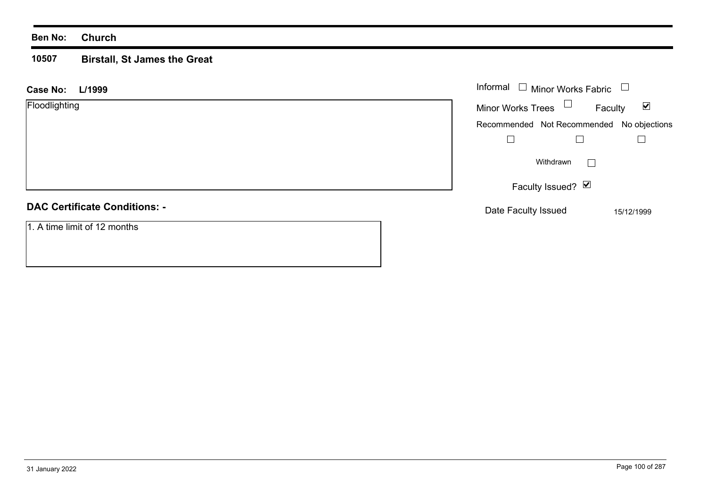#### **10507 Birstall, St James the Great**

| L/1999<br><b>Case No:</b>            | Informal $\Box$ Minor Works Fabric |                                           |
|--------------------------------------|------------------------------------|-------------------------------------------|
| Floodlighting                        | Minor Works Trees $\Box$           | $\blacktriangledown$<br>Faculty           |
|                                      |                                    | Recommended Not Recommended No objections |
|                                      |                                    |                                           |
|                                      | Withdrawn                          | $\perp$                                   |
|                                      | Faculty Issued? Ø                  |                                           |
| <b>DAC Certificate Conditions: -</b> | Date Faculty Issued                | 15/12/1999                                |
| 1. A time limit of 12 months         |                                    |                                           |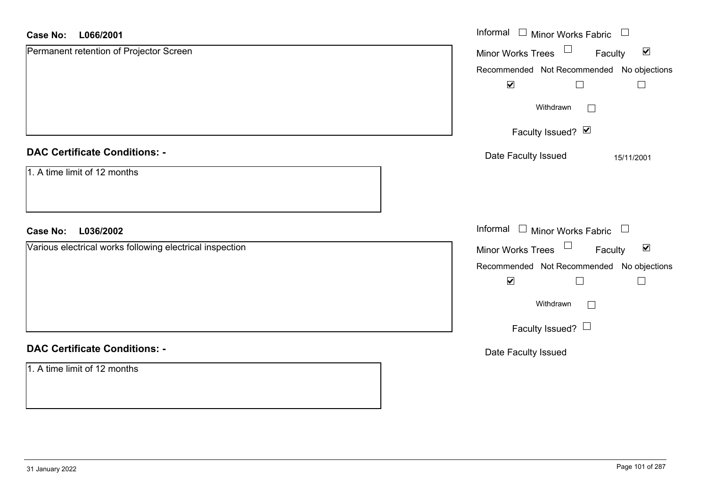#### **L066/2001Case No:**

| <b>Case No:</b><br>L066/2001                             | Informal □ Minor Works Fabric<br>$\begin{array}{c} \hline \end{array}$ |  |
|----------------------------------------------------------|------------------------------------------------------------------------|--|
| Permanent retention of Projector Screen                  | Minor Works Trees $\Box$<br>$\blacktriangledown$<br>Faculty            |  |
|                                                          | Recommended Not Recommended No objections                              |  |
|                                                          | $\blacktriangledown$<br>$\Box$<br>$\overline{\phantom{a}}$             |  |
|                                                          | Withdrawn<br>$\Box$                                                    |  |
|                                                          | Faculty Issued? Ø                                                      |  |
| <b>DAC Certificate Conditions: -</b>                     | Date Faculty Issued<br>15/11/2001                                      |  |
| 1. A time limit of 12 months                             |                                                                        |  |
| L036/2002<br><b>Case No:</b>                             | Informal $\Box$ Minor Works Fabric $\Box$                              |  |
| Various electrical works following electrical inspection | Minor Works Trees<br>$\blacktriangledown$<br>Faculty                   |  |
|                                                          | Recommended Not Recommended No objections                              |  |
|                                                          | $\blacktriangledown$<br>$\perp$                                        |  |
|                                                          | Withdrawn<br>$\Box$                                                    |  |
|                                                          | Faculty Issued? $\Box$                                                 |  |
| <b>DAC Certificate Conditions: -</b>                     | Date Faculty Issued                                                    |  |
| 1. A time limit of 12 months                             |                                                                        |  |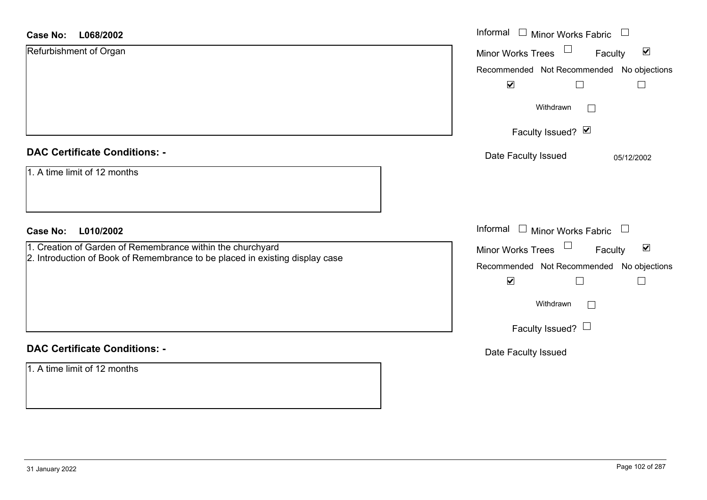| <b>Case No:</b><br>L068/2002                                                 | Informal □ Minor Works Fabric                        |
|------------------------------------------------------------------------------|------------------------------------------------------|
| Refurbishment of Organ                                                       | $\blacktriangledown$<br>Minor Works Trees<br>Faculty |
|                                                                              | Recommended Not Recommended No objections            |
|                                                                              | $\blacktriangledown$                                 |
|                                                                              | Withdrawn                                            |
|                                                                              | Faculty Issued? Ø                                    |
| <b>DAC Certificate Conditions: -</b>                                         | Date Faculty Issued<br>05/12/2002                    |
| 1. A time limit of 12 months                                                 |                                                      |
|                                                                              |                                                      |
| L010/2002<br><b>Case No:</b>                                                 | Informal $\Box$ Minor Works Fabric $\Box$            |
| 1. Creation of Garden of Remembrance within the churchyard                   | Minor Works Trees<br>$\blacktriangledown$<br>Faculty |
| 2. Introduction of Book of Remembrance to be placed in existing display case | Recommended Not Recommended No objections            |
|                                                                              | $\blacktriangledown$<br>$\Box$                       |
|                                                                              | Withdrawn<br>$\Box$                                  |
|                                                                              | Faculty Issued? $\Box$                               |
| <b>DAC Certificate Conditions: -</b>                                         | Date Faculty Issued                                  |
| 1. A time limit of 12 months                                                 |                                                      |
|                                                                              |                                                      |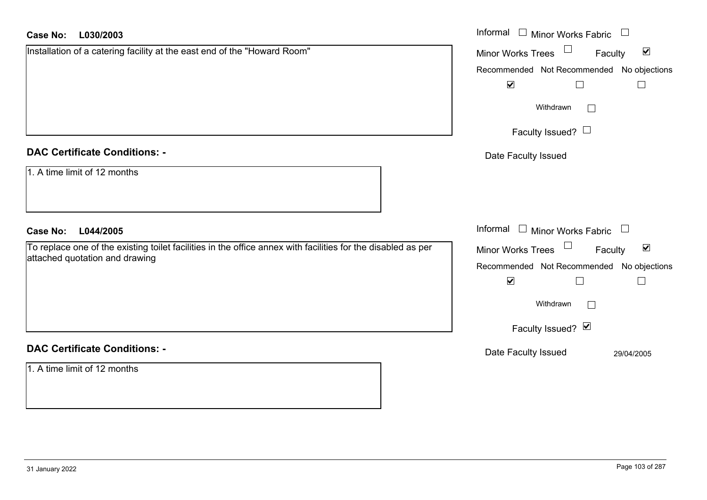| <b>Case No:</b><br>L030/2003                                                                                 | Informal $\Box$ Minor Works Fabric $\Box$                             |
|--------------------------------------------------------------------------------------------------------------|-----------------------------------------------------------------------|
| Installation of a catering facility at the east end of the "Howard Room"                                     | $\Box$<br>$\blacktriangledown$<br><b>Minor Works Trees</b><br>Faculty |
|                                                                                                              | Recommended Not Recommended No objections                             |
|                                                                                                              | $\blacktriangledown$<br>$\Box$<br>$\Box$                              |
|                                                                                                              | Withdrawn<br>$\Box$                                                   |
|                                                                                                              | Faculty Issued? $\Box$                                                |
| <b>DAC Certificate Conditions: -</b>                                                                         | Date Faculty Issued                                                   |
| 1. A time limit of 12 months                                                                                 |                                                                       |
| L044/2005<br><b>Case No:</b>                                                                                 | Informal $\Box$ Minor Works Fabric $\Box$                             |
| To replace one of the existing toilet facilities in the office annex with facilities for the disabled as per | Minor Works Trees<br>$\blacktriangledown$<br>Faculty                  |
| attached quotation and drawing                                                                               | Recommended Not Recommended No objections                             |
|                                                                                                              | $\blacktriangledown$<br>$\Box$<br>$\Box$                              |
|                                                                                                              | Withdrawn                                                             |
|                                                                                                              | Faculty Issued? Ø                                                     |
| <b>DAC Certificate Conditions: -</b>                                                                         | Date Faculty Issued<br>29/04/2005                                     |
| 1. A time limit of 12 months                                                                                 |                                                                       |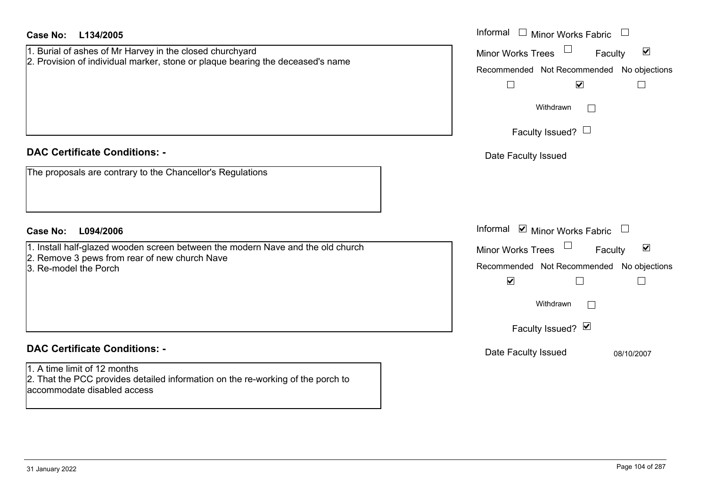| <b>Case No:</b><br>L134/2005                                                                                                                                                            | Informal $\Box$ Minor Works Fabric $\Box$                                                                                                                                                           |
|-----------------------------------------------------------------------------------------------------------------------------------------------------------------------------------------|-----------------------------------------------------------------------------------------------------------------------------------------------------------------------------------------------------|
| 1. Burial of ashes of Mr Harvey in the closed churchyard<br>2. Provision of individual marker, stone or plaque bearing the deceased's name                                              | Minor Works Trees<br>$\blacktriangledown$<br>Faculty<br>Recommended Not Recommended No objections<br>$\overline{\mathbf{v}}$<br>$\Box$<br>$\Box$<br>Withdrawn<br>$\Box$<br>Faculty Issued? $\Box$   |
| <b>DAC Certificate Conditions: -</b><br>The proposals are contrary to the Chancellor's Regulations                                                                                      | Date Faculty Issued                                                                                                                                                                                 |
| L094/2006<br><b>Case No:</b>                                                                                                                                                            | Informal $\blacksquare$ Minor Works Fabric $\Box$                                                                                                                                                   |
| 1. Install half-glazed wooden screen between the modern Nave and the old church<br>2. Remove 3 pews from rear of new church Nave<br>3. Re-model the Porch                               | Minor Works Trees<br>$\blacktriangledown$<br>Faculty<br>Recommended Not Recommended No objections<br>$\blacktriangledown$<br>$\sqcup$<br>$\overline{\phantom{a}}$<br>Withdrawn<br>Faculty Issued? Ø |
| <b>DAC Certificate Conditions: -</b><br>1. A time limit of 12 months<br>2. That the PCC provides detailed information on the re-working of the porch to<br>laccommodate disabled access | Date Faculty Issued<br>08/10/2007                                                                                                                                                                   |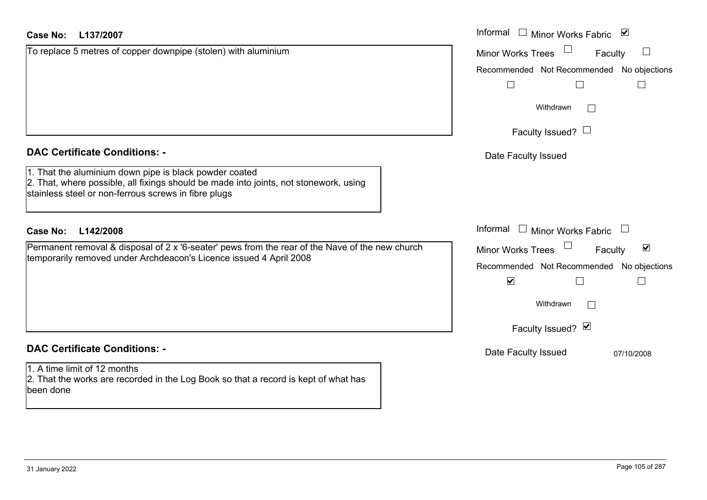| Case No:<br>L137/2007                                                                                                                                                                                   | Informal<br>$\Box$ Minor Works Fabric<br>$\blacktriangledown$ |
|---------------------------------------------------------------------------------------------------------------------------------------------------------------------------------------------------------|---------------------------------------------------------------|
| To replace 5 metres of copper downpipe (stolen) with aluminium                                                                                                                                          | <b>Minor Works Trees</b><br>$\mathbb{R}^n$<br>Faculty         |
|                                                                                                                                                                                                         | Recommended Not Recommended No objections                     |
|                                                                                                                                                                                                         | $\Box$<br>$\Box$<br>$\mathsf{L}$                              |
|                                                                                                                                                                                                         | Withdrawn                                                     |
|                                                                                                                                                                                                         | Faculty Issued? $\Box$                                        |
| <b>DAC Certificate Conditions: -</b>                                                                                                                                                                    | Date Faculty Issued                                           |
| 1. That the aluminium down pipe is black powder coated<br>2. That, where possible, all fixings should be made into joints, not stonework, using<br>stainless steel or non-ferrous screws in fibre plugs |                                                               |
| L142/2008<br>Case No:                                                                                                                                                                                   | Informal<br>$\Box$ Minor Works Fabric                         |
| Permanent removal & disposal of 2 x '6-seater' pews from the rear of the Nave of the new church                                                                                                         | $\blacktriangledown$<br><b>Minor Works Trees</b><br>Faculty   |
| temporarily removed under Archdeacon's Licence issued 4 April 2008                                                                                                                                      | Recommended Not Recommended No objections                     |
|                                                                                                                                                                                                         | $\blacktriangledown$<br>$\Box$<br>$\Box$                      |
|                                                                                                                                                                                                         | Withdrawn                                                     |
|                                                                                                                                                                                                         | Faculty Issued? Ø                                             |
| <b>DAC Certificate Conditions: -</b>                                                                                                                                                                    | Date Faculty Issued<br>07/10/2008                             |
| 1. A time limit of 12 months<br>2. That the works are recorded in the Log Book so that a record is kept of what has<br>been done                                                                        |                                                               |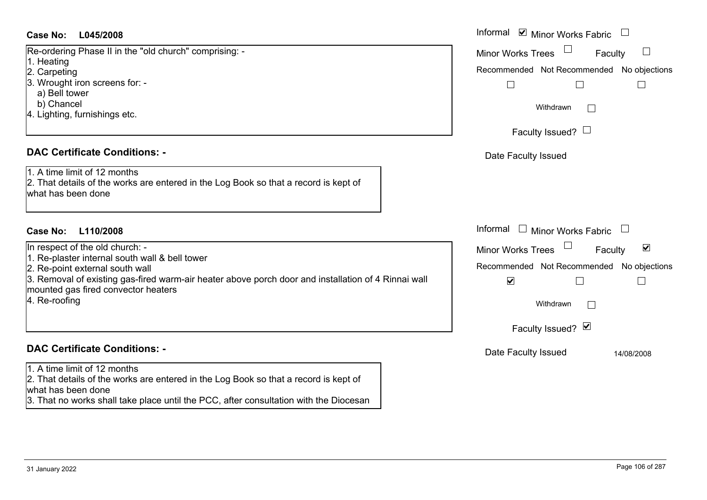#### **L045/2008Case No:** Informal

Re-ordering Phase II in the "old church" comprising: - 1. Heating 2. Carpeting

- 3. Wrought iron screens for:
	- a) Bell tower
- b) Chancel
- 4. Lighting, furnishings etc.

#### **DAC Certificate Conditions: -**

1. A time limit of 12 months2. That details of the works are entered in the Log Book so that a record is kept of what has been done

### **L110/2008Case No:** Informal

In respect of the old church: - 1. Re-plaster internal south wall & bell tower 2. Re-point external south wall 3. Removal of existing gas-fired warm-air heater above porch door and installation of 4 Rinnai wall mounted gas fired convector heaters

4. Re-roofing

# **DAC Certificate Conditions: -**

1. A time limit of 12 months

2. That details of the works are entered in the Log Book so that a record is kept of what has been done

3. That no works shall take place until the PCC, after consultation with the Diocesan

| Informal ☑ Minor Works Fabric                                     |            |
|-------------------------------------------------------------------|------------|
| <b>Minor Works Trees</b><br>Faculty                               |            |
| Recommended Not Recommended No objections                         |            |
| Withdrawn                                                         |            |
| Faculty Issued? L                                                 |            |
| Date Faculty Issued                                               |            |
|                                                                   |            |
|                                                                   |            |
| Informal<br>Minor Works Fabric                                    |            |
| <b>Minor Works Trees</b><br>Faculty                               | ⊻          |
| Recommended Not Recommended No objections<br>$\blacktriangledown$ |            |
| Withdrawn                                                         |            |
| Faculty Issued? Ø                                                 |            |
| Date Faculty Issued                                               | 14/08/2008 |
|                                                                   |            |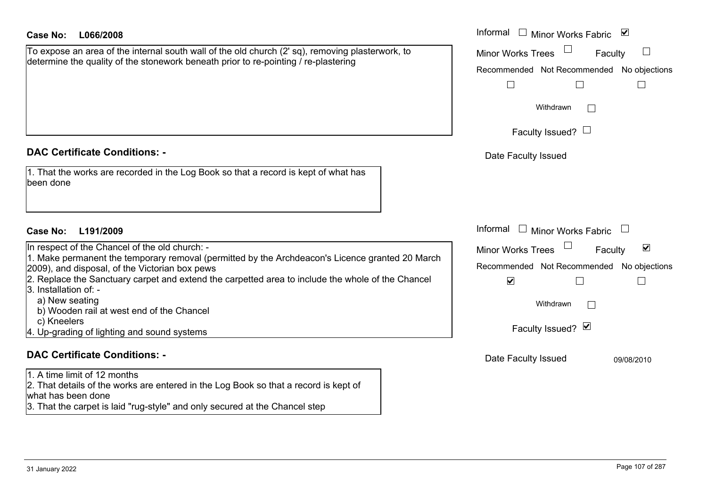| Case No: | L066/2008 |
|----------|-----------|
|----------|-----------|

| To expose an area of the internal south wall of the old church (2' sq), removing plasterwork, to |
|--------------------------------------------------------------------------------------------------|
| determine the quality of the stonework beneath prior to re-pointing / re-plastering              |
|                                                                                                  |

### **DAC Certificate Conditions: -**

| 1. That the works are recorded in the Log Book so that a record is kept of what has |  |
|-------------------------------------------------------------------------------------|--|
| been done                                                                           |  |

#### **L191/2009Case No:** Informal

In respect of the Chancel of the old church: -1. Make permanent the temporary removal (permitted by the Archdeacon's Licence granted 20 Mar 2009), and disposal, of the Victorian box pews 2. Replace the Sanctuary carpet and extend the carpetted area to include the whole of the Chancel 3. Installation of: a) New seating b) Wooden rail at west end of the Chancel c) Kneelers 4. Up-grading of lighting and sound systems

### **DAC Certificate Conditions: -**

1. A time limit of 12 months 2. That details of the works are entered in the Log Book so that a record is kept of what has been done

3. That the carpet is laid "rug-style" and only secured at the Chancel step

| L066/2008                                                                                                                                                                                                                                                                             | Informal<br>$\blacktriangledown$<br>Minor Works Fabric                                                                    |
|---------------------------------------------------------------------------------------------------------------------------------------------------------------------------------------------------------------------------------------------------------------------------------------|---------------------------------------------------------------------------------------------------------------------------|
| e an area of the internal south wall of the old church (2' sq), removing plasterwork, to<br>e the quality of the stonework beneath prior to re-pointing / re-plastering                                                                                                               | <b>Minor Works Trees</b><br>Faculty                                                                                       |
|                                                                                                                                                                                                                                                                                       | Recommended Not Recommended No objections                                                                                 |
|                                                                                                                                                                                                                                                                                       |                                                                                                                           |
|                                                                                                                                                                                                                                                                                       | Withdrawn                                                                                                                 |
|                                                                                                                                                                                                                                                                                       | Faculty Issued? $\Box$                                                                                                    |
| rtificate Conditions: -                                                                                                                                                                                                                                                               | Date Faculty Issued                                                                                                       |
| e works are recorded in the Log Book so that a record is kept of what has<br>۱e                                                                                                                                                                                                       |                                                                                                                           |
| L191/2009                                                                                                                                                                                                                                                                             | Informal<br><b>Minor Works Fabric</b>                                                                                     |
| t of the Chancel of the old church: -<br>permanent the temporary removal (permitted by the Archdeacon's Licence granted 20 March<br>d disposal, of the Victorian box pews<br>ce the Sanctuary carpet and extend the carpetted area to include the whole of the Chancel<br>ation of: - | $\blacktriangledown$<br>Minor Works Trees<br>Faculty<br>Recommended Not Recommended No objections<br>$\blacktriangledown$ |
| v seating<br>oden rail at west end of the Chancel                                                                                                                                                                                                                                     | Withdrawn                                                                                                                 |
| elers<br>ding of lighting and sound systems                                                                                                                                                                                                                                           | Faculty Issued? Ø                                                                                                         |
| rtificate Conditions: -                                                                                                                                                                                                                                                               | Date Faculty Issued<br>09/08/2010                                                                                         |
|                                                                                                                                                                                                                                                                                       |                                                                                                                           |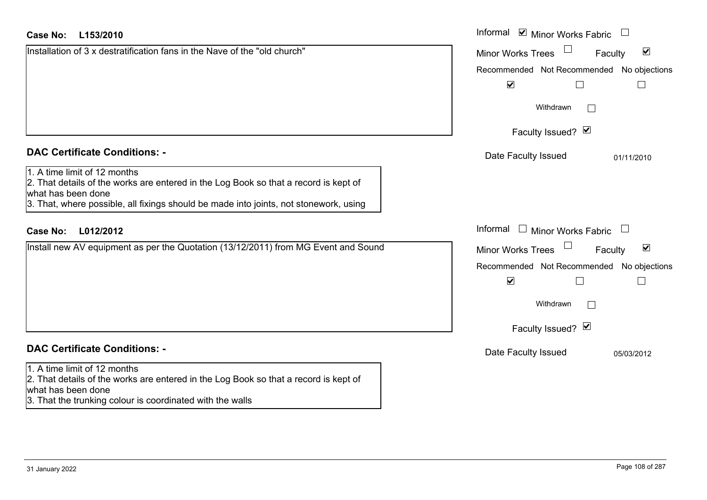| <b>Case No:</b><br>L153/2010                                                                                                                                                                                                        | Informal $\blacksquare$ Minor Works Fabric $\blacksquare$   |
|-------------------------------------------------------------------------------------------------------------------------------------------------------------------------------------------------------------------------------------|-------------------------------------------------------------|
| Installation of 3 x destratification fans in the Nave of the "old church"                                                                                                                                                           | $\blacktriangledown$<br><b>Minor Works Trees</b><br>Faculty |
|                                                                                                                                                                                                                                     | Recommended Not Recommended No objections                   |
|                                                                                                                                                                                                                                     | $\blacktriangledown$                                        |
|                                                                                                                                                                                                                                     | Withdrawn                                                   |
|                                                                                                                                                                                                                                     | Faculty Issued? Ø                                           |
| <b>DAC Certificate Conditions: -</b>                                                                                                                                                                                                | Date Faculty Issued<br>01/11/2010                           |
| 1. A time limit of 12 months<br>2. That details of the works are entered in the Log Book so that a record is kept of<br>what has been done<br>3. That, where possible, all fixings should be made into joints, not stonework, using |                                                             |
| L012/2012<br><b>Case No:</b>                                                                                                                                                                                                        | Informal<br>$\Box$ Minor Works Fabric                       |
| Install new AV equipment as per the Quotation (13/12/2011) from MG Event and Sound                                                                                                                                                  | $\blacktriangledown$<br><b>Minor Works Trees</b><br>Faculty |
|                                                                                                                                                                                                                                     | Recommended Not Recommended No objections                   |
|                                                                                                                                                                                                                                     | $\blacktriangledown$                                        |
|                                                                                                                                                                                                                                     | Withdrawn                                                   |
|                                                                                                                                                                                                                                     | Faculty Issued? Ø                                           |
| <b>DAC Certificate Conditions: -</b>                                                                                                                                                                                                | Date Faculty Issued<br>05/03/2012                           |
| 1. A time limit of 12 months<br>2. That details of the works are entered in the Log Book so that a record is kept of<br>what has been done<br>3. That the trunking colour is coordinated with the walls                             |                                                             |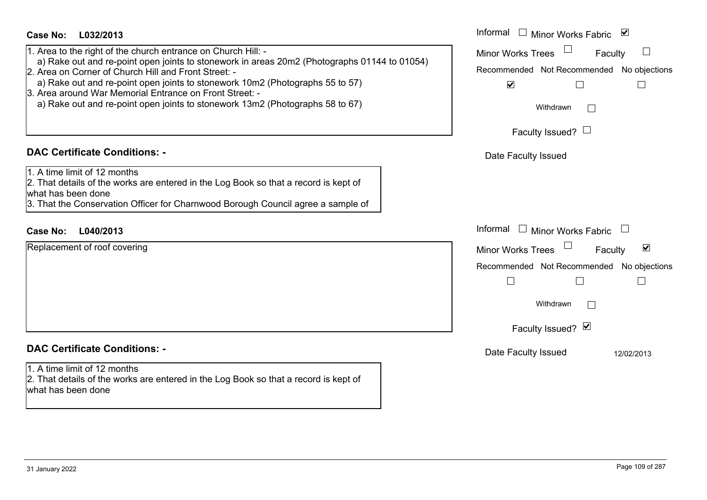| <b>Case No:</b><br>L032/2013<br>1. Area to the right of the church entrance on Church Hill: -<br>a) Rake out and re-point open joints to stonework in areas 20m2 (Photographs 01144 to 01054)<br>2. Area on Corner of Church Hill and Front Street: -<br>a) Rake out and re-point open joints to stonework 10m2 (Photographs 55 to 57)<br>3. Area around War Memorial Entrance on Front Street: -<br>a) Rake out and re-point open joints to stonework 13m2 (Photographs 58 to 67) | Informal $\Box$ Minor Works Fabric $\Box$<br>Minor Works Trees<br>$\mathbb{L}$<br>Faculty<br>Recommended Not Recommended No objections<br>$\blacktriangledown$<br>П<br>Withdrawn         |
|------------------------------------------------------------------------------------------------------------------------------------------------------------------------------------------------------------------------------------------------------------------------------------------------------------------------------------------------------------------------------------------------------------------------------------------------------------------------------------|------------------------------------------------------------------------------------------------------------------------------------------------------------------------------------------|
| <b>DAC Certificate Conditions: -</b><br>1. A time limit of 12 months<br>2. That details of the works are entered in the Log Book so that a record is kept of<br>what has been done<br>3. That the Conservation Officer for Charnwood Borough Council agree a sample of                                                                                                                                                                                                             | Faculty Issued? $\Box$<br>Date Faculty Issued                                                                                                                                            |
| L040/2013<br><b>Case No:</b><br>Replacement of roof covering                                                                                                                                                                                                                                                                                                                                                                                                                       | Informal<br>$\Box$ Minor Works Fabric<br>$\blacktriangledown$<br><b>Minor Works Trees</b><br>Faculty<br>Recommended Not Recommended No objections<br>Г<br>Withdrawn<br>Faculty Issued? Ø |
| <b>DAC Certificate Conditions: -</b><br>1. A time limit of 12 months<br>2. That details of the works are entered in the Log Book so that a record is kept of<br>what has been done                                                                                                                                                                                                                                                                                                 | Date Faculty Issued<br>12/02/2013                                                                                                                                                        |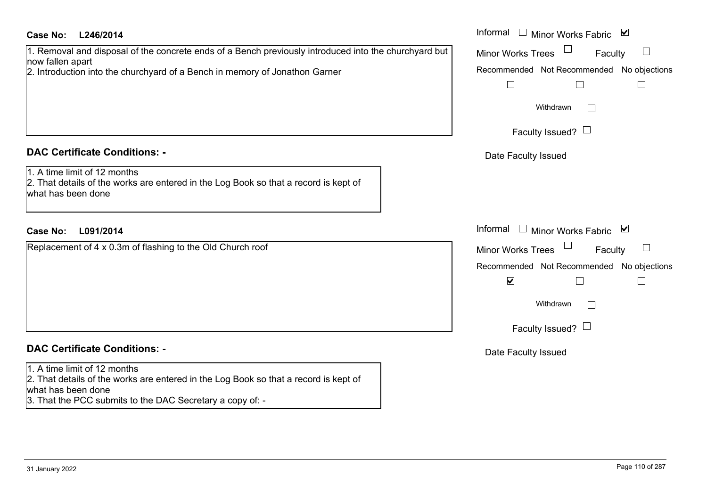| <b>Case No:</b><br>L246/2014                                                                                                                                                                             | Informal          |
|----------------------------------------------------------------------------------------------------------------------------------------------------------------------------------------------------------|-------------------|
| 1. Removal and disposal of the concrete ends of a Bench previously introduced into the churchyard but<br>now fallen apart<br>2. Introduction into the churchyard of a Bench in memory of Jonathon Garner | Minor W<br>Recomm |
| <b>DAC Certificate Conditions: -</b>                                                                                                                                                                     | Date I            |
| 1. A time limit of 12 months<br>2. That details of the works are entered in the Log Book so that a record is kept of<br>what has been done                                                               |                   |
| <b>Case No:</b><br>L091/2014                                                                                                                                                                             | Informal          |
| Replacement of 4 x 0.3m of flashing to the Old Church roof                                                                                                                                               | Minor W<br>Recomm |
| <b>DAC Certificate Conditions: -</b>                                                                                                                                                                     | Date I            |
| 1. A time limit of 12 months<br>2. That details of the works are entered in the Log Book so that a record is kept of<br>what has been done<br>3. That the PCC submits to the DAC Secretary a copy of: -  |                   |

| Informal $\square$<br>∣✔<br>Minor Works Fabric                    |
|-------------------------------------------------------------------|
| <b>Minor Works Trees</b><br>Faculty                               |
| Recommended Not Recommended No objections                         |
| Withdrawn                                                         |
| Faculty Issued? $\Box$                                            |
| Date Faculty Issued                                               |
|                                                                   |
|                                                                   |
| Informal<br>$\sqcup$<br>M<br><b>Minor Works Fabric</b>            |
| <b>Minor Works Trees</b><br>Faculty                               |
| Recommended Not Recommended No objections<br>$\blacktriangledown$ |
| Withdrawn                                                         |
| Faculty Issued?                                                   |
| Date Faculty Issued                                               |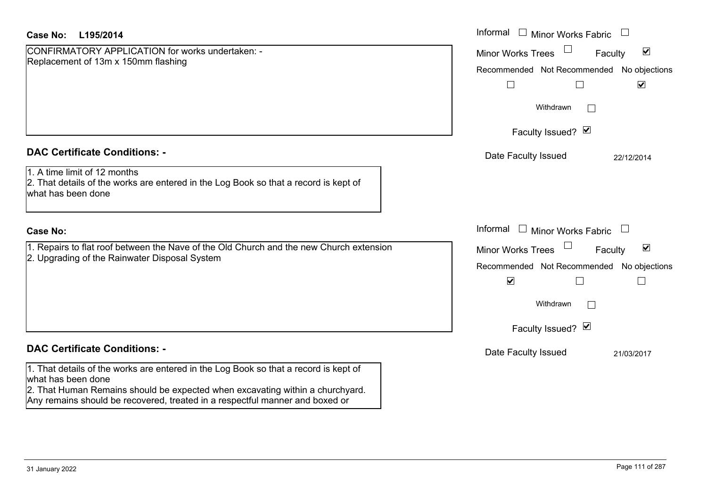| Case No:<br>L195/2014                                                                                                                                                                                                                                                                                               | Informal $\Box$ Minor Works Fabric $\Box$                                                                                                                                                                                                 |
|---------------------------------------------------------------------------------------------------------------------------------------------------------------------------------------------------------------------------------------------------------------------------------------------------------------------|-------------------------------------------------------------------------------------------------------------------------------------------------------------------------------------------------------------------------------------------|
| CONFIRMATORY APPLICATION for works undertaken: -<br>Replacement of 13m x 150mm flashing                                                                                                                                                                                                                             | $\blacktriangledown$<br><b>Minor Works Trees</b><br>Faculty<br>Recommended Not Recommended No objections<br>$\blacktriangledown$<br>$\Box$<br>Withdrawn<br>$\Box$<br>Faculty Issued? Ø                                                    |
| <b>DAC Certificate Conditions: -</b><br>1. A time limit of 12 months<br>2. That details of the works are entered in the Log Book so that a record is kept of<br>what has been done                                                                                                                                  | Date Faculty Issued<br>22/12/2014                                                                                                                                                                                                         |
| <b>Case No:</b><br>1. Repairs to flat roof between the Nave of the Old Church and the new Church extension<br>2. Upgrading of the Rainwater Disposal System                                                                                                                                                         | Informal<br>$\Box$<br>Minor Works Fabric $\quad \Box$<br>Minor Works Trees<br>$\blacktriangledown$<br>Faculty<br>Recommended Not Recommended No objections<br>$\blacktriangledown$<br>$\vert \ \ \vert$<br>Withdrawn<br>Faculty Issued? Ø |
| <b>DAC Certificate Conditions: -</b><br>1. That details of the works are entered in the Log Book so that a record is kept of<br>what has been done<br>2. That Human Remains should be expected when excavating within a churchyard.<br>Any remains should be recovered, treated in a respectful manner and boxed or | Date Faculty Issued<br>21/03/2017                                                                                                                                                                                                         |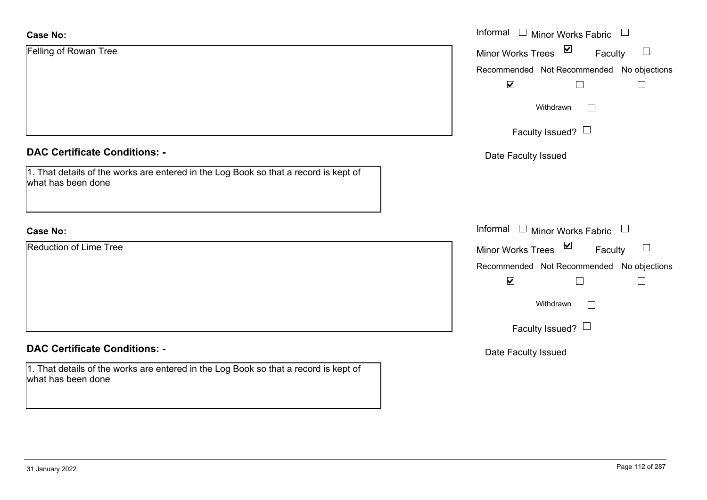| <b>Case No:</b>                                                                                            | Informal $\Box$ Minor Works Fabric $\Box$            |
|------------------------------------------------------------------------------------------------------------|------------------------------------------------------|
| Felling of Rowan Tree                                                                                      | $\blacktriangledown$<br>Minor Works Trees<br>Faculty |
|                                                                                                            | Recommended Not Recommended No objections            |
|                                                                                                            | $\blacktriangledown$<br>$\Box$                       |
|                                                                                                            | Withdrawn<br>$\mathbb{R}^n$                          |
|                                                                                                            | Faculty Issued?                                      |
| <b>DAC Certificate Conditions: -</b>                                                                       | Date Faculty Issued                                  |
| 1. That details of the works are entered in the Log Book so that a record is kept of<br>what has been done |                                                      |
|                                                                                                            |                                                      |
| <b>Case No:</b>                                                                                            | Informal $\Box$ Minor Works Fabric $\Box$            |
| <b>Reduction of Lime Tree</b>                                                                              | Minor Works Trees $\boxed{\blacksquare}$<br>Faculty  |
|                                                                                                            | Recommended Not Recommended No objections            |
|                                                                                                            | $\blacktriangledown$<br>П                            |
|                                                                                                            | Withdrawn                                            |
|                                                                                                            | Faculty Issued? $\Box$                               |
| <b>DAC Certificate Conditions: -</b>                                                                       | Date Faculty Issued                                  |
| 1. That details of the works are entered in the Log Book so that a record is kept of<br>what has been done |                                                      |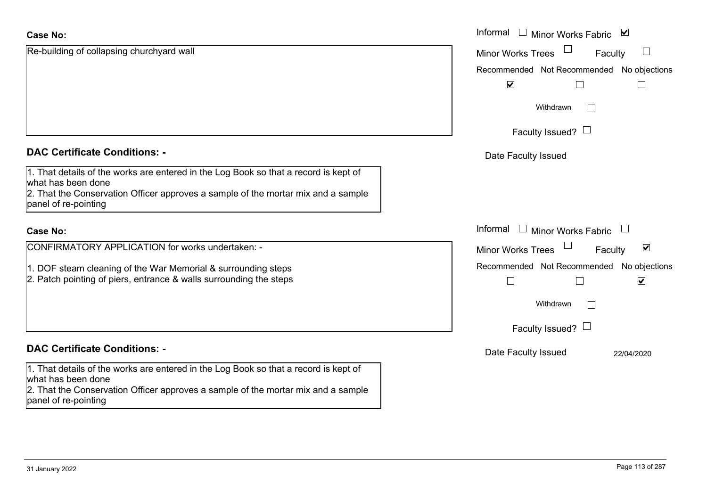| <b>Case No:</b>                                                                                                                                                                                                         | Informal<br>$\Box$<br>⊻<br><b>Minor Works Fabric</b>                                  |
|-------------------------------------------------------------------------------------------------------------------------------------------------------------------------------------------------------------------------|---------------------------------------------------------------------------------------|
| Re-building of collapsing churchyard wall                                                                                                                                                                               | $\mathbb{R}^n$<br><b>Minor Works Trees</b><br>Faculty                                 |
|                                                                                                                                                                                                                         | Recommended Not Recommended No objections                                             |
|                                                                                                                                                                                                                         | $\blacktriangledown$<br>$\Box$                                                        |
|                                                                                                                                                                                                                         | Withdrawn<br>$\Box$                                                                   |
|                                                                                                                                                                                                                         | Faculty Issued? $\Box$                                                                |
| <b>DAC Certificate Conditions: -</b>                                                                                                                                                                                    | Date Faculty Issued                                                                   |
| 1. That details of the works are entered in the Log Book so that a record is kept of<br>what has been done<br>2. That the Conservation Officer approves a sample of the mortar mix and a sample<br>panel of re-pointing |                                                                                       |
| <b>Case No:</b>                                                                                                                                                                                                         | Informal<br>$\Box$<br>Minor Works Fabric                                              |
| CONFIRMATORY APPLICATION for works undertaken: -                                                                                                                                                                        | $\blacktriangledown$<br><b>Minor Works Trees</b><br>Faculty                           |
| 1. DOF steam cleaning of the War Memorial & surrounding steps<br>2. Patch pointing of piers, entrance & walls surrounding the steps                                                                                     | Recommended Not Recommended No objections<br>$\blacktriangledown$<br>$\Box$<br>$\Box$ |
|                                                                                                                                                                                                                         | Withdrawn<br>$\Box$                                                                   |
|                                                                                                                                                                                                                         | Faculty Issued? $\Box$                                                                |
| <b>DAC Certificate Conditions: -</b>                                                                                                                                                                                    | Date Faculty Issued<br>22/04/2020                                                     |
| 1. That details of the works are entered in the Log Book so that a record is kept of<br>what has been done<br>2. That the Conservation Officer approves a sample of the mortar mix and a sample<br>panel of re-pointing |                                                                                       |
|                                                                                                                                                                                                                         |                                                                                       |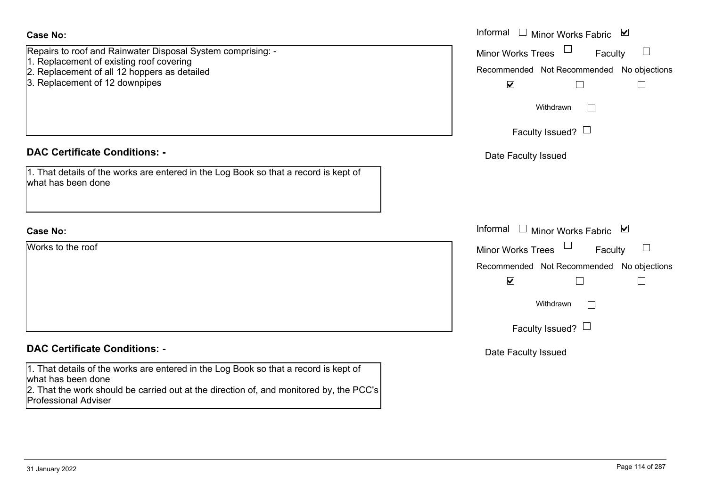| <b>Case No:</b>                                                                                                                                         | Informal $\Box$ Minor Works Fabric $\Box$                                           |
|---------------------------------------------------------------------------------------------------------------------------------------------------------|-------------------------------------------------------------------------------------|
| Repairs to roof and Rainwater Disposal System comprising: -<br>1. Replacement of existing roof covering<br>2. Replacement of all 12 hoppers as detailed | Minor Works Trees<br>Faculty<br>$\Box$<br>Recommended Not Recommended No objections |
| 3. Replacement of 12 downpipes                                                                                                                          | $\blacktriangledown$<br>$\Box$<br>$\Box$                                            |
|                                                                                                                                                         | Withdrawn<br>$\perp$                                                                |
|                                                                                                                                                         | Faculty Issued? $\Box$                                                              |
| <b>DAC Certificate Conditions: -</b>                                                                                                                    | Date Faculty Issued                                                                 |
| 1. That details of the works are entered in the Log Book so that a record is kept of<br>what has been done                                              |                                                                                     |
|                                                                                                                                                         |                                                                                     |
| <b>Case No:</b>                                                                                                                                         | Informal<br>□ Minor Works Fabric $\vert \mathbf{v} \vert$                           |
| Works to the roof                                                                                                                                       | Minor Works Trees<br>Faculty<br>$\Box$                                              |
|                                                                                                                                                         | Recommended Not Recommended No objections                                           |
|                                                                                                                                                         | $\blacktriangledown$<br>П<br>$\Box$                                                 |
|                                                                                                                                                         | Withdrawn<br>$\mathbb{R}^n$                                                         |
|                                                                                                                                                         | Faculty Issued? $\Box$                                                              |
| <b>DAC Certificate Conditions: -</b>                                                                                                                    | Date Faculty Issued                                                                 |
| 1. That details of the works are entered in the Log Book so that a record is kept of<br>what has been done                                              |                                                                                     |
| 2. That the work should be carried out at the direction of, and monitored by, the PCC's<br><b>Professional Adviser</b>                                  |                                                                                     |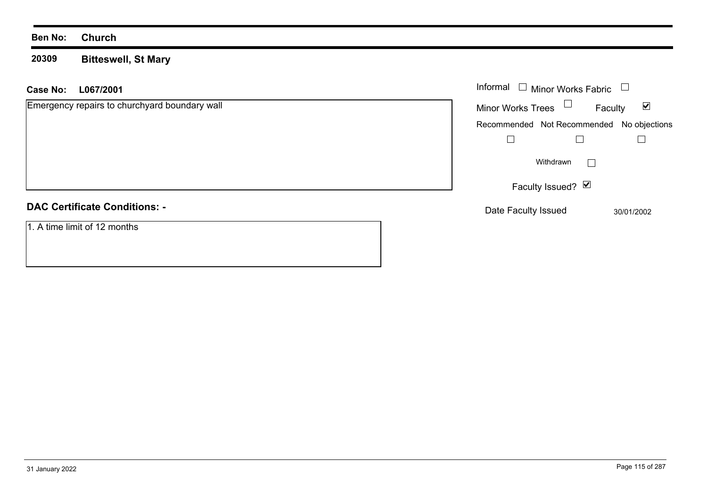#### **20309 Bitteswell, St Mary**

| L067/2001<br>Case No:                         | Informal $\square$<br><b>Minor Works Fabric</b><br>$\Box$   |
|-----------------------------------------------|-------------------------------------------------------------|
| Emergency repairs to churchyard boundary wall | Minor Works Trees $\Box$<br>$\blacktriangledown$<br>Faculty |
|                                               | Recommended Not Recommended No objections                   |
|                                               |                                                             |
|                                               | Withdrawn<br>$\overline{\phantom{0}}$                       |
|                                               | Faculty Issued? Ø                                           |
| <b>DAC Certificate Conditions: -</b>          | Date Faculty Issued<br>30/01/2002                           |
| 1. A time limit of 12 months                  |                                                             |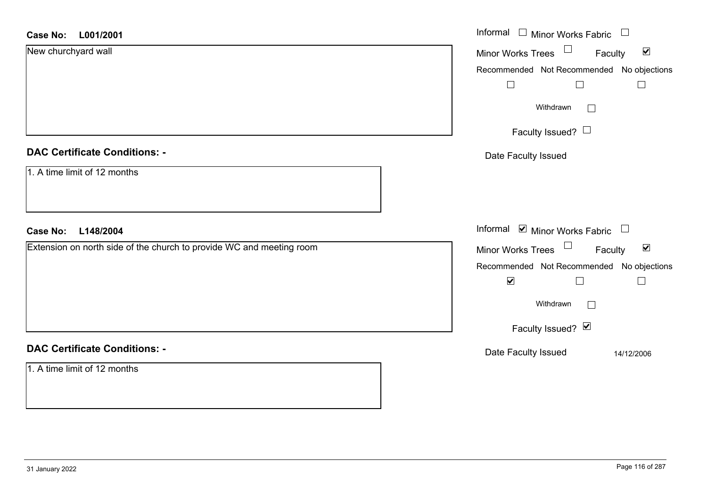| <b>Case No:</b><br>L001/2001                                         | Informal<br>$\Box$ Minor Works Fabric<br>$\Box$                   |
|----------------------------------------------------------------------|-------------------------------------------------------------------|
| New churchyard wall                                                  | $\blacktriangledown$<br>Minor Works Trees<br>Faculty              |
|                                                                      | Recommended Not Recommended No objections                         |
|                                                                      | $\Box$<br>$\Box$<br>$\Box$                                        |
|                                                                      | Withdrawn<br>$\Box$                                               |
|                                                                      | Faculty Issued? $\Box$                                            |
| <b>DAC Certificate Conditions: -</b>                                 | Date Faculty Issued                                               |
| 1. A time limit of 12 months                                         |                                                                   |
| <b>Case No:</b><br>L148/2004                                         | Informal ⊠ Minor Works Fabric<br>$\Box$                           |
| Extension on north side of the church to provide WC and meeting room | Minor Works Trees <sup>1</sup><br>$\blacktriangledown$<br>Faculty |
|                                                                      | Recommended Not Recommended No objections                         |
|                                                                      | $\blacktriangledown$<br>$\Box$<br>$\sim$                          |
|                                                                      | Withdrawn<br>$\Box$                                               |
|                                                                      | Faculty Issued? Ø                                                 |
| <b>DAC Certificate Conditions: -</b>                                 | Date Faculty Issued<br>14/12/2006                                 |
| 1. A time limit of 12 months                                         |                                                                   |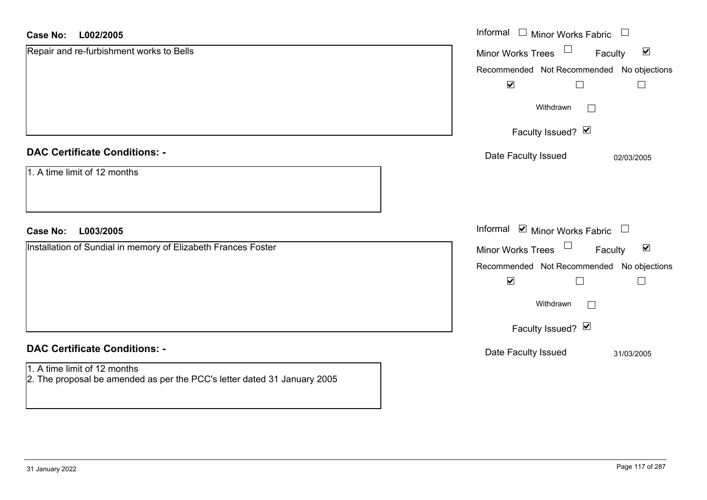#### **L002/2005Case No:**

| <b>Case No:</b><br>L002/2005                                                                             | Informal $\Box$ Minor Works Fabric $\Box$                   |
|----------------------------------------------------------------------------------------------------------|-------------------------------------------------------------|
| Repair and re-furbishment works to Bells                                                                 | Minor Works Trees<br>$\blacktriangledown$<br>Faculty        |
|                                                                                                          | Recommended Not Recommended No objections                   |
|                                                                                                          | $\blacktriangledown$                                        |
|                                                                                                          | Withdrawn<br>$\Box$                                         |
|                                                                                                          | Faculty Issued? Ø                                           |
| <b>DAC Certificate Conditions: -</b>                                                                     | Date Faculty Issued<br>02/03/2005                           |
| 1. A time limit of 12 months                                                                             |                                                             |
| <b>Case No:</b><br>L003/2005                                                                             | Informal ⊠ Minor Works Fabric □                             |
| Installation of Sundial in memory of Elizabeth Frances Foster                                            | Minor Works Trees $\Box$<br>$\blacktriangledown$<br>Faculty |
|                                                                                                          | Recommended Not Recommended No objections                   |
|                                                                                                          | $\blacktriangledown$                                        |
|                                                                                                          | Withdrawn<br>$\Box$                                         |
|                                                                                                          | Faculty Issued? Ø                                           |
| <b>DAC Certificate Conditions: -</b>                                                                     | Date Faculty Issued<br>31/03/2005                           |
| 1. A time limit of 12 months<br>2. The proposal be amended as per the PCC's letter dated 31 January 2005 |                                                             |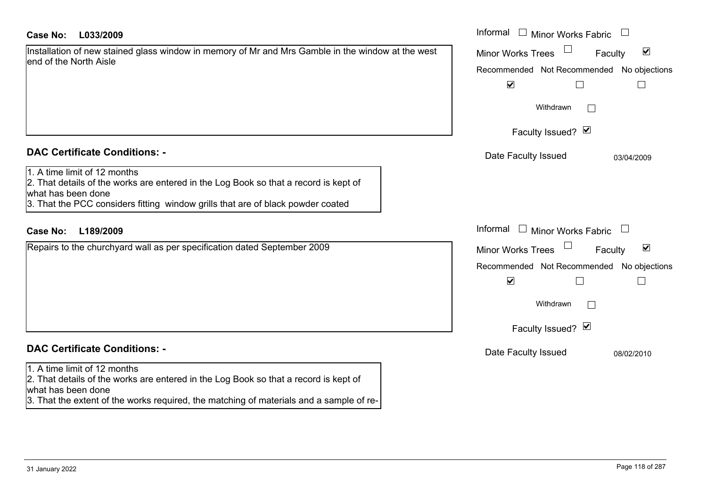#### **L033/2009Case No:** Informal

|                        |  | Installation of new stained glass window in memory of Mr and Mrs Gamble in the window at the west |
|------------------------|--|---------------------------------------------------------------------------------------------------|
| end of the North Aisle |  |                                                                                                   |

# **DAC Certificate Conditions: -**

## 1. A time limit of 12 months

# **DAC Certificate Conditions: -**

#### 1. A time limit of 12 months

2. That details of the works are entered in the Log Book so that a record is kept of what has been done

3. That the extent of the works required, the matching of materials and a sample of re-

| Case No:<br>L033/2009                                                                                                                                                                                                         | Informal □ Minor Works Fabric                               |  |  |  |
|-------------------------------------------------------------------------------------------------------------------------------------------------------------------------------------------------------------------------------|-------------------------------------------------------------|--|--|--|
| Installation of new stained glass window in memory of Mr and Mrs Gamble in the window at the west<br>end of the North Aisle                                                                                                   | $\blacktriangledown$<br>Minor Works Trees<br>Faculty        |  |  |  |
|                                                                                                                                                                                                                               | Recommended Not Recommended No objections                   |  |  |  |
|                                                                                                                                                                                                                               | $\blacktriangledown$<br>$\Box$                              |  |  |  |
|                                                                                                                                                                                                                               | Withdrawn                                                   |  |  |  |
|                                                                                                                                                                                                                               | Faculty Issued? $\blacksquare$                              |  |  |  |
| <b>DAC Certificate Conditions: -</b>                                                                                                                                                                                          | Date Faculty Issued<br>03/04/2009                           |  |  |  |
| 1. A time limit of 12 months<br>2. That details of the works are entered in the Log Book so that a record is kept of<br>what has been done<br>3. That the PCC considers fitting window grills that are of black powder coated |                                                             |  |  |  |
| L189/2009<br><b>Case No:</b>                                                                                                                                                                                                  | Informal $\Box$ Minor Works Fabric $\Box$                   |  |  |  |
| Repairs to the churchyard wall as per specification dated September 2009                                                                                                                                                      | $\blacktriangledown$<br><b>Minor Works Trees</b><br>Faculty |  |  |  |
|                                                                                                                                                                                                                               | Recommended Not Recommended No objections                   |  |  |  |
|                                                                                                                                                                                                                               | $\blacktriangledown$<br>$\overline{\phantom{a}}$            |  |  |  |
|                                                                                                                                                                                                                               | Withdrawn                                                   |  |  |  |
|                                                                                                                                                                                                                               | Faculty Issued? Ø                                           |  |  |  |
| <b>DAC Certificate Conditions: -</b>                                                                                                                                                                                          | Date Faculty Issued<br>08/02/2010                           |  |  |  |
| 1. A time limit of 12 months                                                                                                                                                                                                  |                                                             |  |  |  |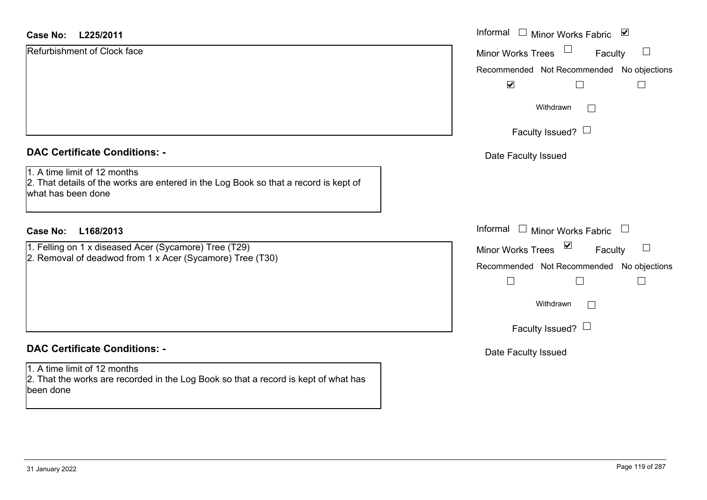| <b>Case No:</b><br>L225/2011                                                                                                               | Informal $\square$<br>$\blacktriangledown$<br><b>Minor Works Fabric</b> |
|--------------------------------------------------------------------------------------------------------------------------------------------|-------------------------------------------------------------------------|
| Refurbishment of Clock face                                                                                                                | <b>Minor Works Trees</b><br>$\Box$<br>Faculty                           |
|                                                                                                                                            | Recommended Not Recommended No objections                               |
|                                                                                                                                            | $\blacktriangledown$                                                    |
|                                                                                                                                            | Withdrawn<br>$\Box$                                                     |
|                                                                                                                                            | Faculty Issued? $\Box$                                                  |
| <b>DAC Certificate Conditions: -</b>                                                                                                       | Date Faculty Issued                                                     |
| 1. A time limit of 12 months<br>2. That details of the works are entered in the Log Book so that a record is kept of<br>what has been done |                                                                         |
| <b>Case No:</b><br>L168/2013                                                                                                               | Informal $\Box$ Minor Works Fabric<br>$\Box$                            |
| 1. Felling on 1 x diseased Acer (Sycamore) Tree (T29)                                                                                      | Minor Works Trees ⊠<br>$\Box$<br>Faculty                                |
| 2. Removal of deadwod from 1 x Acer (Sycamore) Tree (T30)                                                                                  | Recommended Not Recommended No objections                               |
|                                                                                                                                            | $\Box$<br>$\Box$<br>$\Box$                                              |
|                                                                                                                                            | Withdrawn<br>$\Box$                                                     |
|                                                                                                                                            | Faculty Issued? $\Box$                                                  |
| <b>DAC Certificate Conditions: -</b>                                                                                                       | Date Faculty Issued                                                     |
| 1. A time limit of 12 months<br>2. That the works are recorded in the Log Book so that a record is kept of what has<br>been done           |                                                                         |
|                                                                                                                                            |                                                                         |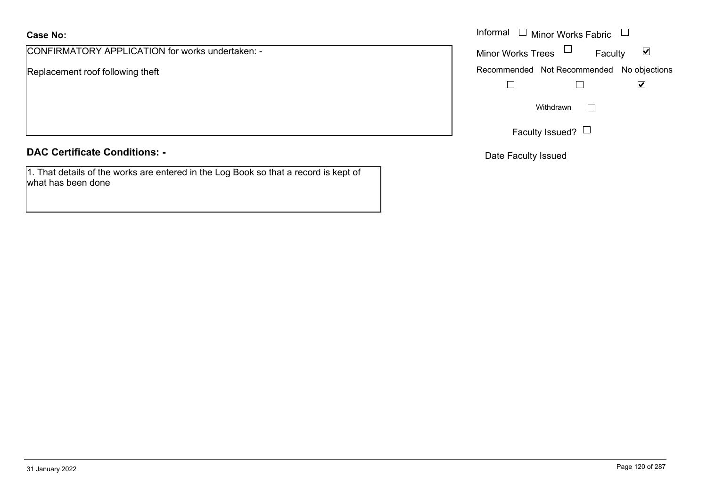# **Case No:**

CONFIRMATORY APPLICATION for works undertaken: -

Replacement roof following theft

## **DAC Certificate Conditions: -**

1. That details of the works are entered in the Log Book so that a record is kept of what has been done

|                                            | Informal $\Box$ Minor Works Fabric $\Box$                   |
|--------------------------------------------|-------------------------------------------------------------|
| MATORY APPLICATION for works undertaken: - | Minor Works Trees $\Box$<br>$\blacktriangledown$<br>Faculty |
| nent roof following theft                  | Recommended Not Recommended No objections                   |
|                                            | $\blacktriangledown$                                        |
|                                            | Withdrawn                                                   |
|                                            | Faculty Issued? $\Box$                                      |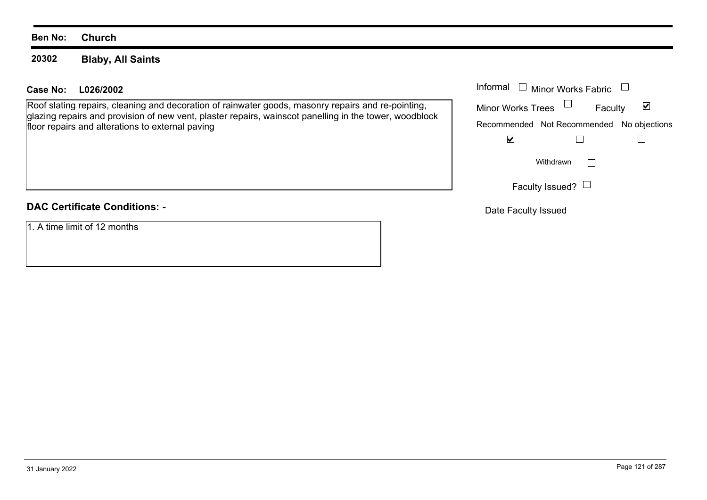#### **20302Blaby, All Saints**

### **L026/2002Case No:** Informal

Roof slating repairs, cleaning and decoration of rainwater goods, masonry repairs and re-pointing, glazing repairs and provision of new vent, plaster repairs, wainscot panelling in the tower, woodblock floor repairs and alterations to external paving

# **DAC Certificate Conditions: -**

1. A time limit of 12 months

| Informal<br>$\Box$ Minor Works Fabric |                                           |  |  |
|---------------------------------------|-------------------------------------------|--|--|
| <b>Minor Works Trees</b>              | Faculty                                   |  |  |
|                                       | Recommended Not Recommended No objections |  |  |
|                                       |                                           |  |  |
|                                       | Withdrawn                                 |  |  |
|                                       | Faculty Issued? $\Box$                    |  |  |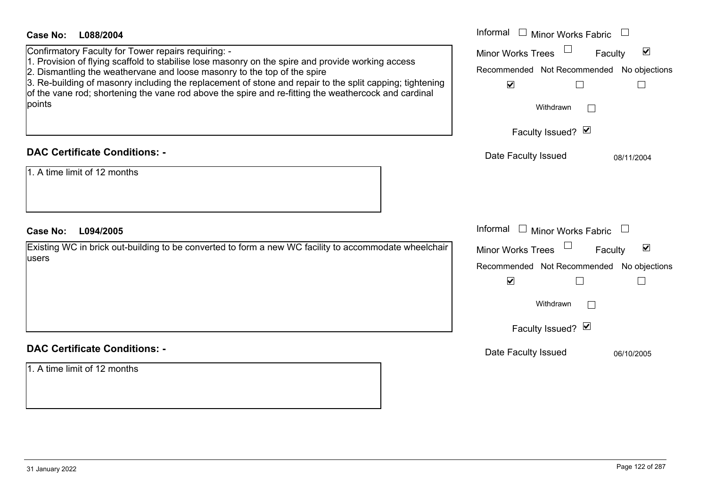| <b>Case No:</b><br>L088/2004                                                                                                                                                                                                                                                                                                                                                                                                                                       | Informal □ Minor Works Fabric                                                                                                                                                |
|--------------------------------------------------------------------------------------------------------------------------------------------------------------------------------------------------------------------------------------------------------------------------------------------------------------------------------------------------------------------------------------------------------------------------------------------------------------------|------------------------------------------------------------------------------------------------------------------------------------------------------------------------------|
| Confirmatory Faculty for Tower repairs requiring: -<br>1. Provision of flying scaffold to stabilise lose masonry on the spire and provide working access<br>2. Dismantling the weathervane and loose masonry to the top of the spire<br>3. Re-building of masonry including the replacement of stone and repair to the split capping; tightening<br>of the vane rod; shortening the vane rod above the spire and re-fitting the weathercock and cardinal<br>points | $\blacktriangledown$<br><b>Minor Works Trees</b><br>Faculty<br>Recommended Not Recommended No objections<br>$\blacktriangledown$<br>$\Box$<br>Withdrawn<br>Faculty Issued? Ø |
| <b>DAC Certificate Conditions: -</b>                                                                                                                                                                                                                                                                                                                                                                                                                               | Date Faculty Issued<br>08/11/2004                                                                                                                                            |
| 1. A time limit of 12 months                                                                                                                                                                                                                                                                                                                                                                                                                                       |                                                                                                                                                                              |
| L094/2005<br><b>Case No:</b>                                                                                                                                                                                                                                                                                                                                                                                                                                       | Informal<br>$\Box$ Minor Works Fabric                                                                                                                                        |
|                                                                                                                                                                                                                                                                                                                                                                                                                                                                    |                                                                                                                                                                              |
| Existing WC in brick out-building to be converted to form a new WC facility to accommodate wheelchair<br>users                                                                                                                                                                                                                                                                                                                                                     | $\blacktriangledown$<br>Minor Works Trees<br>Faculty<br>Recommended Not Recommended No objections<br>$\blacktriangledown$<br>L<br>Withdrawn<br>Faculty Issued? Ø             |
| <b>DAC Certificate Conditions: -</b>                                                                                                                                                                                                                                                                                                                                                                                                                               | Date Faculty Issued<br>06/10/2005                                                                                                                                            |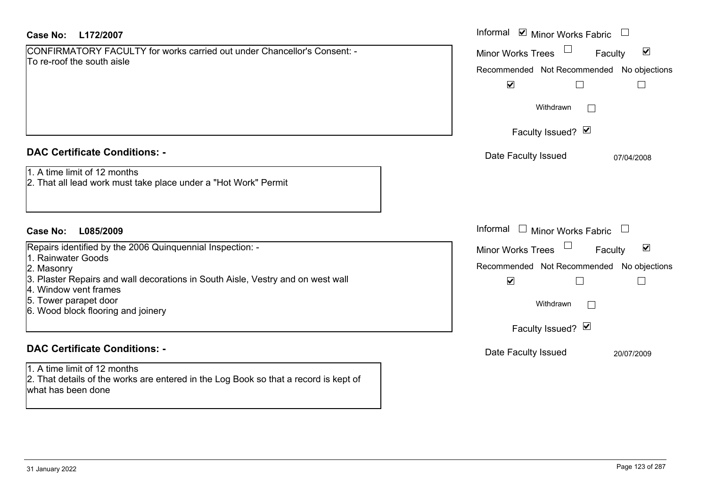| Case No: | L172/2007 |
|----------|-----------|
|----------|-----------|

| CONFIRMATORY FACULTY for works carried out under Chancellor's Consent: - |  |
|--------------------------------------------------------------------------|--|
| To re-roof the south aisle                                               |  |

## **DAC Certificate Conditions: -**

## 1. A time limit of 12 months

2. That all lead work must take place under a "Hot Work" Permit

## **L085/2009Case No:** Informal

Repairs identified by the 2006 Quinquennial Inspection: -

- 1. Rainwater Goods
- 2. Masonry
- 3. Plaster Repairs and wall decorations in South Aisle, Vestry and on west wall
- 4. Window vent frames
- 5. Tower parapet door
- 6. Wood block flooring and joinery

# **DAC Certificate Conditions: -**

1. A time limit of 12 months 2. That details of the works are entered in the Log Book so that a record is kept of what has been done

| L172/2007                                                                                                                                                                                                      | Informal Ø Minor Works Fabric □                                                                                                                                                    |
|----------------------------------------------------------------------------------------------------------------------------------------------------------------------------------------------------------------|------------------------------------------------------------------------------------------------------------------------------------------------------------------------------------|
| MATORY FACULTY for works carried out under Chancellor's Consent: -<br>of the south aisle                                                                                                                       | $\blacktriangledown$<br>Minor Works Trees<br>Faculty<br>Recommended Not Recommended No objections<br>$\blacktriangledown$                                                          |
|                                                                                                                                                                                                                | Withdrawn<br>$\mathbf{L}$                                                                                                                                                          |
|                                                                                                                                                                                                                | Faculty Issued? Ø                                                                                                                                                                  |
| rtificate Conditions: -                                                                                                                                                                                        | Date Faculty Issued<br>07/04/2008                                                                                                                                                  |
| limit of 12 months<br>Il lead work must take place under a "Hot Work" Permit                                                                                                                                   |                                                                                                                                                                                    |
| L085/2009                                                                                                                                                                                                      | Informal<br><b>Minor Works Fabric</b>                                                                                                                                              |
| dentified by the 2006 Quinquennial Inspection: -<br>ater Goods<br>ıry<br>r Repairs and wall decorations in South Aisle, Vestry and on west wall<br>w vent frames<br>parapet door<br>block flooring and joinery | $\blacktriangledown$<br><b>Minor Works Trees</b><br>Faculty<br>Recommended Not Recommended No objections<br>$\blacktriangledown$<br>Withdrawn<br>$\mathbb{R}$<br>Faculty Issued? Ø |
| rtificate Conditions: -                                                                                                                                                                                        | Date Faculty Issued<br>20/07/2009                                                                                                                                                  |
| limit of 12 months                                                                                                                                                                                             |                                                                                                                                                                                    |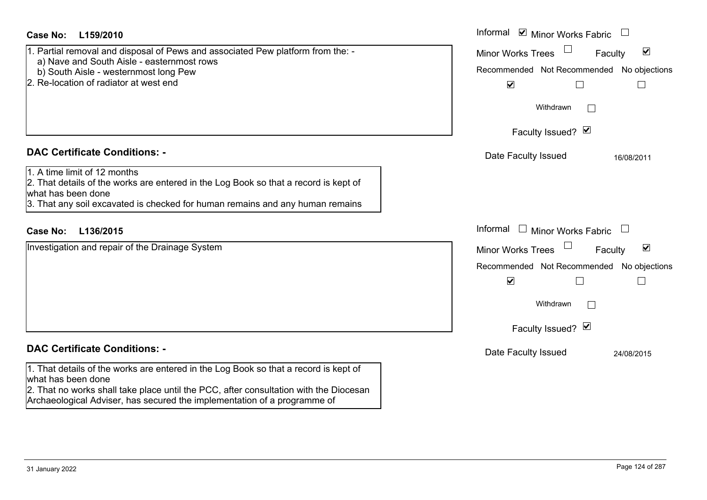| Case No:<br>L159/2010                                                                                                                                                                                                                                                           | Informal <b>V</b> Minor Works Fabric<br>$\overline{\phantom{a}}$                                                                                                                                                   |
|---------------------------------------------------------------------------------------------------------------------------------------------------------------------------------------------------------------------------------------------------------------------------------|--------------------------------------------------------------------------------------------------------------------------------------------------------------------------------------------------------------------|
| 1. Partial removal and disposal of Pews and associated Pew platform from the: -<br>a) Nave and South Aisle - easternmost rows<br>b) South Aisle - westernmost long Pew<br>2. Re-location of radiator at west end                                                                | $\blacktriangledown$<br><b>Minor Works Trees</b><br>Faculty<br>Recommended Not Recommended<br>No objections<br>$\blacktriangledown$<br>$\Box$                                                                      |
|                                                                                                                                                                                                                                                                                 | Withdrawn                                                                                                                                                                                                          |
|                                                                                                                                                                                                                                                                                 | Faculty Issued? Ø                                                                                                                                                                                                  |
| <b>DAC Certificate Conditions: -</b>                                                                                                                                                                                                                                            | Date Faculty Issued<br>16/08/2011                                                                                                                                                                                  |
| 1. A time limit of 12 months<br>2. That details of the works are entered in the Log Book so that a record is kept of<br>what has been done<br>3. That any soil excavated is checked for human remains and any human remains                                                     |                                                                                                                                                                                                                    |
| <b>Case No:</b><br>L136/2015                                                                                                                                                                                                                                                    | Informal<br>$\Box$ Minor Works Fabric<br>$\Box$                                                                                                                                                                    |
| Investigation and repair of the Drainage System                                                                                                                                                                                                                                 | Minor Works Trees<br>$\blacktriangledown$<br>Faculty<br>Recommended Not Recommended No objections<br>$\blacktriangledown$<br>$\mathbb{R}^2$<br>$\vert \ \ \vert$<br>Withdrawn<br>$\mathbf{1}$<br>Faculty Issued? Ø |
| <b>DAC Certificate Conditions: -</b>                                                                                                                                                                                                                                            | Date Faculty Issued<br>24/08/2015                                                                                                                                                                                  |
| 1. That details of the works are entered in the Log Book so that a record is kept of<br>what has been done<br>2. That no works shall take place until the PCC, after consultation with the Diocesan<br>Archaeological Adviser, has secured the implementation of a programme of |                                                                                                                                                                                                                    |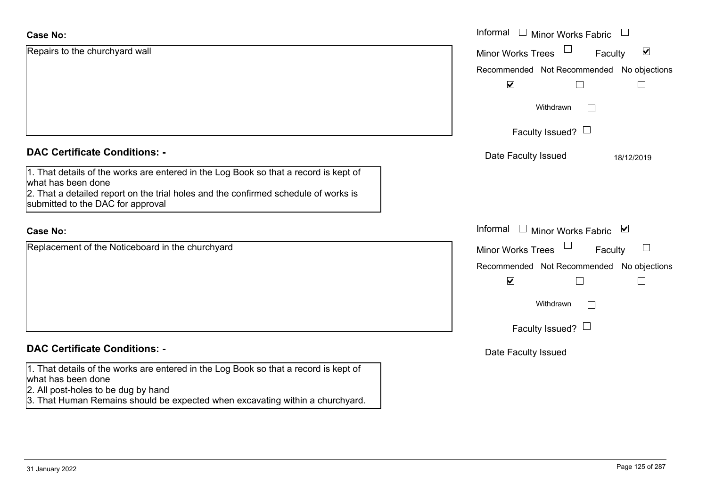| <b>Case No:</b>                                                                                                                                                                                                                        | Informal<br>$\Box$ Minor Works Fabric                       |
|----------------------------------------------------------------------------------------------------------------------------------------------------------------------------------------------------------------------------------------|-------------------------------------------------------------|
| Repairs to the churchyard wall                                                                                                                                                                                                         | $\blacktriangledown$<br><b>Minor Works Trees</b><br>Faculty |
|                                                                                                                                                                                                                                        | Recommended Not Recommended No objections                   |
|                                                                                                                                                                                                                                        | $\blacktriangledown$                                        |
|                                                                                                                                                                                                                                        | Withdrawn<br>$\Box$                                         |
|                                                                                                                                                                                                                                        | Faculty Issued? $\Box$                                      |
| <b>DAC Certificate Conditions: -</b>                                                                                                                                                                                                   | Date Faculty Issued<br>18/12/2019                           |
| 1. That details of the works are entered in the Log Book so that a record is kept of<br>what has been done<br>2. That a detailed report on the trial holes and the confirmed schedule of works is<br>submitted to the DAC for approval |                                                             |
| <b>Case No:</b>                                                                                                                                                                                                                        | Informal □ Minor Works Fabric ⊠                             |
| Replacement of the Noticeboard in the churchyard                                                                                                                                                                                       | Faculty<br>$\Box$<br><b>Minor Works Trees</b>               |
|                                                                                                                                                                                                                                        | Recommended Not Recommended No objections                   |
|                                                                                                                                                                                                                                        | $\blacktriangledown$                                        |
|                                                                                                                                                                                                                                        | Withdrawn<br>$\Box$                                         |
|                                                                                                                                                                                                                                        | Faculty Issued? $\Box$                                      |
| <b>DAC Certificate Conditions: -</b>                                                                                                                                                                                                   | Date Faculty Issued                                         |
| 1. That details of the works are entered in the Log Book so that a record is kept of<br>what has been done<br>2. All post-holes to be dug by hand                                                                                      |                                                             |
| 3. That Human Remains should be expected when excavating within a churchyard.                                                                                                                                                          |                                                             |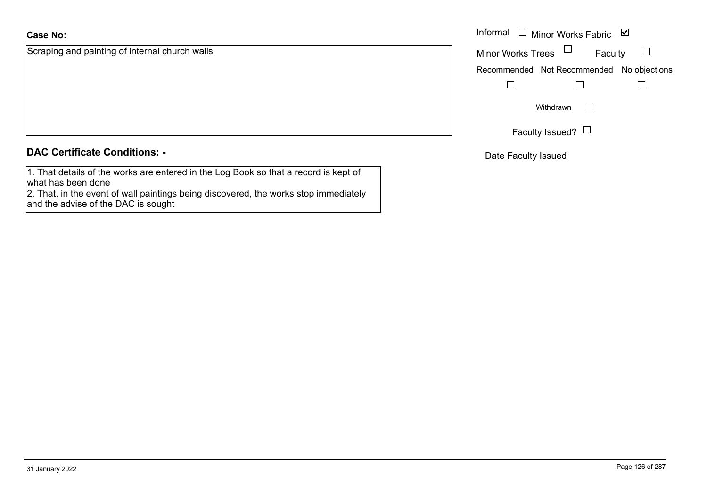# **Case No:**

Scraping and painting of internal church walls

| <b>DAC Certificate Conditions: -</b> |  |
|--------------------------------------|--|
|--------------------------------------|--|

1. That details of the works are entered in the Log Book so that a record is kept of what has been done

 2. That, in the event of wall paintings being discovered, the works stop immediately and the advise of the DAC is sought

|                                       |                                | Informal $\Box$ Minor Works Fabric $\Box$ |  |
|---------------------------------------|--------------------------------|-------------------------------------------|--|
| and painting of internal church walls | Minor Works Trees $\quad \Box$ | Faculty                                   |  |
|                                       |                                | Recommended Not Recommended No objections |  |
|                                       |                                |                                           |  |
|                                       |                                | Withdrawn                                 |  |
|                                       |                                | Faculty Issued? $\Box$                    |  |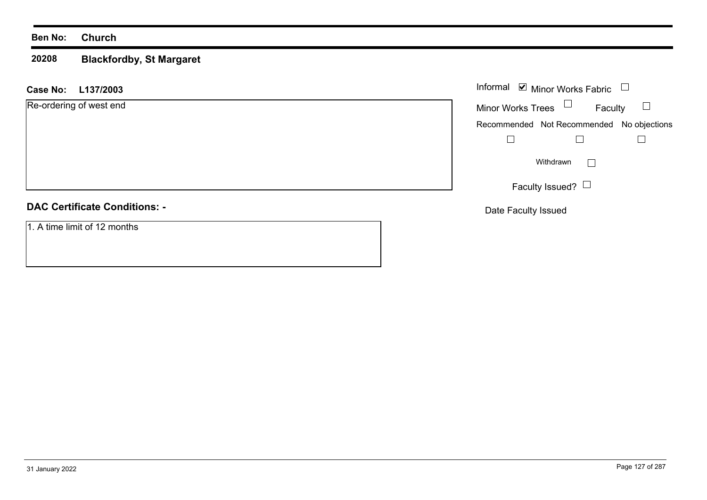#### **20208 Blackfordby, St Margaret**

#### **L137/2003 Case No:** Informal

Re-ordering of west end

### **DAC Certificate Conditions: -**

1. A time limit of 12 months

|                          | Informal Ø Minor Works Fabric             |  |
|--------------------------|-------------------------------------------|--|
| <b>Minor Works Trees</b> | Faculty                                   |  |
|                          | Recommended Not Recommended No objections |  |
|                          |                                           |  |
|                          | Withdrawn                                 |  |
|                          | Faculty Issued?                           |  |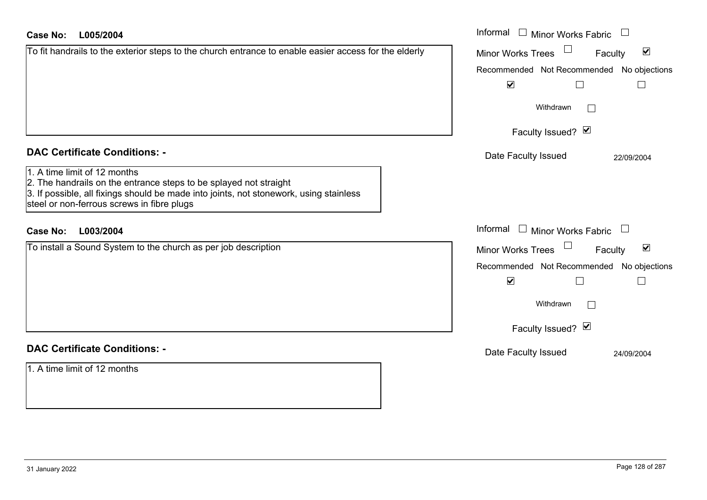| <b>Case No:</b><br>L005/2004                                                                                                                                                                                                              | Informal □ Minor Works Fabric                        |
|-------------------------------------------------------------------------------------------------------------------------------------------------------------------------------------------------------------------------------------------|------------------------------------------------------|
| To fit handrails to the exterior steps to the church entrance to enable easier access for the elderly                                                                                                                                     | $\blacktriangledown$<br>Minor Works Trees<br>Faculty |
|                                                                                                                                                                                                                                           | Recommended Not Recommended No objections            |
|                                                                                                                                                                                                                                           | $\blacktriangledown$<br>⊔                            |
|                                                                                                                                                                                                                                           | Withdrawn<br>$\mathbf{L}$                            |
|                                                                                                                                                                                                                                           | Faculty Issued? Ø                                    |
| <b>DAC Certificate Conditions: -</b>                                                                                                                                                                                                      | Date Faculty Issued<br>22/09/2004                    |
| 1. A time limit of 12 months<br>2. The handrails on the entrance steps to be splayed not straight<br>3. If possible, all fixings should be made into joints, not stonework, using stainless<br>steel or non-ferrous screws in fibre plugs |                                                      |
| <b>Case No:</b><br>L003/2004                                                                                                                                                                                                              | Informal $\Box$ Minor Works Fabric $\Box$            |
| To install a Sound System to the church as per job description                                                                                                                                                                            | $\blacktriangledown$<br>Minor Works Trees<br>Faculty |
|                                                                                                                                                                                                                                           | Recommended Not Recommended No objections            |
|                                                                                                                                                                                                                                           | $\blacktriangledown$<br>$\Box$<br>$\Box$             |
|                                                                                                                                                                                                                                           | Withdrawn<br>$\mathbf{L}$                            |
|                                                                                                                                                                                                                                           | Faculty Issued? Ø                                    |
| <b>DAC Certificate Conditions: -</b>                                                                                                                                                                                                      | Date Faculty Issued<br>24/09/2004                    |
| 1. A time limit of 12 months                                                                                                                                                                                                              |                                                      |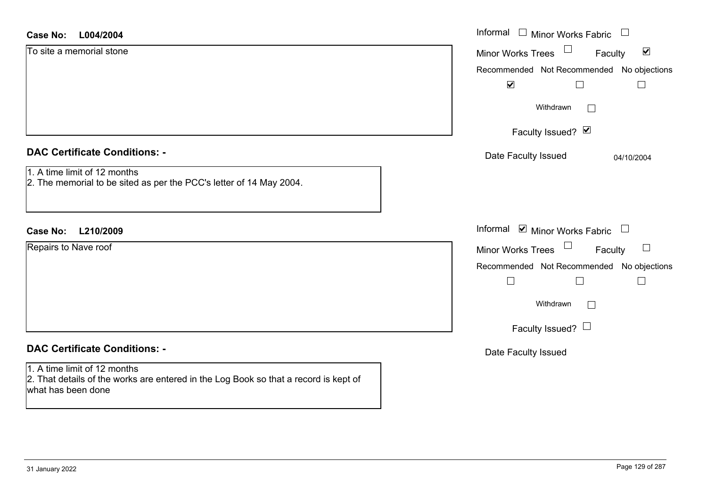| <b>Case No:</b><br>L004/2004                                                                                                               | Informal<br>$\Box$ Minor Works Fabric<br>$\begin{array}{c} \hline \end{array}$ |
|--------------------------------------------------------------------------------------------------------------------------------------------|--------------------------------------------------------------------------------|
| To site a memorial stone                                                                                                                   | $\blacktriangledown$<br>Minor Works Trees<br>Faculty                           |
|                                                                                                                                            | Recommended Not Recommended No objections                                      |
|                                                                                                                                            | $\blacktriangledown$                                                           |
|                                                                                                                                            | Withdrawn<br>$\mathbb{R}^n$                                                    |
|                                                                                                                                            | Faculty Issued? Ø                                                              |
| <b>DAC Certificate Conditions: -</b>                                                                                                       | Date Faculty Issued<br>04/10/2004                                              |
| 1. A time limit of 12 months<br>2. The memorial to be sited as per the PCC's letter of 14 May 2004.                                        |                                                                                |
| L210/2009<br><b>Case No:</b>                                                                                                               | Informal ☑ Minor Works Fabric<br>$\begin{array}{c} \hline \end{array}$         |
| Repairs to Nave roof                                                                                                                       | $\Box$<br><b>Minor Works Trees</b><br>Faculty                                  |
|                                                                                                                                            | Recommended Not Recommended No objections                                      |
|                                                                                                                                            | $\Box$                                                                         |
|                                                                                                                                            | Withdrawn<br>$\Box$                                                            |
|                                                                                                                                            | Faculty Issued? $\Box$                                                         |
| <b>DAC Certificate Conditions: -</b>                                                                                                       | Date Faculty Issued                                                            |
| 1. A time limit of 12 months<br>2. That details of the works are entered in the Log Book so that a record is kept of<br>what has been done |                                                                                |
|                                                                                                                                            |                                                                                |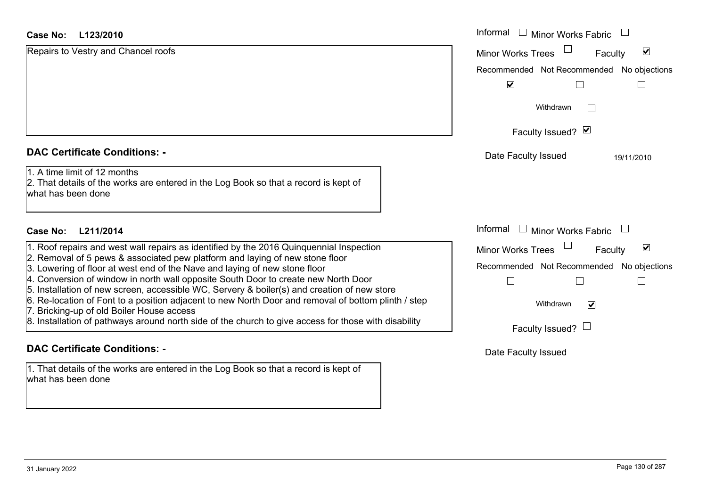| <b>Case No:</b><br>L123/2010                                                                                                                                                      | Informal<br>$\Box$<br><b>Minor Works Fabric</b>             |
|-----------------------------------------------------------------------------------------------------------------------------------------------------------------------------------|-------------------------------------------------------------|
| Repairs to Vestry and Chancel roofs                                                                                                                                               | $\blacktriangledown$<br><b>Minor Works Trees</b><br>Faculty |
|                                                                                                                                                                                   | Recommended Not Recommended No objections                   |
|                                                                                                                                                                                   | $\blacktriangledown$                                        |
|                                                                                                                                                                                   | Withdrawn                                                   |
|                                                                                                                                                                                   | Faculty Issued? Ø                                           |
| <b>DAC Certificate Conditions: -</b>                                                                                                                                              | Date Faculty Issued<br>19/11/2010                           |
| 1. A time limit of 12 months<br>2. That details of the works are entered in the Log Book so that a record is kept of<br>what has been done                                        |                                                             |
| Case No: L211/2014                                                                                                                                                                | Informal $\Box$ Minor Works Fabric $\Box$                   |
| 1. Roof repairs and west wall repairs as identified by the 2016 Quinquennial Inspection                                                                                           | $\blacktriangledown$<br>Minor Works Trees<br>Faculty        |
| 2. Removal of 5 pews & associated pew platform and laying of new stone floor<br>3. Lowering of floor at west end of the Nave and laying of new stone floor                        | Recommended Not Recommended No objections                   |
| 4. Conversion of window in north wall opposite South Door to create new North Door<br>5. Installation of new screen, accessible WC, Servery & boiler(s) and creation of new store |                                                             |
| 6. Re-location of Font to a position adjacent to new North Door and removal of bottom plinth / step<br>7. Bricking-up of old Boiler House access                                  | Withdrawn<br>☑                                              |
| 8. Installation of pathways around north side of the church to give access for those with disability                                                                              | Faculty Issued? $\Box$                                      |
| <b>DAC Certificate Conditions: -</b>                                                                                                                                              | Date Faculty Issued                                         |
| 1. That details of the works are entered in the Log Book so that a record is kept of<br>what has been done                                                                        |                                                             |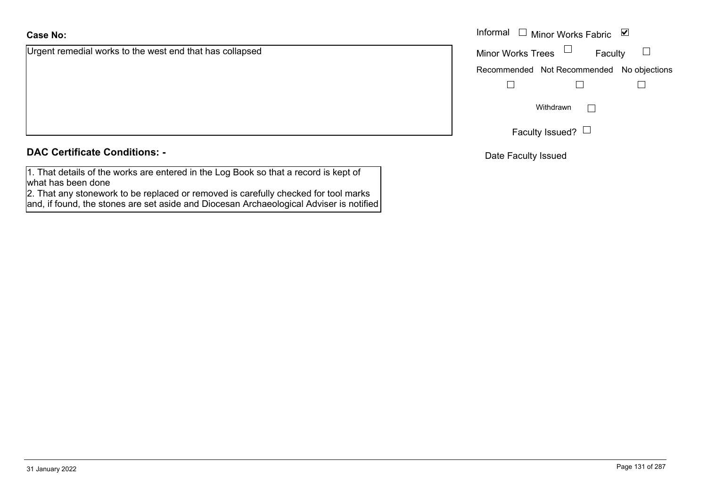#### **Case No:**

Urgent remedial works to the west end that has collapsed

# **DAC Certificate Conditions: -**

1. That details of the works are entered in the Log Book so that a record is kept of what has been done

 2. That any stonework to be replaced or removed is carefully checked for tool marks and, if found, the stones are set aside and Diocesan Archaeological Adviser is notified

|                                                 | Informal $\Box$ Minor Works Fabric $\Box$ |  |  |
|-------------------------------------------------|-------------------------------------------|--|--|
| medial works to the west end that has collapsed | Minor Works Trees $\Box$<br>Faculty       |  |  |
|                                                 | Recommended Not Recommended No objections |  |  |
|                                                 |                                           |  |  |
|                                                 | Withdrawn                                 |  |  |
|                                                 | Faculty Issued? $\Box$                    |  |  |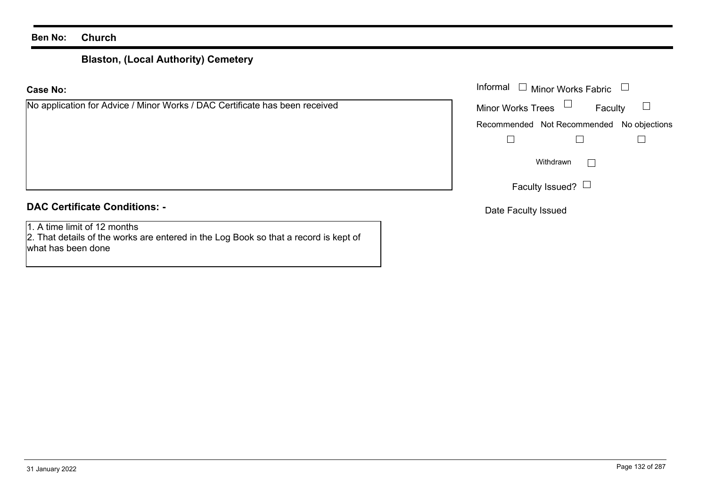# **Blaston, (Local Authority) Cemetery**

#### **Case No:**

| No application for Advice / Minor Works / DAC Certificate has been received | M |
|-----------------------------------------------------------------------------|---|
|                                                                             | R |
|                                                                             |   |
|                                                                             |   |
|                                                                             |   |
|                                                                             |   |
|                                                                             |   |

# **DAC Certificate Conditions: -**

1. A time limit of 12 months

 2. That details of the works are entered in the Log Book so that a record is kept of what has been done

|                                                                     | Informal $\Box$ Minor Works Fabric $\Box$ |  |  |
|---------------------------------------------------------------------|-------------------------------------------|--|--|
| cation for Advice / Minor Works / DAC Certificate has been received | Faculty<br>Minor Works Trees $\Box$       |  |  |
|                                                                     | Recommended Not Recommended No objections |  |  |
|                                                                     |                                           |  |  |
|                                                                     | Withdrawn                                 |  |  |
|                                                                     | Faculty Issued? $\Box$                    |  |  |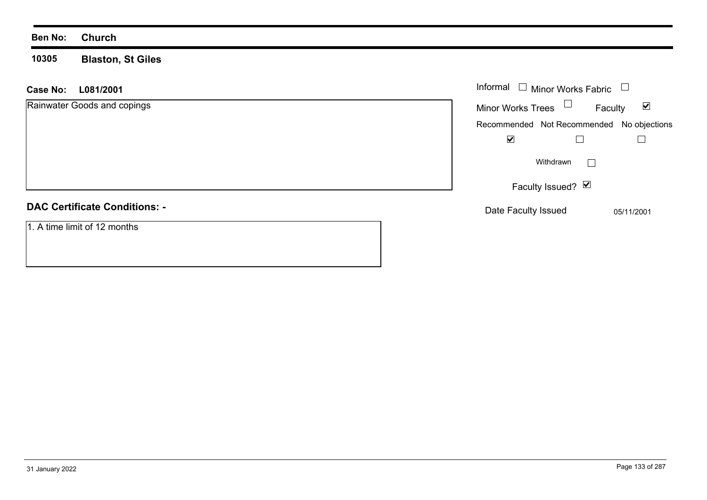**10305 Blaston, St Giles**

| L081/2001<br><b>Case No:</b>         | Informal $\Box$ Minor Works Fabric                          |
|--------------------------------------|-------------------------------------------------------------|
| Rainwater Goods and copings          | Minor Works Trees $\Box$<br>$\blacktriangledown$<br>Faculty |
|                                      | Recommended Not Recommended No objections                   |
|                                      | $\blacktriangledown$                                        |
|                                      | Withdrawn<br>$\mathbf{L}$                                   |
|                                      | Faculty Issued? $\vee$                                      |
| <b>DAC Certificate Conditions: -</b> | Date Faculty Issued<br>05/11/2001                           |
| 1. A time limit of 12 months         |                                                             |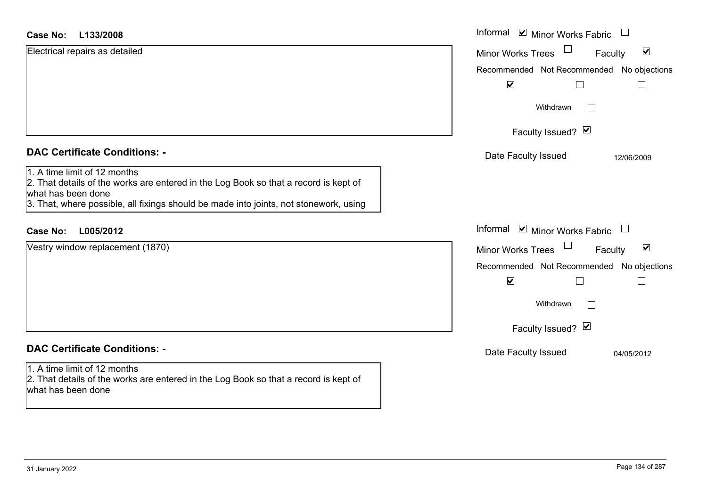#### **L133/2008Case No:**

| <b>Case No:</b><br>L133/2008                                                                                                                                                                                                                                                | Informal <b>☑</b> Minor Works Fabric                                                              |
|-----------------------------------------------------------------------------------------------------------------------------------------------------------------------------------------------------------------------------------------------------------------------------|---------------------------------------------------------------------------------------------------|
| Electrical repairs as detailed                                                                                                                                                                                                                                              | $\blacktriangledown$<br><b>Minor Works Trees</b><br>Faculty                                       |
|                                                                                                                                                                                                                                                                             | Recommended Not Recommended No objections<br>$\blacktriangledown$<br>⊔                            |
|                                                                                                                                                                                                                                                                             | Withdrawn<br>Г                                                                                    |
|                                                                                                                                                                                                                                                                             | Faculty Issued? Ø                                                                                 |
| <b>DAC Certificate Conditions: -</b><br>1. A time limit of 12 months<br>2. That details of the works are entered in the Log Book so that a record is kept of<br>what has been done<br>3. That, where possible, all fixings should be made into joints, not stonework, using | Date Faculty Issued<br>12/06/2009                                                                 |
| L005/2012<br><b>Case No:</b>                                                                                                                                                                                                                                                | Informal ☑ Minor Works Fabric<br>$\Box$                                                           |
| Vestry window replacement (1870)                                                                                                                                                                                                                                            | Minor Works Trees<br>$\blacktriangledown$<br>Faculty<br>Recommended Not Recommended No objections |
|                                                                                                                                                                                                                                                                             | $\blacktriangledown$<br>Withdrawn<br>Г<br>Faculty Issued? Ø                                       |
| <b>DAC Certificate Conditions: -</b>                                                                                                                                                                                                                                        | Date Faculty Issued<br>04/05/2012                                                                 |
| 1. A time limit of 12 months<br>2. That details of the works are entered in the Log Book so that a record is kept of<br>what has been done                                                                                                                                  |                                                                                                   |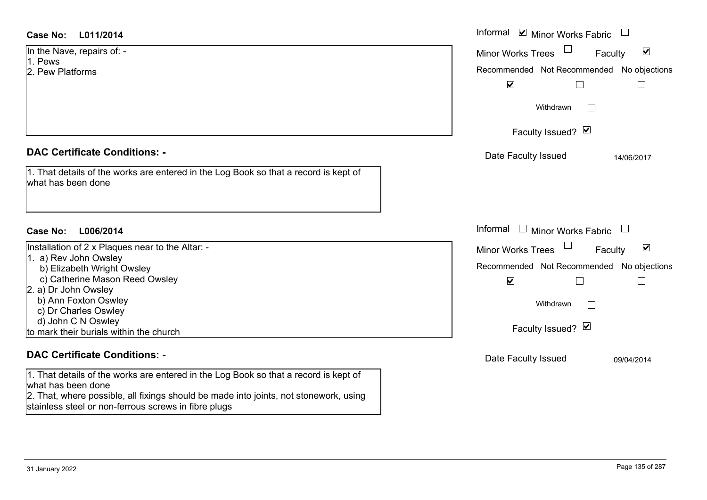| <b>Case No:</b><br>L011/2014                                                                                                                                                                        | Informal $\blacksquare$ Minor Works Fabric $\blacksquare$   |
|-----------------------------------------------------------------------------------------------------------------------------------------------------------------------------------------------------|-------------------------------------------------------------|
| In the Nave, repairs of: -                                                                                                                                                                          | $\blacktriangledown$<br><b>Minor Works Trees</b><br>Faculty |
| 1. Pews                                                                                                                                                                                             |                                                             |
| 2. Pew Platforms                                                                                                                                                                                    | Recommended Not Recommended No objections                   |
|                                                                                                                                                                                                     | $\blacktriangledown$<br>L                                   |
|                                                                                                                                                                                                     | Withdrawn                                                   |
|                                                                                                                                                                                                     | Faculty Issued? Ø                                           |
| <b>DAC Certificate Conditions: -</b>                                                                                                                                                                | Date Faculty Issued<br>14/06/2017                           |
| 1. That details of the works are entered in the Log Book so that a record is kept of<br>what has been done                                                                                          |                                                             |
| L006/2014<br>Case No:                                                                                                                                                                               | Informal $\Box$ Minor Works Fabric $\Box$                   |
| Installation of 2 x Plaques near to the Altar: -                                                                                                                                                    | $\blacktriangledown$<br>Minor Works Trees<br>Faculty        |
| 1. a) Rev John Owsley<br>b) Elizabeth Wright Owsley                                                                                                                                                 | Recommended Not Recommended No objections                   |
| c) Catherine Mason Reed Owsley                                                                                                                                                                      | $\blacktriangledown$                                        |
| 2. a) Dr John Owsley                                                                                                                                                                                |                                                             |
| b) Ann Foxton Oswley                                                                                                                                                                                | Withdrawn<br>$\overline{a}$                                 |
| c) Dr Charles Oswley                                                                                                                                                                                |                                                             |
| d) John C N Oswley                                                                                                                                                                                  | Faculty Issued? Ø                                           |
| to mark their burials within the church                                                                                                                                                             |                                                             |
| <b>DAC Certificate Conditions: -</b>                                                                                                                                                                | Date Faculty Issued<br>09/04/2014                           |
| 1. That details of the works are entered in the Log Book so that a record is kept of<br>what has been done<br>2. That, where possible, all fixings should be made into joints, not stonework, using |                                                             |

stainless steel or non-ferrous screws in fibre plugs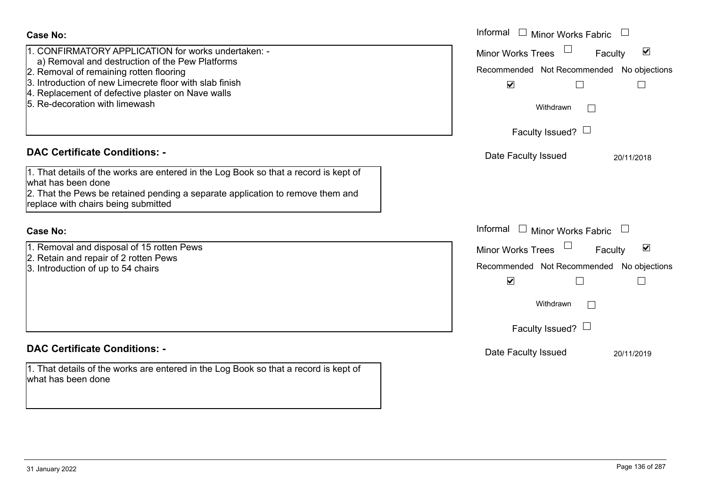| <b>Case No:</b>                                                                                                                                                                                                                                                                                     | Informal<br>$\mathbf{1}$<br>Minor Works Fabric                                                                                                                                                               |
|-----------------------------------------------------------------------------------------------------------------------------------------------------------------------------------------------------------------------------------------------------------------------------------------------------|--------------------------------------------------------------------------------------------------------------------------------------------------------------------------------------------------------------|
| 1. CONFIRMATORY APPLICATION for works undertaken: -<br>a) Removal and destruction of the Pew Platforms<br>2. Removal of remaining rotten flooring<br>3. Introduction of new Limecrete floor with slab finish<br>4. Replacement of defective plaster on Nave walls<br>5. Re-decoration with limewash | $\blacktriangledown$<br><b>Minor Works Trees</b><br>Faculty<br>Recommended Not Recommended No objections<br>$\blacktriangledown$<br>$\mathsf{L}$<br>$\Box$<br>Withdrawn<br>$\perp$<br>Faculty Issued? $\Box$ |
| <b>DAC Certificate Conditions: -</b><br>1. That details of the works are entered in the Log Book so that a record is kept of<br>what has been done<br>2. That the Pews be retained pending a separate application to remove them and<br>replace with chairs being submitted                         | Date Faculty Issued<br>20/11/2018                                                                                                                                                                            |
| <b>Case No:</b>                                                                                                                                                                                                                                                                                     | Informal<br>$\perp$<br>Minor Works Fabric                                                                                                                                                                    |
| 1. Removal and disposal of 15 rotten Pews<br>2. Retain and repair of 2 rotten Pews<br>3. Introduction of up to 54 chairs                                                                                                                                                                            | $\blacktriangledown$<br><b>Minor Works Trees</b><br>Faculty<br>Recommended Not Recommended<br>No objections<br>$\blacktriangledown$<br>П<br>$\Box$<br>Withdrawn<br>Faculty Issued? $\Box$                    |
| <b>DAC Certificate Conditions: -</b>                                                                                                                                                                                                                                                                | Date Faculty Issued<br>20/11/2019                                                                                                                                                                            |
| 1. That details of the works are entered in the Log Book so that a record is kept of<br>what has been done                                                                                                                                                                                          |                                                                                                                                                                                                              |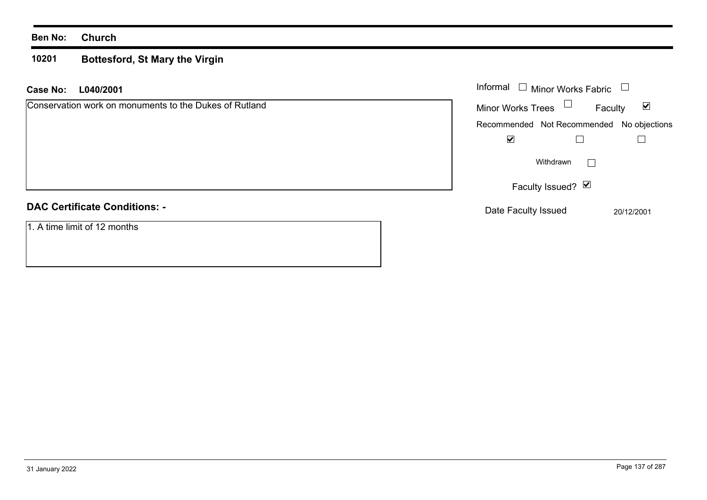#### **10201 Bottesford, St Mary the Virgin**

| <b>Case No:</b> | L040/2001                                              | Informal                                  | <b>Minor Works Fabric</b> |            |                      |
|-----------------|--------------------------------------------------------|-------------------------------------------|---------------------------|------------|----------------------|
|                 | Conservation work on monuments to the Dukes of Rutland | Minor Works Trees                         | $\Box$                    | Faculty    | $\boxed{\checkmark}$ |
|                 |                                                        | Recommended Not Recommended No objections |                           |            |                      |
|                 |                                                        | ⊻                                         |                           |            |                      |
|                 |                                                        |                                           | Withdrawn<br>$\mathbf{L}$ |            |                      |
|                 |                                                        |                                           | Faculty Issued? Ø         |            |                      |
|                 | <b>DAC Certificate Conditions: -</b>                   | Date Faculty Issued                       |                           | 20/12/2001 |                      |
|                 | 1. A time limit of 12 months                           |                                           |                           |            |                      |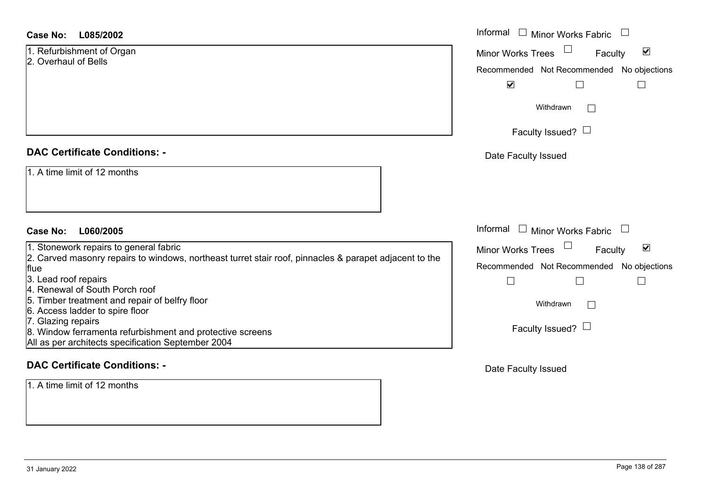| <b>Case No:</b><br>L085/2002         | Informal |
|--------------------------------------|----------|
| 1. Refurbishment of Organ            | Minor W  |
| 2. Overhaul of Bells                 | Recomm   |
|                                      |          |
|                                      |          |
|                                      |          |
|                                      |          |
| <b>DAC Certificate Conditions: -</b> | Date I   |
| 1. A time limit of 12 months         |          |
|                                      |          |

## **L060/2005 Case No:** Informal

1. Stonework repairs to general fabric

2. Carved masonry repairs to windows, northeast turret stair roof, pinnacles & parapet adjacent to the flue

- 3. Lead roof repairs
- 4. Renewal of South Porch roof
- 5. Timber treatment and repair of belfry floor
- 6. Access ladder to spire floor
- 7. Glazing repairs
- 8. Window ferramenta refurbishment and protective screens
- All as per architects specification September 2004

#### **DAC Certificate Conditions: -**

1. A time limit of 12 months

|                 | Informal<br><b>Minor Works Fabric</b>     |  |  |  |  |
|-----------------|-------------------------------------------|--|--|--|--|
|                 | ⊻<br><b>Minor Works Trees</b><br>Faculty  |  |  |  |  |
|                 | Recommended Not Recommended No objections |  |  |  |  |
|                 | $\blacktriangledown$                      |  |  |  |  |
|                 | Withdrawn                                 |  |  |  |  |
| Faculty Issued? |                                           |  |  |  |  |
|                 | Date Faculty Issued                       |  |  |  |  |
|                 |                                           |  |  |  |  |
|                 |                                           |  |  |  |  |
|                 |                                           |  |  |  |  |
|                 | Informal<br><b>Minor Works Fabric</b>     |  |  |  |  |
| è               | ☑<br><b>Minor Works Trees</b><br>Faculty  |  |  |  |  |
|                 | Recommended Not Recommended No objections |  |  |  |  |
|                 |                                           |  |  |  |  |
|                 | Withdrawn                                 |  |  |  |  |
|                 | Faculty Issued?                           |  |  |  |  |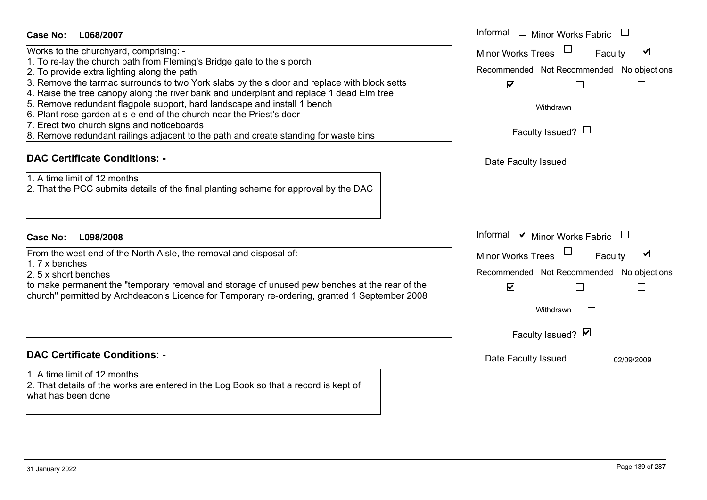| <b>Case No:</b><br>L068/2007                                                                                                                                                                                                                                                                                                                                                       | Informal □ Minor Works Fabric                                                                                                                               |
|------------------------------------------------------------------------------------------------------------------------------------------------------------------------------------------------------------------------------------------------------------------------------------------------------------------------------------------------------------------------------------|-------------------------------------------------------------------------------------------------------------------------------------------------------------|
| Works to the churchyard, comprising: -<br>1. To re-lay the church path from Fleming's Bridge gate to the s porch<br>2. To provide extra lighting along the path<br>3. Remove the tarmac surrounds to two York slabs by the s door and replace with block setts                                                                                                                     | $\Box$<br>$\blacktriangledown$<br>Minor Works Trees<br>Faculty<br>Recommended Not Recommended No objections<br>$\blacktriangledown$                         |
| 4. Raise the tree canopy along the river bank and underplant and replace 1 dead Elm tree<br>5. Remove redundant flagpole support, hard landscape and install 1 bench<br>6. Plant rose garden at s-e end of the church near the Priest's door<br>7. Erect two church signs and noticeboards<br>8. Remove redundant railings adjacent to the path and create standing for waste bins | Withdrawn<br>Faculty Issued? $\Box$                                                                                                                         |
| <b>DAC Certificate Conditions: -</b><br>1. A time limit of 12 months<br>2. That the PCC submits details of the final planting scheme for approval by the DAC                                                                                                                                                                                                                       | Date Faculty Issued                                                                                                                                         |
| <b>Case No:</b><br>L098/2008                                                                                                                                                                                                                                                                                                                                                       | Informal ☑ Minor Works Fabric                                                                                                                               |
| From the west end of the North Aisle, the removal and disposal of: -<br>$1.7x$ benches<br>2. 5 x short benches<br>to make permanent the "temporary removal and storage of unused pew benches at the rear of the<br>church" permitted by Archdeacon's Licence for Temporary re-ordering, granted 1 September 2008                                                                   | $\blacktriangledown$<br>Minor Works Trees<br>Faculty<br>Recommended Not Recommended No objections<br>$\blacktriangledown$<br>Withdrawn<br>Faculty Issued? Ø |
| <b>DAC Certificate Conditions: -</b>                                                                                                                                                                                                                                                                                                                                               | Date Faculty Issued<br>02/09/2009                                                                                                                           |
| 1. A time limit of 12 months<br>2. That details of the works are entered in the Log Book so that a record is kept of<br>what has been done                                                                                                                                                                                                                                         |                                                                                                                                                             |
|                                                                                                                                                                                                                                                                                                                                                                                    |                                                                                                                                                             |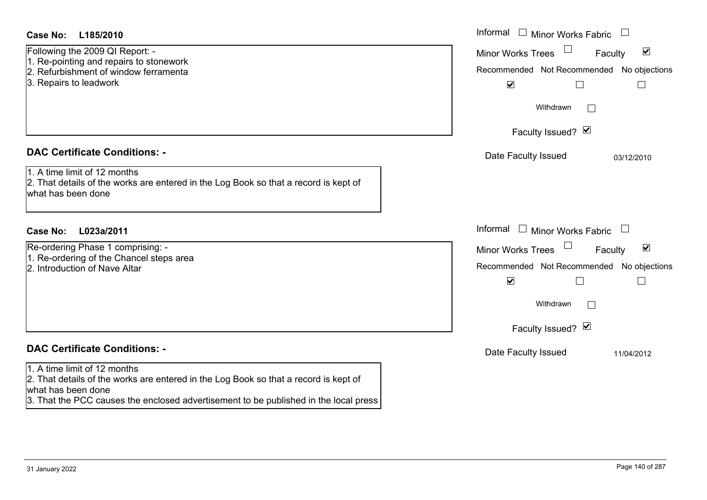| <b>Case No:</b><br>L185/2010                                                                                                                                                                                                       | Informal $\Box$ Minor Works Fabric $\Box$                                                                                                                                                 |
|------------------------------------------------------------------------------------------------------------------------------------------------------------------------------------------------------------------------------------|-------------------------------------------------------------------------------------------------------------------------------------------------------------------------------------------|
| Following the 2009 QI Report: -<br>1. Re-pointing and repairs to stonework<br>2. Refurbishment of window ferramenta<br>3. Repairs to leadwork                                                                                      | $\blacktriangledown$<br><b>Minor Works Trees</b><br>Faculty<br>Recommended Not Recommended No objections<br>$\blacktriangledown$<br>$\Box$<br>$\sqcup$                                    |
|                                                                                                                                                                                                                                    | Withdrawn                                                                                                                                                                                 |
|                                                                                                                                                                                                                                    | Faculty Issued? Ø                                                                                                                                                                         |
| <b>DAC Certificate Conditions: -</b><br>1. A time limit of 12 months<br>2. That details of the works are entered in the Log Book so that a record is kept of<br>what has been done                                                 | Date Faculty Issued<br>03/12/2010                                                                                                                                                         |
| <b>Case No:</b><br>L023a/2011                                                                                                                                                                                                      | Informal $\Box$ Minor Works Fabric $\Box$                                                                                                                                                 |
| Re-ordering Phase 1 comprising: -<br>1. Re-ordering of the Chancel steps area<br>2. Introduction of Nave Altar                                                                                                                     | $\blacktriangledown$<br><b>Minor Works Trees</b><br>Faculty<br>Recommended Not Recommended<br>No objections<br>$\blacktriangledown$<br>$\Box$<br>$\Box$<br>Withdrawn<br>Faculty Issued? Ø |
| <b>DAC Certificate Conditions: -</b>                                                                                                                                                                                               | Date Faculty Issued<br>11/04/2012                                                                                                                                                         |
| 1. A time limit of 12 months<br>2. That details of the works are entered in the Log Book so that a record is kept of<br>what has been done<br>3. That the PCC causes the enclosed advertisement to be published in the local press |                                                                                                                                                                                           |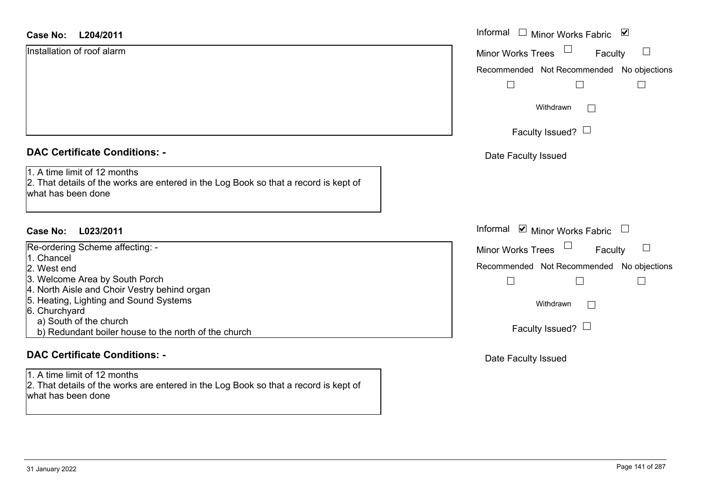| <b>Case No:</b><br>L204/2011                                                                                                               | Informal $\square$<br>Minor Works Fabric ⊠    |
|--------------------------------------------------------------------------------------------------------------------------------------------|-----------------------------------------------|
| Installation of roof alarm                                                                                                                 | <b>Minor Works Trees</b><br>$\Box$<br>Faculty |
|                                                                                                                                            | Recommended Not Recommended No objections     |
|                                                                                                                                            | $\Box$<br>$\Box$                              |
|                                                                                                                                            | Withdrawn<br>$\Box$                           |
|                                                                                                                                            | Faculty Issued? $\Box$                        |
| <b>DAC Certificate Conditions: -</b>                                                                                                       | Date Faculty Issued                           |
| 1. A time limit of 12 months<br>2. That details of the works are entered in the Log Book so that a record is kept of<br>what has been done |                                               |
|                                                                                                                                            |                                               |
| <b>Case No:</b><br>L023/2011                                                                                                               | Informal ☑ Minor Works Fabric                 |
| Re-ordering Scheme affecting: -                                                                                                            | $\Box$<br><b>Minor Works Trees</b><br>Faculty |
| 1. Chancel<br>2. West end                                                                                                                  | Recommended Not Recommended No objections     |
| 3. Welcome Area by South Porch<br>4. North Aisle and Choir Vestry behind organ                                                             | $\Box$<br>$\mathbf{L}$                        |
| 5. Heating, Lighting and Sound Systems<br>6. Churchyard                                                                                    | Withdrawn<br>$\Box$                           |
| a) South of the church<br>b) Redundant boiler house to the north of the church                                                             | Faculty Issued? $\Box$                        |
| <b>DAC Certificate Conditions: -</b>                                                                                                       | Date Faculty Issued                           |
| 1. A time limit of 12 months                                                                                                               |                                               |
| 2. That details of the works are entered in the Log Book so that a record is kept of                                                       |                                               |

what has been done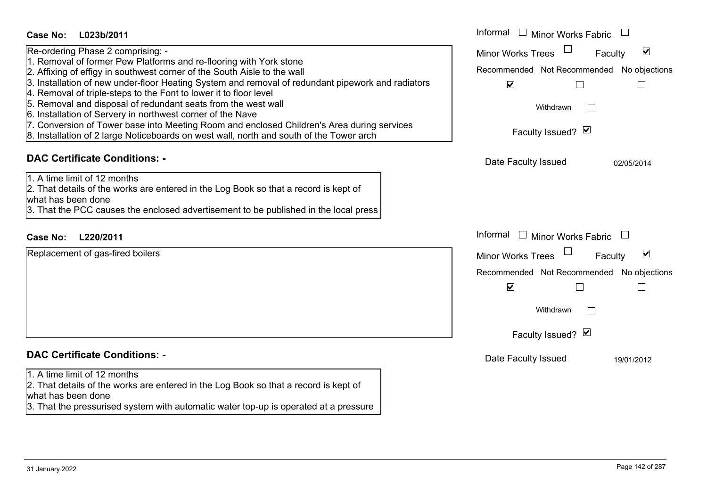| Re-ordering Phase 2 comprising: -<br>$\blacktriangledown$<br><b>Minor Works Trees</b><br>Faculty<br>1. Removal of former Pew Platforms and re-flooring with York stone<br>Recommended Not Recommended No objections<br>2. Affixing of effigy in southwest corner of the South Aisle to the wall<br>3. Installation of new under-floor Heating System and removal of redundant pipework and radiators<br>$\blacktriangledown$<br>5. Removal and disposal of redundant seats from the west wall<br>Withdrawn<br>6. Installation of Servery in northwest corner of the Nave<br>7. Conversion of Tower base into Meeting Room and enclosed Children's Area during services<br>Faculty Issued? Ø<br>8. Installation of 2 large Noticeboards on west wall, north and south of the Tower arch<br><b>DAC Certificate Conditions: -</b><br>Date Faculty Issued<br>02/05/2014<br>1. A time limit of 12 months<br>2. That details of the works are entered in the Log Book so that a record is kept of<br>3. That the PCC causes the enclosed advertisement to be published in the local press<br>Informal $\Box$ Minor Works Fabric $\Box$<br>L220/2011<br><b>Case No:</b><br>Replacement of gas-fired boilers<br>$\blacktriangledown$<br>Minor Works Trees<br>Faculty<br>Recommended Not Recommended No objections<br>$\blacktriangledown$<br>Withdrawn<br>Faculty Issued? Ø<br><b>DAC Certificate Conditions: -</b><br>Date Faculty Issued<br>19/01/2012 | Case No:<br>L023b/2011                                            | Informal □ Minor Works Fabric |
|--------------------------------------------------------------------------------------------------------------------------------------------------------------------------------------------------------------------------------------------------------------------------------------------------------------------------------------------------------------------------------------------------------------------------------------------------------------------------------------------------------------------------------------------------------------------------------------------------------------------------------------------------------------------------------------------------------------------------------------------------------------------------------------------------------------------------------------------------------------------------------------------------------------------------------------------------------------------------------------------------------------------------------------------------------------------------------------------------------------------------------------------------------------------------------------------------------------------------------------------------------------------------------------------------------------------------------------------------------------------------------------------------------------------------------------------------|-------------------------------------------------------------------|-------------------------------|
|                                                                                                                                                                                                                                                                                                                                                                                                                                                                                                                                                                                                                                                                                                                                                                                                                                                                                                                                                                                                                                                                                                                                                                                                                                                                                                                                                                                                                                                  |                                                                   |                               |
|                                                                                                                                                                                                                                                                                                                                                                                                                                                                                                                                                                                                                                                                                                                                                                                                                                                                                                                                                                                                                                                                                                                                                                                                                                                                                                                                                                                                                                                  |                                                                   |                               |
|                                                                                                                                                                                                                                                                                                                                                                                                                                                                                                                                                                                                                                                                                                                                                                                                                                                                                                                                                                                                                                                                                                                                                                                                                                                                                                                                                                                                                                                  |                                                                   |                               |
|                                                                                                                                                                                                                                                                                                                                                                                                                                                                                                                                                                                                                                                                                                                                                                                                                                                                                                                                                                                                                                                                                                                                                                                                                                                                                                                                                                                                                                                  | 4. Removal of triple-steps to the Font to lower it to floor level |                               |
|                                                                                                                                                                                                                                                                                                                                                                                                                                                                                                                                                                                                                                                                                                                                                                                                                                                                                                                                                                                                                                                                                                                                                                                                                                                                                                                                                                                                                                                  |                                                                   |                               |
|                                                                                                                                                                                                                                                                                                                                                                                                                                                                                                                                                                                                                                                                                                                                                                                                                                                                                                                                                                                                                                                                                                                                                                                                                                                                                                                                                                                                                                                  |                                                                   |                               |
|                                                                                                                                                                                                                                                                                                                                                                                                                                                                                                                                                                                                                                                                                                                                                                                                                                                                                                                                                                                                                                                                                                                                                                                                                                                                                                                                                                                                                                                  |                                                                   |                               |
|                                                                                                                                                                                                                                                                                                                                                                                                                                                                                                                                                                                                                                                                                                                                                                                                                                                                                                                                                                                                                                                                                                                                                                                                                                                                                                                                                                                                                                                  |                                                                   |                               |
|                                                                                                                                                                                                                                                                                                                                                                                                                                                                                                                                                                                                                                                                                                                                                                                                                                                                                                                                                                                                                                                                                                                                                                                                                                                                                                                                                                                                                                                  |                                                                   |                               |
|                                                                                                                                                                                                                                                                                                                                                                                                                                                                                                                                                                                                                                                                                                                                                                                                                                                                                                                                                                                                                                                                                                                                                                                                                                                                                                                                                                                                                                                  |                                                                   |                               |
|                                                                                                                                                                                                                                                                                                                                                                                                                                                                                                                                                                                                                                                                                                                                                                                                                                                                                                                                                                                                                                                                                                                                                                                                                                                                                                                                                                                                                                                  | what has been done                                                |                               |
|                                                                                                                                                                                                                                                                                                                                                                                                                                                                                                                                                                                                                                                                                                                                                                                                                                                                                                                                                                                                                                                                                                                                                                                                                                                                                                                                                                                                                                                  |                                                                   |                               |
|                                                                                                                                                                                                                                                                                                                                                                                                                                                                                                                                                                                                                                                                                                                                                                                                                                                                                                                                                                                                                                                                                                                                                                                                                                                                                                                                                                                                                                                  |                                                                   |                               |
|                                                                                                                                                                                                                                                                                                                                                                                                                                                                                                                                                                                                                                                                                                                                                                                                                                                                                                                                                                                                                                                                                                                                                                                                                                                                                                                                                                                                                                                  |                                                                   |                               |
|                                                                                                                                                                                                                                                                                                                                                                                                                                                                                                                                                                                                                                                                                                                                                                                                                                                                                                                                                                                                                                                                                                                                                                                                                                                                                                                                                                                                                                                  |                                                                   |                               |
|                                                                                                                                                                                                                                                                                                                                                                                                                                                                                                                                                                                                                                                                                                                                                                                                                                                                                                                                                                                                                                                                                                                                                                                                                                                                                                                                                                                                                                                  |                                                                   |                               |
|                                                                                                                                                                                                                                                                                                                                                                                                                                                                                                                                                                                                                                                                                                                                                                                                                                                                                                                                                                                                                                                                                                                                                                                                                                                                                                                                                                                                                                                  |                                                                   |                               |
|                                                                                                                                                                                                                                                                                                                                                                                                                                                                                                                                                                                                                                                                                                                                                                                                                                                                                                                                                                                                                                                                                                                                                                                                                                                                                                                                                                                                                                                  |                                                                   |                               |
|                                                                                                                                                                                                                                                                                                                                                                                                                                                                                                                                                                                                                                                                                                                                                                                                                                                                                                                                                                                                                                                                                                                                                                                                                                                                                                                                                                                                                                                  |                                                                   |                               |
|                                                                                                                                                                                                                                                                                                                                                                                                                                                                                                                                                                                                                                                                                                                                                                                                                                                                                                                                                                                                                                                                                                                                                                                                                                                                                                                                                                                                                                                  | 1. A time limit of 12 months                                      |                               |
| 2. That details of the works are entered in the Log Book so that a record is kept of                                                                                                                                                                                                                                                                                                                                                                                                                                                                                                                                                                                                                                                                                                                                                                                                                                                                                                                                                                                                                                                                                                                                                                                                                                                                                                                                                             |                                                                   |                               |
| 3. That the pressurised system with automatic water top-up is operated at a pressure                                                                                                                                                                                                                                                                                                                                                                                                                                                                                                                                                                                                                                                                                                                                                                                                                                                                                                                                                                                                                                                                                                                                                                                                                                                                                                                                                             | what has been done                                                |                               |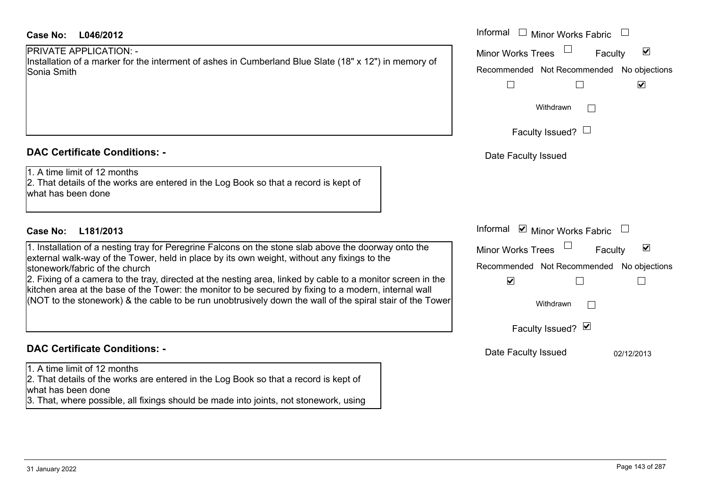# PRIVATE APPLICATION: -

#### **DAC Certificate Conditions: -**

## **DAC Certificate Conditions: -**

1. A time limit of 12 months

2. That details of the works are entered in the Log Book so that a record is kept of what has been done

3. That, where possible, all fixings should be made into joints, not stonework, using

| Case No:<br>L046/2012                                                                                                                                                                                                | Informal □ Minor Works Fabric                               |
|----------------------------------------------------------------------------------------------------------------------------------------------------------------------------------------------------------------------|-------------------------------------------------------------|
| <b>PRIVATE APPLICATION: -</b>                                                                                                                                                                                        | $\blacktriangledown$<br><b>Minor Works Trees</b><br>Faculty |
| Installation of a marker for the interment of ashes in Cumberland Blue Slate (18" x 12") in memory of<br>Sonia Smith                                                                                                 | Recommended Not Recommended No objections                   |
|                                                                                                                                                                                                                      | $\Box$<br>$\blacktriangleright$<br>$\mathbf{L}$             |
|                                                                                                                                                                                                                      |                                                             |
|                                                                                                                                                                                                                      | Withdrawn                                                   |
|                                                                                                                                                                                                                      | Faculty Issued? $\Box$                                      |
| <b>DAC Certificate Conditions: -</b>                                                                                                                                                                                 | Date Faculty Issued                                         |
| 1. A time limit of 12 months<br>2. That details of the works are entered in the Log Book so that a record is kept of<br>what has been done                                                                           |                                                             |
| L181/2013<br>Case No:                                                                                                                                                                                                | Informal ☑ Minor Works Fabric                               |
| 1. Installation of a nesting tray for Peregrine Falcons on the stone slab above the doorway onto the                                                                                                                 | $\blacktriangledown$<br>Minor Works Trees<br>Faculty        |
| external walk-way of the Tower, held in place by its own weight, without any fixings to the<br>stonework/fabric of the church                                                                                        | Recommended Not Recommended No objections                   |
| 2. Fixing of a camera to the tray, directed at the nesting area, linked by cable to a monitor screen in the<br>kitchen area at the base of the Tower: the monitor to be secured by fixing to a modern, internal wall | $\blacktriangledown$                                        |
| (NOT to the stonework) & the cable to be run unobtrusively down the wall of the spiral stair of the Tower                                                                                                            | Withdrawn                                                   |
|                                                                                                                                                                                                                      | Faculty Issued? Ø                                           |
| <b>DAC Certificate Conditions: -</b>                                                                                                                                                                                 | Date Faculty Issued<br>02/12/2013                           |
| 1 A time limit of 12 months                                                                                                                                                                                          |                                                             |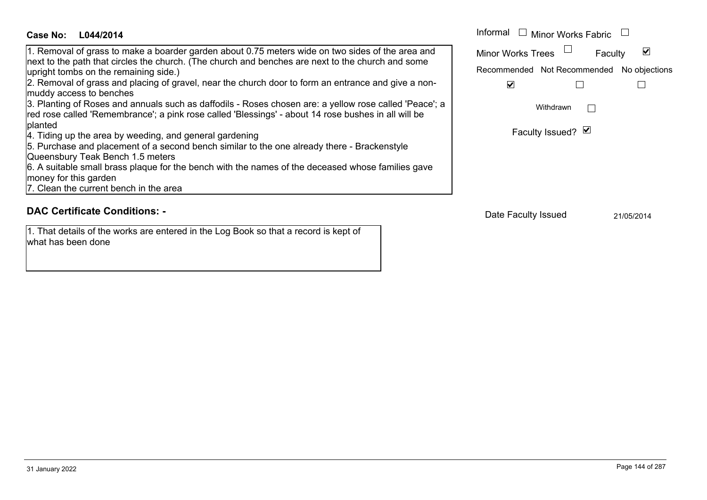#### Informal  $\Box$  Minor Works Fabric  $\Box$ **L044/2014Case No:** Informal 1. Removal of grass to make a boarder garden about 0.75 meters wide on two sides of the area and  $\blacktriangledown$ Faculty Minor Works Trees next to the path that circles the church. (The church and benches are next to the church and some upright tombs on the remaining side.) Recommended Not Recommended No objections 2. Removal of grass and placing of gravel, near the church door to form an entrance and give a non- $\overline{\mathbf{v}}$  $\Box$  $\Box$ muddy access to benches 3. Planting of Roses and annuals such as daffodils - Roses chosen are: a yellow rose called 'Peace'; a Withdrawn $\Box$ red rose called 'Remembrance'; a pink rose called 'Blessings' - about 14 rose bushes in all will be planted Faculty Issued? Ø 4. Tiding up the area by weeding, and general gardening 5. Purchase and placement of a second bench similar to the one already there - Brackenstyle Queensbury Teak Bench 1.5 meters 6. A suitable small brass plaque for the bench with the names of the deceased whose families gave money for this garden 7. Clean the current bench in the area

#### **DAC Certificate Conditions: -**

1. That details of the works are entered in the Log Book so that a record is kept of what has been done

Date Faculty Issued 21/05/2014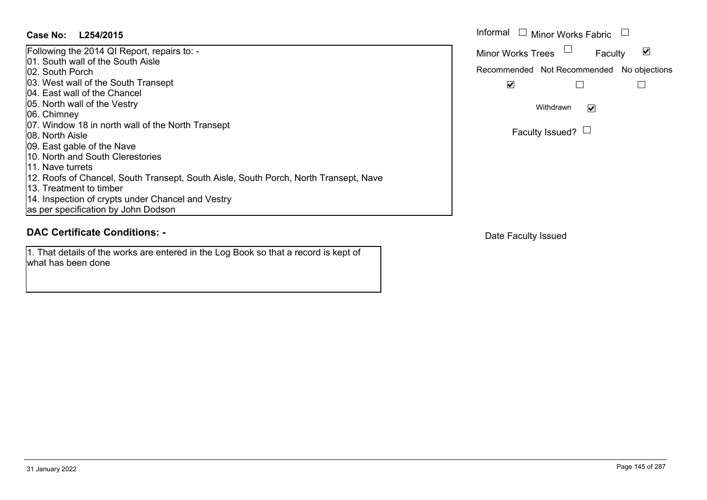#### **L254/2015Case No:** Informal

Following the 2014 QI Report, repairs to: - 01. South wall of the South Aisle02. South Porch03. West wall of the South Transept 04. East wall of the Chancel05. North wall of the Vestry 06. Chimney 07. Window 18 in north wall of the North Transept 08. North Aisle09. East gable of the Nave 10. North and South Clerestories 11. Nave turrets12. Roofs of Chancel, South Transept, South Aisle, South Porch, North Transept, Nave 13. Treatment to timber 14. Inspection of crypts under Chancel and Vestry as per specification by John Dodson

# **DAC Certificate Conditions: -**

1. That details of the works are entered in the Log Book so that a record is kept of what has been done

| Informal<br>$\Box$ Minor Works Fabric     |
|-------------------------------------------|
| <b>Minor Works Trees</b><br>Faculty       |
| Recommended Not Recommended No objections |
|                                           |
| Withdrawn                                 |
| Faculty Issued?                           |

Date Faculty Issued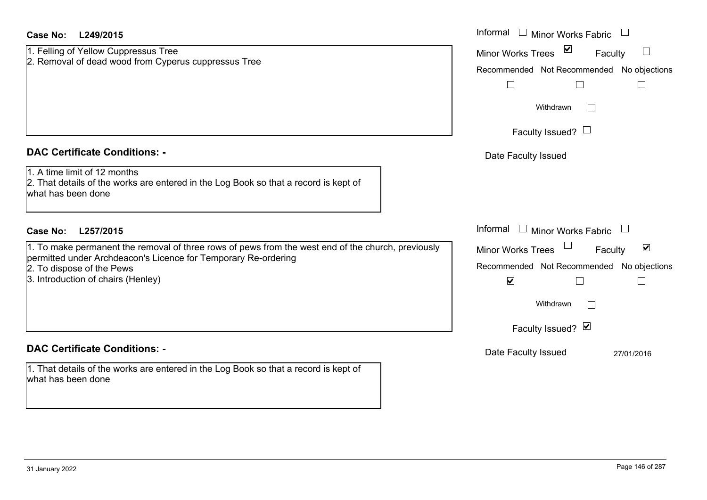| Case No:<br>L249/2015                                                                                                                      | Informal<br>$\Box$ Minor Works Fabric                          |
|--------------------------------------------------------------------------------------------------------------------------------------------|----------------------------------------------------------------|
| 1. Felling of Yellow Cuppressus Tree                                                                                                       | $\blacktriangledown$<br>Minor Works Trees<br>$\Box$<br>Faculty |
| 2. Removal of dead wood from Cyperus cuppressus Tree                                                                                       | Recommended Not Recommended No objections                      |
|                                                                                                                                            | $\Box$                                                         |
|                                                                                                                                            | Withdrawn<br>$\perp$                                           |
|                                                                                                                                            | Faculty Issued? $\Box$                                         |
| <b>DAC Certificate Conditions: -</b>                                                                                                       | Date Faculty Issued                                            |
| 1. A time limit of 12 months<br>2. That details of the works are entered in the Log Book so that a record is kept of<br>what has been done |                                                                |
| <b>Case No:</b><br>L257/2015                                                                                                               | Informal<br>$\Box$ Minor Works Fabric                          |
| 1. To make permanent the removal of three rows of pews from the west end of the church, previously                                         | $\blacktriangledown$<br><b>Minor Works Trees</b><br>Faculty    |
| permitted under Archdeacon's Licence for Temporary Re-ordering<br>2. To dispose of the Pews                                                | Recommended Not Recommended No objections                      |
| 3. Introduction of chairs (Henley)                                                                                                         | $\blacktriangledown$                                           |
|                                                                                                                                            | Withdrawn                                                      |
|                                                                                                                                            | Faculty Issued? Ø                                              |
| <b>DAC Certificate Conditions: -</b>                                                                                                       | Date Faculty Issued<br>27/01/2016                              |
| 1. That details of the works are entered in the Log Book so that a record is kept of<br>what has been done                                 |                                                                |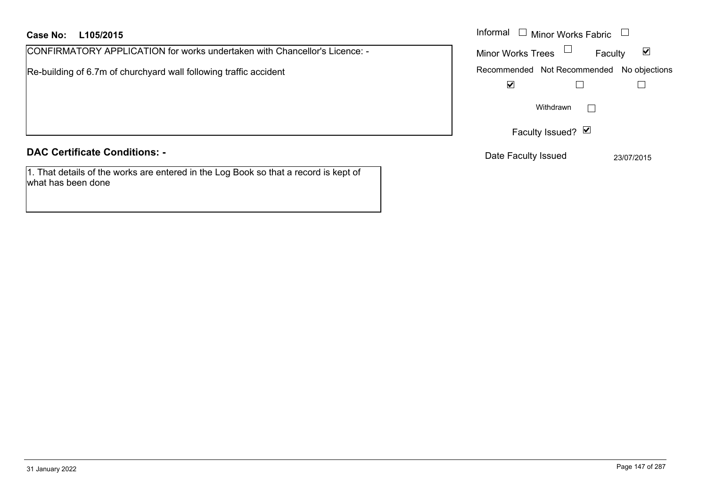#### **L105/2015Case No:** Informal

CONFIRMATORY APPLICATION for works undertaken with Chancellor's Licence: -

Re-building of 6.7m of churchyard wall following traffic accident

# **DAC Certificate Conditions: -**

1. That details of the works are entered in the Log Book so that a record is kept of what has been done

| Informal<br>$\Box$ Minor Works Fabric |                   |                                           |
|---------------------------------------|-------------------|-------------------------------------------|
| <b>Minor Works Trees</b>              |                   | M<br>Faculty                              |
|                                       |                   | Recommended Not Recommended No objections |
|                                       |                   |                                           |
|                                       | Withdrawn         |                                           |
|                                       | Faculty Issued? Ø |                                           |
| Date Faculty Issued                   |                   | 23/07/2015                                |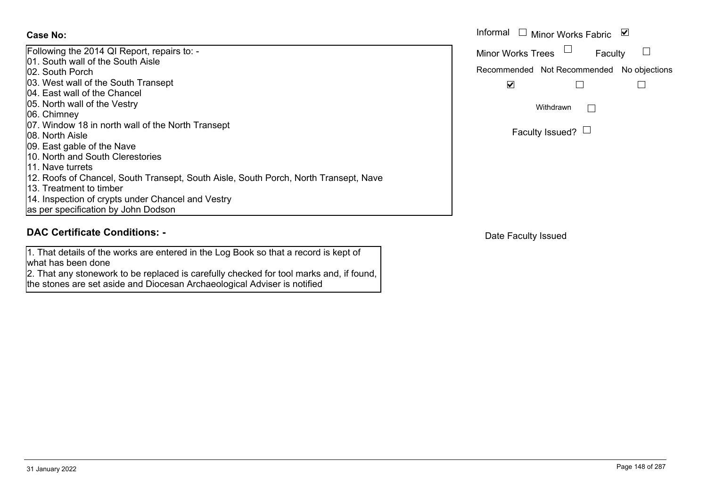| Following the 2014 QI Report, repairs to: -                                           |
|---------------------------------------------------------------------------------------|
| <b>01. South wall of the South Aisle</b>                                              |
| <b>02. South Porch</b>                                                                |
| 03. West wall of the South Transept                                                   |
| 04. East wall of the Chancel                                                          |
| 05. North wall of the Vestry                                                          |
| 06. Chimney                                                                           |
| 07. Window 18 in north wall of the North Transept                                     |
| <b>108. North Aisle</b>                                                               |
| 09. East gable of the Nave                                                            |
| 110. North and South Clerestories                                                     |
| 11. Nave turrets                                                                      |
| 112. Roofs of Chancel, South Transept, South Aisle, South Porch, North Transept, Nave |
| 13. Treatment to timber                                                               |
| 14. Inspection of crypts under Chancel and Vestry                                     |
| as per specification by John Dodson                                                   |

# **DAC Certificate Conditions: -**

1. That details of the works are entered in the Log Book so that a record is kept of what has been done

2. That any stonework to be replaced is carefully checked for tool marks and, if found, the stones are set aside and Diocesan Archaeological Adviser is notified

|                                                                 | Informal<br>□ Minor Works Fabric $\vert \blacktriangleright$ |  |
|-----------------------------------------------------------------|--------------------------------------------------------------|--|
| the 2014 QI Report, repairs to: -<br>่า wall of the South Aisle | <b>Minor Works Trees</b><br>Faculty                          |  |
| n Porch                                                         | Recommended Not Recommended No objections                    |  |
| wall of the South Transept<br>wall of the Chancel               | V                                                            |  |
| wall of the Vestry                                              | Withdrawn                                                    |  |
| nev                                                             |                                                              |  |
| ow 18 in north wall of the North Transept<br>ı Aisle            | Faculty Issued? $\Box$                                       |  |

Date Faculty Issued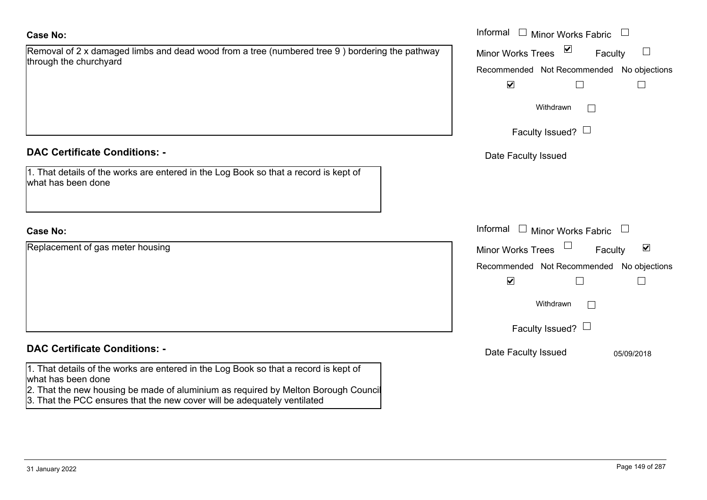| Removal of 2 x damaged limbs and dead wood from a tree (numbered tree 9 ) bordering the pathway |  |
|-------------------------------------------------------------------------------------------------|--|
| through the churchyard                                                                          |  |

#### **DAC Certificate Conditions: -**

| 1. That details of the works are entered in the Log Book so that a record is kept of |  |
|--------------------------------------------------------------------------------------|--|
| what has been done                                                                   |  |

## **Case No:**

Replacement of gas meter housing

## **DAC Certificate Conditions: -**

1. That details of the works are entered in the Log Book so that a record is kept of what has been done

- 2. That the new housing be made of aluminium as required by Melton Borough Council
- 3. That the PCC ensures that the new cover will be adequately ventilated

|                                                                                                         | Informal $\square$<br>Minor Works Fabric             |
|---------------------------------------------------------------------------------------------------------|------------------------------------------------------|
| of 2 x damaged limbs and dead wood from a tree (numbered tree 9) bordering the pathway<br>he churchyard | $\sum$<br>Minor Works Trees<br>Faculty               |
|                                                                                                         | Recommended Not Recommended No objections            |
|                                                                                                         | $\blacktriangledown$<br>$\mathsf{L}$                 |
|                                                                                                         | Withdrawn                                            |
|                                                                                                         | Faculty Issued? $\Box$                               |
| rtificate Conditions: -                                                                                 | Date Faculty Issued                                  |
| etails of the works are entered in the Log Book so that a record is kept of<br>been done                |                                                      |
|                                                                                                         | Informal $\Box$ Minor Works Fabric $\Box$            |
| nent of gas meter housing                                                                               | $\blacktriangledown$<br>Minor Works Trees<br>Faculty |
|                                                                                                         | Recommended Not Recommended<br>No objections         |
|                                                                                                         | $\blacktriangledown$                                 |
|                                                                                                         | Withdrawn                                            |
|                                                                                                         | Faculty Issued? $\Box$                               |
| rtificate Conditions: -                                                                                 | Date Faculty Issued<br>05/09/2018                    |
|                                                                                                         |                                                      |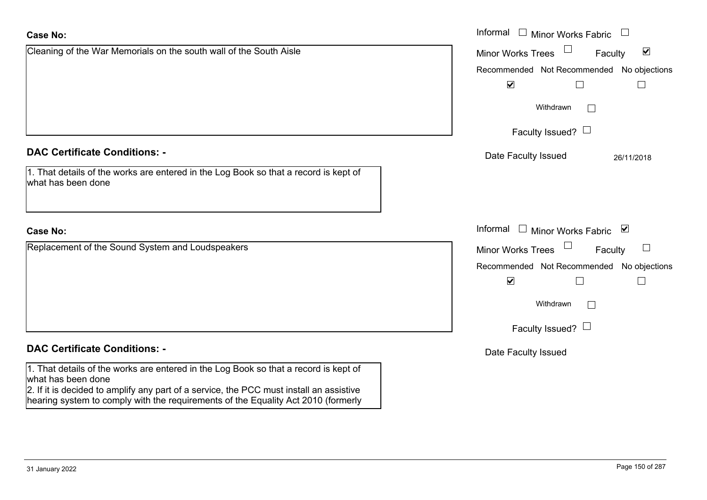|                                                                                                            | Recommended Not Recommended No objections |                                     |                                       |
|------------------------------------------------------------------------------------------------------------|-------------------------------------------|-------------------------------------|---------------------------------------|
|                                                                                                            | $\blacktriangledown$                      |                                     |                                       |
|                                                                                                            | Withdrawn                                 |                                     |                                       |
|                                                                                                            | Faculty Issued? $\Box$                    |                                     |                                       |
| <b>DAC Certificate Conditions: -</b>                                                                       | Date Faculty Issued                       |                                     | 26/11/2018                            |
| 1. That details of the works are entered in the Log Book so that a record is kept of<br>what has been done |                                           |                                     |                                       |
| <b>Case No:</b>                                                                                            | Informal                                  | □ Minor Works Fabric $\blacksquare$ |                                       |
| Replacement of the Sound System and Loudspeakers                                                           | <b>Minor Works Trees</b>                  | $\Box$<br>Faculty                   | $\begin{array}{c} \hline \end{array}$ |
|                                                                                                            | Recommended Not Recommended No objections |                                     |                                       |
|                                                                                                            | $\blacktriangledown$                      | $\Box$                              |                                       |
|                                                                                                            | Withdrawn                                 | $\mathbf{L}$                        |                                       |
|                                                                                                            | Faculty Issued? $\Box$                    |                                     |                                       |
| <b>DAC Certificate Conditions: -</b>                                                                       | Date Faculty Issued                       |                                     |                                       |
| 1. That details of the works are entered in the Log Book so that a record is kept of                       |                                           |                                     |                                       |

Faculty

 $\blacktriangledown$ 

Informal  $\Box$  Minor Works Fabric  $\Box$ 

Minor Works Trees

2. If it is decided to amplify any part of a service, the PCC must install an assistive hearing system to comply with the requirements of the Equality Act 2010 (formerly

Cleaning of the War Memorials on the south wall of the South Aisle

what has been done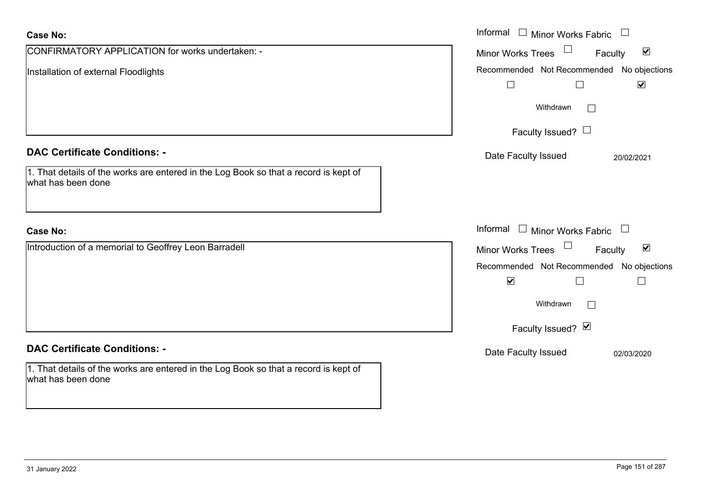| <b>Case No:</b>                                                                                            | Informal $\Box$ Minor Works Fabric $\Box$            |
|------------------------------------------------------------------------------------------------------------|------------------------------------------------------|
| CONFIRMATORY APPLICATION for works undertaken: -                                                           | Minor Works Trees<br>$\blacktriangledown$<br>Faculty |
| Installation of external Floodlights                                                                       | Recommended Not Recommended No objections            |
|                                                                                                            | $\blacktriangledown$<br>$\Box$<br>$\Box$             |
|                                                                                                            | Withdrawn<br>$\mathbf{L}$                            |
|                                                                                                            | Faculty Issued? $\Box$                               |
| <b>DAC Certificate Conditions: -</b>                                                                       | Date Faculty Issued<br>20/02/2021                    |
| 1. That details of the works are entered in the Log Book so that a record is kept of<br>what has been done |                                                      |
| <b>Case No:</b>                                                                                            | Informal $\Box$ Minor Works Fabric $\Box$            |
| Introduction of a memorial to Geoffrey Leon Barradell                                                      | Minor Works Trees<br>$\blacktriangledown$<br>Faculty |
|                                                                                                            | Recommended Not Recommended No objections            |
|                                                                                                            | $\blacktriangledown$<br>$\Box$                       |
|                                                                                                            | Withdrawn<br>$\Box$                                  |
|                                                                                                            | Faculty Issued? Ø                                    |
| <b>DAC Certificate Conditions: -</b>                                                                       | Date Faculty Issued<br>02/03/2020                    |
| 1. That details of the works are entered in the Log Book so that a record is kept of<br>what has been done |                                                      |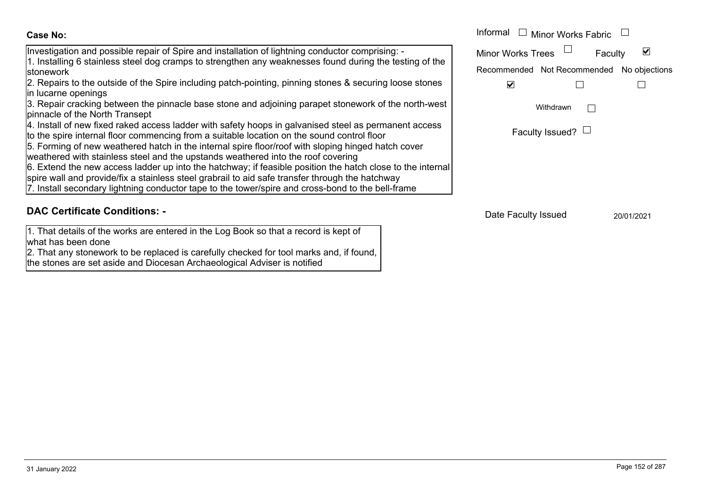## Investigation and possible repair of Spire and installation of lightning conductor comprising: - 1. Installing 6 stainless steel dog cramps to strengthen any weaknesses found during the testing of the stonework

2. Repairs to the outside of the Spire including patch-pointing, pinning stones & securing loose stones in lucarne openings

3. Repair cracking between the pinnacle base stone and adjoining parapet stonework of the north-west pinnacle of the North Transept

4. Install of new fixed raked access ladder with safety hoops in galvanised steel as permanent access

to the spire internal floor commencing from a suitable location on the sound control floor

5. Forming of new weathered hatch in the internal spire floor/roof with sloping hinged hatch cover

weathered with stainless steel and the upstands weathered into the roof covering

6. Extend the new access ladder up into the hatchway; if feasible position the hatch close to the internal

spire wall and provide/fix a stainless steel grabrail to aid safe transfer through the hatchway

7. Install secondary lightning conductor tape to the tower/spire and cross-bond to the bell-frame

# **DAC Certificate Conditions: -**

1. That details of the works are entered in the Log Book so that a record is kept of what has been done

2. That any stonework to be replaced is carefully checked for tool marks and, if found, the stones are set aside and Diocesan Archaeological Adviser is notified

|                                                                                                                                                                                | Informal<br>Minor Works Fabric                  |
|--------------------------------------------------------------------------------------------------------------------------------------------------------------------------------|-------------------------------------------------|
| tion and possible repair of Spire and installation of lightning conductor comprising: -                                                                                        | <b>Minor Works Trees</b><br>Faculty             |
| ng 6 stainless steel dog cramps to strengthen any weaknesses found during the testing of the                                                                                   | Not Recommended<br>No objections<br>Recommended |
| s to the outside of the Spire including patch-pointing, pinning stones & securing loose stones<br>e openinas                                                                   | ⊻                                               |
| cracking between the pinnacle base stone and adjoining parapet stonework of the north-west<br>of the North Transept                                                            | Withdrawn                                       |
| of new fixed raked access ladder with safety hoops in galvanised steel as permanent access<br>re internal floor commencing from a suitable location on the sound control floor | Faculty Issued? $\Box$                          |
| ig of new weathered hatch in the internal spire floor/roof with sloping hinged hatch cover<br>d with stainless steel and the upstands weathered into the roof covering         |                                                 |

Date Faculty Issued 20/01/2021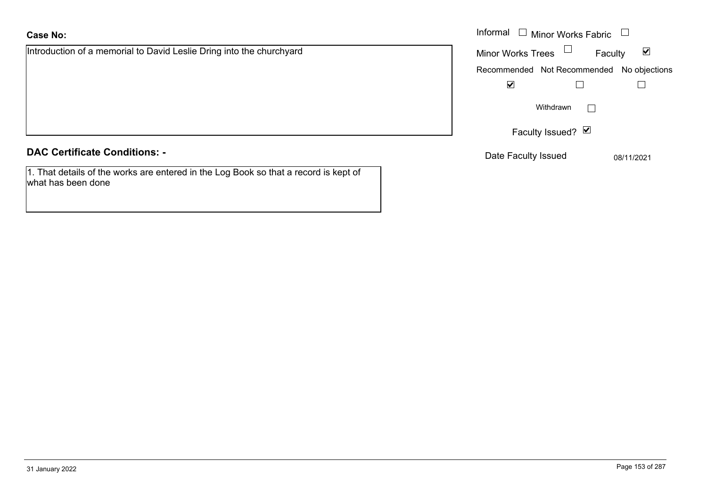Introduction of a memorial to David Leslie Dring into the churchyard

|  | <b>DAC Certificate Conditions: -</b> |
|--|--------------------------------------|
|--|--------------------------------------|

1. That details of the works are entered in the Log Book so that a record is kept of what has been done

|                                                             | Informal<br>$\Box$ Minor Works Fabric $\Box$ |                         |
|-------------------------------------------------------------|----------------------------------------------|-------------------------|
| ion of a memorial to David Leslie Dring into the churchyard | <b>Minor Works Trees</b><br>Faculty          | $\overline{\mathbf{v}}$ |
|                                                             | Recommended Not Recommended No objections    |                         |
|                                                             | $\blacktriangledown$                         |                         |
|                                                             | Withdrawn                                    |                         |
|                                                             | Faculty Issued? Ø                            |                         |
| rtificate Conditions: -                                     | Date Faculty Issued                          | 08/11/2021              |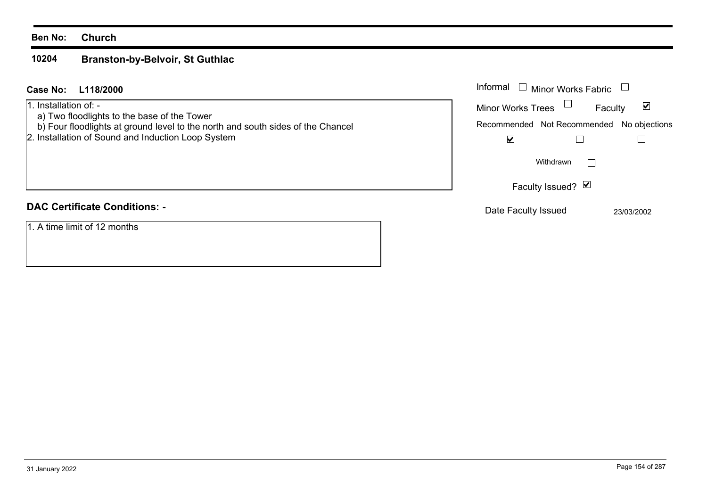#### **Ben No: Church**

#### **10204Branston-by-Belvoir, St Guthlac**

#### **L118/2000Case No:** Informal

1. Installation of: -

- a) Two floodlights to the base of the Tower
- b) Four floodlights at ground level to the north and south sides of the Chancel
- 2. Installation of Sound and Induction Loop System

# **DAC Certificate Conditions: -**

1. A time limit of 12 months

| Informal<br>$\Box$ Minor Works Fabric     |            |
|-------------------------------------------|------------|
| <b>Minor Works Trees</b>                  | Faculty    |
| Recommended Not Recommended No objections |            |
|                                           |            |
| Withdrawn                                 |            |
| Faculty Issued? Ø                         |            |
| Date Faculty Issued                       | 23/03/2002 |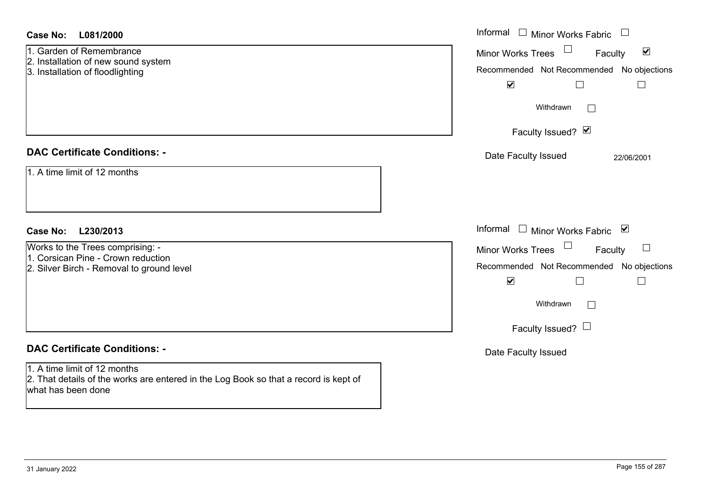| <b>Case No:</b><br>L081/2000                                                                                                               | Informal □ Minor Works Fabric                                                                                                                 |
|--------------------------------------------------------------------------------------------------------------------------------------------|-----------------------------------------------------------------------------------------------------------------------------------------------|
| 1. Garden of Remembrance<br>2. Installation of new sound system<br>3. Installation of floodlighting                                        | $\blacktriangledown$<br>Minor Works Trees<br>Faculty<br>Recommended Not Recommended No objections<br>$\blacktriangledown$<br>$\Box$<br>$\Box$ |
|                                                                                                                                            | Withdrawn<br>$\mathbb{R}^n$                                                                                                                   |
|                                                                                                                                            | Faculty Issued? Ø                                                                                                                             |
| <b>DAC Certificate Conditions: -</b>                                                                                                       | Date Faculty Issued<br>22/06/2001                                                                                                             |
| 1. A time limit of 12 months                                                                                                               |                                                                                                                                               |
| <b>Case No:</b><br>L230/2013                                                                                                               | Informal<br>$\Box$ Minor Works Fabric $\Box$                                                                                                  |
| Works to the Trees comprising: -<br>1. Corsican Pine - Crown reduction                                                                     | Minor Works Trees<br>Faculty                                                                                                                  |
| 2. Silver Birch - Removal to ground level                                                                                                  | Recommended Not Recommended No objections                                                                                                     |
|                                                                                                                                            | $\blacktriangledown$<br>$\Box$<br>$\Box$                                                                                                      |
|                                                                                                                                            | Withdrawn<br>$\Box$                                                                                                                           |
|                                                                                                                                            | Faculty Issued? $\Box$                                                                                                                        |
| <b>DAC Certificate Conditions: -</b>                                                                                                       | Date Faculty Issued                                                                                                                           |
| 1. A time limit of 12 months<br>2. That details of the works are entered in the Log Book so that a record is kept of<br>what has been done |                                                                                                                                               |
|                                                                                                                                            |                                                                                                                                               |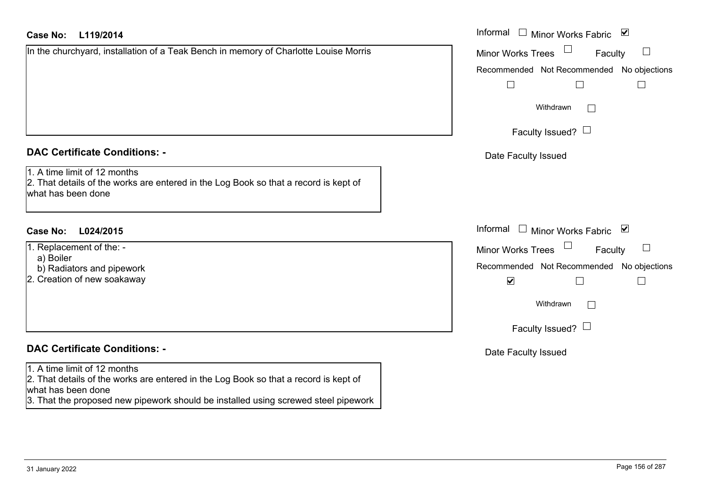## **L119/2014Case No:** Informal

| In the churchyard, installation of a Teak Bench in memory of Charlotte Louise Morris |
|--------------------------------------------------------------------------------------|
|                                                                                      |
|                                                                                      |
|                                                                                      |
|                                                                                      |
|                                                                                      |
|                                                                                      |
|                                                                                      |

# **DAC Certificate Conditions: -**

1. A time limit of 12 months

2. That details of the works are entered in the Log Book so that a record is kept of what has been done

# **L024/2015Case No:** Informal

- 1. Replacement of the:
	- a) Boiler
- b) Radiators and pipework
- 2. Creation of new soakaway

# **DAC Certificate Conditions: -**

#### 1. A time limit of 12 months

2. That details of the works are entered in the Log Book so that a record is kept of what has been done

3. That the proposed new pipework should be installed using screwed steel pipework

| Informal<br>⊻<br><b>Minor Works Fabric</b>                    |
|---------------------------------------------------------------|
| Minor Works Trees<br>Faculty                                  |
| Recommended Not Recommended No objections                     |
| Withdrawn                                                     |
| Faculty Issued?                                               |
| Date Faculty Issued                                           |
|                                                               |
|                                                               |
| Informal<br>$\blacktriangledown$<br><b>Minor Works Fabric</b> |
| <b>Minor Works Trees</b><br>Faculty                           |
| Recommended Not Recommended No objections<br>⊻                |
| Withdrawn                                                     |
| Faculty Issued?                                               |
| Date Faculty Issued                                           |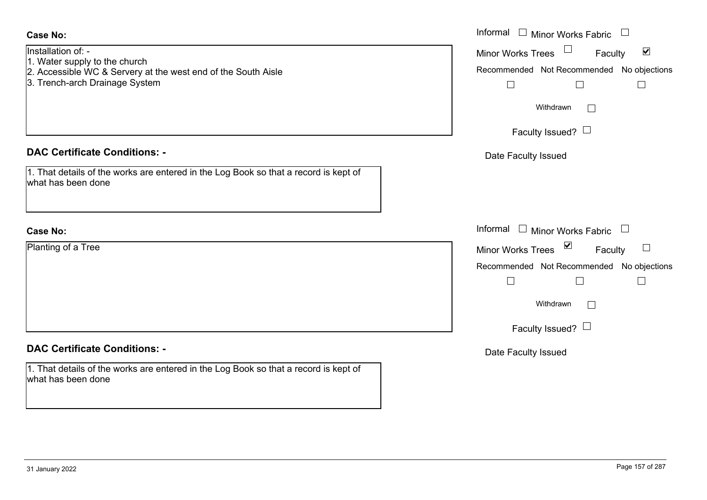| <b>Case No:</b>                                                                                                                                        | Informal $\Box$ Minor Works Fabric $\Box$                                                                   |
|--------------------------------------------------------------------------------------------------------------------------------------------------------|-------------------------------------------------------------------------------------------------------------|
| Installation of: -<br>1. Water supply to the church<br>2. Accessible WC & Servery at the west end of the South Aisle<br>3. Trench-arch Drainage System | $\blacktriangledown$<br>Minor Works Trees<br>Faculty<br>Recommended Not Recommended No objections<br>$\Box$ |
|                                                                                                                                                        | Withdrawn<br>$\mathbb{R}^n$<br>Faculty Issued? $\Box$                                                       |
| <b>DAC Certificate Conditions: -</b>                                                                                                                   | Date Faculty Issued                                                                                         |
| 1. That details of the works are entered in the Log Book so that a record is kept of<br>what has been done                                             |                                                                                                             |
| <b>Case No:</b>                                                                                                                                        | Informal $\Box$ Minor Works Fabric $\Box$                                                                   |
| Planting of a Tree                                                                                                                                     | Minor Works Trees ⊠<br>$\Box$<br>Faculty                                                                    |
|                                                                                                                                                        | Recommended Not Recommended No objections                                                                   |
|                                                                                                                                                        | $\Box$                                                                                                      |
|                                                                                                                                                        | Withdrawn<br>$\sqrt{2}$                                                                                     |
|                                                                                                                                                        | Faculty Issued? $\Box$                                                                                      |
| <b>DAC Certificate Conditions: -</b>                                                                                                                   | Date Faculty Issued                                                                                         |
| 1. That details of the works are entered in the Log Book so that a record is kept of<br>what has been done                                             |                                                                                                             |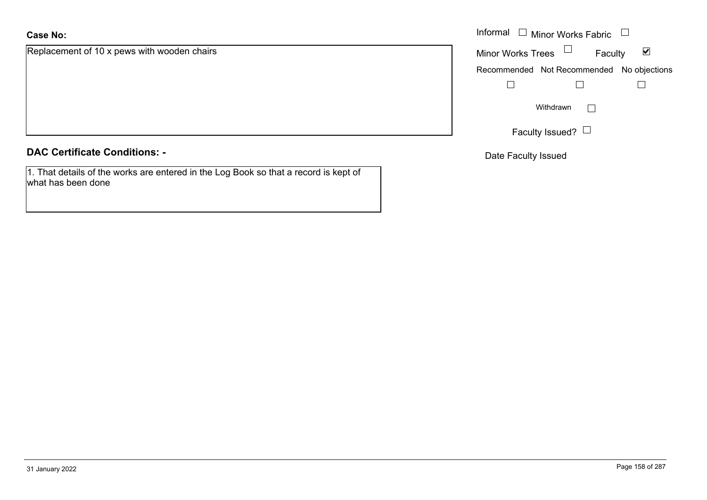Replacement of 10 x pews with wooden chairs

**DAC Certificate Conditions: -**

1. That details of the works are entered in the Log Book so that a record is kept of what has been done

|                                      | Informal $\Box$ Minor Works Fabric $\Box$      |
|--------------------------------------|------------------------------------------------|
| nent of 10 x pews with wooden chairs | Minor Works Trees $\quad \Box$<br>Faculty<br>⊻ |
|                                      | Recommended Not Recommended No objections      |
|                                      |                                                |
|                                      | Withdrawn<br>$\mathbf{1}$                      |
|                                      | Faculty Issued? L                              |

Date Faculty Issued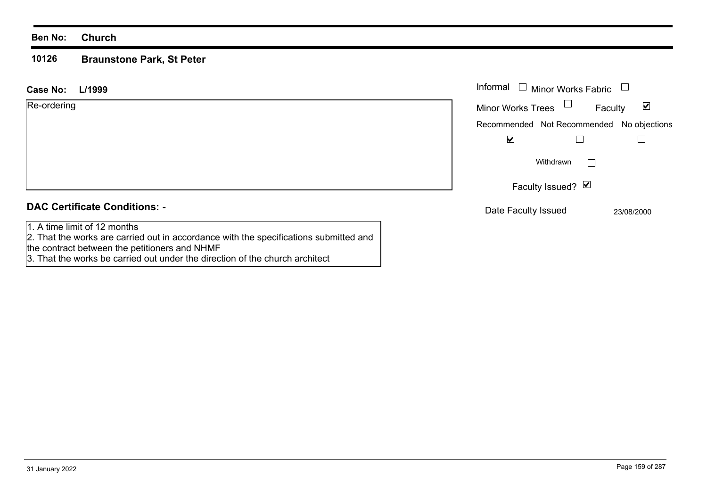#### **Ben No: Church**

#### **10126Braunstone Park, St Peter**

| L/1999<br>Case No:                                                                                                    | Informal $\Box$<br><b>Minor Works Fabric</b>                |
|-----------------------------------------------------------------------------------------------------------------------|-------------------------------------------------------------|
| Re-ordering                                                                                                           | Minor Works Trees $\Box$<br>$\blacktriangledown$<br>Faculty |
|                                                                                                                       | Recommended Not Recommended No objections                   |
|                                                                                                                       | $\blacktriangledown$                                        |
|                                                                                                                       | Withdrawn<br>$\vert \hspace{.06cm} \vert$                   |
|                                                                                                                       | Faculty Issued? Ø                                           |
| <b>DAC Certificate Conditions: -</b>                                                                                  | Date Faculty Issued<br>23/08/2000                           |
| 1. A time limit of 12 months<br>2. That the works are carried out in accordance with the specifications submitted and |                                                             |

the contract between the petitioners and NHMF

3. That the works be carried out under the direction of the church architect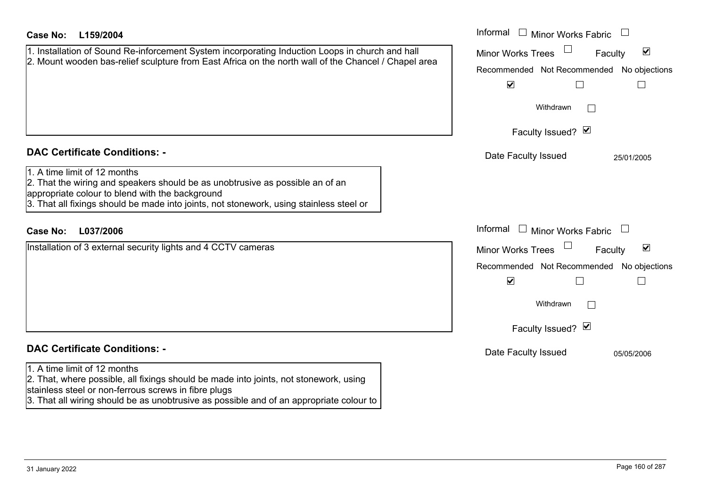| <b>Case No:</b><br>L159/2004                                                                                                                                                                                                                                                                        | Informal<br>$\Box$ Minor Works Fabric                                                                                                                                 |
|-----------------------------------------------------------------------------------------------------------------------------------------------------------------------------------------------------------------------------------------------------------------------------------------------------|-----------------------------------------------------------------------------------------------------------------------------------------------------------------------|
| 1. Installation of Sound Re-inforcement System incorporating Induction Loops in church and hall<br>2. Mount wooden bas-relief sculpture from East Africa on the north wall of the Chancel / Chapel area                                                                                             | $\blacktriangledown$<br><b>Minor Works Trees</b><br>Faculty<br>Recommended Not Recommended<br>No objections                                                           |
|                                                                                                                                                                                                                                                                                                     | $\blacktriangledown$<br>Withdrawn<br>Faculty Issued? M                                                                                                                |
| <b>DAC Certificate Conditions: -</b><br>1. A time limit of 12 months<br>2. That the wiring and speakers should be as unobtrusive as possible an of an<br>appropriate colour to blend with the background<br>3. That all fixings should be made into joints, not stonework, using stainless steel or | Date Faculty Issued<br>25/01/2005                                                                                                                                     |
| L037/2006<br><b>Case No:</b>                                                                                                                                                                                                                                                                        | Informal<br>$\Box$ Minor Works Fabric                                                                                                                                 |
| Installation of 3 external security lights and 4 CCTV cameras                                                                                                                                                                                                                                       | $\blacktriangledown$<br><b>Minor Works Trees</b><br>Faculty<br>Recommended Not Recommended<br>No objections<br>$\blacktriangledown$<br>Withdrawn<br>Faculty Issued? Ø |
| <b>DAC Certificate Conditions: -</b>                                                                                                                                                                                                                                                                | Date Faculty Issued<br>05/05/2006                                                                                                                                     |
| 1. A time limit of 12 months<br>2. That, where possible, all fixings should be made into joints, not stonework, using<br>stainless steel or non-ferrous screws in fibre plugs<br>3. That all wiring should be as unobtrusive as possible and of an appropriate colour to                            |                                                                                                                                                                       |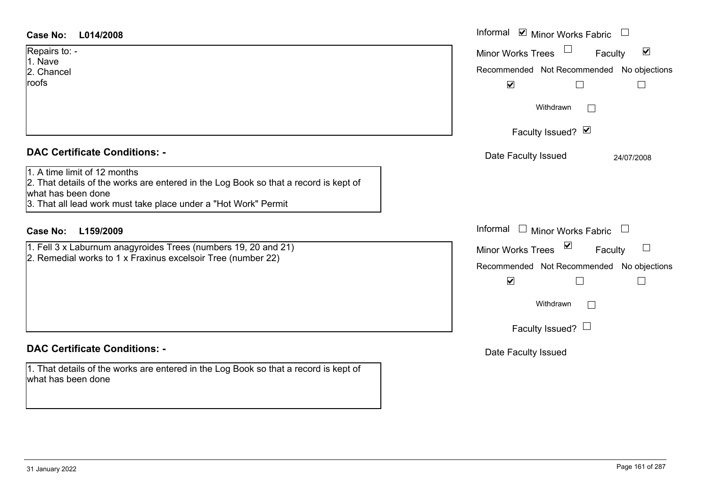| <b>Case No:</b><br>L014/2008                                                                                                                                                                                  | Informal ⊠ Minor Works Fabric                                  |
|---------------------------------------------------------------------------------------------------------------------------------------------------------------------------------------------------------------|----------------------------------------------------------------|
| Repairs to: -<br>1. Nave                                                                                                                                                                                      | $\blacktriangledown$<br>Minor Works Trees<br>Faculty           |
| 2. Chancel                                                                                                                                                                                                    | Recommended Not Recommended No objections                      |
| roofs                                                                                                                                                                                                         | $\blacktriangledown$                                           |
|                                                                                                                                                                                                               | Withdrawn<br>$\mathbf{L}$                                      |
|                                                                                                                                                                                                               | Faculty Issued? Ø                                              |
| <b>DAC Certificate Conditions: -</b>                                                                                                                                                                          | Date Faculty Issued<br>24/07/2008                              |
| 1. A time limit of 12 months<br>2. That details of the works are entered in the Log Book so that a record is kept of<br>what has been done<br>3. That all lead work must take place under a "Hot Work" Permit |                                                                |
| <b>Case No:</b><br>L159/2009                                                                                                                                                                                  | Informal $\Box$ Minor Works Fabric<br>$\overline{\phantom{a}}$ |
| 1. Fell 3 x Laburnum anagyroides Trees (numbers 19, 20 and 21)                                                                                                                                                | Minor Works Trees <sup>1</sup><br>Faculty                      |
| 2. Remedial works to 1 x Fraxinus excelsoir Tree (number 22)                                                                                                                                                  | Recommended Not Recommended No objections                      |
|                                                                                                                                                                                                               | $\blacktriangledown$                                           |
|                                                                                                                                                                                                               | Withdrawn<br>$\mathbb{R}$                                      |
|                                                                                                                                                                                                               | Faculty Issued? $\Box$                                         |
| <b>DAC Certificate Conditions: -</b>                                                                                                                                                                          | Date Faculty Issued                                            |

# **DAC Certificate Conditions: -**

1. That details of the works are entered in the Log Book so that a record is kept of what has been done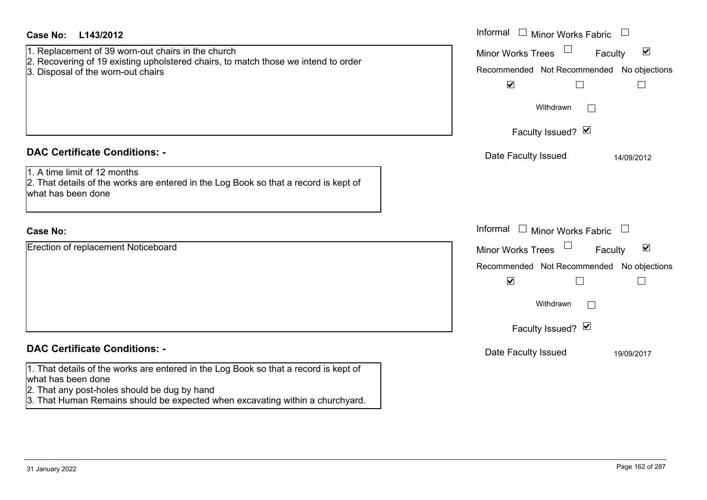| <b>Case No:</b><br>L143/2012                                                                                                                                                                                                                | Informal<br>$\Box$ Minor Works Fabric $\;\cup\;$                                                                                                                                                 |
|---------------------------------------------------------------------------------------------------------------------------------------------------------------------------------------------------------------------------------------------|--------------------------------------------------------------------------------------------------------------------------------------------------------------------------------------------------|
| 1. Replacement of 39 worn-out chairs in the church<br>2. Recovering of 19 existing upholstered chairs, to match those we intend to order<br>3. Disposal of the worn-out chairs                                                              | $\blacktriangledown$<br><b>Minor Works Trees</b><br>Faculty<br>Recommended Not Recommended No objections<br>$\blacktriangledown$<br>$\sqcup$                                                     |
|                                                                                                                                                                                                                                             | Withdrawn<br>Faculty Issued? Ø                                                                                                                                                                   |
| <b>DAC Certificate Conditions: -</b><br>1. A time limit of 12 months<br>2. That details of the works are entered in the Log Book so that a record is kept of<br>what has been done                                                          | Date Faculty Issued<br>14/09/2012                                                                                                                                                                |
| <b>Case No:</b>                                                                                                                                                                                                                             | Informal<br>$\Box$ Minor Works Fabric $\Box$                                                                                                                                                     |
| Erection of replacement Noticeboard                                                                                                                                                                                                         | Minor Works Trees<br>$\blacktriangledown$<br>Faculty<br>Recommended Not Recommended No objections<br>$\blacktriangledown$<br>$\vert \ \ \vert$<br>Withdrawn<br>$\mathbf{L}$<br>Faculty Issued? Ø |
| <b>DAC Certificate Conditions: -</b>                                                                                                                                                                                                        | Date Faculty Issued<br>19/09/2017                                                                                                                                                                |
| 1. That details of the works are entered in the Log Book so that a record is kept of<br>what has been done<br>2. That any post-holes should be dug by hand<br>3. That Human Remains should be expected when excavating within a churchyard. |                                                                                                                                                                                                  |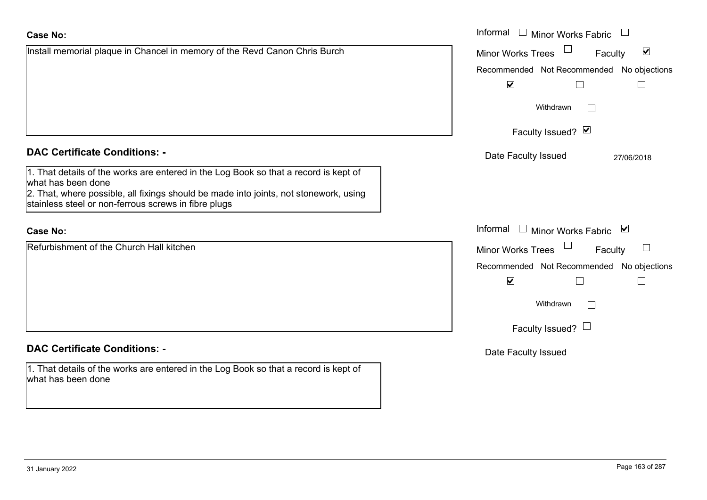#### **Case No:**Informal

| Install memorial plaque in Chancel in memory of the Revd Canon Chris Burch                                                                    | $\blacktriangledown$<br><b>Minor Works Trees</b><br>Faculty |
|-----------------------------------------------------------------------------------------------------------------------------------------------|-------------------------------------------------------------|
|                                                                                                                                               | Recommended Not Recommended No objections                   |
|                                                                                                                                               | $\blacktriangledown$                                        |
|                                                                                                                                               | Withdrawn                                                   |
|                                                                                                                                               | Faculty Issued? Ø                                           |
| <b>DAC Certificate Conditions: -</b>                                                                                                          | Date Faculty Issued<br>27/06/2018                           |
| 1. That details of the works are entered in the Log Book so that a record is kept of<br>what has been done                                    |                                                             |
| 2. That, where possible, all fixings should be made into joints, not stonework, using<br>stainless steel or non-ferrous screws in fibre plugs |                                                             |
| <b>Case No:</b>                                                                                                                               | Informal<br>□ Minor Works Fabric $\vert \mathbf{v} \vert$   |
| Refurbishment of the Church Hall kitchen                                                                                                      | <b>Minor Works Trees</b><br>Faculty                         |
|                                                                                                                                               | Recommended Not Recommended No objections                   |
|                                                                                                                                               | $\blacktriangledown$                                        |
|                                                                                                                                               | Withdrawn<br>$\Box$                                         |
|                                                                                                                                               | Faculty Issued? $\Box$                                      |
| <b>DAC Certificate Conditions: -</b>                                                                                                          | Date Faculty Issued                                         |
| 1. That details of the works are entered in the Log Book so that a record is kept of<br>what has been done                                    |                                                             |

Minor Works Fabric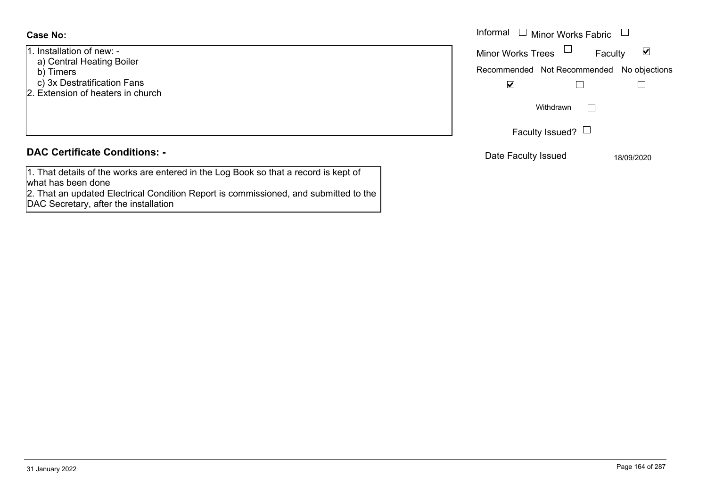- 1. Installation of new: -
- a) Central Heating Boiler
- b) Timers
- c) 3x Destratification Fans
- 2. Extension of heaters in church

# **DAC Certificate Conditions: -**

1. That details of the works are entered in the Log Book so that a record is kept of what has been done

2. That an updated Electrical Condition Report is commissioned, and submitted to the DAC Secretary, after the installation

|                                                                        | Informal $\Box$ Minor Works Fabric $\Box$                                                                                        |
|------------------------------------------------------------------------|----------------------------------------------------------------------------------------------------------------------------------|
| ation of new: -<br>tral Heating Boiler<br>ers<br>)estratification Fans | Minor Works Trees $\Box$<br>$\blacktriangledown$<br>Faculty<br>Recommended Not Recommended No objections<br>$\blacktriangledown$ |
| sion of heaters in church                                              | Withdrawn                                                                                                                        |
|                                                                        | Faculty Issued? $\Box$                                                                                                           |
| rtificate Conditions: -                                                | Date Faculty Issued<br>18/09/2020                                                                                                |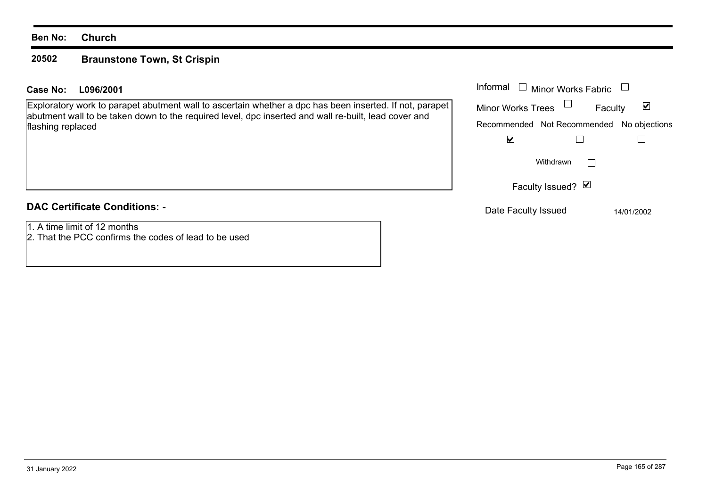#### **Ben No: Church**

#### **20502Braunstone Town, St Crispin**

#### **L096/2001Case No:** Informal

Exploratory work to parapet abutment wall to ascertain whether a dpc has been inserted. If not, parapet abutment wall to be taken down to the required level, dpc inserted and wall re-built, lead cover and flashing replaced

# **DAC Certificate Conditions: -**

1. A time limit of 12 months

2. That the PCC confirms the codes of lead to be used

| Informal                 | □ Minor Works Fabric                      |   |
|--------------------------|-------------------------------------------|---|
| <b>Minor Works Trees</b> | Faculty                                   | M |
|                          | Recommended Not Recommended No objections |   |
|                          |                                           |   |
|                          | Withdrawn                                 |   |
|                          | Faculty Issued? Ø                         |   |
|                          |                                           |   |

Date Faculty Issued 14/01/2002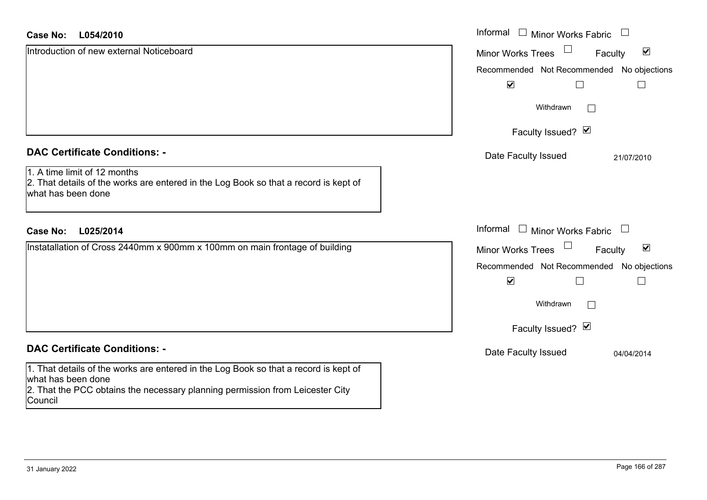| <b>Case No:</b><br>L054/2010                                                                                                                                                                           | Informal □ Minor Works Fabric                               |
|--------------------------------------------------------------------------------------------------------------------------------------------------------------------------------------------------------|-------------------------------------------------------------|
| Introduction of new external Noticeboard                                                                                                                                                               | $\blacktriangledown$<br><b>Minor Works Trees</b><br>Faculty |
|                                                                                                                                                                                                        | Recommended Not Recommended No objections                   |
|                                                                                                                                                                                                        | $\blacktriangledown$<br>$\Box$                              |
|                                                                                                                                                                                                        | Withdrawn                                                   |
|                                                                                                                                                                                                        | Faculty Issued? Ø                                           |
| <b>DAC Certificate Conditions: -</b>                                                                                                                                                                   | Date Faculty Issued<br>21/07/2010                           |
| 1. A time limit of 12 months<br>2. That details of the works are entered in the Log Book so that a record is kept of<br>what has been done                                                             |                                                             |
| <b>Case No:</b><br>L025/2014                                                                                                                                                                           | Informal $\Box$ Minor Works Fabric $\Box$                   |
| Instatallation of Cross 2440mm x 900mm x 100mm on main frontage of building                                                                                                                            | $\blacktriangledown$<br><b>Minor Works Trees</b><br>Faculty |
|                                                                                                                                                                                                        | Recommended Not Recommended No objections                   |
|                                                                                                                                                                                                        | $\blacktriangledown$<br>$\Box$                              |
|                                                                                                                                                                                                        | Withdrawn                                                   |
|                                                                                                                                                                                                        | Faculty Issued? Ø                                           |
| <b>DAC Certificate Conditions: -</b>                                                                                                                                                                   | Date Faculty Issued<br>04/04/2014                           |
| 1. That details of the works are entered in the Log Book so that a record is kept of<br>what has been done<br>2. That the PCC obtains the necessary planning permission from Leicester City<br>Council |                                                             |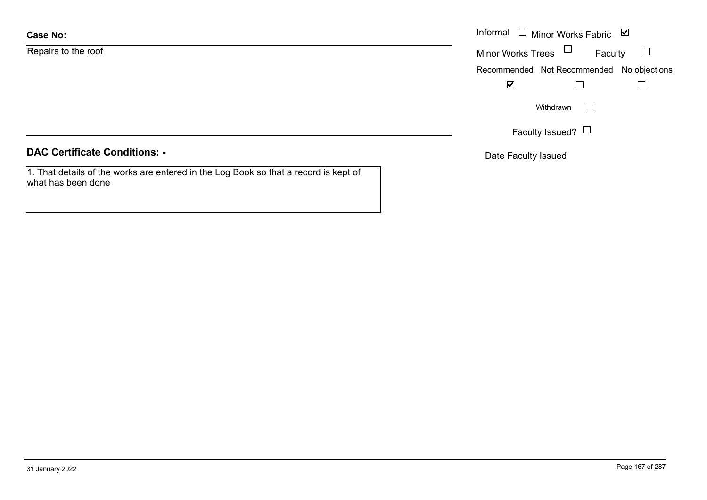| <b>Case No:</b>     | Informal |
|---------------------|----------|
| Repairs to the roof | Minor W  |
|                     | Recomm   |
|                     |          |
|                     |          |
|                     |          |
|                     |          |

## **DAC Certificate Conditions: -**

1. That details of the works are entered in the Log Book so that a record is kept of what has been done

| Informal                 | $\Box$ Minor Works Fabric                 | ⊻       |
|--------------------------|-------------------------------------------|---------|
| <b>Minor Works Trees</b> |                                           | Faculty |
|                          | Recommended Not Recommended No objections |         |
|                          |                                           |         |
|                          | Withdrawn                                 |         |
|                          | Faculty Issued?                           |         |

Date Faculty Issued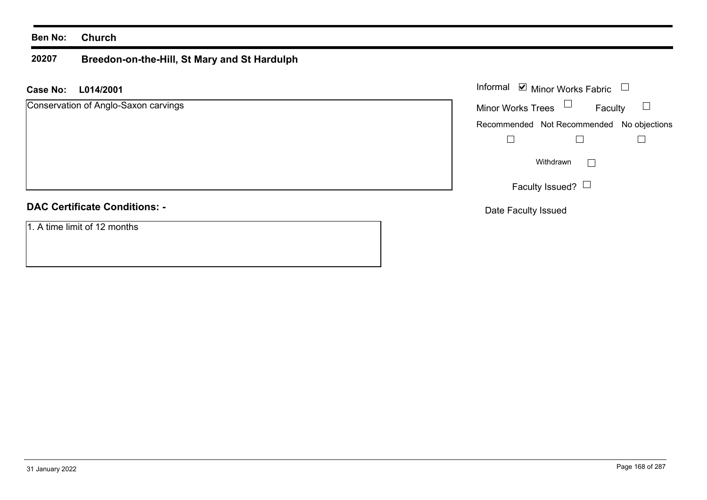#### **Ben No: Church**

#### **20207 Breedon-on-the-Hill, St Mary and St Hardulph**

**L014/2001 Case No:** Informal

| Conservation of Anglo-Saxon carvings | <b>Minor Works Trees</b><br>Faculty       |
|--------------------------------------|-------------------------------------------|
|                                      | Recommended Not Recommended No objections |
|                                      |                                           |
|                                      | Withdrawn<br>$\mathbb{Z}^{\mathbb{Z}}$    |
|                                      | Faculty Issued? $\Box$                    |
| <b>DAC Certificate Conditions: -</b> | Date Faculty Issued                       |
| 1. A time limit of 12 months         |                                           |

Minor Works Fabric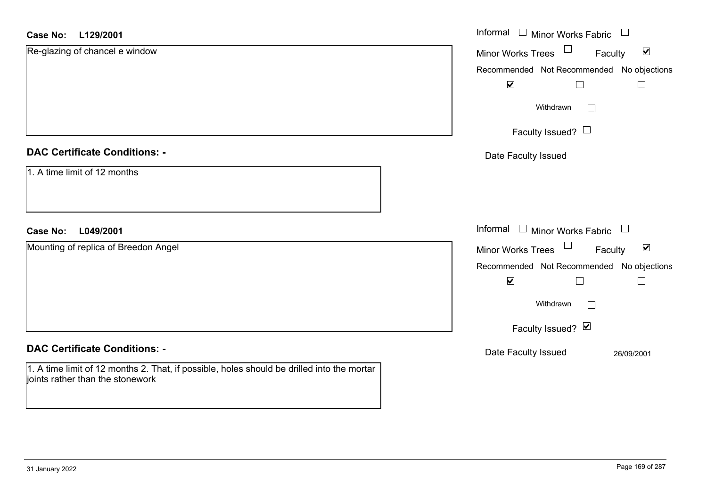#### **L129/2001Case No:**

| <b>Case No:</b><br>L129/2001                                                                                                   | Informal $\Box$ Minor Works Fabric $\Box$            |
|--------------------------------------------------------------------------------------------------------------------------------|------------------------------------------------------|
| Re-glazing of chancel e window                                                                                                 | Minor Works Trees<br>$\blacktriangledown$<br>Faculty |
|                                                                                                                                | Recommended Not Recommended No objections            |
|                                                                                                                                | $\blacktriangledown$<br>$\Box$                       |
|                                                                                                                                | Withdrawn<br>$\Box$                                  |
|                                                                                                                                | Faculty Issued? $\Box$                               |
| <b>DAC Certificate Conditions: -</b>                                                                                           | Date Faculty Issued                                  |
| 1. A time limit of 12 months                                                                                                   |                                                      |
|                                                                                                                                |                                                      |
| L049/2001<br><b>Case No:</b>                                                                                                   | Informal $\Box$ Minor Works Fabric $\Box$            |
| Mounting of replica of Breedon Angel                                                                                           | Minor Works Trees<br>$\blacktriangledown$<br>Faculty |
|                                                                                                                                | Recommended Not Recommended No objections            |
|                                                                                                                                | $\blacktriangledown$<br>$\Box$<br>$\Box$             |
|                                                                                                                                | Withdrawn<br>$\vert \ \ \vert$                       |
|                                                                                                                                | Faculty Issued? Ø                                    |
| <b>DAC Certificate Conditions: -</b>                                                                                           | Date Faculty Issued<br>26/09/2001                    |
| 1. A time limit of 12 months 2. That, if possible, holes should be drilled into the mortar<br>joints rather than the stonework |                                                      |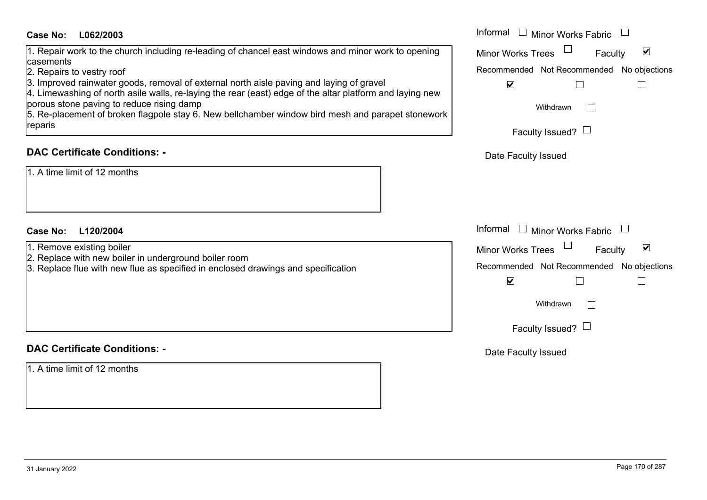#### 1. Repair work to the church including re-leading of chancel east windows and minor work to ope casements

# **DAC Certificate Conditions: -**

## **L120/2004Case No:** Informal

- 2. Replace with new boiler in underground boiler room
- 3. Replace flue with new flue as specified in enclosed drawings and specification

# **DAC Certificate Conditions: -**

1. A time limit of 12 months

| <b>Case No:</b><br>L062/2003                                                                                                                                                                         | Informal $\Box$ Minor Works Fabric $\Box$                   |
|------------------------------------------------------------------------------------------------------------------------------------------------------------------------------------------------------|-------------------------------------------------------------|
| 1. Repair work to the church including re-leading of chancel east windows and minor work to opening<br>casements                                                                                     | $\blacktriangledown$<br><b>Minor Works Trees</b><br>Faculty |
| 2. Repairs to vestry roof                                                                                                                                                                            | Recommended Not Recommended No objections                   |
| 3. Improved rainwater goods, removal of external north aisle paving and laying of gravel<br>4. Limewashing of north asile walls, re-laying the rear (east) edge of the altar platform and laying new | $\blacktriangledown$                                        |
| porous stone paving to reduce rising damp<br>5. Re-placement of broken flagpole stay 6. New bellchamber window bird mesh and parapet stonework                                                       | Withdrawn                                                   |
| reparis                                                                                                                                                                                              | Faculty Issued? $\Box$                                      |
| <b>DAC Certificate Conditions: -</b>                                                                                                                                                                 | Date Faculty Issued                                         |
| 1. A time limit of 12 months                                                                                                                                                                         |                                                             |
| L120/2004<br>Case No:                                                                                                                                                                                | Informal $\Box$<br>Minor Works Fabric                       |
| 1. Remove existing boiler                                                                                                                                                                            | $\blacktriangledown$<br><b>Minor Works Trees</b><br>Faculty |
| 2. Replace with new boiler in underground boiler room<br>3. Replace flue with new flue as specified in enclosed drawings and specification                                                           | Recommended Not Recommended No objections                   |
|                                                                                                                                                                                                      | $\blacktriangledown$                                        |
|                                                                                                                                                                                                      | Withdrawn                                                   |
|                                                                                                                                                                                                      | Faculty Issued? $\Box$                                      |
| <b>DAC Certificate Conditions: -</b>                                                                                                                                                                 | Date Faculty Issued                                         |
|                                                                                                                                                                                                      |                                                             |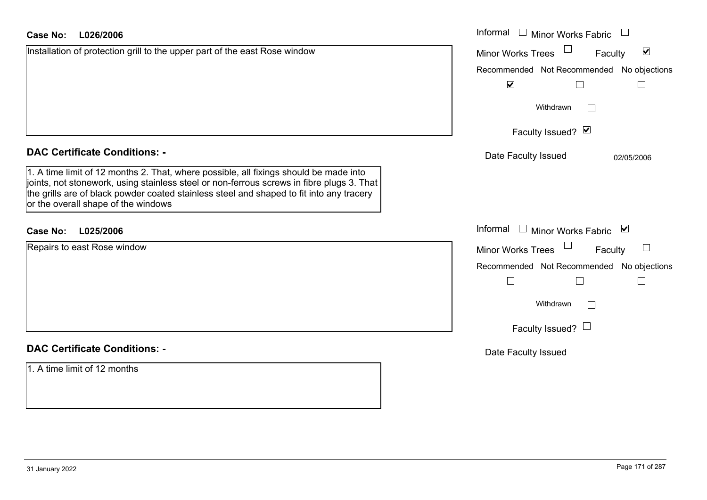| L026/2006<br><b>Case No:</b>                                                                                                                                                                                                                                                                                          | Informal □ Minor Works Fabric                        |
|-----------------------------------------------------------------------------------------------------------------------------------------------------------------------------------------------------------------------------------------------------------------------------------------------------------------------|------------------------------------------------------|
| Installation of protection grill to the upper part of the east Rose window                                                                                                                                                                                                                                            | $\blacktriangledown$<br>Minor Works Trees<br>Faculty |
|                                                                                                                                                                                                                                                                                                                       | Recommended Not Recommended No objections            |
|                                                                                                                                                                                                                                                                                                                       | $\blacktriangledown$                                 |
|                                                                                                                                                                                                                                                                                                                       | Withdrawn<br>$\mathcal{L}^{\mathcal{A}}$             |
|                                                                                                                                                                                                                                                                                                                       | Faculty Issued? $\vee$                               |
| <b>DAC Certificate Conditions: -</b>                                                                                                                                                                                                                                                                                  | Date Faculty Issued<br>02/05/2006                    |
| 1. A time limit of 12 months 2. That, where possible, all fixings should be made into<br>joints, not stonework, using stainless steel or non-ferrous screws in fibre plugs 3. That<br>the grills are of black powder coated stainless steel and shaped to fit into any tracery<br>or the overall shape of the windows |                                                      |
| L025/2006<br><b>Case No:</b>                                                                                                                                                                                                                                                                                          | Informal $\Box$ Minor Works Fabric $\Box$            |
| Repairs to east Rose window                                                                                                                                                                                                                                                                                           | Minor Works Trees<br>Faculty<br>$\mathcal{L}$        |
|                                                                                                                                                                                                                                                                                                                       | Recommended Not Recommended No objections            |
|                                                                                                                                                                                                                                                                                                                       | $\Box$                                               |
|                                                                                                                                                                                                                                                                                                                       | Withdrawn<br>$\Box$                                  |
|                                                                                                                                                                                                                                                                                                                       | Faculty Issued? $\Box$                               |
| <b>DAC Certificate Conditions: -</b>                                                                                                                                                                                                                                                                                  | Date Faculty Issued                                  |
| 1. A time limit of 12 months                                                                                                                                                                                                                                                                                          |                                                      |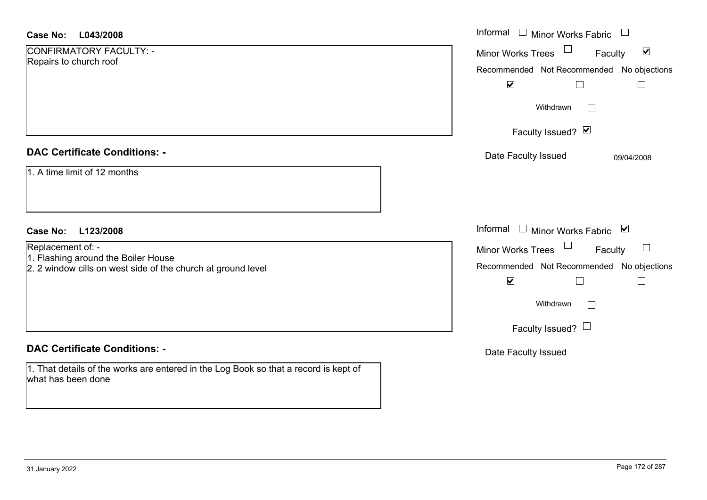| <b>Case No:</b><br>L043/2008                                                                               | Informal □ Minor Works Fabric                        |
|------------------------------------------------------------------------------------------------------------|------------------------------------------------------|
| CONFIRMATORY FACULTY: -<br>Repairs to church roof                                                          | $\blacktriangledown$<br>Minor Works Trees<br>Faculty |
|                                                                                                            | Recommended Not Recommended No objections            |
|                                                                                                            | $\blacktriangledown$                                 |
|                                                                                                            | Withdrawn                                            |
|                                                                                                            | Faculty Issued? Ø                                    |
| <b>DAC Certificate Conditions: -</b>                                                                       | Date Faculty Issued<br>09/04/2008                    |
| 1. A time limit of 12 months                                                                               |                                                      |
| <b>Case No:</b><br>L123/2008                                                                               | Informal<br>$\Box$ Minor Works Fabric $\boxtimes$    |
| Replacement of: -<br>1. Flashing around the Boiler House                                                   | $\Box$<br>Minor Works Trees<br>$\Box$<br>Faculty     |
| 2. 2 window cills on west side of the church at ground level                                               | Recommended Not Recommended No objections            |
|                                                                                                            | $\blacktriangledown$                                 |
|                                                                                                            | Withdrawn<br>$\vert \ \ \vert$                       |
|                                                                                                            | Faculty Issued? $\Box$                               |
| <b>DAC Certificate Conditions: -</b>                                                                       | Date Faculty Issued                                  |
| 1. That details of the works are entered in the Log Book so that a record is kept of<br>what has been done |                                                      |

 $\sim$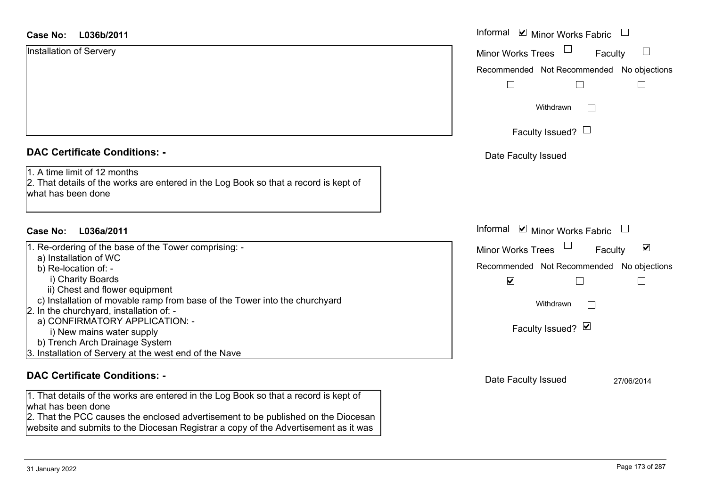| Installation of Servery              |  |
|--------------------------------------|--|
|                                      |  |
|                                      |  |
| <b>DAC Certificate Conditions: -</b> |  |

| 1. Re-ordering of the base of the Tower comprising: -                      |
|----------------------------------------------------------------------------|
| a) Installation of WC                                                      |
| b) Re-location of: -                                                       |
| i) Charity Boards                                                          |
| ii) Chest and flower equipment                                             |
| c) Installation of movable ramp from base of the Tower into the churchyard |
| 2. In the churchyard, installation of: -                                   |
| a) CONFIRMATORY APPLICATION: -                                             |
| i) New mains water supply                                                  |
| b) Trench Arch Drainage System                                             |
| 3. Installation of Servery at the west end of the Nave                     |
|                                                                            |
|                                                                            |

#### **DAC Certificate Conditions: -**

1. That details of the works are entered in the Log Book so that a record is kept of what has been done2. That the PCC causes the enclosed advertisement to be published on the Diocesan

website and submits to the Diocesan Registrar a copy of the Advertisement as it was

| <b>Case No:</b><br>L036b/2011                                                                                                              | Informal <b>☑</b> Minor Works Fabric                        |
|--------------------------------------------------------------------------------------------------------------------------------------------|-------------------------------------------------------------|
| <b>Installation of Servery</b>                                                                                                             | $\sqcup$<br><b>Minor Works Trees</b><br>Faculty             |
|                                                                                                                                            | Recommended Not Recommended No objections                   |
|                                                                                                                                            | $\perp$                                                     |
|                                                                                                                                            | Withdrawn<br>$\mathbb{R}^n$                                 |
|                                                                                                                                            | Faculty Issued? $\Box$                                      |
| <b>DAC Certificate Conditions: -</b>                                                                                                       | Date Faculty Issued                                         |
| 1. A time limit of 12 months<br>2. That details of the works are entered in the Log Book so that a record is kept of<br>what has been done |                                                             |
| <b>Case No:</b><br>L036a/2011                                                                                                              | Informal <b>v</b> Minor Works Fabric                        |
| 1. Re-ordering of the base of the Tower comprising: -                                                                                      | $\blacktriangledown$<br><b>Minor Works Trees</b><br>Faculty |
| a) Installation of WC<br>b) Re-location of: -                                                                                              | Recommended Not Recommended No objections                   |
| i) Charity Boards                                                                                                                          | $\blacktriangledown$<br>$\Box$                              |
| ii) Chest and flower equipment                                                                                                             |                                                             |
| c) Installation of movable ramp from base of the Tower into the churchyard                                                                 | Withdrawn<br>$\mathbf{L}$                                   |
| 2. In the churchyard, installation of: -<br>a) CONFIRMATORY APPLICATION: -                                                                 |                                                             |
| i) New mains water supply                                                                                                                  | Faculty Issued? Ø                                           |
| b) Trench Arch Drainage System                                                                                                             |                                                             |
| 3. Installation of Servery at the west end of the Nave                                                                                     |                                                             |
| <b>DAC Certificate Conditions: -</b>                                                                                                       | Date Faculty Issued<br>27/06/2014                           |
| 1. That details of the works are entered in the Log Book so that a record is kept of<br>what has been done                                 |                                                             |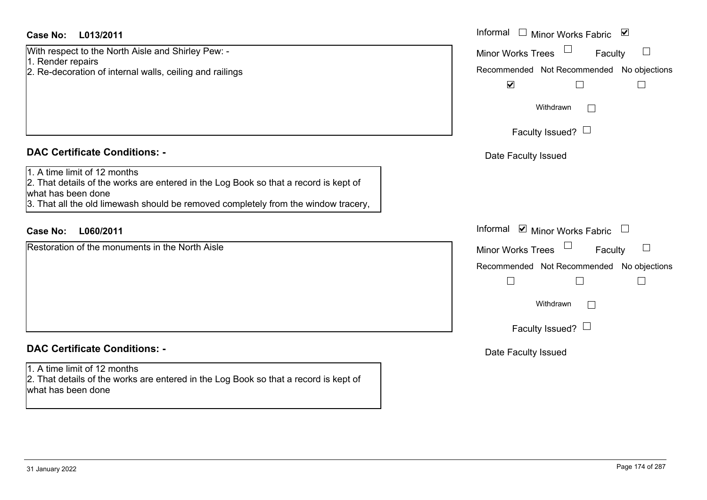## **L013/2011Case No:** Informal

With respect to the North Aisle and Shirley Pew: -

1. Render repairs

2. Re-decoration of internal walls, ceiling and railings

# **DAC Certificate Conditions: -**

1. A time limit of 12 months

2. That details of the works are entered in the Log Book so that a record is kept of what has been done

3. That all the old limewash should be removed completely from the window tracery,

# **L060/2011Case No:** Informal

Restoration of the monuments in the North Aisle

# **DAC Certificate Conditions: -**

1. A time limit of 12 months

2. That details of the works are entered in the Log Book so that a record is kept of what has been done

| Informal<br>$\blacktriangledown$<br><b>Minor Works Fabric</b>                    |  |
|----------------------------------------------------------------------------------|--|
| <b>Minor Works Trees</b><br>Faculty<br>Recommended Not Recommended No objections |  |
| $\blacktriangledown$<br>Withdrawn                                                |  |
| Faculty Issued?                                                                  |  |
| Date Faculty Issued                                                              |  |
|                                                                                  |  |
| Informal<br>$\blacksquare$ Minor Works Fabric                                    |  |
| <b>Minor Works Trees</b><br>Faculty                                              |  |
| Recommended Not Recommended No objections                                        |  |
|                                                                                  |  |
| Withdrawn                                                                        |  |
| Faculty Issued? $\Box$                                                           |  |
| Date Faculty Issued                                                              |  |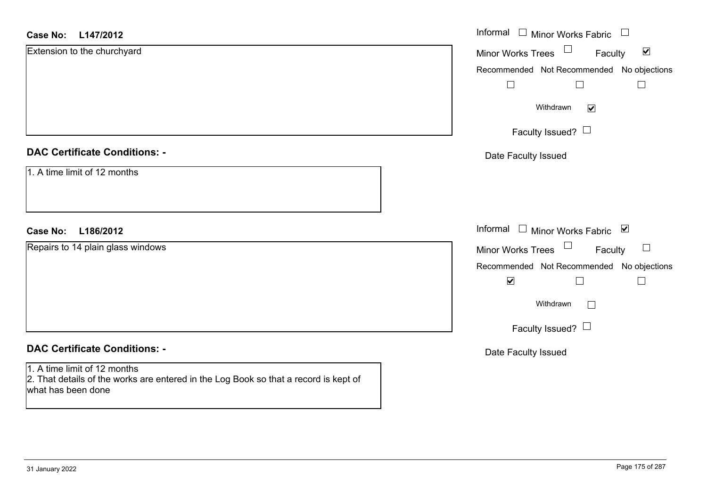| <b>Case No:</b><br>L147/2012                                                                                                               | Informal $\Box$ Minor Works Fabric $\Box$                      |
|--------------------------------------------------------------------------------------------------------------------------------------------|----------------------------------------------------------------|
| Extension to the churchyard                                                                                                                | $\Box$<br>$\blacktriangledown$<br>Minor Works Trees<br>Faculty |
|                                                                                                                                            | Recommended Not Recommended No objections                      |
|                                                                                                                                            | $\Box$<br>$\Box$                                               |
|                                                                                                                                            | Withdrawn<br>$\blacktriangledown$                              |
|                                                                                                                                            | Faculty Issued? $\Box$                                         |
| <b>DAC Certificate Conditions: -</b>                                                                                                       | Date Faculty Issued                                            |
| 1. A time limit of 12 months                                                                                                               |                                                                |
| L186/2012<br><b>Case No:</b>                                                                                                               | Informal<br>$\Box$ Minor Works Fabric $\Box$                   |
| Repairs to 14 plain glass windows                                                                                                          | $\Box$<br>$\Box$<br>Minor Works Trees<br>Faculty               |
|                                                                                                                                            | Recommended Not Recommended No objections                      |
|                                                                                                                                            | $\blacktriangledown$<br>$\Box$                                 |
|                                                                                                                                            | Withdrawn<br>$\Box$                                            |
|                                                                                                                                            | Faculty Issued? $\Box$                                         |
| <b>DAC Certificate Conditions: -</b>                                                                                                       | Date Faculty Issued                                            |
| 1. A time limit of 12 months<br>2. That details of the works are entered in the Log Book so that a record is kept of<br>what has been done |                                                                |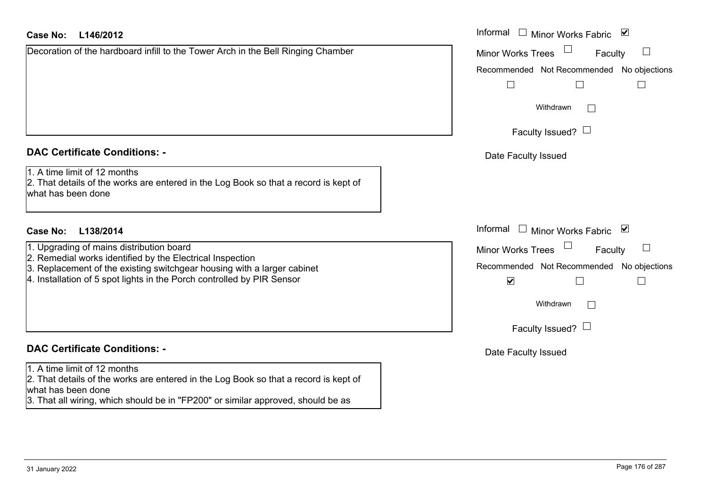## **L146/2012Case No:** Informal

Decoration of the hardboard infill to the Tower Arch in the Bell Ringing Chamber

#### **DAC Certificate Conditions: -**

1. A time limit of 12 months

2. That details of the works are entered in the Log Book so that a record is kept of what has been done

## **L138/2014Case No:** Informal

- 1. Upgrading of mains distribution board
- 2. Remedial works identified by the Electrical Inspection
- 3. Replacement of the existing switchgear housing with a larger cabinet
- 4. Installation of 5 spot lights in the Porch controlled by PIR Sensor

# **DAC Certificate Conditions: -**

1. A time limit of 12 months

2. That details of the works are entered in the Log Book so that a record is kept of what has been done

3. That all wiring, which should be in "FP200" or similar approved, should be as

| Informal<br>Minor Works Fabric ⊠          |
|-------------------------------------------|
| <b>Minor Works Trees</b><br>Faculty       |
| Recommended Not Recommended No objections |
|                                           |
| Withdrawn                                 |
| Faculty Issued? $\Box$                    |
| Date Faculty Issued                       |
|                                           |
|                                           |
|                                           |
| Informal<br>Minor Works Fabric ⊠          |
| <b>Minor Works Trees</b><br>Faculty       |
| Recommended Not Recommended No objections |
| V                                         |
| Withdrawn                                 |
| Faculty Issued? $\Box$                    |
| Date Faculty Issued                       |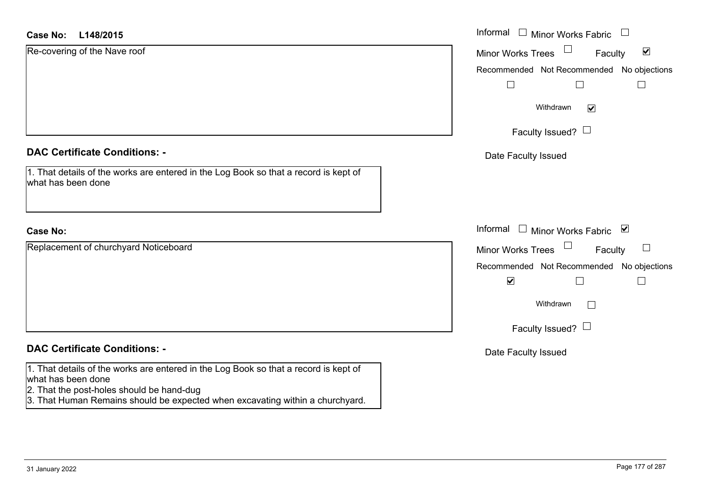| <b>Case No:</b><br>L148/2015                                                                                                                            | Informal $\Box$ Minor Works Fabric $\Box$            |
|---------------------------------------------------------------------------------------------------------------------------------------------------------|------------------------------------------------------|
| Re-covering of the Nave roof                                                                                                                            | $\blacktriangledown$<br>Minor Works Trees<br>Faculty |
|                                                                                                                                                         | Recommended Not Recommended No objections            |
|                                                                                                                                                         | $\Box$                                               |
|                                                                                                                                                         | Withdrawn<br>$\blacktriangledown$                    |
|                                                                                                                                                         | Faculty Issued? $\Box$                               |
| <b>DAC Certificate Conditions: -</b>                                                                                                                    | Date Faculty Issued                                  |
| 1. That details of the works are entered in the Log Book so that a record is kept of<br>what has been done                                              |                                                      |
| <b>Case No:</b>                                                                                                                                         | Informal □ Minor Works Fabric ⊠                      |
| Replacement of churchyard Noticeboard                                                                                                                   | Minor Works Trees<br>$\Box$<br>Faculty               |
|                                                                                                                                                         | Recommended Not Recommended No objections            |
|                                                                                                                                                         | $\blacktriangledown$<br>$\Box$<br>⊔                  |
|                                                                                                                                                         | Withdrawn<br>$\sqrt{2}$                              |
|                                                                                                                                                         | Faculty Issued? $\Box$                               |
| <b>DAC Certificate Conditions: -</b>                                                                                                                    | Date Faculty Issued                                  |
| 1. That details of the works are entered in the Log Book so that a record is kept of<br>what has been done<br>2. That the post-holes should be hand-dug |                                                      |

3. That Human Remains should be expected when excavating within a churchyard.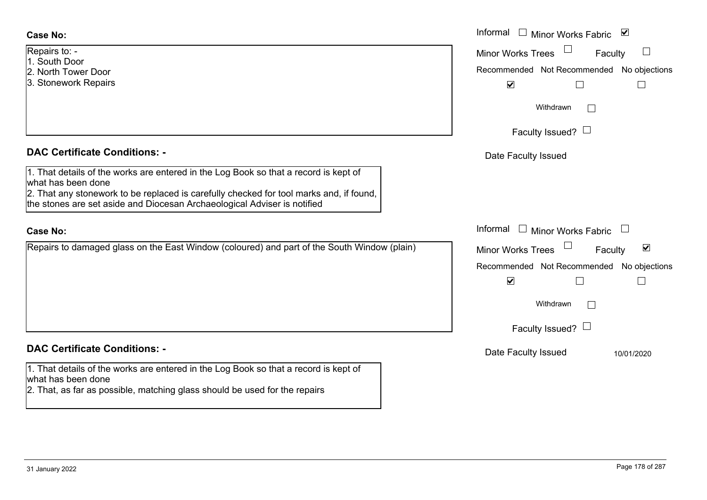- Repairs to: -
- 1. South Door
- 2. North Tower Door
- 3. Stonework Repairs

#### **DAC Certificate Conditions: -**

1. That details of the works are entered in the Log Book so that a record is kept of what has been done

2. That any stonework to be replaced is carefully checked for tool marks and, if found, the stones are set aside and Diocesan Archaeological Adviser is notified

#### **Case No:**

Repairs to damaged glass on the East Window (coloured) and part of the South Window (plain)

# **DAC Certificate Conditions: -**

1. That details of the works are entered in the Log Book so that a record is kept of what has been done

2. That, as far as possible, matching glass should be used for the repairs

|                                                                                                                                                                                                                                               | Informal $\Box$ Minor Works Fabric $\Box$                                                                                            |
|-----------------------------------------------------------------------------------------------------------------------------------------------------------------------------------------------------------------------------------------------|--------------------------------------------------------------------------------------------------------------------------------------|
| $0:$ -<br>Door<br><b>Tower Door</b><br>vork Repairs                                                                                                                                                                                           | <b>Minor Works Trees</b><br>$\overline{\phantom{a}}$<br>Faculty<br>Recommended Not Recommended No objections<br>$\blacktriangledown$ |
|                                                                                                                                                                                                                                               | Withdrawn<br>Faculty Issued? $\Box$                                                                                                  |
| rtificate Conditions: -                                                                                                                                                                                                                       | Date Faculty Issued                                                                                                                  |
| etails of the works are entered in the Log Book so that a record is kept of<br>been done<br>ny stonework to be replaced is carefully checked for tool marks and, if found,<br>s are set aside and Diocesan Archaeological Adviser is notified |                                                                                                                                      |
|                                                                                                                                                                                                                                               | Informal $\Box$ Minor Works Fabric                                                                                                   |
| o damaged glass on the East Window (coloured) and part of the South Window (plain)                                                                                                                                                            | $\blacktriangledown$<br>Minor Works Trees<br>Faculty<br>No objections<br>Recommended Not Recommended<br>$\blacktriangledown$         |
|                                                                                                                                                                                                                                               | Withdrawn<br>$\vert \ \ \vert$                                                                                                       |
|                                                                                                                                                                                                                                               | Faculty Issued? $\Box$                                                                                                               |
| rtificate Conditions: -                                                                                                                                                                                                                       | Date Faculty Issued<br>10/01/2020                                                                                                    |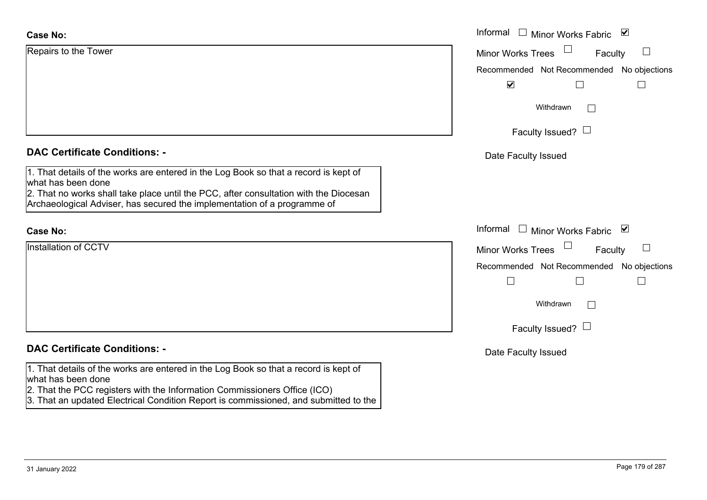| <b>Case No:</b>                                                                                            | Informal $\Box$<br>Minor Works Fabric ⊠       |
|------------------------------------------------------------------------------------------------------------|-----------------------------------------------|
| Repairs to the Tower                                                                                       | <b>Minor Works Trees</b><br>$\Box$<br>Faculty |
|                                                                                                            | Recommended Not Recommended No objections     |
|                                                                                                            | $\blacktriangledown$                          |
|                                                                                                            | Withdrawn<br>$\perp$                          |
|                                                                                                            | Faculty Issued? $\Box$                        |
| <b>DAC Certificate Conditions: -</b>                                                                       | Date Faculty Issued                           |
| 1. That details of the works are entered in the Log Book so that a record is kept of<br>what has been done |                                               |
| 2. That no works shall take place until the PCC, after consultation with the Diocesan                      |                                               |
| Archaeological Adviser, has secured the implementation of a programme of                                   |                                               |
| <b>Case No:</b>                                                                                            | Informal<br>Minor Works Fabric ⊠<br>$\Box$    |
| Installation of CCTV                                                                                       | <b>Minor Works Trees</b><br>ப<br>Faculty      |
|                                                                                                            | Recommended Not Recommended No objections     |
|                                                                                                            | $\vert \ \ \vert$<br>L                        |
|                                                                                                            | Withdrawn                                     |
|                                                                                                            | Faculty Issued? $\Box$                        |
| <b>DAC Certificate Conditions: -</b>                                                                       | Date Faculty Issued                           |
| 1. That details of the works are entered in the Log Book so that a record is kept of<br>what has been done |                                               |
| 2. That the PCC registers with the Information Commissioners Office (ICO)                                  |                                               |
| 3. That an updated Electrical Condition Report is commissioned, and submitted to the                       |                                               |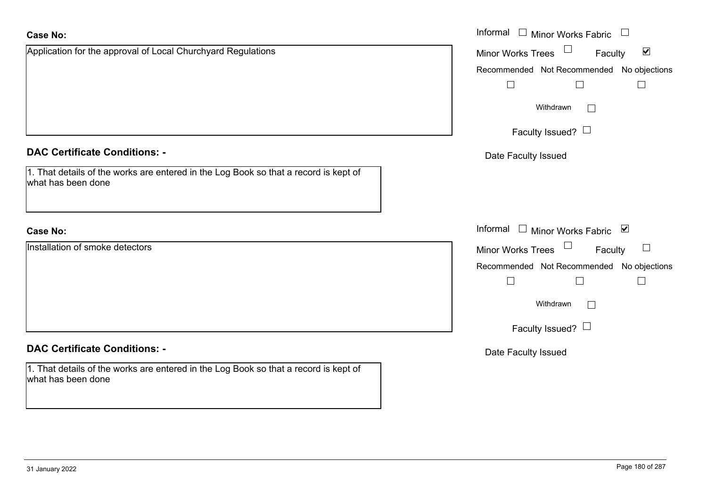| <b>Case No:</b>                                                                                            | Informal □ Minor Works Fabric □                      |
|------------------------------------------------------------------------------------------------------------|------------------------------------------------------|
| Application for the approval of Local Churchyard Regulations                                               | Minor Works Trees<br>$\blacktriangledown$<br>Faculty |
|                                                                                                            | Recommended Not Recommended No objections            |
|                                                                                                            | $\Box$<br>$\Box$<br>$\Box$                           |
|                                                                                                            | Withdrawn<br>$\Box$                                  |
|                                                                                                            | Faculty Issued?                                      |
| <b>DAC Certificate Conditions: -</b>                                                                       | Date Faculty Issued                                  |
| 1. That details of the works are entered in the Log Book so that a record is kept of<br>what has been done |                                                      |
| <b>Case No:</b>                                                                                            | Informal $\Box$ Minor Works Fabric $\Box$            |
| Installation of smoke detectors                                                                            | Minor Works Trees<br>Faculty                         |
|                                                                                                            | Recommended Not Recommended No objections            |
|                                                                                                            | $\Box$<br>$\Box$                                     |
|                                                                                                            | Withdrawn                                            |
|                                                                                                            | Faculty Issued? $\Box$                               |
| <b>DAC Certificate Conditions: -</b>                                                                       | Date Faculty Issued                                  |
| 1. That details of the works are entered in the Log Book so that a record is kept of<br>what has been done |                                                      |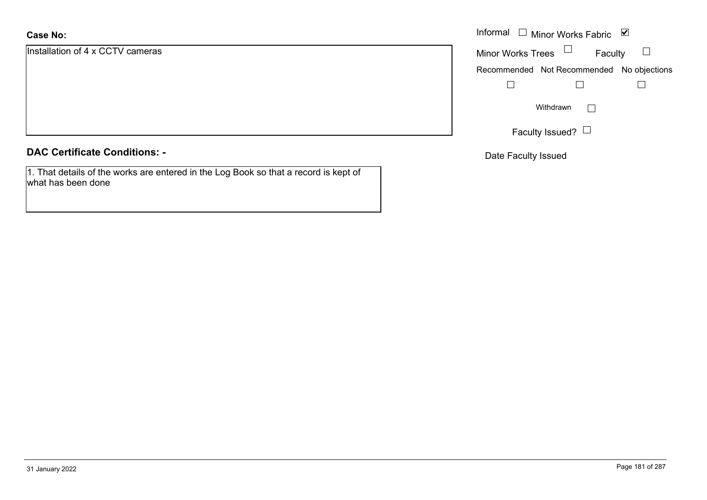## **Case No:**

Installation of 4 x CCTV cameras

|  |  | <b>DAC Certificate Conditions: -</b> |
|--|--|--------------------------------------|
|--|--|--------------------------------------|

1. That details of the works are entered in the Log Book so that a record is kept of what has been done

|                        | Informal $\Box$ Minor Works Fabric $\Box$ |
|------------------------|-------------------------------------------|
| on of 4 x CCTV cameras | Minor Works Trees $\Box$<br>Faculty       |
|                        | Recommended Not Recommended No objections |
|                        |                                           |
|                        | Withdrawn<br>$\mathbb{R}^n$               |
|                        | Faculty Issued? $\Box$                    |

Date Faculty Issued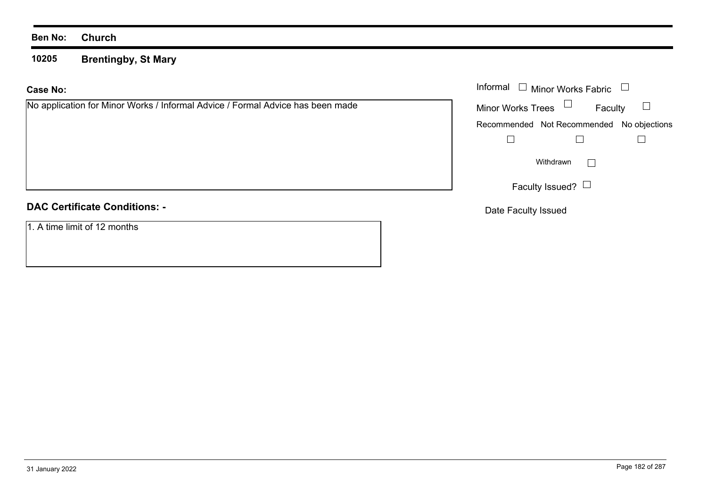**10205Brentingby, St Mary**

### **Case No:**

No application for Minor Works / Informal Advice / Formal Advice has been made

# **DAC Certificate Conditions: -**

1. A time limit of 12 months

|                                                                       | Informal $\Box$ Minor Works Fabric $\Box$ |
|-----------------------------------------------------------------------|-------------------------------------------|
| ation for Minor Works / Informal Advice / Formal Advice has been made | Minor Works Trees $\Box$<br>Faculty       |
|                                                                       | Recommended Not Recommended No objections |
|                                                                       |                                           |
|                                                                       | Withdrawn<br>$\mathbb{R}^n$               |
|                                                                       | Faculty Issued? $\Box$                    |

Date Faculty Issued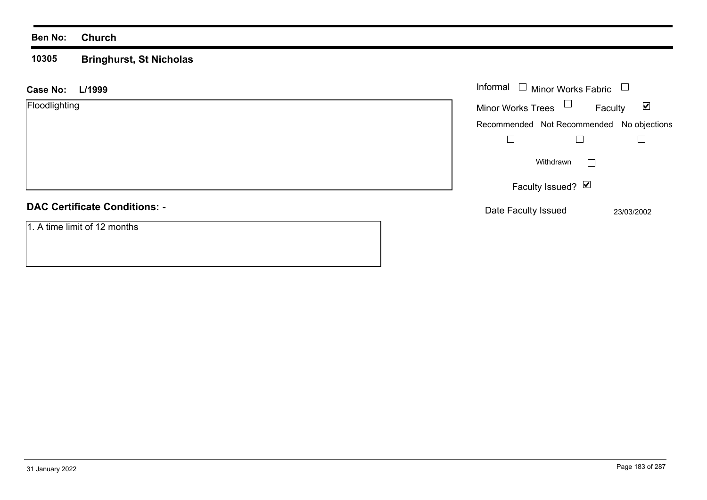#### **10305 Bringhurst, St Nicholas**

| L/1999<br><b>Case No:</b>            | Informal<br>$\Box$ Minor Works Fabric $\Box$                |
|--------------------------------------|-------------------------------------------------------------|
| Floodlighting                        | Minor Works Trees $\Box$<br>$\blacktriangledown$<br>Faculty |
|                                      | Recommended Not Recommended No objections                   |
|                                      |                                                             |
|                                      | Withdrawn<br>$\mathbb{R}^n$                                 |
|                                      | Faculty Issued? Ø                                           |
| <b>DAC Certificate Conditions: -</b> | Date Faculty Issued<br>23/03/2002                           |
| 1. A time limit of 12 months         |                                                             |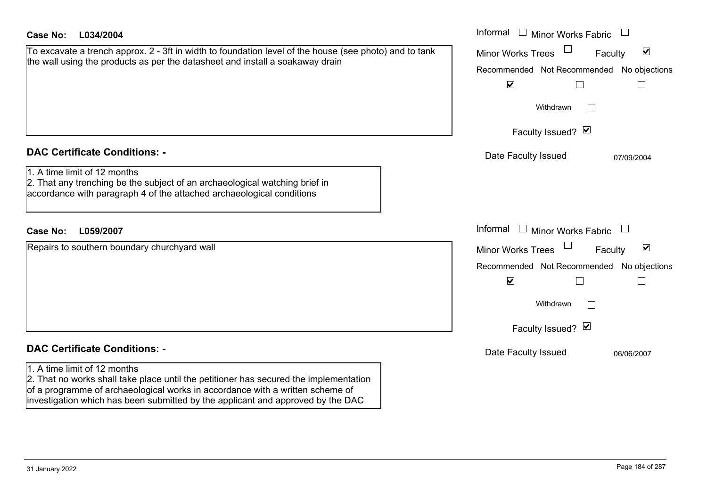| <b>Case No:</b><br>L034/2004                                                                                                                                                                                                                                                                                                      | Informal □ Minor Works Fabric                                                                                                                                                                                                            |
|-----------------------------------------------------------------------------------------------------------------------------------------------------------------------------------------------------------------------------------------------------------------------------------------------------------------------------------|------------------------------------------------------------------------------------------------------------------------------------------------------------------------------------------------------------------------------------------|
| To excavate a trench approx. 2 - 3ft in width to foundation level of the house (see photo) and to tank<br>the wall using the products as per the datasheet and install a soakaway drain                                                                                                                                           | $\blacktriangledown$<br><b>Minor Works Trees</b><br>Faculty<br>Recommended Not Recommended No objections<br>$\blacktriangledown$<br>$\mathbf{L}$<br>$\mathbf{L}$<br>Withdrawn<br>$\perp$<br>Faculty Issued? Ø                            |
| <b>DAC Certificate Conditions: -</b><br>1. A time limit of 12 months<br>2. That any trenching be the subject of an archaeological watching brief in<br>accordance with paragraph 4 of the attached archaeological conditions                                                                                                      | Date Faculty Issued<br>07/09/2004                                                                                                                                                                                                        |
| <b>Case No:</b><br>L059/2007<br>Repairs to southern boundary churchyard wall                                                                                                                                                                                                                                                      | Informal<br>$\Box$<br>Minor Works Fabric<br>$\blacktriangledown$<br><b>Minor Works Trees</b><br>Faculty<br>Recommended Not Recommended No objections<br>$\blacktriangledown$<br>$\Box$<br>$\mathbb{R}$<br>Withdrawn<br>Faculty Issued? Ø |
| <b>DAC Certificate Conditions: -</b><br>1. A time limit of 12 months<br>2. That no works shall take place until the petitioner has secured the implementation<br>of a programme of archaeological works in accordance with a written scheme of<br>investigation which has been submitted by the applicant and approved by the DAC | Date Faculty Issued<br>06/06/2007                                                                                                                                                                                                        |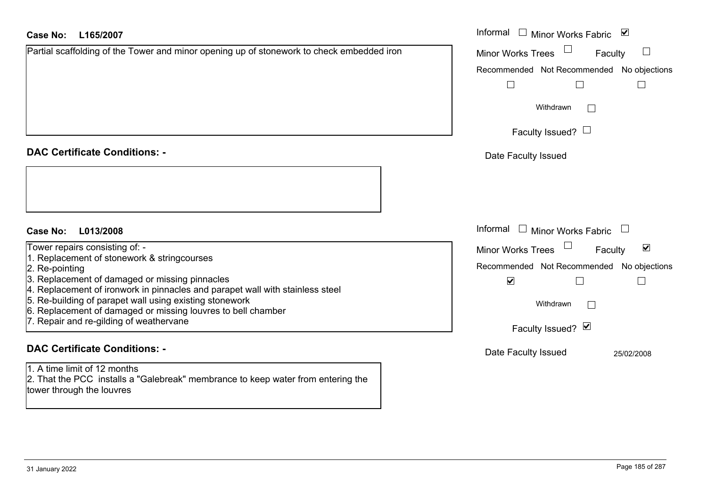#### **L165/2007Case No:**

| <b>Case No:</b><br>L165/2007                                                                                                                  | Informal $\Box$<br>⊻<br><b>Minor Works Fabric</b>           |
|-----------------------------------------------------------------------------------------------------------------------------------------------|-------------------------------------------------------------|
| Partial scaffolding of the Tower and minor opening up of stonework to check embedded iron                                                     | <b>Minor Works Trees</b><br>Faculty                         |
|                                                                                                                                               | Recommended Not Recommended No objections                   |
|                                                                                                                                               |                                                             |
|                                                                                                                                               | Withdrawn<br>$\overline{\phantom{a}}$                       |
|                                                                                                                                               | Faculty Issued? $\Box$                                      |
| <b>DAC Certificate Conditions: -</b>                                                                                                          | Date Faculty Issued                                         |
|                                                                                                                                               |                                                             |
| <b>Case No:</b><br>L013/2008                                                                                                                  | Informal □ Minor Works Fabric<br>$\Box$                     |
| Tower repairs consisting of: -                                                                                                                | $\blacktriangledown$<br><b>Minor Works Trees</b><br>Faculty |
| 1. Replacement of stonework & stringcourses<br>2. Re-pointing                                                                                 | Recommended Not Recommended No objections                   |
| 3. Replacement of damaged or missing pinnacles<br>4. Replacement of ironwork in pinnacles and parapet wall with stainless steel               | $\blacktriangledown$                                        |
| 5. Re-building of parapet wall using existing stonework<br>6. Replacement of damaged or missing louvres to bell chamber                       | Withdrawn<br>$\Box$                                         |
| 7. Repair and re-gilding of weathervane                                                                                                       | Faculty Issued? Ø                                           |
| <b>DAC Certificate Conditions: -</b>                                                                                                          | Date Faculty Issued<br>25/02/2008                           |
| 1. A time limit of 12 months<br>2. That the PCC installs a "Galebreak" membrance to keep water from entering the<br>tower through the louvres |                                                             |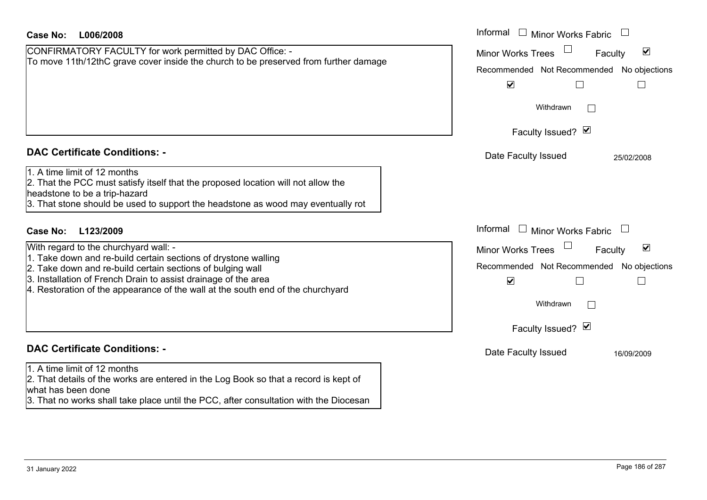| <b>Case No:</b><br>L006/2008                                                                                                                                                                                                                                                                                               | Informal □ Minor Works Fabric                                                                                                                                                          |
|----------------------------------------------------------------------------------------------------------------------------------------------------------------------------------------------------------------------------------------------------------------------------------------------------------------------------|----------------------------------------------------------------------------------------------------------------------------------------------------------------------------------------|
| CONFIRMATORY FACULTY for work permitted by DAC Office: -<br>To move 11th/12thC grave cover inside the church to be preserved from further damage                                                                                                                                                                           | $\blacktriangledown$<br><b>Minor Works Trees</b><br>Faculty<br>Recommended Not Recommended No objections<br>$\blacktriangledown$<br>$\Box$<br>$\mathcal{L}_{\mathcal{A}}$<br>Withdrawn |
| <b>DAC Certificate Conditions: -</b>                                                                                                                                                                                                                                                                                       | Faculty Issued? Ø                                                                                                                                                                      |
| 1. A time limit of 12 months<br>2. That the PCC must satisfy itself that the proposed location will not allow the<br>headstone to be a trip-hazard<br>3. That stone should be used to support the headstone as wood may eventually rot                                                                                     | Date Faculty Issued<br>25/02/2008                                                                                                                                                      |
| L123/2009<br><b>Case No:</b>                                                                                                                                                                                                                                                                                               | Informal<br>$\Box$ Minor Works Fabric                                                                                                                                                  |
| With regard to the churchyard wall: -<br>1. Take down and re-build certain sections of drystone walling<br>2. Take down and re-build certain sections of bulging wall<br>3. Installation of French Drain to assist drainage of the area<br>4. Restoration of the appearance of the wall at the south end of the churchyard | $\blacktriangledown$<br><b>Minor Works Trees</b><br>Faculty<br>Recommended Not Recommended No objections<br>$\blacktriangledown$<br>Withdrawn<br>Faculty Issued? Ø                     |
| <b>DAC Certificate Conditions: -</b>                                                                                                                                                                                                                                                                                       | Date Faculty Issued<br>16/09/2009                                                                                                                                                      |
| 1. A time limit of 12 months<br>2. That details of the works are entered in the Log Book so that a record is kept of<br>what has been done<br>3. That no works shall take place until the PCC, after consultation with the Diocesan                                                                                        |                                                                                                                                                                                        |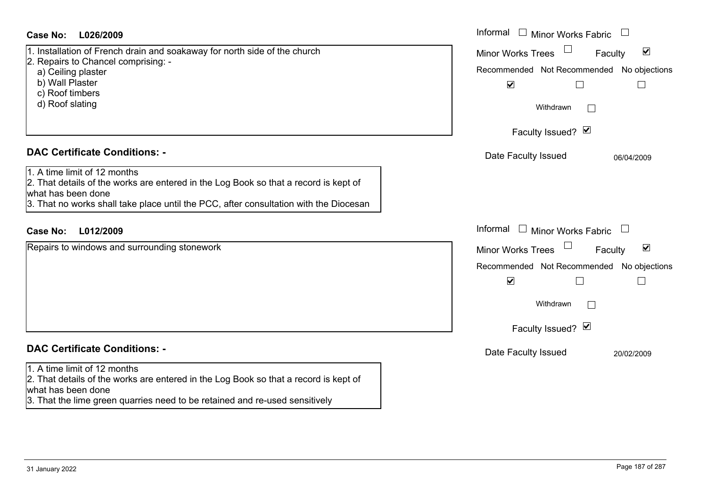| <b>Case No:</b><br>L026/2009                                                                                                                                                                                                                                                | Informal<br>$\mathbb{R}$<br>Minor Works Fabric<br>$\begin{array}{c} \hline \end{array}$                                                                                                                                                                                           |
|-----------------------------------------------------------------------------------------------------------------------------------------------------------------------------------------------------------------------------------------------------------------------------|-----------------------------------------------------------------------------------------------------------------------------------------------------------------------------------------------------------------------------------------------------------------------------------|
| 1. Installation of French drain and soakaway for north side of the church<br>2. Repairs to Chancel comprising: -<br>a) Ceiling plaster<br>b) Wall Plaster<br>c) Roof timbers<br>d) Roof slating                                                                             | $\blacktriangledown$<br><b>Minor Works Trees</b><br>Faculty<br>Recommended Not Recommended No objections<br>$\blacktriangledown$<br>$\Box$<br>$\Box$<br>Withdrawn<br>$\Box$<br>Faculty Issued? Ø                                                                                  |
| <b>DAC Certificate Conditions: -</b><br>1. A time limit of 12 months<br>2. That details of the works are entered in the Log Book so that a record is kept of<br>what has been done<br>3. That no works shall take place until the PCC, after consultation with the Diocesan | Date Faculty Issued<br>06/04/2009                                                                                                                                                                                                                                                 |
| L012/2009<br><b>Case No:</b><br>Repairs to windows and surrounding stonework                                                                                                                                                                                                | Informal<br>$\mathbb{R}^n$<br>Minor Works Fabric<br>$\Box$<br>$\blacktriangledown$<br><b>Minor Works Trees</b><br>Faculty<br>Recommended Not Recommended No objections<br>$\blacktriangledown$<br>$\Box$<br>$\overline{\phantom{a}}$<br>Withdrawn<br>$\perp$<br>Faculty Issued? Ø |
| <b>DAC Certificate Conditions: -</b><br>1. A time limit of 12 months<br>2. That details of the works are entered in the Log Book so that a record is kept of<br>what has been done<br>3. That the lime green quarries need to be retained and re-used sensitively           | Date Faculty Issued<br>20/02/2009                                                                                                                                                                                                                                                 |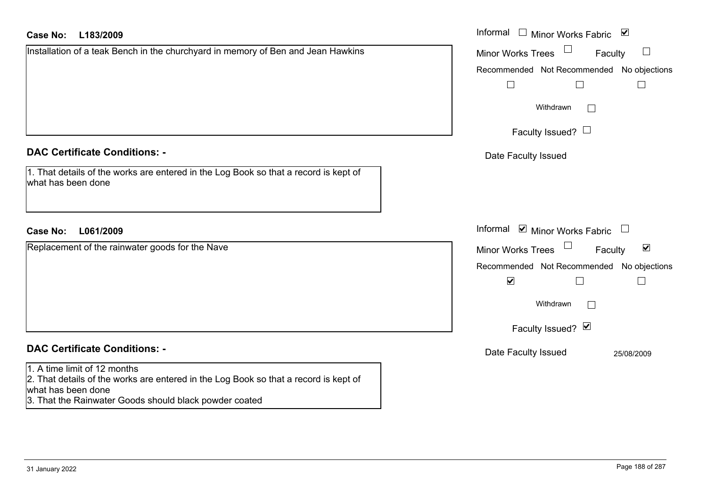| L183/2009<br>Case No:                                                                                                                                                                                | Informal □ Minor Works Fabric ⊠                             |
|------------------------------------------------------------------------------------------------------------------------------------------------------------------------------------------------------|-------------------------------------------------------------|
| Installation of a teak Bench in the churchyard in memory of Ben and Jean Hawkins                                                                                                                     | <b>Minor Works Trees</b><br>Faculty                         |
|                                                                                                                                                                                                      | No objections<br>Recommended Not Recommended                |
|                                                                                                                                                                                                      | $\Box$<br>$\Box$<br>$\overline{\phantom{a}}$                |
|                                                                                                                                                                                                      | Withdrawn<br>$\mathbf{L}$                                   |
|                                                                                                                                                                                                      | Faculty Issued? $\Box$                                      |
| <b>DAC Certificate Conditions: -</b>                                                                                                                                                                 | Date Faculty Issued                                         |
| 1. That details of the works are entered in the Log Book so that a record is kept of<br>what has been done                                                                                           |                                                             |
| L061/2009<br><b>Case No:</b>                                                                                                                                                                         | Informal Ø Minor Works Fabric □                             |
| Replacement of the rainwater goods for the Nave                                                                                                                                                      | $\blacktriangledown$<br><b>Minor Works Trees</b><br>Faculty |
|                                                                                                                                                                                                      | Recommended Not Recommended No objections                   |
|                                                                                                                                                                                                      | $\blacktriangledown$<br>$\Box$<br>$\overline{\phantom{a}}$  |
|                                                                                                                                                                                                      | Withdrawn                                                   |
|                                                                                                                                                                                                      | Faculty Issued? Ø                                           |
| <b>DAC Certificate Conditions: -</b>                                                                                                                                                                 | Date Faculty Issued<br>25/08/2009                           |
| 1. A time limit of 12 months<br>2. That details of the works are entered in the Log Book so that a record is kept of<br>what has been done<br>3. That the Rainwater Goods should black powder coated |                                                             |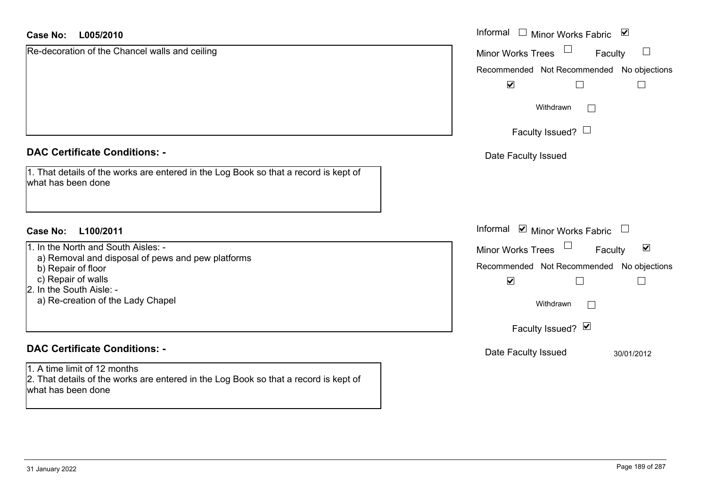#### **L005/2010Case No:**

| <b>Case No:</b><br>L005/2010                                                                                                               | Informal<br>$\overline{\phantom{a}}$<br>⊻<br><b>Minor Works Fabric</b> |
|--------------------------------------------------------------------------------------------------------------------------------------------|------------------------------------------------------------------------|
| Re-decoration of the Chancel walls and ceiling                                                                                             | ப<br><b>Minor Works Trees</b><br>Faculty                               |
|                                                                                                                                            | Recommended Not Recommended No objections                              |
|                                                                                                                                            | $\blacktriangledown$                                                   |
|                                                                                                                                            | Withdrawn<br>$\sqrt{2}$                                                |
|                                                                                                                                            | Faculty Issued? $\Box$                                                 |
| <b>DAC Certificate Conditions: -</b>                                                                                                       | Date Faculty Issued                                                    |
| 1. That details of the works are entered in the Log Book so that a record is kept of<br>what has been done                                 |                                                                        |
|                                                                                                                                            | Informal ☑ Minor Works Fabric                                          |
| <b>Case No:</b><br>L100/2011                                                                                                               |                                                                        |
| 1. In the North and South Aisles: -<br>a) Removal and disposal of pews and pew platforms                                                   | $\blacktriangledown$<br>Minor Works Trees<br>Faculty                   |
| b) Repair of floor                                                                                                                         | Recommended Not Recommended No objections                              |
| c) Repair of walls                                                                                                                         | $\blacktriangledown$                                                   |
| 2. In the South Aisle: -<br>a) Re-creation of the Lady Chapel                                                                              | Withdrawn<br>$\sqrt{2}$                                                |
|                                                                                                                                            | Faculty Issued? Ø                                                      |
| <b>DAC Certificate Conditions: -</b>                                                                                                       | Date Faculty Issued<br>30/01/2012                                      |
| 1. A time limit of 12 months<br>2. That details of the works are entered in the Log Book so that a record is kept of<br>what has been done |                                                                        |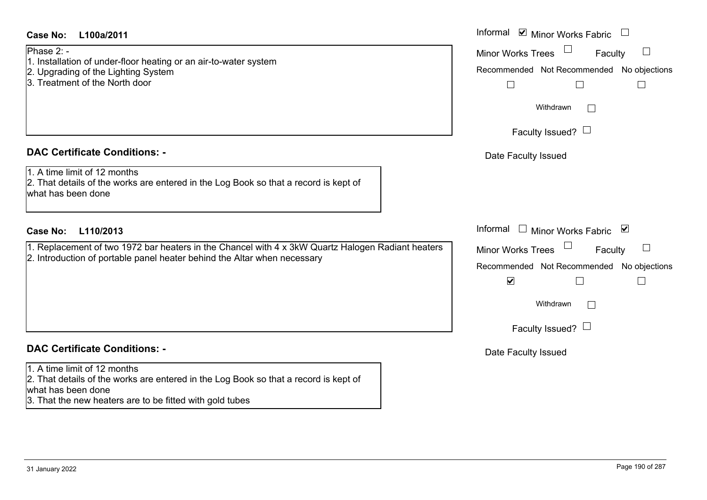| Phase 2: -         |                                                                                                                                                                               |  |
|--------------------|-------------------------------------------------------------------------------------------------------------------------------------------------------------------------------|--|
|                    | 1. Installation of under-floor heating or an air-to-water system<br>2. Upgrading of the Lighting System<br>3. Treatment of the North door                                     |  |
|                    |                                                                                                                                                                               |  |
|                    | <b>DAC Certificate Conditions: -</b>                                                                                                                                          |  |
| what has been done | 1. A time limit of 12 months<br>2. That details of the works are entered in the Log Book so that a record is kept of                                                          |  |
| <b>Case No:</b>    | L110/2013                                                                                                                                                                     |  |
|                    | 1. Replacement of two 1972 bar heaters in the Chancel with 4 x 3kW Quartz Halogen Radiant heaters<br>2. Introduction of portable panel heater behind the Altar when necessary |  |
|                    |                                                                                                                                                                               |  |

3. That the new heaters are to be fitted with gold tubes

| Informal ☑ Minor Works Fabric                                     |
|-------------------------------------------------------------------|
| <b>Minor Works Trees</b><br>Faculty                               |
| Recommended Not Recommended No objections                         |
| Withdrawn                                                         |
| Faculty Issued? $\Box$                                            |
| Date Faculty Issued                                               |
| Informal<br>$\blacktriangledown$                                  |
| Minor Works Fabric                                                |
| <b>Minor Works Trees</b><br>Faculty                               |
| Recommended Not Recommended No objections<br>$\blacktriangledown$ |
| Withdrawn                                                         |
| Faculty Issued? $\Box$                                            |
| Date Faculty Issued                                               |
|                                                                   |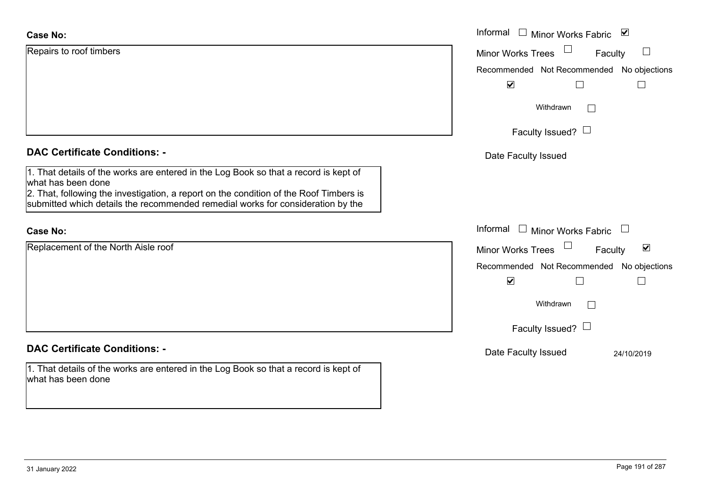| <b>Case No:</b>                                                                                                                                                                                                                                                                         | Informal $\square$<br>$\blacktriangledown$<br><b>Minor Works Fabric</b>                     |
|-----------------------------------------------------------------------------------------------------------------------------------------------------------------------------------------------------------------------------------------------------------------------------------------|---------------------------------------------------------------------------------------------|
| Repairs to roof timbers                                                                                                                                                                                                                                                                 | Minor Works Trees<br>$\Box$<br>Faculty                                                      |
|                                                                                                                                                                                                                                                                                         | Recommended Not Recommended No objections                                                   |
|                                                                                                                                                                                                                                                                                         | $\blacktriangledown$<br>$\Box$                                                              |
|                                                                                                                                                                                                                                                                                         | Withdrawn<br>$\Box$                                                                         |
|                                                                                                                                                                                                                                                                                         | Faculty Issued? $\Box$                                                                      |
| <b>DAC Certificate Conditions: -</b>                                                                                                                                                                                                                                                    | Date Faculty Issued                                                                         |
| 1. That details of the works are entered in the Log Book so that a record is kept of<br>what has been done<br>2. That, following the investigation, a report on the condition of the Roof Timbers is<br>submitted which details the recommended remedial works for consideration by the |                                                                                             |
| <b>Case No:</b>                                                                                                                                                                                                                                                                         | Informal $\square$<br><b>Minor Works Fabric</b><br>$\begin{array}{c} \boxed{1} \end{array}$ |
| Replacement of the North Aisle roof                                                                                                                                                                                                                                                     | $\blacktriangledown$<br>Minor Works Trees<br>Faculty                                        |
|                                                                                                                                                                                                                                                                                         | Recommended Not Recommended No objections                                                   |
|                                                                                                                                                                                                                                                                                         | $\blacktriangledown$<br>П                                                                   |
|                                                                                                                                                                                                                                                                                         | Withdrawn<br>$\Box$                                                                         |
|                                                                                                                                                                                                                                                                                         | Faculty Issued? $\Box$                                                                      |
| <b>DAC Certificate Conditions: -</b>                                                                                                                                                                                                                                                    | Date Faculty Issued<br>24/10/2019                                                           |
| 1. That details of the works are entered in the Log Book so that a record is kept of<br>what has been done                                                                                                                                                                              |                                                                                             |
|                                                                                                                                                                                                                                                                                         |                                                                                             |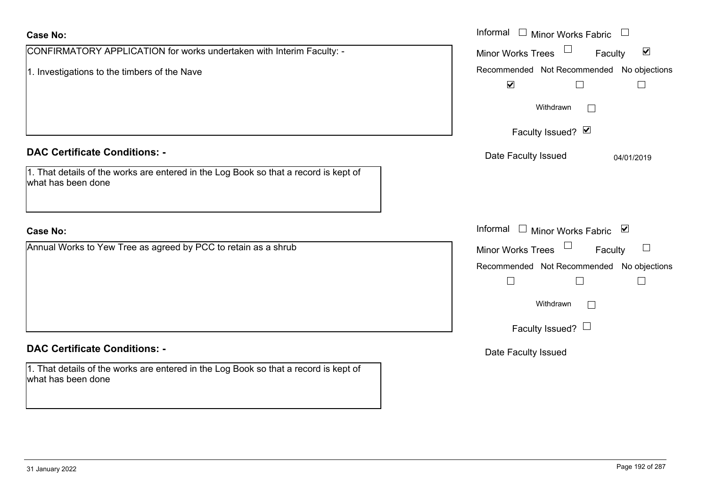| <b>Case No:</b>                                                                                            | Informal □ Minor Works Fabric                        |
|------------------------------------------------------------------------------------------------------------|------------------------------------------------------|
| CONFIRMATORY APPLICATION for works undertaken with Interim Faculty: -                                      | Minor Works Trees<br>$\blacktriangledown$<br>Faculty |
| 1. Investigations to the timbers of the Nave                                                               | Recommended Not Recommended No objections            |
|                                                                                                            | $\blacktriangledown$<br>$\Box$                       |
|                                                                                                            | Withdrawn<br>$\mathbb{R}^n$                          |
|                                                                                                            | Faculty Issued? Ø                                    |
| <b>DAC Certificate Conditions: -</b>                                                                       | Date Faculty Issued<br>04/01/2019                    |
| 1. That details of the works are entered in the Log Book so that a record is kept of<br>what has been done |                                                      |
| <b>Case No:</b>                                                                                            | Informal<br>Minor Works Fabric ⊠                     |
| Annual Works to Yew Tree as agreed by PCC to retain as a shrub                                             | Minor Works Trees<br>Faculty<br>$\Box$               |
|                                                                                                            | Recommended Not Recommended No objections            |
|                                                                                                            | $\Box$<br>$\Box$                                     |
|                                                                                                            | Withdrawn<br>$\overline{\phantom{0}}$                |
|                                                                                                            | Faculty Issued? $\Box$                               |
| <b>DAC Certificate Conditions: -</b>                                                                       | Date Faculty Issued                                  |
| 1. That details of the works are entered in the Log Book so that a record is kept of<br>what has been done |                                                      |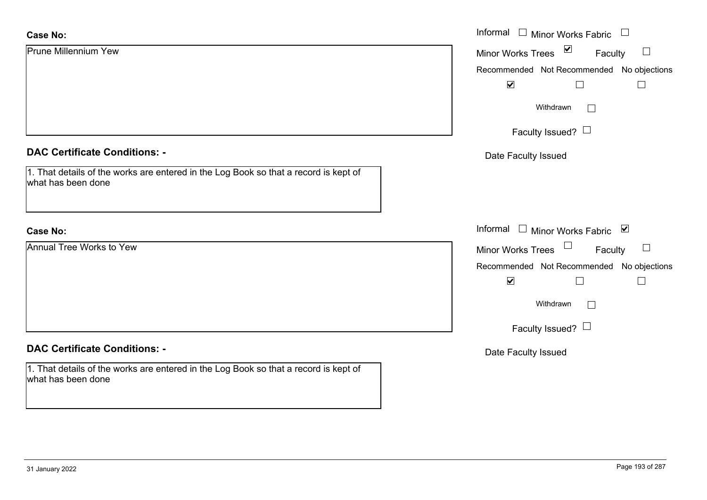| <b>Case No:</b>                                                                                                | Informal $\Box$ Minor Works Fabric $\Box$             |
|----------------------------------------------------------------------------------------------------------------|-------------------------------------------------------|
| <b>Prune Millennium Yew</b>                                                                                    | Minor Works Trees $\boxed{\triangleright}$<br>Faculty |
|                                                                                                                | Recommended Not Recommended No objections             |
|                                                                                                                | $\blacktriangledown$<br>$\Box$<br>$\Box$              |
|                                                                                                                | Withdrawn<br>$\Box$                                   |
|                                                                                                                | Faculty Issued?                                       |
| <b>DAC Certificate Conditions: -</b>                                                                           | Date Faculty Issued                                   |
| $ 1$ . That details of the works are entered in the Log Book so that a record is kept of<br>what has been done |                                                       |
| <b>Case No:</b>                                                                                                | Informal $\Box$ Minor Works Fabric $\Box$             |
| <b>Annual Tree Works to Yew</b>                                                                                | Minor Works Trees<br>Faculty                          |
|                                                                                                                | Recommended Not Recommended No objections             |
|                                                                                                                | $\blacktriangledown$<br>$\Box$<br>$\Box$              |
|                                                                                                                | Withdrawn                                             |
|                                                                                                                | Faculty Issued? $\Box$                                |
| <b>DAC Certificate Conditions: -</b>                                                                           | Date Faculty Issued                                   |
| 1. That details of the works are entered in the Log Book so that a record is kept of<br>what has been done     |                                                       |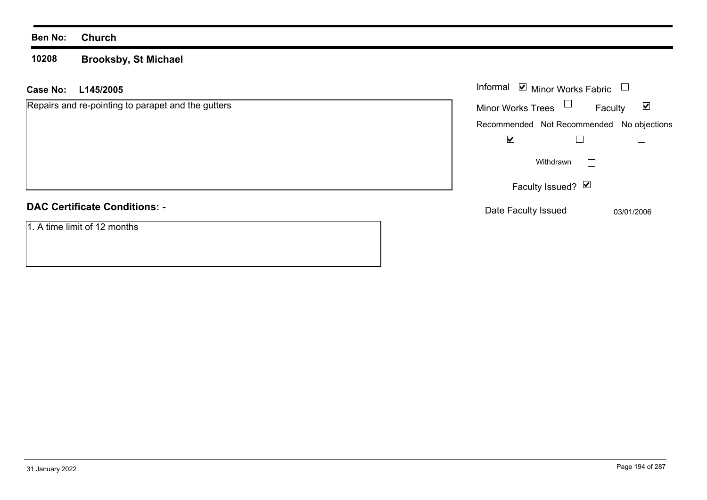#### **10208 Brooksby, St Michael**

### **L145/2005 Case No:** Informal

| Repairs and re-pointing to parapet and the gutters | ☑<br><b>Minor Works Trees</b><br>Faculty  |
|----------------------------------------------------|-------------------------------------------|
|                                                    | Recommended Not Recommended No objections |
|                                                    | ✔                                         |
|                                                    | Withdrawn                                 |
|                                                    | Faculty Issued? ⊠                         |
| <b>DAC Certificate Conditions: -</b>               | Date Faculty Issued<br>03/01/2006         |

1. A time limit of 12 months

Minor Works Fabric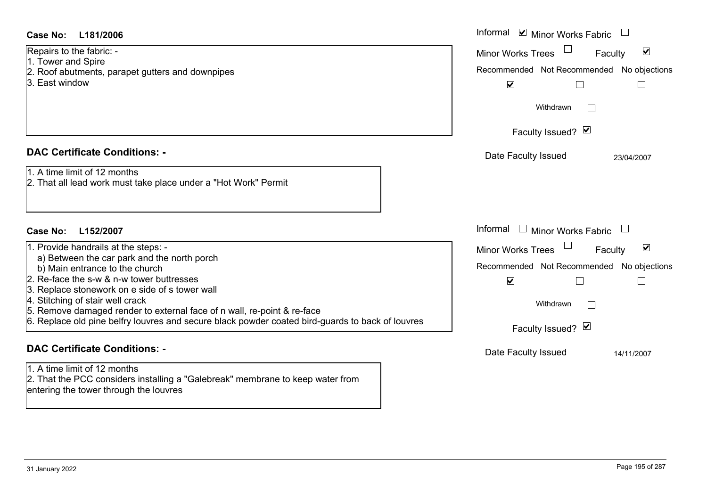| Case No:<br>L181/2006                                                                                                                                                                                                                                                                                                                                                                                                                   | Informal ☑ Minor Works Fabric                                                                                                                                          |
|-----------------------------------------------------------------------------------------------------------------------------------------------------------------------------------------------------------------------------------------------------------------------------------------------------------------------------------------------------------------------------------------------------------------------------------------|------------------------------------------------------------------------------------------------------------------------------------------------------------------------|
| Repairs to the fabric: -<br>1. Tower and Spire<br>2. Roof abutments, parapet gutters and downpipes<br>3. East window                                                                                                                                                                                                                                                                                                                    | $\blacktriangledown$<br><b>Minor Works Trees</b><br>Faculty<br>Recommended Not Recommended No objections<br>$\blacktriangledown$<br>$\Box$                             |
|                                                                                                                                                                                                                                                                                                                                                                                                                                         | Withdrawn<br>$\mathbb{R}^n$<br>Faculty Issued? Ø                                                                                                                       |
| <b>DAC Certificate Conditions: -</b><br>1. A time limit of 12 months<br>2. That all lead work must take place under a "Hot Work" Permit                                                                                                                                                                                                                                                                                                 | Date Faculty Issued<br>23/04/2007                                                                                                                                      |
| L152/2007<br>Case No:                                                                                                                                                                                                                                                                                                                                                                                                                   | Informal $\square$<br>Minor Works Fabric                                                                                                                               |
| 1. Provide handrails at the steps: -<br>a) Between the car park and the north porch<br>b) Main entrance to the church<br>2. Re-face the s-w & n-w tower buttresses<br>3. Replace stonework on e side of s tower wall<br>4. Stitching of stair well crack<br>5. Remove damaged render to external face of n wall, re-point & re-face<br>6. Replace old pine belfry louvres and secure black powder coated bird-guards to back of louvres | Minor Works Trees<br>$\blacktriangledown$<br>Faculty<br>Recommended Not Recommended No objections<br>$\blacktriangledown$<br>Withdrawn<br>$\perp$<br>Faculty Issued? Ø |
| <b>DAC Certificate Conditions: -</b>                                                                                                                                                                                                                                                                                                                                                                                                    | Date Faculty Issued<br>14/11/2007                                                                                                                                      |
| 1. A time limit of 12 months<br>2. That the PCC considers installing a "Galebreak" membrane to keep water from<br>entering the tower through the louvres                                                                                                                                                                                                                                                                                |                                                                                                                                                                        |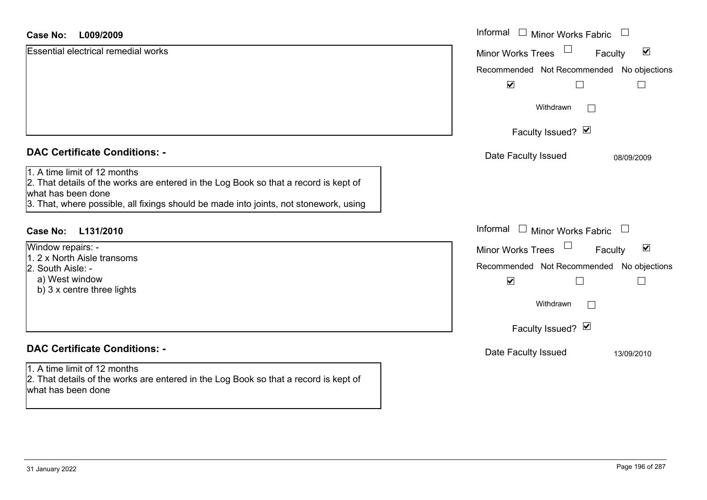| <b>Case No:</b><br>L009/2009                                                                                                                                                                                                        | Informal<br>$\Box$ Minor Works Fabric                                                                                            |
|-------------------------------------------------------------------------------------------------------------------------------------------------------------------------------------------------------------------------------------|----------------------------------------------------------------------------------------------------------------------------------|
| <b>Essential electrical remedial works</b>                                                                                                                                                                                          | $\blacktriangledown$<br><b>Minor Works Trees</b><br>Faculty                                                                      |
|                                                                                                                                                                                                                                     | Recommended Not Recommended No objections                                                                                        |
|                                                                                                                                                                                                                                     | $\blacktriangledown$                                                                                                             |
|                                                                                                                                                                                                                                     | Withdrawn                                                                                                                        |
|                                                                                                                                                                                                                                     | Faculty Issued? Ø                                                                                                                |
| <b>DAC Certificate Conditions: -</b>                                                                                                                                                                                                | Date Faculty Issued<br>08/09/2009                                                                                                |
| 1. A time limit of 12 months<br>2. That details of the works are entered in the Log Book so that a record is kept of<br>what has been done<br>3. That, where possible, all fixings should be made into joints, not stonework, using |                                                                                                                                  |
| <b>Case No:</b><br>L131/2010                                                                                                                                                                                                        | Informal<br>$\Box$ Minor Works Fabric<br>$\Box$                                                                                  |
| Window repairs: -<br>. 2 x North Aisle transoms<br>2. South Aisle: -<br>a) West window                                                                                                                                              | $\blacktriangledown$<br><b>Minor Works Trees</b><br>Faculty<br>Recommended Not Recommended No objections<br>$\blacktriangledown$ |
| b) 3 x centre three lights                                                                                                                                                                                                          | Withdrawn                                                                                                                        |
|                                                                                                                                                                                                                                     | Faculty Issued? $\blacksquare$                                                                                                   |
| <b>DAC Certificate Conditions: -</b>                                                                                                                                                                                                | Date Faculty Issued<br>13/09/2010                                                                                                |
| 1. A time limit of 12 months<br>2. That details of the works are entered in the Log Book so that a record is kept of<br>what has been done                                                                                          |                                                                                                                                  |

 $\sim$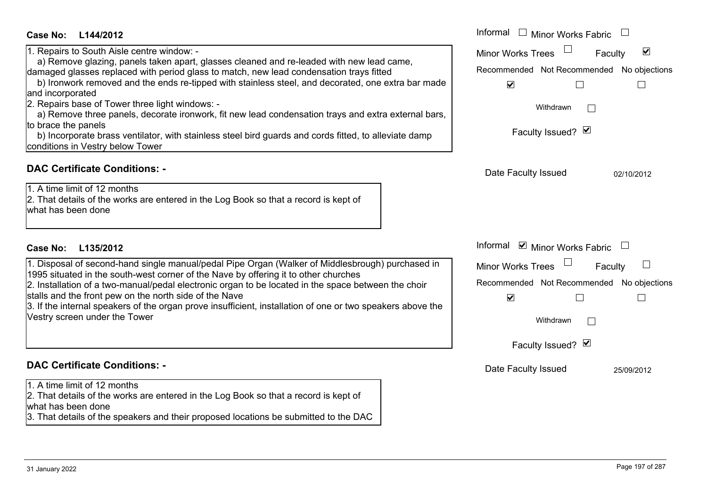| L135/2012<br><b>Case No:</b>                                                                                                                                                                                                                                                                                                                                                                                                                                                                            | Informal $\blacksquare$ Minor Works Fabric $\Box$                                                                              |            |
|---------------------------------------------------------------------------------------------------------------------------------------------------------------------------------------------------------------------------------------------------------------------------------------------------------------------------------------------------------------------------------------------------------------------------------------------------------------------------------------------------------|--------------------------------------------------------------------------------------------------------------------------------|------------|
| 1. Disposal of second-hand single manual/pedal Pipe Organ (Walker of Middlesbrough) purchased in<br>1995 situated in the south-west corner of the Nave by offering it to other churches<br>2. Installation of a two-manual/pedal electronic organ to be located in the space between the choir<br>stalls and the front pew on the north side of the Nave<br>3. If the internal speakers of the organ prove insufficient, installation of one or two speakers above the<br>Vestry screen under the Tower | <b>Minor Works Trees</b><br>Recommended Not Recommended No objection<br>$\blacktriangledown$<br>Withdrawn<br>Faculty Issued? Ø | Faculty    |
|                                                                                                                                                                                                                                                                                                                                                                                                                                                                                                         |                                                                                                                                |            |
| <b>DAC Certificate Conditions: -</b>                                                                                                                                                                                                                                                                                                                                                                                                                                                                    |                                                                                                                                |            |
| 1. A time limit of 12 months<br>2. That details of the works are entered in the Log Book so that a record is kept of<br>what has been done<br>3. That details of the speakers and their proposed locations be submitted to the DAC                                                                                                                                                                                                                                                                      | Date Faculty Issued                                                                                                            | 25/09/2012 |

# **L144/2012Case No:** Informal

1. Repairs to South Aisle centre window: -

 a) Remove glazing, panels taken apart, glasses cleaned and re-leaded with new lead came, damaged glasses replaced with period glass to match, new lead condensation trays fitted

b) Ironwork removed and the ends re-tipped with stainless steel, and decorated, one extra bar made and incorporated

2. Repairs base of Tower three light windows: -

a) Remove three panels, decorate ironwork, fit new lead condensation trays and extra external bar to brace the panels

 b) Incorporate brass ventilator, with stainless steel bird guards and cords fitted, to alleviate damp conditions in Vestry below Tower

# **DAC Certificate Conditions: -**

1. A time limit of 12 months2. That details of the works are entered in the Log Book so that a record is kept of what has been done

|     | Informal<br><b>Minor Works Fabric</b>     |
|-----|-------------------------------------------|
|     | ⊻<br><b>Minor Works Trees</b><br>Faculty  |
|     | Recommended Not Recommended No objections |
| de  | $\blacktriangledown$                      |
| rs, | Withdrawn                                 |
|     | Faculty Issued? M                         |
|     |                                           |
|     | Date Faculty Issued<br>02/10/2012         |
|     |                                           |
|     |                                           |
|     |                                           |
|     | Informal ☑ Minor Works Fabric             |
| h   | <b>Minor Works Trees</b><br>Faculty       |
|     | Recommended Not Recommended No objections |
|     | $\blacktriangledown$                      |
| ١ė  | Withdrawn                                 |
|     |                                           |
|     | Faculty Issued? Ø                         |
|     | Date Faculty Issued<br>25/09/2012         |
|     |                                           |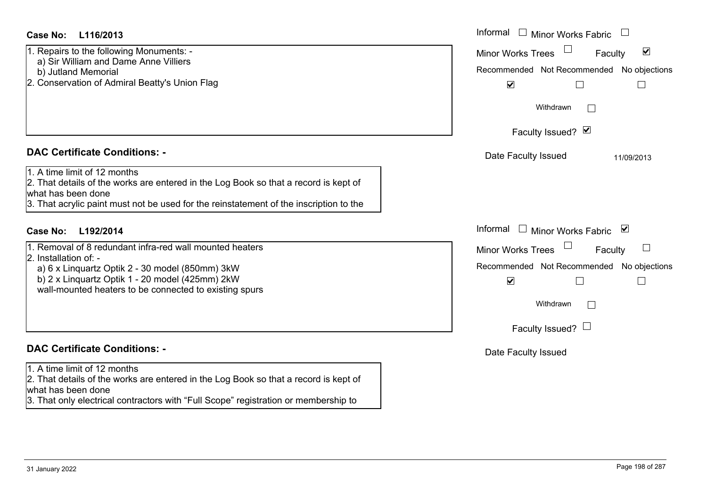1. Repairs to the following Monuments: -

- a) Sir William and Dame Anne Villiers
- b) Jutland Memorial
- 2. Conservation of Admiral Beatty's Union Flag

### **DAC Certificate Conditions: -**

1. A time limit of 12 months

2. That details of the works are entered in the Log Book so that a record is kept of what has been done

3. That acrylic paint must not be used for the reinstatement of the inscription to the

### **L192/2014Case No:** Informal

1. Removal of 8 redundant infra-red wall mounted heaters2. Installation of: -

 a) 6 x Linquartz Optik 2 - 30 model (850mm) 3kW b) 2 x Linquartz Optik 1 - 20 model (425mm) 2kW wall-mounted heaters to be connected to existing spurs

### **DAC Certificate Conditions: -**

1. A time limit of 12 months

2. That details of the works are entered in the Log Book so that a record is kept of what has been done

3. That only electrical contractors with "Full Scope" registration or membership to

| : L116/2013                                                                                                                                                                                     | Informal □ Minor Works Fabric                                                                                                    |
|-------------------------------------------------------------------------------------------------------------------------------------------------------------------------------------------------|----------------------------------------------------------------------------------------------------------------------------------|
| s to the following Monuments: -<br>William and Dame Anne Villiers<br>and Memorial<br>rvation of Admiral Beatty's Union Flag                                                                     | $\blacktriangledown$<br><b>Minor Works Trees</b><br>Faculty<br>Recommended Not Recommended No objections<br>$\blacktriangledown$ |
|                                                                                                                                                                                                 | Withdrawn                                                                                                                        |
|                                                                                                                                                                                                 | Faculty Issued? Ø                                                                                                                |
| rtificate Conditions: -                                                                                                                                                                         | Date Faculty Issued<br>11/09/2013                                                                                                |
| limit of 12 months<br>etails of the works are entered in the Log Book so that a record is kept of<br>been done<br>crylic paint must not be used for the reinstatement of the inscription to the |                                                                                                                                  |
| L192/2014                                                                                                                                                                                       | Informal □ Minor Works Fabric ⊠                                                                                                  |
| val of 8 redundant infra-red wall mounted heaters                                                                                                                                               | Minor Works Trees<br>Faculty                                                                                                     |
| ation of: -<br>Linquartz Optik 2 - 30 model (850mm) 3kW<br>Linquartz Optik 1 - 20 model (425mm) 2kW<br>ounted heaters to be connected to existing spurs                                         | Recommended Not Recommended No objections<br>$\blacktriangledown$                                                                |
|                                                                                                                                                                                                 | Withdrawn                                                                                                                        |
|                                                                                                                                                                                                 | Faculty Issued? $\Box$                                                                                                           |
| rtificate Conditions: -                                                                                                                                                                         | Date Faculty Issued                                                                                                              |
| limit of 12 months<br>etails of the works are entered in the Log Book so that a record is kent of                                                                                               |                                                                                                                                  |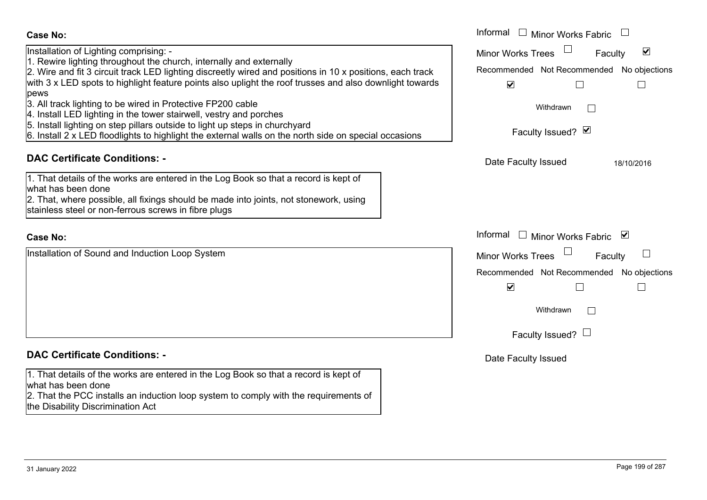| <b>Case No:</b>                                                                                                                                                                                                                                                                                                                                                                                                                                                                                                                                                                                                                                                            | Informal<br>Minor Works Fabric                                                                                                                                           |
|----------------------------------------------------------------------------------------------------------------------------------------------------------------------------------------------------------------------------------------------------------------------------------------------------------------------------------------------------------------------------------------------------------------------------------------------------------------------------------------------------------------------------------------------------------------------------------------------------------------------------------------------------------------------------|--------------------------------------------------------------------------------------------------------------------------------------------------------------------------|
| Installation of Lighting comprising: -<br>1. Rewire lighting throughout the church, internally and externally<br>2. Wire and fit 3 circuit track LED lighting discreetly wired and positions in 10 x positions, each track<br>with 3 x LED spots to highlight feature points also uplight the roof trusses and also downlight towards<br>pews<br>3. All track lighting to be wired in Protective FP200 cable<br>4. Install LED lighting in the tower stairwell, vestry and porches<br>5. Install lighting on step pillars outside to light up steps in churchyard<br>6. Install 2 x LED floodlights to highlight the external walls on the north side on special occasions | $\blacktriangledown$<br><b>Minor Works Trees</b><br>Faculty<br>Recommended Not Recommended No objections<br>$\blacktriangledown$<br>Withdrawn<br>I.<br>Faculty Issued? Ø |
| <b>DAC Certificate Conditions: -</b>                                                                                                                                                                                                                                                                                                                                                                                                                                                                                                                                                                                                                                       | Date Faculty Issued<br>18/10/2016                                                                                                                                        |
| 1. That details of the works are entered in the Log Book so that a record is kept of<br>what has been done<br>2. That, where possible, all fixings should be made into joints, not stonework, using<br>stainless steel or non-ferrous screws in fibre plugs                                                                                                                                                                                                                                                                                                                                                                                                                |                                                                                                                                                                          |
| <b>Case No:</b>                                                                                                                                                                                                                                                                                                                                                                                                                                                                                                                                                                                                                                                            | Informal $\Box$ Minor Works Fabric $\Box$                                                                                                                                |
| Installation of Sound and Induction Loop System                                                                                                                                                                                                                                                                                                                                                                                                                                                                                                                                                                                                                            | <b>Minor Works Trees</b><br>$\mathbf{I}$<br>Faculty<br>Recommended Not Recommended No objections<br>$\blacktriangledown$<br>Withdrawn<br>Faculty Issued? $\Box$          |
| <b>DAC Certificate Conditions: -</b>                                                                                                                                                                                                                                                                                                                                                                                                                                                                                                                                                                                                                                       | Date Faculty Issued                                                                                                                                                      |
| 1. That details of the works are entered in the Log Book so that a record is kept of<br>what has been done<br>2. That the PCC installs an induction loop system to comply with the requirements of<br>the Disability Discrimination Act                                                                                                                                                                                                                                                                                                                                                                                                                                    |                                                                                                                                                                          |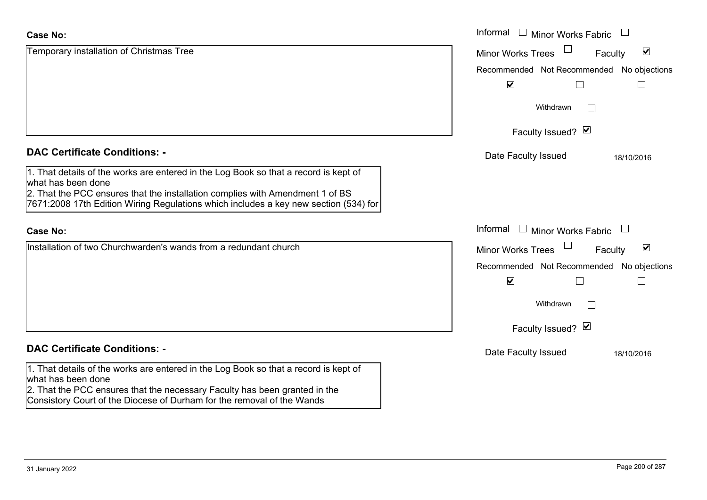| <b>Case No:</b>                                                                                                                                                                                                                                                                     | Informal □ Minor Works Fabric                               |
|-------------------------------------------------------------------------------------------------------------------------------------------------------------------------------------------------------------------------------------------------------------------------------------|-------------------------------------------------------------|
| Temporary installation of Christmas Tree                                                                                                                                                                                                                                            | $\blacktriangledown$<br><b>Minor Works Trees</b><br>Faculty |
|                                                                                                                                                                                                                                                                                     | Recommended Not Recommended No objections                   |
|                                                                                                                                                                                                                                                                                     | $\blacktriangledown$                                        |
|                                                                                                                                                                                                                                                                                     | Withdrawn                                                   |
|                                                                                                                                                                                                                                                                                     | Faculty Issued? Ø                                           |
| <b>DAC Certificate Conditions: -</b>                                                                                                                                                                                                                                                | Date Faculty Issued<br>18/10/2016                           |
| 1. That details of the works are entered in the Log Book so that a record is kept of<br>what has been done<br>2. That the PCC ensures that the installation complies with Amendment 1 of BS<br>7671:2008 17th Edition Wiring Regulations which includes a key new section (534) for |                                                             |
| <b>Case No:</b>                                                                                                                                                                                                                                                                     | Informal $\Box$ Minor Works Fabric                          |
| Installation of two Churchwarden's wands from a redundant church                                                                                                                                                                                                                    | $\blacktriangledown$<br>Minor Works Trees<br>Faculty        |
|                                                                                                                                                                                                                                                                                     | Recommended Not Recommended No objections                   |
|                                                                                                                                                                                                                                                                                     | $\blacktriangledown$<br>$\mathsf{L}$                        |
|                                                                                                                                                                                                                                                                                     | Withdrawn                                                   |
|                                                                                                                                                                                                                                                                                     | Faculty Issued? Ø                                           |
| <b>DAC Certificate Conditions: -</b>                                                                                                                                                                                                                                                | Date Faculty Issued<br>18/10/2016                           |
| 1. That details of the works are entered in the Log Book so that a record is kept of<br>what has been done                                                                                                                                                                          |                                                             |
| 2. That the PCC ensures that the necessary Faculty has been granted in the                                                                                                                                                                                                          |                                                             |

Consistory Court of the Diocese of Durham for the removal of the Wands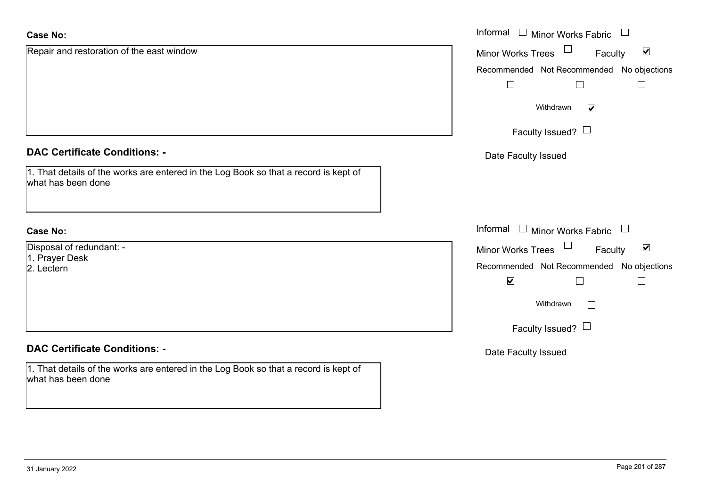| <b>Case No:</b>                                                                                            | Informal □ Minor Works Fabric                               |
|------------------------------------------------------------------------------------------------------------|-------------------------------------------------------------|
| Repair and restoration of the east window                                                                  | $\blacktriangledown$<br><b>Minor Works Trees</b><br>Faculty |
|                                                                                                            | Recommended Not Recommended No objections                   |
|                                                                                                            | $\Box$                                                      |
|                                                                                                            | Withdrawn<br>$\blacktriangledown$                           |
|                                                                                                            | Faculty Issued? $\Box$                                      |
| <b>DAC Certificate Conditions: -</b>                                                                       | Date Faculty Issued                                         |
| 1. That details of the works are entered in the Log Book so that a record is kept of<br>what has been done |                                                             |
| <b>Case No:</b>                                                                                            | Informal<br>$\Box$ Minor Works Fabric<br>$\Box$             |
| Disposal of redundant: -<br>1. Prayer Desk                                                                 | Minor Works Trees<br>$\blacktriangledown$<br>Faculty        |
| 2. Lectern                                                                                                 | Recommended Not Recommended No objections                   |
|                                                                                                            | $\blacktriangledown$<br>$\mathbf{L}$<br>$\mathcal{L}$       |
|                                                                                                            | Withdrawn<br>$\Box$                                         |
|                                                                                                            | Faculty Issued? $\Box$                                      |
| <b>DAC Certificate Conditions: -</b>                                                                       | Date Faculty Issued                                         |
| 1. That details of the works are entered in the Log Book so that a record is kept of<br>what has been done |                                                             |
|                                                                                                            |                                                             |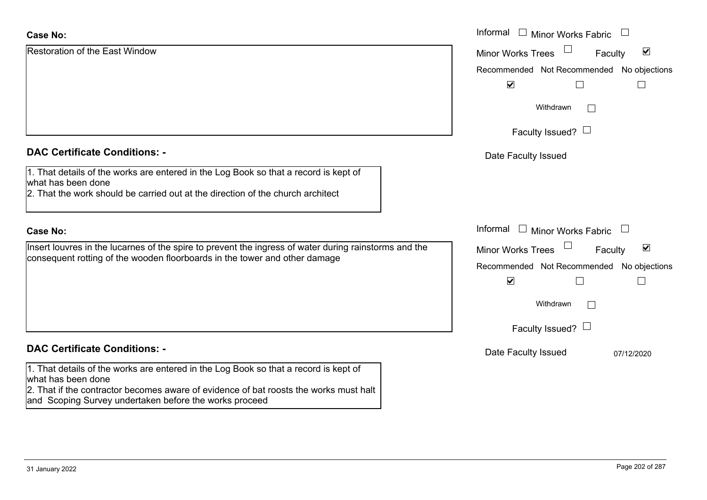| <b>Case No:</b>                                                                                                                                 | Informal $\Box$<br><b>Minor Works Fabric</b>                   |
|-------------------------------------------------------------------------------------------------------------------------------------------------|----------------------------------------------------------------|
| <b>Restoration of the East Window</b>                                                                                                           | $\blacktriangledown$<br><b>Minor Works Trees</b><br>Faculty    |
|                                                                                                                                                 | Recommended Not Recommended No objections                      |
|                                                                                                                                                 | $\blacktriangledown$                                           |
|                                                                                                                                                 | Withdrawn<br>$\mathbb{R}^n$                                    |
|                                                                                                                                                 | Faculty Issued? $\Box$                                         |
| <b>DAC Certificate Conditions: -</b>                                                                                                            | Date Faculty Issued                                            |
| 1. That details of the works are entered in the Log Book so that a record is kept of<br>what has been done                                      |                                                                |
| 2. That the work should be carried out at the direction of the church architect                                                                 |                                                                |
| <b>Case No:</b>                                                                                                                                 | Informal $\Box$ Minor Works Fabric<br>$\overline{\phantom{a}}$ |
| Insert louvres in the lucarnes of the spire to prevent the ingress of water during rainstorms and the                                           | $\blacktriangledown$<br>Faculty<br><b>Minor Works Trees</b>    |
| consequent rotting of the wooden floorboards in the tower and other damage                                                                      | Recommended Not Recommended No objections                      |
|                                                                                                                                                 | $\blacktriangledown$                                           |
|                                                                                                                                                 | Withdrawn<br>$\mathbb{R}^n$                                    |
|                                                                                                                                                 | Faculty Issued? $\Box$                                         |
| <b>DAC Certificate Conditions: -</b>                                                                                                            | Date Faculty Issued<br>07/12/2020                              |
| 1. That details of the works are entered in the Log Book so that a record is kept of<br>what has been done                                      |                                                                |
| 2. That if the contractor becomes aware of evidence of bat roosts the works must halt<br>and Scoping Survey undertaken before the works proceed |                                                                |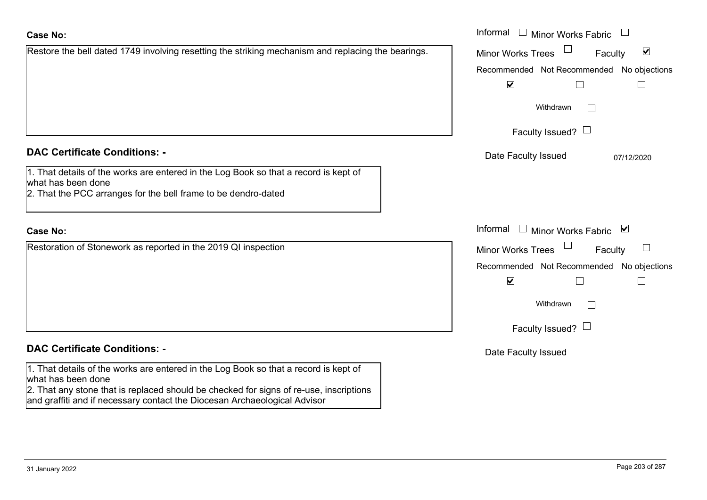| <b>Case No:</b>                                                                                            | Informal<br>Minor <sup>'</sup> |
|------------------------------------------------------------------------------------------------------------|--------------------------------|
| Restoration of Stonework as reported in the 2019 QI inspection                                             | <b>Minor Works Trees</b>       |
|                                                                                                            | Recommended Not                |
|                                                                                                            | $\blacktriangledown$           |
|                                                                                                            | Withdr                         |
|                                                                                                            | Faculty Issi                   |
| <b>DAC Certificate Conditions: -</b>                                                                       | Date Faculty Issu              |
| 1. That details of the works are entered in the Log Book so that a record is kept of<br>what has been done |                                |

### **DAC Certificate Conditions: -**

| 1. That details of the works are entered in the Log Book so that a record is kept of |
|--------------------------------------------------------------------------------------|
| what has been done                                                                   |
| n. That the DCC erronges for the hell frome to be dendre dated                       |

2. That the PCC arranges for the bell frame to be dendro-dated

### **Case No:**

**Case No:**

1. That details of the  $w$ what has been done

2. That any stone that is replaced should be checked for signs of re-use, inscriptions and graffiti and if necessary contact the Diocesan Archaeological Advisor

Informal

Restore the bell dated 1749 involving resetting the striking mechanism and replacing the bearings.

 $\Box$  $\Box$ Withdrawn $\Box$ Faculty Issued?  $\Box$ 

Faculty

 $\blacktriangledown$ 

Recommended Not Recommended No objections

Informal  $\Box$  Minor Works Fabric  $\Box$ 

Minor Works Trees

 $\overline{\mathbf{v}}$ 

Date Faculty Issued 07/12/2020

 $\Box$ 

 $\Box$ 

nor Works Fabric  $\boxtimes$ 

 $\Box$ 

Not Recommended No objections

Faculty

 $\Box$ 

'ithdrawn  $\Box$ 

Issued?  $\Box$ 

ssued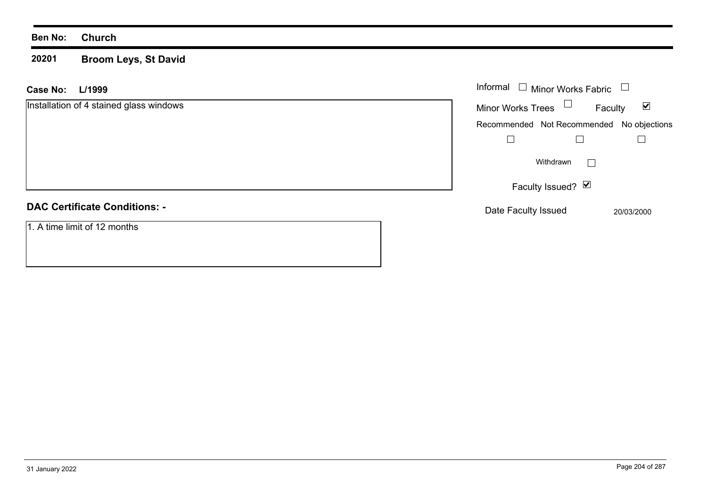#### **20201 Broom Leys, St David**

| L/1999<br><b>Case No:</b>               | Informal $\Box$ Minor Works Fabric<br>$\overline{\phantom{a}}$ |
|-----------------------------------------|----------------------------------------------------------------|
| Installation of 4 stained glass windows | Minor Works Trees $\Box$<br>$\blacktriangledown$<br>Faculty    |
|                                         | Recommended Not Recommended No objections                      |
|                                         |                                                                |
|                                         | Withdrawn<br>$\vert \ \ \vert$                                 |
|                                         | Faculty Issued? Ø                                              |
| <b>DAC Certificate Conditions: -</b>    | Date Faculty Issued<br>20/03/2000                              |
| 1. A time limit of 12 months            |                                                                |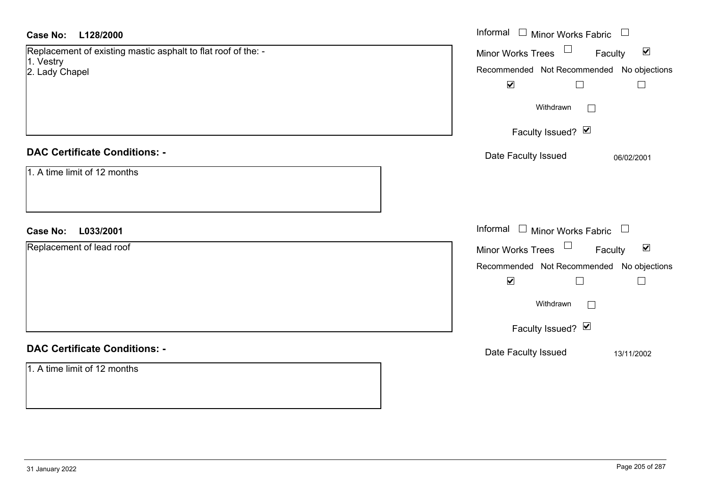| <b>Case No:</b><br>L128/2000                                  | Informal<br>$\Box$ Minor Works Fabric $\Box$                      |
|---------------------------------------------------------------|-------------------------------------------------------------------|
| Replacement of existing mastic asphalt to flat roof of the: - | Minor Works Trees <sup>1</sup><br>$\blacktriangledown$<br>Faculty |
| 1. Vestry<br>2. Lady Chapel                                   | Recommended Not Recommended No objections                         |
|                                                               | $\blacktriangledown$<br>$\Box$<br>$\Box$                          |
|                                                               | Withdrawn<br>$\Box$                                               |
|                                                               | Faculty Issued? Ø                                                 |
| <b>DAC Certificate Conditions: -</b>                          | Date Faculty Issued<br>06/02/2001                                 |
| 1. A time limit of 12 months                                  |                                                                   |
| <b>Case No:</b><br>L033/2001                                  | Informal $\Box$ Minor Works Fabric $\Box$                         |
| Replacement of lead roof                                      | Minor Works Trees<br>$\blacktriangledown$<br>Faculty              |
|                                                               | Recommended Not Recommended No objections                         |
|                                                               | $\blacktriangledown$<br>$\Box$<br>$\Box$                          |
|                                                               | Withdrawn<br>$\Box$                                               |
|                                                               | Faculty Issued? Ø                                                 |
| <b>DAC Certificate Conditions: -</b>                          | Date Faculty Issued<br>13/11/2002                                 |
| 1. A time limit of 12 months                                  |                                                                   |
|                                                               |                                                                   |
|                                                               |                                                                   |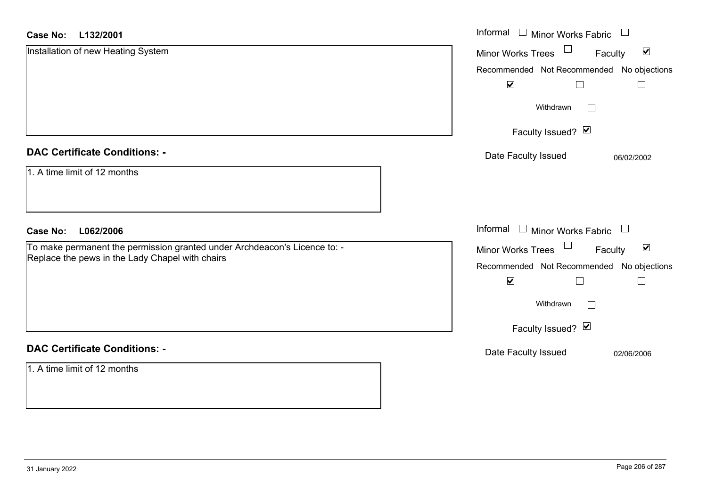#### **L132/2001Case No:**

| <b>Case No:</b><br>L132/2001                                              | Informal □ Minor Works Fabric                                  |
|---------------------------------------------------------------------------|----------------------------------------------------------------|
| Installation of new Heating System                                        | $\blacktriangledown$<br>Minor Works Trees<br>Faculty           |
|                                                                           | Recommended Not Recommended No objections                      |
|                                                                           | $\blacktriangledown$<br>$\Box$                                 |
|                                                                           | Withdrawn<br>$\mathbf{I}$                                      |
|                                                                           | Faculty Issued? Ø                                              |
| <b>DAC Certificate Conditions: -</b>                                      | Date Faculty Issued<br>06/02/2002                              |
| 1. A time limit of 12 months                                              |                                                                |
| L062/2006<br><b>Case No:</b>                                              | Informal $\Box$ Minor Works Fabric<br>$\Box$                   |
| To make permanent the permission granted under Archdeacon's Licence to: - | $\Box$<br>$\blacktriangledown$<br>Minor Works Trees<br>Faculty |
| Replace the pews in the Lady Chapel with chairs                           | Recommended Not Recommended No objections                      |
|                                                                           | $\blacktriangledown$<br>$\Box$                                 |
|                                                                           | Withdrawn<br>$\mathbf{L}$                                      |
|                                                                           | Faculty Issued? Ø                                              |
| <b>DAC Certificate Conditions: -</b>                                      | Date Faculty Issued<br>02/06/2006                              |
| 1. A time limit of 12 months                                              |                                                                |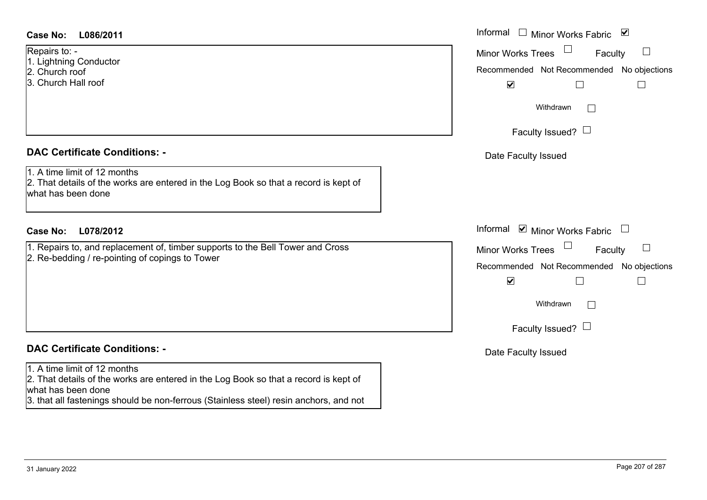| <b>Case No:</b><br>L086/2011 |
|------------------------------|
|------------------------------|

Repairs to: -

- 1. Lightning Conductor
- 2. Church roof
- 3. Church Hall roof

### **DAC Certificate Conditions: -**

1. A time limit of 12 months

2. That details of the works are entered in the Log Book so that a record is kept of what has been done

### **L078/2012Case No:** Informal

1. Repairs to, and replacement of, timber supports to the Bell Tower and Cross 2. Re-bedding / re-pointing of copings to Tower

# **DAC Certificate Conditions: -**

### 1. A time limit of 12 months

2. That details of the works are entered in the Log Book so that a record is kept of what has been done

3. that all fastenings should be non-ferrous (Stainless steel) resin anchors, and not

| L086/2011                                                                                                                                 | Informal $\Box$ Minor Works Fabric $\Box$                                                                                                                                            |
|-------------------------------------------------------------------------------------------------------------------------------------------|--------------------------------------------------------------------------------------------------------------------------------------------------------------------------------------|
| $O: -$<br>ing Conductor<br>า roof<br>า Hall roof                                                                                          | Minor Works Trees<br>$\Box$<br>Faculty<br>Recommended Not Recommended No objections<br>$\blacktriangledown$                                                                          |
|                                                                                                                                           | Withdrawn<br>Faculty Issued? $\Box$                                                                                                                                                  |
| rtificate Conditions: -<br>limit of 12 months<br>etails of the works are entered in the Log Book so that a record is kept of<br>been done | Date Faculty Issued                                                                                                                                                                  |
| L078/2012                                                                                                                                 | Informal $\blacksquare$ Minor Works Fabric $\blacksquare$                                                                                                                            |
| s to, and replacement of, timber supports to the Bell Tower and Cross<br>dding / re-pointing of copings to Tower                          | Minor Works Trees<br>$\overline{\phantom{a}}$<br>Faculty<br>Recommended Not Recommended No objections<br>$\blacktriangledown$<br>Withdrawn<br>$\mathbf{1}$<br>Faculty Issued? $\Box$ |
| rtificate Conditions: -                                                                                                                   | Date Faculty Issued                                                                                                                                                                  |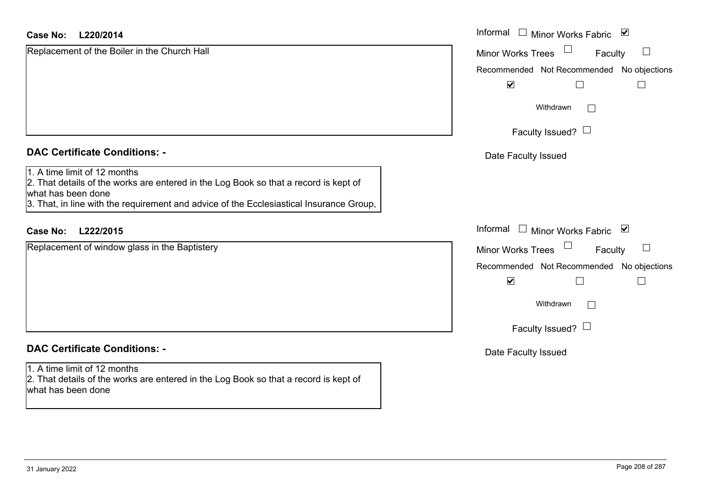| <b>Case No:</b><br>L220/2014                                                                                                                                                                                                          | Informal<br>Minor Works Fabric ⊠              |
|---------------------------------------------------------------------------------------------------------------------------------------------------------------------------------------------------------------------------------------|-----------------------------------------------|
| Replacement of the Boiler in the Church Hall                                                                                                                                                                                          | <b>Minor Works Trees</b><br>$\Box$<br>Faculty |
|                                                                                                                                                                                                                                       | Recommended Not Recommended No objections     |
|                                                                                                                                                                                                                                       | $\blacktriangledown$                          |
|                                                                                                                                                                                                                                       | Withdrawn<br>$\Box$                           |
|                                                                                                                                                                                                                                       | Faculty Issued? $\Box$                        |
| <b>DAC Certificate Conditions: -</b>                                                                                                                                                                                                  | Date Faculty Issued                           |
| 1. A time limit of 12 months<br>2. That details of the works are entered in the Log Book so that a record is kept of<br>what has been done<br>3. That, in line with the requirement and advice of the Ecclesiastical Insurance Group, |                                               |
| L222/2015<br><b>Case No:</b>                                                                                                                                                                                                          | Informal<br>$\perp$<br>Minor Works Fabric ⊠   |
| Replacement of window glass in the Baptistery                                                                                                                                                                                         | <b>Minor Works Trees</b><br>$\Box$<br>Faculty |
|                                                                                                                                                                                                                                       | Recommended Not Recommended No objections     |
|                                                                                                                                                                                                                                       | $\blacktriangledown$<br>$\Box$                |
|                                                                                                                                                                                                                                       | Withdrawn<br>$\Box$                           |
|                                                                                                                                                                                                                                       | Faculty Issued? $\Box$                        |
| <b>DAC Certificate Conditions: -</b>                                                                                                                                                                                                  | Date Faculty Issued                           |
| 1. A time limit of 12 months<br>2. That details of the works are entered in the Log Book so that a record is kept of<br>what has been done                                                                                            |                                               |

 $\sim$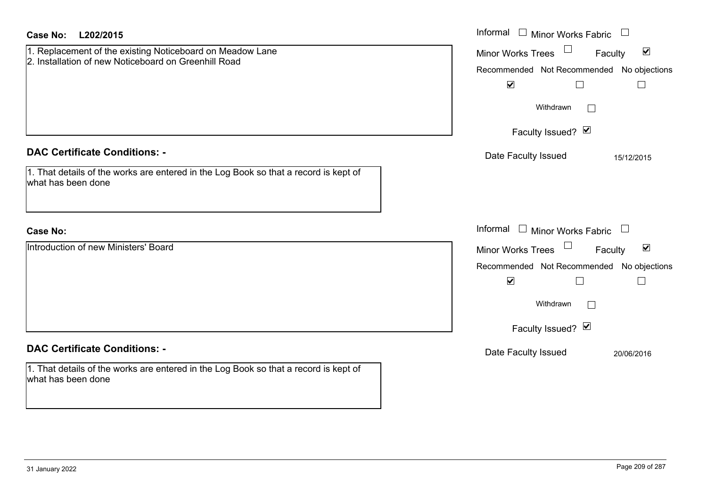| Case No:<br>L202/2015                                                                                                                              | Informal $\square$<br><b>Minor Works Fabric</b>                                                                                                                                    |
|----------------------------------------------------------------------------------------------------------------------------------------------------|------------------------------------------------------------------------------------------------------------------------------------------------------------------------------------|
| 1. Replacement of the existing Noticeboard on Meadow Lane<br>2. Installation of new Noticeboard on Greenhill Road                                  | $\Box$<br>$\blacktriangledown$<br><b>Minor Works Trees</b><br>Faculty<br>Recommended Not Recommended No objections<br>$\blacktriangledown$<br>$\Box$                               |
|                                                                                                                                                    | Withdrawn<br>$\mathbb{R}^n$                                                                                                                                                        |
|                                                                                                                                                    | Faculty Issued? Ø                                                                                                                                                                  |
| <b>DAC Certificate Conditions: -</b><br>1. That details of the works are entered in the Log Book so that a record is kept of<br>what has been done | Date Faculty Issued<br>15/12/2015                                                                                                                                                  |
| <b>Case No:</b>                                                                                                                                    | Informal $\Box$ Minor Works Fabric<br>$\overline{\phantom{a}}$                                                                                                                     |
| Introduction of new Ministers' Board                                                                                                               | $\blacktriangledown$<br><b>Minor Works Trees</b><br>Faculty<br>Recommended Not Recommended No objections<br>$\blacktriangledown$<br>$\mathbf{L}$<br>Withdrawn<br>Faculty Issued? Ø |
| <b>DAC Certificate Conditions: -</b>                                                                                                               | Date Faculty Issued<br>20/06/2016                                                                                                                                                  |
| 1. That details of the works are entered in the Log Book so that a record is kept of<br>what has been done                                         |                                                                                                                                                                                    |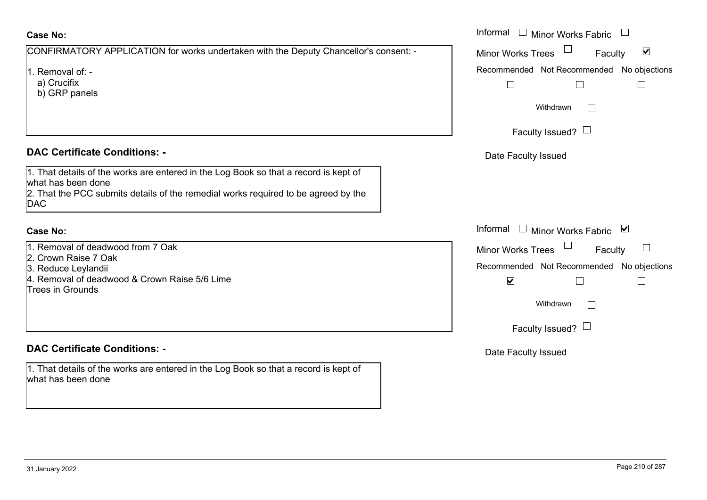| Case No:                                                                                                                                                                                                                                                | Informal |
|---------------------------------------------------------------------------------------------------------------------------------------------------------------------------------------------------------------------------------------------------------|----------|
| CONFIRMATORY APPLICATION for works undertaken with the Deputy Chancellor's consent: -                                                                                                                                                                   | Minor W  |
| 1. Removal of: -<br>a) Crucifix<br>b) GRP panels                                                                                                                                                                                                        | Recomm   |
| <b>DAC Certificate Conditions: -</b><br>1. That details of the works are entered in the Log Book so that a record is kept of<br>lwhat has been done<br>2. That the PCC submits details of the remedial works required to be agreed by the<br><b>DAC</b> | Date I   |
| <b>Case No:</b>                                                                                                                                                                                                                                         | Informal |
| 1. Removal of deadwood from 7 Oak                                                                                                                                                                                                                       | Minor W  |
| 2. Crown Raise 7 Oak<br>3. Reduce Leylandii                                                                                                                                                                                                             | Recomm   |

4. Removal of deadwood & Crown Raise 5/6 Lime Trees in Grounds

### **DAC Certificate Conditions: -**

1. That details of the works are entered in the Log Book so that a record is kept of what has been done

| Informal $\quad \Box$ Minor Works Fabric             |
|------------------------------------------------------|
| $\blacktriangledown$<br>Minor Works Trees<br>Faculty |
| Recommended Not Recommended No objections            |
|                                                      |
| Withdrawn                                            |
| Faculty Issued?                                      |
| Date Faculty Issued                                  |
|                                                      |
|                                                      |
|                                                      |
| Informal $\Box$<br>⊻<br><b>Minor Works Fabric</b>    |
| Minor Works Trees<br>Faculty                         |
| Recommended Not Recommended No objections            |
| $\blacktriangledown$                                 |
| Withdrawn                                            |
| Faculty Issued? $\Box$                               |
| Date Faculty Issued                                  |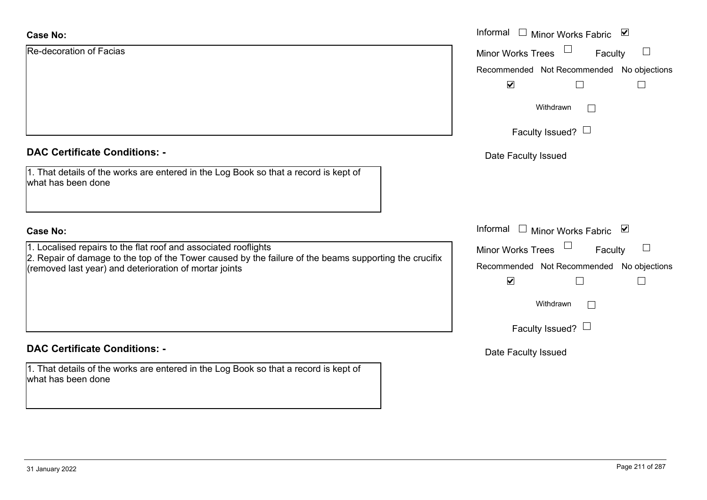| <b>Case No:</b>                                                                                                                                                                                                                       | Informal $\square$<br>⊻<br>Minor Works Fabric        |
|---------------------------------------------------------------------------------------------------------------------------------------------------------------------------------------------------------------------------------------|------------------------------------------------------|
| <b>Re-decoration of Facias</b>                                                                                                                                                                                                        | $\Box$<br>Minor Works Trees<br>Faculty               |
|                                                                                                                                                                                                                                       | Recommended Not Recommended No objections            |
|                                                                                                                                                                                                                                       | $\blacktriangledown$                                 |
|                                                                                                                                                                                                                                       | Withdrawn<br>$\perp$                                 |
|                                                                                                                                                                                                                                       | Faculty Issued? $\Box$                               |
| <b>DAC Certificate Conditions: -</b>                                                                                                                                                                                                  | Date Faculty Issued                                  |
| 1. That details of the works are entered in the Log Book so that a record is kept of<br>what has been done                                                                                                                            |                                                      |
| <b>Case No:</b>                                                                                                                                                                                                                       | Informal<br>$\Box$<br><b>Minor Works Fabric</b><br>⊻ |
| 1. Localised repairs to the flat roof and associated rooflights<br>$2.$ Repair of damage to the top of the Tower caused by the failure of the beams supporting the crucifix<br>(removed last year) and deterioration of mortar joints | <b>Minor Works Trees</b><br>Faculty                  |
|                                                                                                                                                                                                                                       | Recommended Not Recommended No objections            |
|                                                                                                                                                                                                                                       | $\blacktriangledown$<br>Г                            |
|                                                                                                                                                                                                                                       | Withdrawn<br>$\Box$                                  |
|                                                                                                                                                                                                                                       | Faculty Issued? $\Box$                               |
| <b>DAC Certificate Conditions: -</b>                                                                                                                                                                                                  | Date Faculty Issued                                  |
| 1. That details of the works are entered in the Log Book so that a record is kept of<br>what has been done                                                                                                                            |                                                      |
|                                                                                                                                                                                                                                       |                                                      |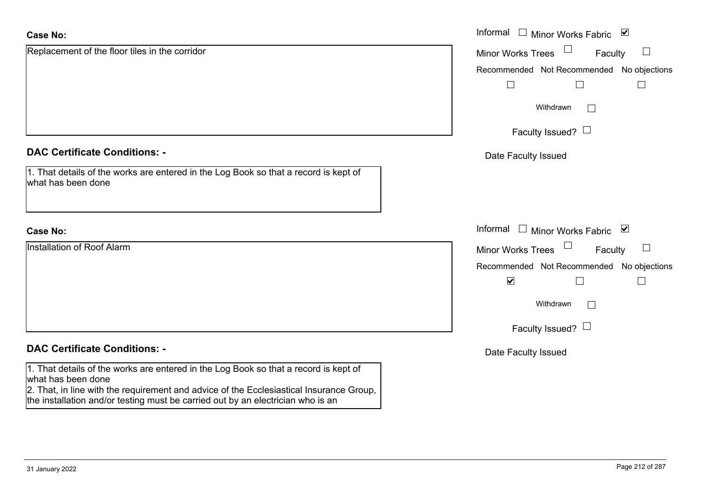| <b>Case No:</b>                                                                                                                                                            | Informal<br>Minor Works Fabric ⊠                          |
|----------------------------------------------------------------------------------------------------------------------------------------------------------------------------|-----------------------------------------------------------|
| Replacement of the floor tiles in the corridor                                                                                                                             | $\Box$<br><b>Minor Works Trees</b><br>Faculty             |
|                                                                                                                                                                            | Recommended Not Recommended No objections                 |
|                                                                                                                                                                            |                                                           |
|                                                                                                                                                                            | Withdrawn                                                 |
|                                                                                                                                                                            | Faculty Issued? $\Box$                                    |
| <b>DAC Certificate Conditions: -</b>                                                                                                                                       | Date Faculty Issued                                       |
| 1. That details of the works are entered in the Log Book so that a record is kept of<br>what has been done                                                                 |                                                           |
| <b>Case No:</b>                                                                                                                                                            | Informal<br>□ Minor Works Fabric $\vert \mathbf{v} \vert$ |
| Installation of Roof Alarm                                                                                                                                                 | Minor Works Trees<br>Faculty                              |
|                                                                                                                                                                            | Recommended Not Recommended No objections                 |
|                                                                                                                                                                            | $\blacktriangledown$<br>$\mathbf{I}$                      |
|                                                                                                                                                                            | Withdrawn                                                 |
|                                                                                                                                                                            | Faculty Issued? $\Box$                                    |
| <b>DAC Certificate Conditions: -</b>                                                                                                                                       | Date Faculty Issued                                       |
| 1. That details of the works are entered in the Log Book so that a record is kept of<br>what has been done                                                                 |                                                           |
| 2. That, in line with the requirement and advice of the Ecclesiastical Insurance Group,<br>the installation and/or testing must be carried out by an electrician who is an |                                                           |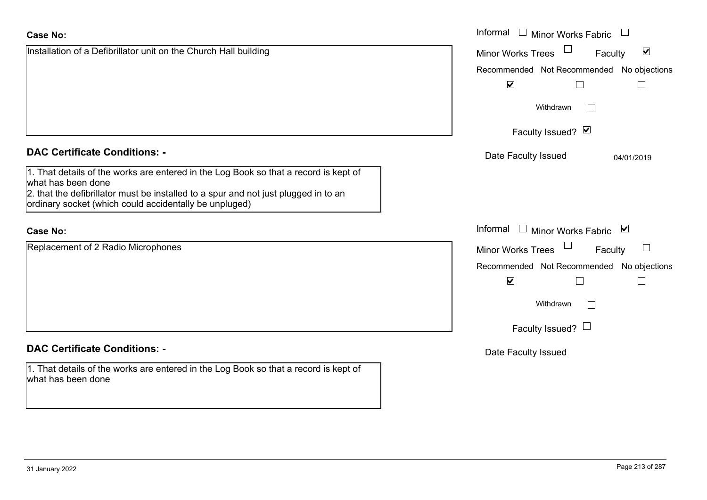|                                                                                                                                                                                                                                                             | Withdrawn                                                                                                           |
|-------------------------------------------------------------------------------------------------------------------------------------------------------------------------------------------------------------------------------------------------------------|---------------------------------------------------------------------------------------------------------------------|
|                                                                                                                                                                                                                                                             | Faculty Issued? Ø                                                                                                   |
| <b>DAC Certificate Conditions: -</b>                                                                                                                                                                                                                        | Date Faculty Issued                                                                                                 |
| 1. That details of the works are entered in the Log Book so that a record is kept of<br>what has been done<br>2. that the defibrillator must be installed to a spur and not just plugged in to an<br>ordinary socket (which could accidentally be unpluged) |                                                                                                                     |
| <b>Case No:</b>                                                                                                                                                                                                                                             | Informal<br>Minor Works Fat                                                                                         |
| Replacement of 2 Radio Microphones                                                                                                                                                                                                                          | <b>Minor Works Trees</b><br>Recommended Not Recommen<br>$\blacktriangledown$<br>Withdrawn<br>Faculty Issued? $\Box$ |
|                                                                                                                                                                                                                                                             |                                                                                                                     |

### **DAC Certificate Conditions: -**

1. That details of the works are entered in the Log Book so that a record is kept of what has been done

**Case No:**Informal

# DA<sup>C</sup>

Installation of a Defibrillator unit on the Church Hall building

### Cas

Recommended Not Recommended No objections

 $\Box$ 

Minor Works Fabric

Minor Works Trees

 $\blacktriangledown$ 

04/01/2019

 $\Box$ 

Faculty

 $\blacktriangledown$ 

 $\Box$ 

Minor Works Fabric

nded No objections Faculty

 $\Box$ 

Date Faculty Issued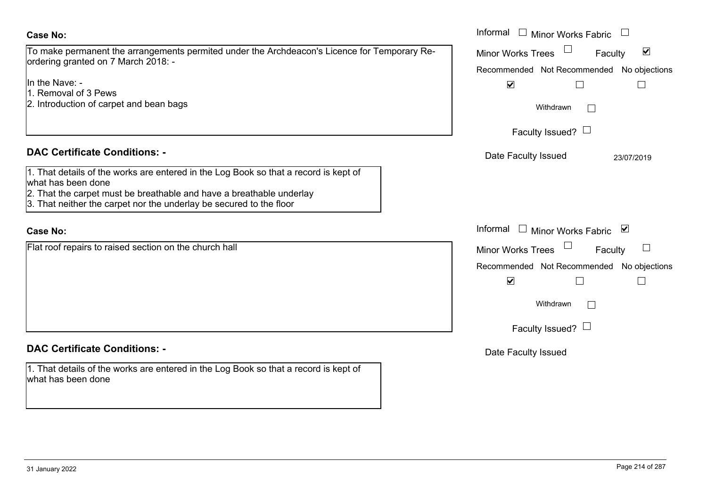### **Case No:**

To make permanent the arrangements permited under the Archdeacon's Licence for Temporary Reordering granted on 7 March 2018: -

In the Nave: -

- 1. Removal of 3 Pews
- 2. Introduction of carpet and bean bags

### **DAC Certificate Conditions: -**

|                    |  | 1. That details of the works are entered in the Log Book so that a record is kept of |
|--------------------|--|--------------------------------------------------------------------------------------|
| what has been done |  |                                                                                      |

- 2. That the carpet must be breathable and have a breathable underlay
- 3. That neither the carpet nor the underlay be secured to the floor

### **Case No:**

Flat roof repairs to raised section on the church hall

# **DAC Certificate Conditions: -**

1. That details of the works are entered in the Log Book so that a record is kept of what has been done

|                                                                                                                                                                                                                      | Informal □ Minor Works Fabric                                                                                      |
|----------------------------------------------------------------------------------------------------------------------------------------------------------------------------------------------------------------------|--------------------------------------------------------------------------------------------------------------------|
| permanent the arrangements permited under the Archdeacon's Licence for Temporary Re-<br>granted on 7 March 2018: -                                                                                                   | $\blacktriangledown$<br><b>Minor Works Trees</b><br>Faculty<br>Recommended Not Recommended No objections           |
| ve: -<br>val of 3 Pews<br>uction of carpet and bean bags                                                                                                                                                             | $\blacktriangledown$                                                                                               |
|                                                                                                                                                                                                                      | Withdrawn<br>Faculty Issued? $\Box$                                                                                |
| rtificate Conditions: -                                                                                                                                                                                              | Date Faculty Issued<br>23/07/2019                                                                                  |
| etails of the works are entered in the Log Book so that a record is kept of<br>been done<br>e carpet must be breathable and have a breathable underlay<br>either the carpet nor the underlay be secured to the floor |                                                                                                                    |
|                                                                                                                                                                                                                      | Informal Informal Minor Works Fabric ⊠                                                                             |
| repairs to raised section on the church hall                                                                                                                                                                         | <b>Minor Works Trees</b><br>Faculty<br>Recommended Not Recommended No objections<br>$\blacktriangledown$<br>$\Box$ |
|                                                                                                                                                                                                                      | Withdrawn                                                                                                          |
|                                                                                                                                                                                                                      | Faculty Issued? $\Box$                                                                                             |
| rtificate Conditions: -                                                                                                                                                                                              | Date Faculty Issued                                                                                                |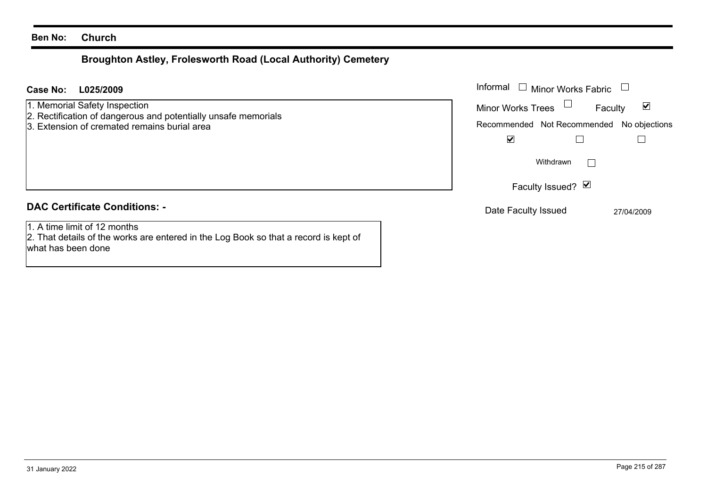# **Broughton Astley, Frolesworth Road (Local Authority) Cemetery**

| L025/2009<br><b>Case No:</b>                                                                                                                    | Informal<br>Minor Works Fabric<br>$\mathbb{R}$                                                                   |
|-------------------------------------------------------------------------------------------------------------------------------------------------|------------------------------------------------------------------------------------------------------------------|
| 1. Memorial Safety Inspection<br>2. Rectification of dangerous and potentially unsafe memorials<br>3. Extension of cremated remains burial area | $\blacktriangledown$<br><b>Minor Works Trees</b><br>Faculty<br>Recommended Not Recommended<br>No objections<br>☑ |
|                                                                                                                                                 | Withdrawn                                                                                                        |
|                                                                                                                                                 | Faculty Issued? $\vert \blacktriangleleft \vert$                                                                 |
| <b>DAC Certificate Conditions: -</b>                                                                                                            | Date Faculty Issued<br>27/04/2009                                                                                |
| 1. A time limit of 12 months<br>2. That details of the works are entered in the Log Book so that a record is kept of<br>what has been done      |                                                                                                                  |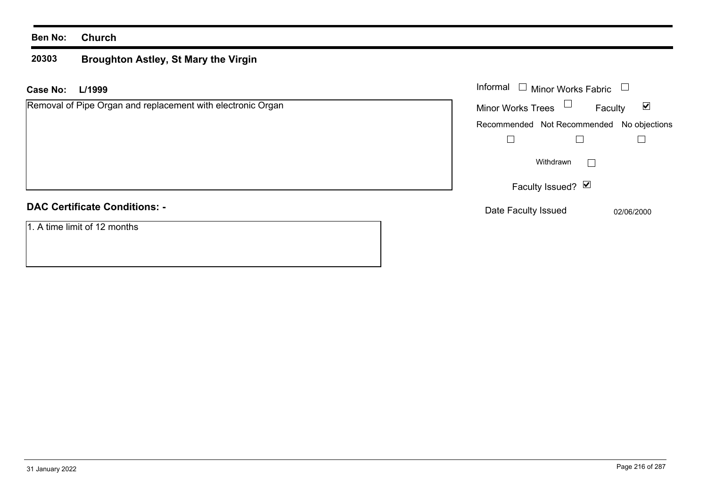#### **20303 Broughton Astley, St Mary the Virgin**

| L/1999<br>Case No:                                          | Informal<br>$\Box$ Minor Works Fabric                                 |
|-------------------------------------------------------------|-----------------------------------------------------------------------|
| Removal of Pipe Organ and replacement with electronic Organ | $\Box$<br><b>Minor Works Trees</b><br>$\blacktriangledown$<br>Faculty |
|                                                             | Recommended Not Recommended No objections                             |
|                                                             |                                                                       |
|                                                             | Withdrawn                                                             |
|                                                             | Faculty Issued? Ø                                                     |
| <b>DAC Certificate Conditions: -</b>                        | Date Faculty Issued<br>02/06/2000                                     |
| 1. A time limit of 12 months                                |                                                                       |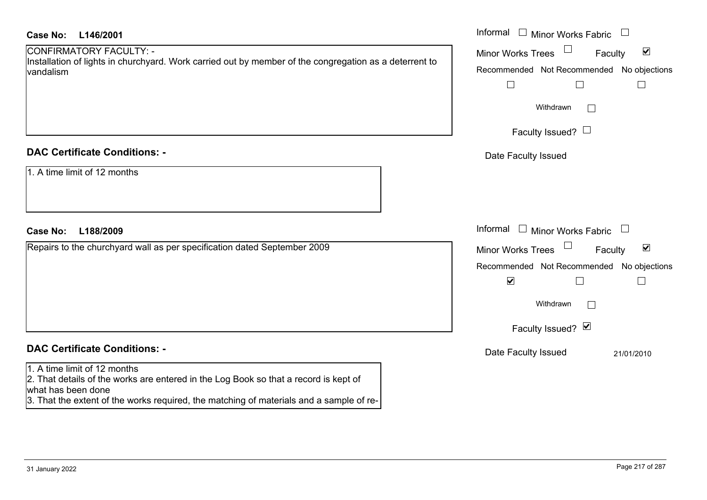| Case No:<br>L146/2001                                                                                                                                                                                                                 | Informal $\Box$ Minor Works Fabric $\Box$                                                                                                                                                              |
|---------------------------------------------------------------------------------------------------------------------------------------------------------------------------------------------------------------------------------------|--------------------------------------------------------------------------------------------------------------------------------------------------------------------------------------------------------|
| CONFIRMATORY FACULTY: -<br>Installation of lights in churchyard. Work carried out by member of the congregation as a deterrent to<br>vandalism                                                                                        | $\blacktriangledown$<br><b>Minor Works Trees</b><br>Faculty<br>Recommended Not Recommended No objections<br>⊔<br>$\Box$<br>Withdrawn                                                                   |
|                                                                                                                                                                                                                                       | Faculty Issued? $\Box$                                                                                                                                                                                 |
| <b>DAC Certificate Conditions: -</b><br>1. A time limit of 12 months                                                                                                                                                                  | Date Faculty Issued                                                                                                                                                                                    |
| L188/2009<br><b>Case No:</b>                                                                                                                                                                                                          | Informal $\Box$ Minor Works Fabric $\Box$                                                                                                                                                              |
| Repairs to the churchyard wall as per specification dated September 2009                                                                                                                                                              | $\Box$<br>$\blacktriangledown$<br><b>Minor Works Trees</b><br>Faculty<br>Recommended Not Recommended No objections<br>$\blacktriangledown$<br>П<br>Withdrawn<br>$\vert \ \ \vert$<br>Faculty Issued? Ø |
| <b>DAC Certificate Conditions: -</b>                                                                                                                                                                                                  | Date Faculty Issued<br>21/01/2010                                                                                                                                                                      |
| 1. A time limit of 12 months<br>2. That details of the works are entered in the Log Book so that a record is kept of<br>what has been done<br>3. That the extent of the works required, the matching of materials and a sample of re- |                                                                                                                                                                                                        |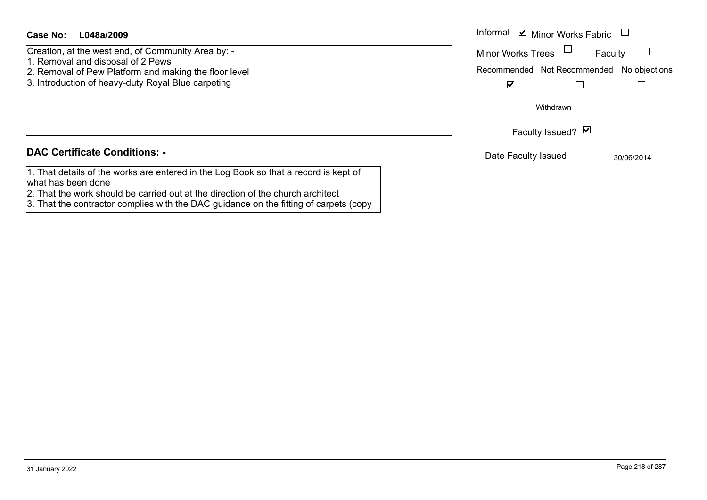#### **L048a/2009Case No:** Informal

Creation, at the west end, of Community Area by: -

- 1. Removal and disposal of 2 Pews
- 2. Removal of Pew Platform and making the floor level
- 3. Introduction of heavy-duty Royal Blue carpeting

#### **DAC Certificate Conditions: -**

- 1. That details of the works are entered in the Log Book so that a record is kept of what has been done
- 2. That the work should be carried out at the direction of the church architect
- 3. That the contractor complies with the DAC guidance on the fitting of carpets (copy

| Informal <b>v</b> Minor Works Fabric |                                           |                   |         |            |
|--------------------------------------|-------------------------------------------|-------------------|---------|------------|
|                                      | <b>Minor Works Trees</b>                  |                   | Faculty |            |
|                                      | Recommended Not Recommended No objections |                   |         |            |
|                                      | M                                         |                   |         |            |
|                                      |                                           | Withdrawn         |         |            |
|                                      |                                           | Faculty Issued? Ø |         |            |
|                                      | Date Faculty Issued                       |                   |         | 30/06/2014 |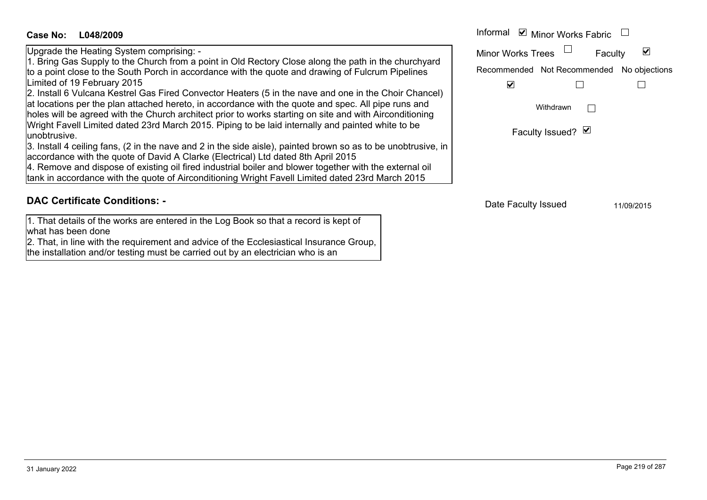# **L048/2009Case No:** Informal

Upgrade the Heating System comprising: -

1. Bring Gas Supply to the Church from a point in Old Rectory Close along the path in the churchyard to a point close to the South Porch in accordance with the quote and drawing of Fulcrum Pipelines Limited of 19 February 2015

2. Install 6 Vulcana Kestrel Gas Fired Convector Heaters (5 in the nave and one in the Choir Chancel) at locations per the plan attached hereto, in accordance with the quote and spec. All pipe runs and holes will be agreed with the Church architect prior to works starting on site and with Airconditioning Wright Favell Limited dated 23rd March 2015. Piping to be laid internally and painted white to be unobtrusive.

3. Install 4 ceiling fans, (2 in the nave and 2 in the side aisle), painted brown so as to be unobtrusive, in accordance with the quote of David A Clarke (Electrical) Ltd dated 8th April 2015

4. Remove and dispose of existing oil fired industrial boiler and blower together with the external oil tank in accordance with the quote of Airconditioning Wright Favell Limited dated 23rd March 2015

## **DAC Certificate Conditions: -**

1. That details of the works are entered in the Log Book so that a record is kept of what has been done

2. That, in line with the requirement and advice of the Ecclesiastical Insurance Group, the installation and/or testing must be carried out by an electrician who is an

Informal  $\vee$  Minor Works Fabric  $\Box$  $\blacktriangledown$ Faculty Minor Works Trees Recommended Not Recommended No objections  $\overline{\mathbf{v}}$  $\Box$  $\Box$ Withdrawn $\Box$ Faculty Issued? Ø

Date Faculty Issued 11/09/2015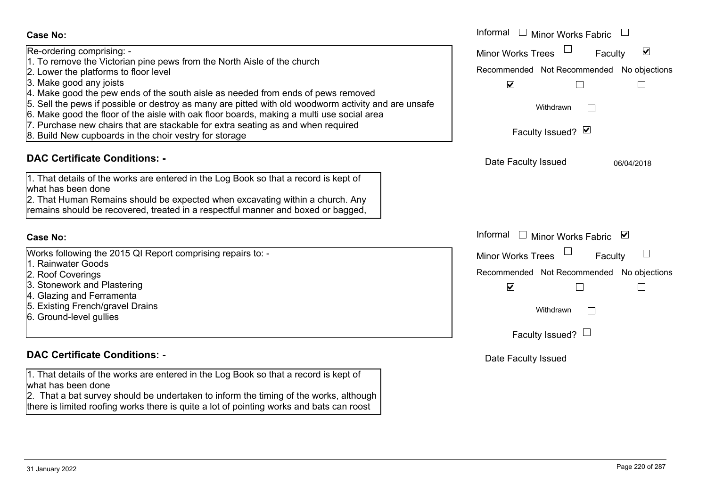| <b>Case No:</b>                                                                                                                                                                                                                                                                                                                                                                                                                                                                                                                                                                                                 | Informal $\Box$ Minor Works Fabric                                                                                                                                 |
|-----------------------------------------------------------------------------------------------------------------------------------------------------------------------------------------------------------------------------------------------------------------------------------------------------------------------------------------------------------------------------------------------------------------------------------------------------------------------------------------------------------------------------------------------------------------------------------------------------------------|--------------------------------------------------------------------------------------------------------------------------------------------------------------------|
| Re-ordering comprising: -<br>1. To remove the Victorian pine pews from the North Aisle of the church<br>2. Lower the platforms to floor level<br>3. Make good any joists<br>4. Make good the pew ends of the south aisle as needed from ends of pews removed<br>5. Sell the pews if possible or destroy as many are pitted with old woodworm activity and are unsafe<br>6. Make good the floor of the aisle with oak floor boards, making a multi use social area<br>7. Purchase new chairs that are stackable for extra seating as and when required<br>8. Build New cupboards in the choir vestry for storage | Minor Works Trees $\Box$<br>$\blacktriangledown$<br>Faculty<br>Recommended Not Recommended No objections<br>$\blacktriangledown$<br>Withdrawn<br>Faculty Issued? Ø |
| <b>DAC Certificate Conditions: -</b>                                                                                                                                                                                                                                                                                                                                                                                                                                                                                                                                                                            | Date Faculty Issued<br>06/04/2018                                                                                                                                  |
| 1. That details of the works are entered in the Log Book so that a record is kept of<br>what has been done<br>2. That Human Remains should be expected when excavating within a church. Any<br>remains should be recovered, treated in a respectful manner and boxed or bagged,                                                                                                                                                                                                                                                                                                                                 |                                                                                                                                                                    |
| <b>Case No:</b>                                                                                                                                                                                                                                                                                                                                                                                                                                                                                                                                                                                                 | Informal □ Minor Works Fabric ⊠                                                                                                                                    |
| Works following the 2015 QI Report comprising repairs to: -<br>1. Rainwater Goods<br>2. Roof Coverings<br>3. Stonework and Plastering<br>4. Glazing and Ferramenta<br>5. Existing French/gravel Drains<br>6. Ground-level gullies                                                                                                                                                                                                                                                                                                                                                                               | Minor Works Trees<br>Faculty<br>Recommended Not Recommended No objections<br>$\blacktriangledown$<br>$\mathbb{R}^n$<br>Withdrawn<br>Faculty Issued? $\Box$         |
| <b>DAC Certificate Conditions: -</b>                                                                                                                                                                                                                                                                                                                                                                                                                                                                                                                                                                            | Date Faculty Issued                                                                                                                                                |
| 1. That details of the works are entered in the Log Book so that a record is kept of<br>what has been done<br>2. That a bat survey should be undertaken to inform the timing of the works, although<br>there is limited roofing works there is quite a lot of pointing works and bats can roost                                                                                                                                                                                                                                                                                                                 |                                                                                                                                                                    |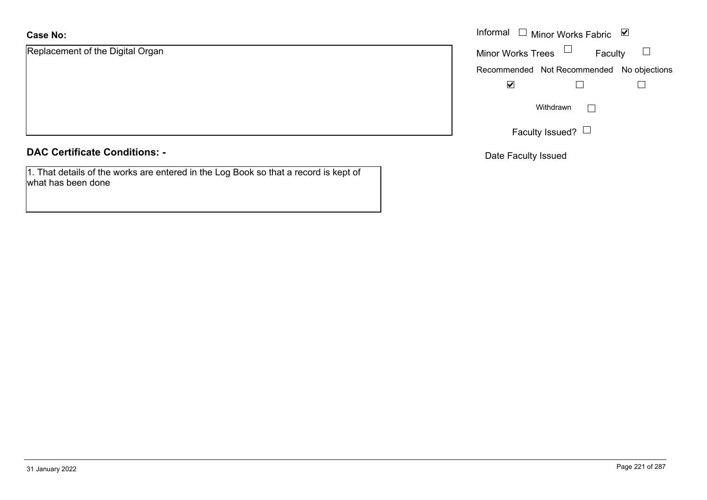Replacement of the Digital Organ

#### **DAC Certificate Conditions: -**

1. That details of the works are entered in the Log Book so that a record is kept of what has been done

|                           | Informal $\Box$ Minor Works Fabric $\Box$ |
|---------------------------|-------------------------------------------|
| nent of the Digital Organ | Faculty<br>Minor Works Trees              |
|                           | Recommended Not Recommended No objections |
|                           | $\blacktriangledown$                      |
|                           | Withdrawn                                 |
|                           | Faculty Issued? $\Box$                    |

Date Faculty Issued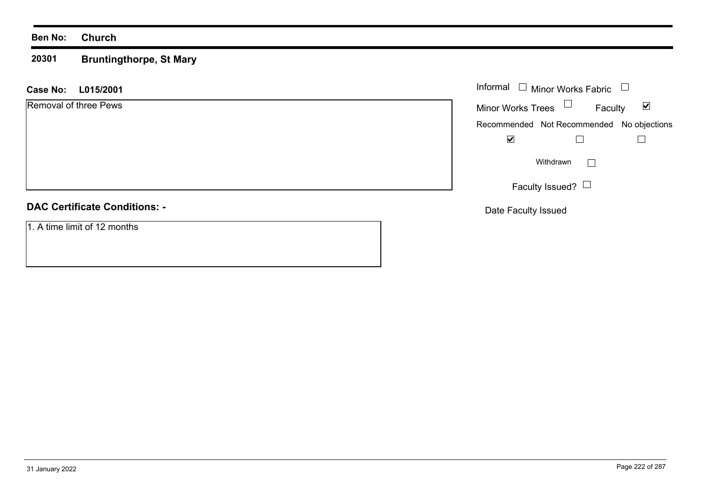#### **20301 Bruntingthorpe, St Mary**

#### **L015/2001 Case No:** Informal

Removal of three Pews

#### **DAC Certificate Conditions: -**

1. A time limit of 12 months

| Informal<br>$\Box$ Minor Works Fabric |                                           |  |
|---------------------------------------|-------------------------------------------|--|
| <b>Minor Works Trees</b>              | Faculty                                   |  |
|                                       | Recommended Not Recommended No objections |  |
|                                       |                                           |  |
|                                       | Withdrawn                                 |  |
|                                       | Faculty Issued? $\Box$                    |  |

Date Faculty Issued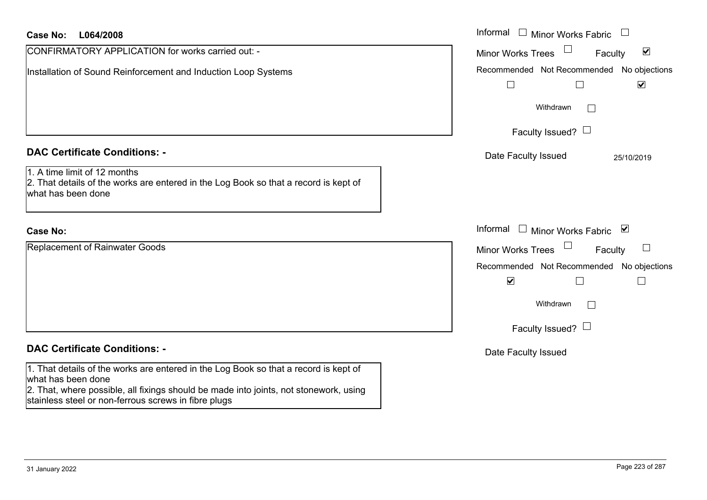| <b>Case No:</b><br>L064/2008                                                                                                                                                                                                                                | Informal<br>$\Box$ Minor Works Fabric                                       |
|-------------------------------------------------------------------------------------------------------------------------------------------------------------------------------------------------------------------------------------------------------------|-----------------------------------------------------------------------------|
| CONFIRMATORY APPLICATION for works carried out: -                                                                                                                                                                                                           | $\blacktriangledown$<br><b>Minor Works Trees</b><br>Faculty                 |
| Installation of Sound Reinforcement and Induction Loop Systems                                                                                                                                                                                              | Recommended Not Recommended No objections<br>$\blacktriangledown$<br>$\Box$ |
|                                                                                                                                                                                                                                                             | Withdrawn<br>$\sim$                                                         |
|                                                                                                                                                                                                                                                             | Faculty Issued? $\Box$                                                      |
| <b>DAC Certificate Conditions: -</b>                                                                                                                                                                                                                        | Date Faculty Issued<br>25/10/2019                                           |
| 1. A time limit of 12 months<br>2. That details of the works are entered in the Log Book so that a record is kept of<br>what has been done                                                                                                                  |                                                                             |
| <b>Case No:</b>                                                                                                                                                                                                                                             | Informal<br>□ Minor Works Fabric $\blacksquare$                             |
| <b>Replacement of Rainwater Goods</b>                                                                                                                                                                                                                       | $\Box$<br><b>Minor Works Trees</b><br>Faculty                               |
|                                                                                                                                                                                                                                                             | Recommended Not Recommended No objections                                   |
|                                                                                                                                                                                                                                                             | $\blacktriangledown$                                                        |
|                                                                                                                                                                                                                                                             | Withdrawn                                                                   |
|                                                                                                                                                                                                                                                             | Faculty Issued? $\Box$                                                      |
| <b>DAC Certificate Conditions: -</b>                                                                                                                                                                                                                        | Date Faculty Issued                                                         |
| 1. That details of the works are entered in the Log Book so that a record is kept of<br>what has been done<br>2. That, where possible, all fixings should be made into joints, not stonework, using<br>stainless steel or non-ferrous screws in fibre plugs |                                                                             |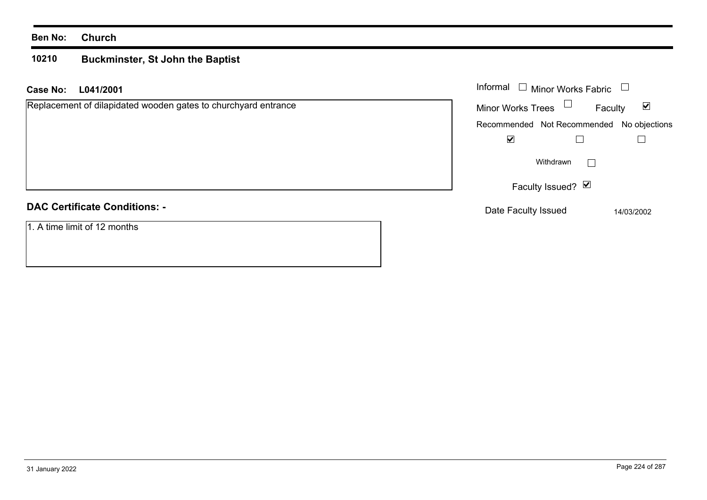#### **10210 Buckminster, St John the Baptist**

**L041/2001 Case No:** Informal

Replacement of dilapidated wooden gates to churchyard entrance

#### **DAC Certificate Conditions: -**

1. A time limit of 12 months

| Informal<br>Minor Works Fabric |                   |                                           |
|--------------------------------|-------------------|-------------------------------------------|
| Minor Works Trees              |                   | M<br>Faculty                              |
|                                |                   | Recommended Not Recommended No objections |
|                                |                   |                                           |
|                                | Withdrawn         |                                           |
|                                | Faculty Issued? Ø |                                           |
| Date Faculty Issued            |                   | 14/03/2002                                |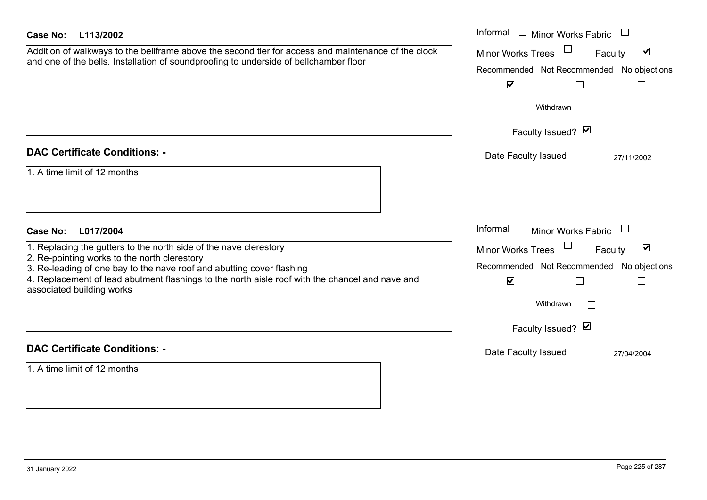| Case No:<br>L113/2002                                                                                                                                                                                                                                                                                                      | Informal $\Box$ Minor Works Fabric $\Box$                                                                                                                                         |
|----------------------------------------------------------------------------------------------------------------------------------------------------------------------------------------------------------------------------------------------------------------------------------------------------------------------------|-----------------------------------------------------------------------------------------------------------------------------------------------------------------------------------|
| Addition of walkways to the bellframe above the second tier for access and maintenance of the clock<br>and one of the bells. Installation of soundproofing to underside of bellchamber floor                                                                                                                               | $\blacktriangledown$<br><b>Minor Works Trees</b><br>Faculty<br>Recommended Not Recommended No objections<br>$\blacktriangledown$<br>$\Box$<br>⊔<br>Withdrawn<br>Faculty Issued? Ø |
| <b>DAC Certificate Conditions: -</b>                                                                                                                                                                                                                                                                                       | Date Faculty Issued<br>27/11/2002                                                                                                                                                 |
| 1. A time limit of 12 months                                                                                                                                                                                                                                                                                               |                                                                                                                                                                                   |
| <b>Case No:</b><br>L017/2004                                                                                                                                                                                                                                                                                               | Informal $\Box$ Minor Works Fabric $\Box$                                                                                                                                         |
| 1. Replacing the gutters to the north side of the nave clerestory<br>2. Re-pointing works to the north clerestory<br>3. Re-leading of one bay to the nave roof and abutting cover flashing<br>4. Replacement of lead abutment flashings to the north aisle roof with the chancel and nave and<br>associated building works | $\blacktriangledown$<br><b>Minor Works Trees</b><br>Faculty<br>Recommended Not Recommended No objections<br>$\blacktriangledown$<br>$\overline{\phantom{a}}$<br>Withdrawn         |
|                                                                                                                                                                                                                                                                                                                            | Faculty Issued? Ø                                                                                                                                                                 |
| <b>DAC Certificate Conditions: -</b>                                                                                                                                                                                                                                                                                       | Date Faculty Issued<br>27/04/2004                                                                                                                                                 |
| 1. A time limit of 12 months                                                                                                                                                                                                                                                                                               |                                                                                                                                                                                   |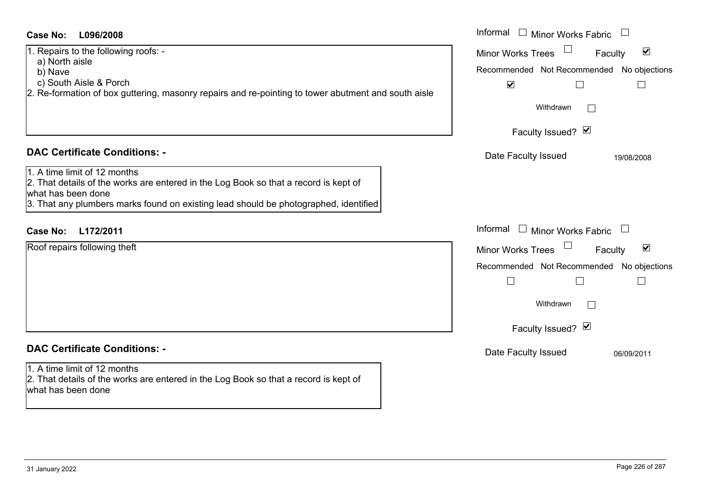#### **L096/2008Case No:** Informal

1. Repairs to the following roofs: -

- a) North aisle
- b) Nave
- c) South Aisle & Porch
- $2.$  Re-formation of box guttering, masonry repairs and re-pointing to tower abutment and south aisle

#### **DAC Certificate Conditions: -**

1. A time limit of 12 months

2. That details of the works are entered in the Log Book so that a record is kept of what has been done

3. That any plumbers marks found on existing lead should be photographed, identified

# **L172/2011Case No:** Informal

Roof repairs following theft

# **DAC Certificate Conditions: -**

# 1. A time limit of 12 months

2. That details of the works are entered in the Log Book so that a record is kept of what has been done

| Informal<br><b>Minor Works Fabric</b>                              |  |  |
|--------------------------------------------------------------------|--|--|
| $\overline{\mathbf{v}}$<br><b>Minor Works Trees</b><br>Faculty     |  |  |
| Recommended Not Recommended No objections<br>$\blacktriangledown$  |  |  |
| Withdrawn                                                          |  |  |
| Faculty Issued? Ø                                                  |  |  |
| Date Faculty Issued<br>19/08/2008                                  |  |  |
|                                                                    |  |  |
|                                                                    |  |  |
| Informal<br>$\Box$<br>Minor Works Fabric                           |  |  |
| $\vert\bm{\mathsf{v}}\vert$<br><b>Minor Works Trees</b><br>Faculty |  |  |
| Recommended Not Recommended No objections                          |  |  |
|                                                                    |  |  |
| Withdrawn                                                          |  |  |
| Faculty Issued? Ø                                                  |  |  |
| Date Faculty Issued<br>06/09/2011                                  |  |  |
|                                                                    |  |  |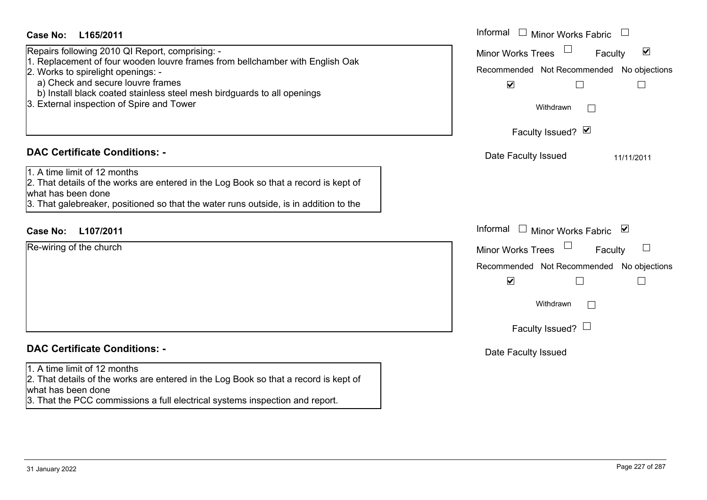| <b>Case No:</b><br>L165/2011                                                                                                                                                                                                                                                                                                        | Informal $\Box$ Minor Works Fabric $\Box$                                                                                                                                                      |
|-------------------------------------------------------------------------------------------------------------------------------------------------------------------------------------------------------------------------------------------------------------------------------------------------------------------------------------|------------------------------------------------------------------------------------------------------------------------------------------------------------------------------------------------|
| Repairs following 2010 QI Report, comprising: -<br>1. Replacement of four wooden louvre frames from bellchamber with English Oak<br>2. Works to spirelight openings: -<br>a) Check and secure louvre frames<br>b) Install black coated stainless steel mesh birdguards to all openings<br>3. External inspection of Spire and Tower | $\blacktriangledown$<br><b>Minor Works Trees</b><br>Faculty<br>Recommended Not Recommended No objections<br>$\blacktriangledown$<br>$\Box$<br>$\mathbb{R}^n$<br>Withdrawn<br>Faculty Issued? Ø |
| <b>DAC Certificate Conditions: -</b>                                                                                                                                                                                                                                                                                                | Date Faculty Issued<br>11/11/2011                                                                                                                                                              |
| 1. A time limit of 12 months<br>2. That details of the works are entered in the Log Book so that a record is kept of<br>what has been done<br>3. That galebreaker, positioned so that the water runs outside, is in addition to the                                                                                                 |                                                                                                                                                                                                |
| L107/2011<br><b>Case No:</b>                                                                                                                                                                                                                                                                                                        | Informal □ Minor Works Fabric ⊠                                                                                                                                                                |
| Re-wiring of the church                                                                                                                                                                                                                                                                                                             | <b>Minor Works Trees</b><br>Faculty<br>Recommended Not Recommended No objections<br>$\blacktriangledown$<br>$\Box$<br>$\mathbf{I}$<br>Withdrawn<br>Faculty Issued? $\Box$                      |
| <b>DAC Certificate Conditions: -</b>                                                                                                                                                                                                                                                                                                | Date Faculty Issued                                                                                                                                                                            |
| 1. A time limit of 12 months<br>2. That details of the works are entered in the Log Book so that a record is kept of<br>what has been done<br>3. That the PCC commissions a full electrical systems inspection and report.                                                                                                          |                                                                                                                                                                                                |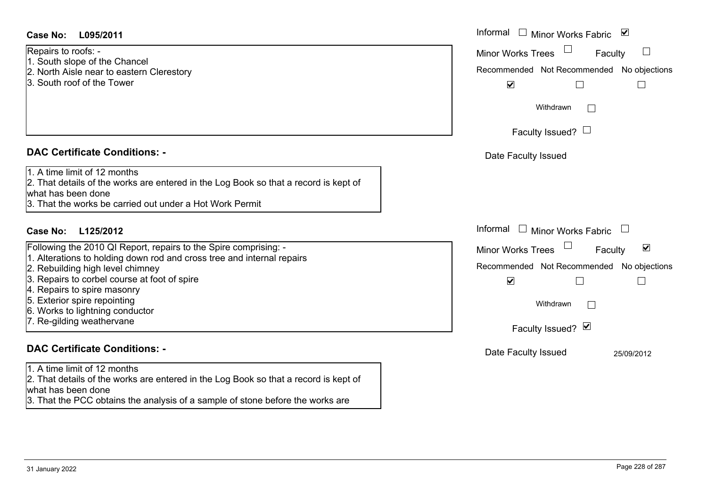3. That the PCC obtains the analysis of a sample of stone before the works are

| <b>Case No:</b><br>L095/2011                                                                                                                                                                                                                                                                                                                                  | Informal $\Box$ Minor Works Fabric $\Box$                                                                                                                          |
|---------------------------------------------------------------------------------------------------------------------------------------------------------------------------------------------------------------------------------------------------------------------------------------------------------------------------------------------------------------|--------------------------------------------------------------------------------------------------------------------------------------------------------------------|
| Repairs to roofs: -<br>1. South slope of the Chancel<br>2. North Aisle near to eastern Clerestory<br>3. South roof of the Tower                                                                                                                                                                                                                               | <b>Minor Works Trees</b><br>$\overline{\phantom{a}}$<br>Faculty<br>Recommended Not Recommended No objections<br>$\blacktriangledown$                               |
|                                                                                                                                                                                                                                                                                                                                                               | Withdrawn<br>$\perp$<br>Faculty Issued? $\Box$                                                                                                                     |
| <b>DAC Certificate Conditions: -</b>                                                                                                                                                                                                                                                                                                                          | Date Faculty Issued                                                                                                                                                |
| 1. A time limit of 12 months<br>2. That details of the works are entered in the Log Book so that a record is kept of<br>what has been done<br>3. That the works be carried out under a Hot Work Permit                                                                                                                                                        |                                                                                                                                                                    |
| <b>Case No:</b><br>L125/2012                                                                                                                                                                                                                                                                                                                                  | Informal<br>$\Box$<br>Minor Works Fabric                                                                                                                           |
| Following the 2010 QI Report, repairs to the Spire comprising: -<br>1. Alterations to holding down rod and cross tree and internal repairs<br>2. Rebuilding high level chimney<br>3. Repairs to corbel course at foot of spire<br>4. Repairs to spire masonry<br>5. Exterior spire repointing<br>6. Works to lightning conductor<br>7. Re-gilding weathervane | $\blacktriangledown$<br><b>Minor Works Trees</b><br>Faculty<br>Recommended Not Recommended No objections<br>$\blacktriangledown$<br>Withdrawn<br>Faculty Issued? Ø |
| <b>DAC Certificate Conditions: -</b>                                                                                                                                                                                                                                                                                                                          | Date Faculty Issued<br>25/09/2012                                                                                                                                  |
| 1. A time limit of 12 months<br>2. That details of the works are entered in the Log Book so that a record is kept of<br>what has been done                                                                                                                                                                                                                    |                                                                                                                                                                    |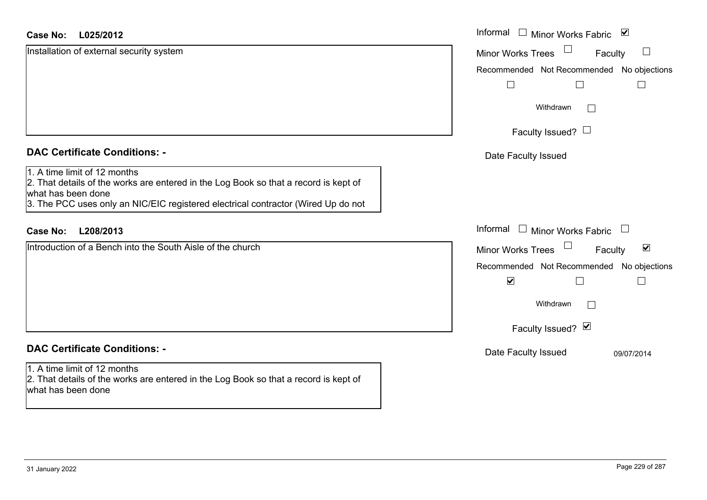| <b>Case No:</b><br>L025/2012                                                                                                                                                                                                    | Informal □ Minor Works Fabric ⊠                                              |
|---------------------------------------------------------------------------------------------------------------------------------------------------------------------------------------------------------------------------------|------------------------------------------------------------------------------|
| Installation of external security system                                                                                                                                                                                        | $\begin{array}{c} \hline \end{array}$<br><b>Minor Works Trees</b><br>Faculty |
|                                                                                                                                                                                                                                 | Recommended Not Recommended No objections                                    |
|                                                                                                                                                                                                                                 |                                                                              |
|                                                                                                                                                                                                                                 | Withdrawn<br>$\Box$                                                          |
|                                                                                                                                                                                                                                 | Faculty Issued? $\Box$                                                       |
| <b>DAC Certificate Conditions: -</b>                                                                                                                                                                                            | Date Faculty Issued                                                          |
| 1. A time limit of 12 months<br>2. That details of the works are entered in the Log Book so that a record is kept of<br>what has been done<br>3. The PCC uses only an NIC/EIC registered electrical contractor (Wired Up do not |                                                                              |
| <b>Case No:</b><br>L208/2013                                                                                                                                                                                                    | Informal $\Box$ Minor Works Fabric<br>$\Box$                                 |
| Introduction of a Bench into the South Aisle of the church                                                                                                                                                                      | $\blacktriangledown$<br><b>Minor Works Trees</b><br>Faculty                  |
|                                                                                                                                                                                                                                 | Recommended Not Recommended No objections                                    |
|                                                                                                                                                                                                                                 | $\blacktriangledown$<br>$\sqcup$<br>$\overline{\phantom{a}}$                 |
|                                                                                                                                                                                                                                 | Withdrawn<br>$\Box$                                                          |
|                                                                                                                                                                                                                                 | Faculty Issued? Ø                                                            |
| <b>DAC Certificate Conditions: -</b>                                                                                                                                                                                            | Date Faculty Issued<br>09/07/2014                                            |
| 1. A time limit of 12 months<br>2. That details of the works are entered in the Log Book so that a record is kept of<br>what has been done                                                                                      |                                                                              |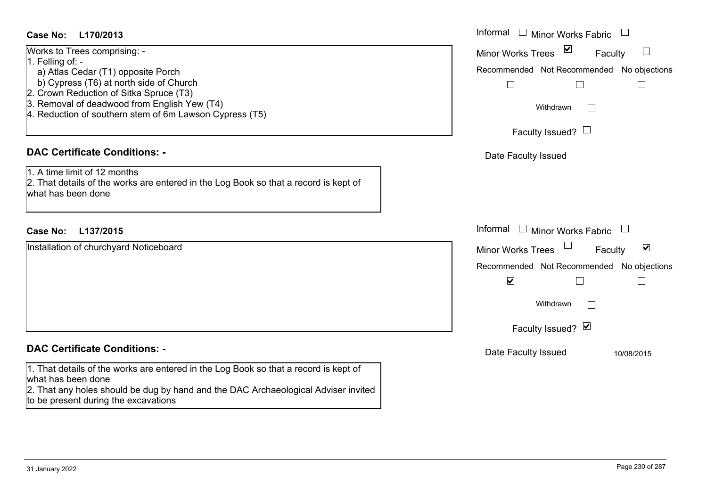#### **L170/2013Case No:** Informal

| Works to Trees comprising: -                             |
|----------------------------------------------------------|
| 1. Felling of: -                                         |
| a) Atlas Cedar (T1) opposite Porch                       |
| b) Cypress (T6) at north side of Church                  |
| 2. Crown Reduction of Sitka Spruce (T3)                  |
| 3. Removal of deadwood from English Yew (T4)             |
| [4. Reduction of southern stem of 6m Lawson Cypress (T5) |
|                                                          |

# **DAC Certificate Conditions: -**

1. A time limit of 12 months2. That details of the works are entered in the Log Book so that a record is kept of what has been done

## **L137/2015Case No:** Informal

Installation of churchyard Noticeboard

#### **DAC Certificate Conditions: -**

1. That details of the works are entered in the Log Book so that a record is kept of what has been done

2. That any holes should be dug by hand and the DAC Archaeological Adviser invited to be present during the excavations

| Informal<br><b>Minor Works Fabric</b>     |
|-------------------------------------------|
| ⊻<br><b>Minor Works Trees</b><br>Faculty  |
| Recommended Not Recommended No objections |
|                                           |
| Withdrawn                                 |
| Faculty Issued?                           |
| Date Faculty Issued                       |
|                                           |
|                                           |
|                                           |
| Informal<br>$\Box$<br>Minor Works Fabric  |
| V<br><b>Minor Works Trees</b><br>Faculty  |
| Recommended Not Recommended No objections |
| $\blacktriangledown$                      |
| Withdrawn                                 |
| Faculty Issued? Ø                         |
| Date Faculty Issued<br>10/08/2015         |
|                                           |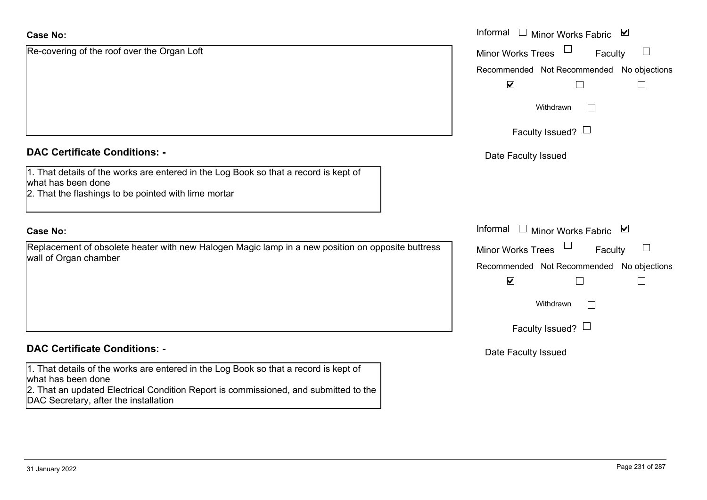| <b>Case No:</b>                                                                                                                                                                                                                             | Informal □ Minor Works Fabric ⊠               |
|---------------------------------------------------------------------------------------------------------------------------------------------------------------------------------------------------------------------------------------------|-----------------------------------------------|
| Re-covering of the roof over the Organ Loft                                                                                                                                                                                                 | <b>Minor Works Trees</b><br>$\Box$<br>Faculty |
|                                                                                                                                                                                                                                             | Recommended Not Recommended No objections     |
|                                                                                                                                                                                                                                             | $\blacktriangledown$<br>$\Box$                |
|                                                                                                                                                                                                                                             | Withdrawn                                     |
|                                                                                                                                                                                                                                             | Faculty Issued? $\Box$                        |
| <b>DAC Certificate Conditions: -</b>                                                                                                                                                                                                        | Date Faculty Issued                           |
| 1. That details of the works are entered in the Log Book so that a record is kept of<br>what has been done<br>2. That the flashings to be pointed with lime mortar                                                                          |                                               |
| <b>Case No:</b>                                                                                                                                                                                                                             | Informal $\Box$ Minor Works Fabric $\Box$     |
| Replacement of obsolete heater with new Halogen Magic lamp in a new position on opposite buttress<br>wall of Organ chamber                                                                                                                  | Faculty<br><b>Minor Works Trees</b><br>$\Box$ |
|                                                                                                                                                                                                                                             | Recommended Not Recommended No objections     |
|                                                                                                                                                                                                                                             | $\blacktriangledown$<br>$\Box$                |
|                                                                                                                                                                                                                                             | Withdrawn<br>$\mathbb{R}^n$                   |
|                                                                                                                                                                                                                                             | Faculty Issued? $\Box$                        |
| <b>DAC Certificate Conditions: -</b>                                                                                                                                                                                                        | Date Faculty Issued                           |
| 1. That details of the works are entered in the Log Book so that a record is kept of<br>what has been done<br>2. That an updated Electrical Condition Report is commissioned, and submitted to the<br>DAC Secretary, after the installation |                                               |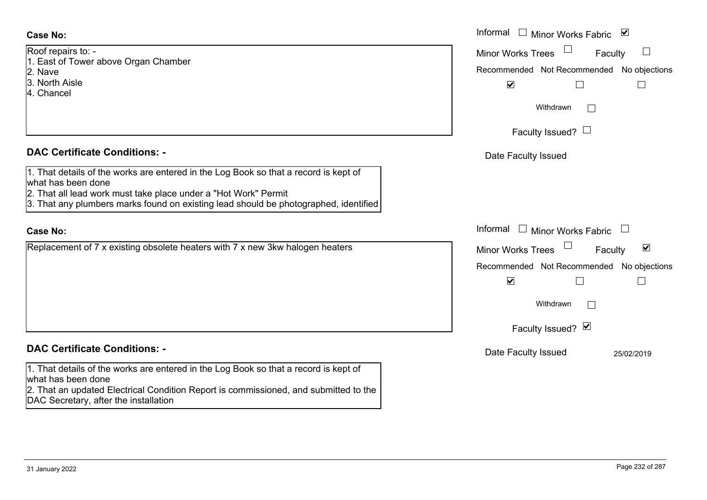|  | Roof repairs to: - |  |                                      |
|--|--------------------|--|--------------------------------------|
|  |                    |  | 1. East of Tower above Organ Chamber |

- 2. Nave
- 3. North Aisle
- 4. Chancel

#### **DAC Certificate Conditions: -**

- 1. That details of the works are entered in the Log Book so that a record is kept of what has been done
- 2. That all lead work must take place under a "Hot Work" Permit
- 3. That any plumbers marks found on existing lead should be photographed, identified

#### **Case No:**

Replacement of 7 x existing obsolete heaters with 7 x new 3kw halogen heaters

#### **DAC Certificate Conditions: -**

1. That details of the works are entered in the Log Book so that a record is kept of what has been done

2. That an updated Electrical Condition Report is commissioned, and submitted to the DAC Secretary, after the installation

|                                                                                                                                                                                                                                   | Informal □ Minor Works Fabric<br>⊻                                                                           |
|-----------------------------------------------------------------------------------------------------------------------------------------------------------------------------------------------------------------------------------|--------------------------------------------------------------------------------------------------------------|
| $\sin$ s to: -<br>f Tower above Organ Chamber                                                                                                                                                                                     | $\overline{\phantom{a}}$<br><b>Minor Works Trees</b><br>Faculty<br>Recommended Not Recommended No objections |
| Aisle<br>el                                                                                                                                                                                                                       | $\blacktriangledown$<br>$\Box$                                                                               |
|                                                                                                                                                                                                                                   | Withdrawn                                                                                                    |
|                                                                                                                                                                                                                                   | Faculty Issued? $\Box$                                                                                       |
| rtificate Conditions: -                                                                                                                                                                                                           | Date Faculty Issued                                                                                          |
| etails of the works are entered in the Log Book so that a record is kept of<br>been done<br>Il lead work must take place under a "Hot Work" Permit<br>ny plumbers marks found on existing lead should be photographed, identified |                                                                                                              |
|                                                                                                                                                                                                                                   | Informal □ Minor Works Fabric                                                                                |
| nent of 7 x existing obsolete heaters with 7 x new 3kw halogen heaters                                                                                                                                                            | $\Box$<br>$\blacktriangledown$<br>Minor Works Trees<br>Faculty                                               |
|                                                                                                                                                                                                                                   | Recommended Not Recommended No objections                                                                    |
|                                                                                                                                                                                                                                   | $\blacktriangledown$                                                                                         |
|                                                                                                                                                                                                                                   | Withdrawn                                                                                                    |
|                                                                                                                                                                                                                                   | Faculty Issued? Ø                                                                                            |
| rtificate Conditions: -                                                                                                                                                                                                           | Date Faculty Issued<br>25/02/2019                                                                            |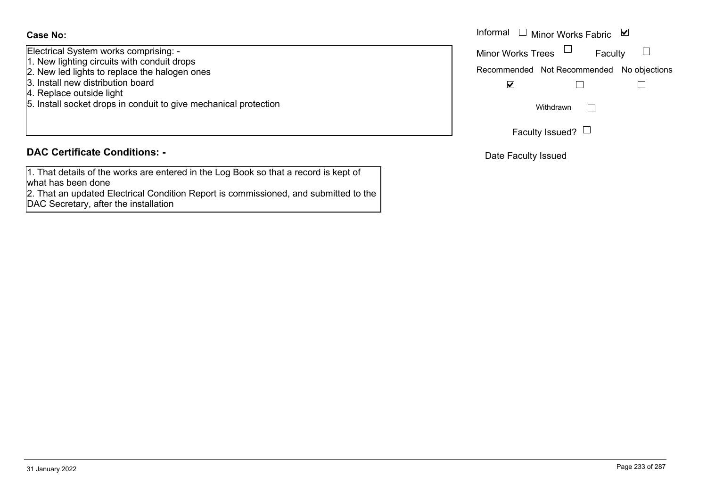Electrical System works comprising: -

- 1. New lighting circuits with conduit drops
- 2. New led lights to replace the halogen ones
- 3. Install new distribution board
- 4. Replace outside light
- 5. Install socket drops in conduit to give mechanical protection

#### **DAC Certificate Conditions: -**

1. That details of the works are entered in the Log Book so that a record is kept of what has been done

2. That an updated Electrical Condition Report is commissioned, and submitted to the DAC Secretary, after the installation

|                                                                  | Informal<br>$\overline{\phantom{a}}$ $\Box$ Minor Works Fabric<br>⊻ |
|------------------------------------------------------------------|---------------------------------------------------------------------|
| System works comprising: -<br>ghting circuits with conduit drops | <b>Minor Works Trees</b><br>Faculty                                 |
| d lights to replace the halogen ones                             | Recommended Not Recommended No objections                           |
| new distribution board<br>ce outside light                       | V                                                                   |
| socket drops in conduit to give mechanical protection            | Withdrawn                                                           |
|                                                                  | Faculty Issued? $\Box$                                              |

Date Faculty Issued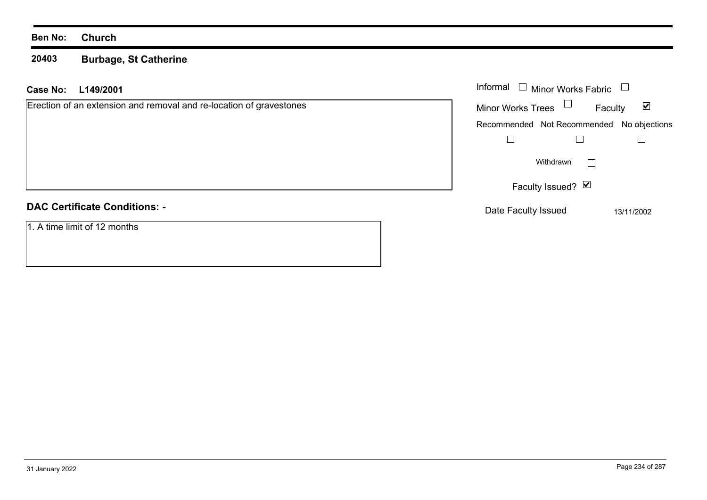**20403 Burbage, St Catherine**

| L149/2001<br>Case No:                                               | Informal $\Box$ Minor Works Fabric                          |
|---------------------------------------------------------------------|-------------------------------------------------------------|
| Erection of an extension and removal and re-location of gravestones | Minor Works Trees $\Box$<br>$\blacktriangledown$<br>Faculty |
|                                                                     | Recommended Not Recommended No objections                   |
|                                                                     |                                                             |
|                                                                     | Withdrawn                                                   |
|                                                                     | Faculty Issued? Ø                                           |
| <b>DAC Certificate Conditions: -</b>                                | Date Faculty Issued<br>13/11/2002                           |
| 1. A time limit of 12 months                                        |                                                             |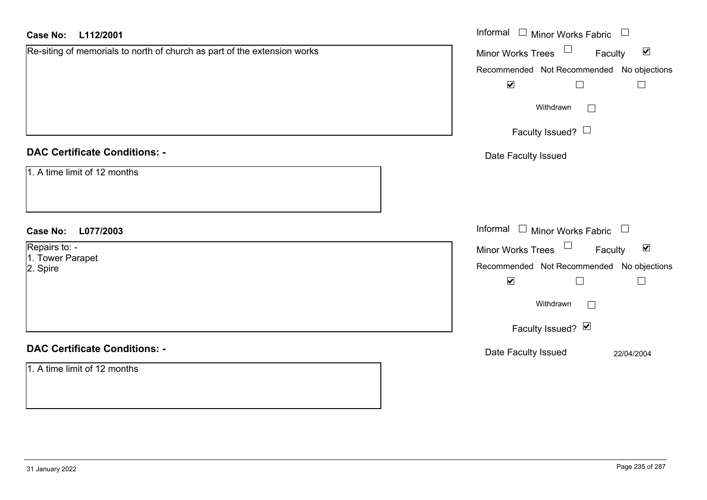| <b>Case No:</b><br>L112/2001                                             | Informal $\Box$ Minor Works Fabric $\Box$                         |
|--------------------------------------------------------------------------|-------------------------------------------------------------------|
| Re-siting of memorials to north of church as part of the extension works | Minor Works Trees <sup>1</sup><br>$\blacktriangledown$<br>Faculty |
|                                                                          | Recommended Not Recommended No objections                         |
|                                                                          | $\blacktriangledown$<br>$\Box$<br>$\Box$                          |
|                                                                          | Withdrawn<br>$\Box$                                               |
|                                                                          | Faculty Issued? $\Box$                                            |
| <b>DAC Certificate Conditions: -</b>                                     | Date Faculty Issued                                               |
| 1. A time limit of 12 months                                             |                                                                   |
| <b>Case No:</b><br>L077/2003                                             | Informal $\Box$ Minor Works Fabric $\Box$                         |
| Repairs to: -                                                            | Minor Works Trees $\Box$<br>$\blacktriangledown$<br>Faculty       |
| 1. Tower Parapet<br>2. Spire                                             | Recommended Not Recommended No objections                         |
|                                                                          | $\blacktriangledown$<br>$\Box$<br>$\Box$                          |
|                                                                          | Withdrawn<br>$\Box$                                               |
|                                                                          | Faculty Issued? Ø                                                 |
| <b>DAC Certificate Conditions: -</b>                                     | Date Faculty Issued<br>22/04/2004                                 |
| 1. A time limit of 12 months                                             |                                                                   |
|                                                                          |                                                                   |
|                                                                          |                                                                   |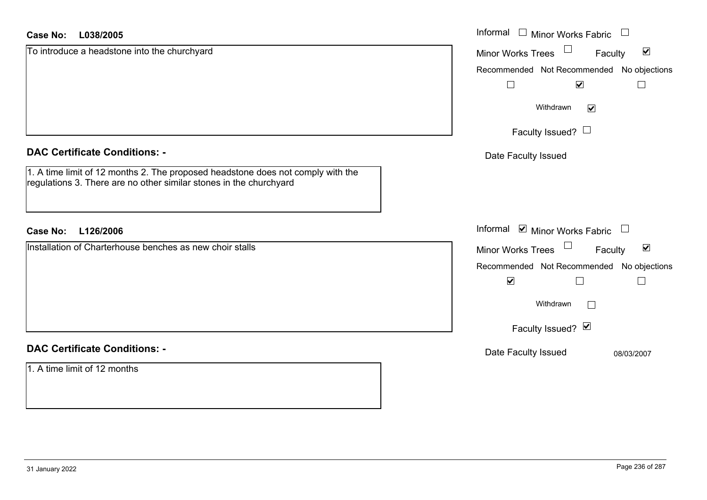| L038/2005<br><b>Case No:</b>                                                                                                                          | Informal<br>$\mathrel{\boxdot}$ Minor Works Fabric<br>$\Box$ |
|-------------------------------------------------------------------------------------------------------------------------------------------------------|--------------------------------------------------------------|
| To introduce a headstone into the churchyard                                                                                                          | $\blacktriangledown$<br>Minor Works Trees<br>Faculty         |
|                                                                                                                                                       | Recommended Not Recommended No objections                    |
|                                                                                                                                                       | $\overline{\mathbf{v}}$                                      |
|                                                                                                                                                       | Withdrawn<br>$\blacktriangledown$                            |
|                                                                                                                                                       | Faculty Issued? $\Box$                                       |
| <b>DAC Certificate Conditions: -</b>                                                                                                                  | Date Faculty Issued                                          |
| 1. A time limit of 12 months 2. The proposed headstone does not comply with the<br>regulations 3. There are no other similar stones in the churchyard |                                                              |
| L126/2006<br><b>Case No:</b>                                                                                                                          | Informal $\blacksquare$ Minor Works Fabric $\blacksquare$    |
| Installation of Charterhouse benches as new choir stalls                                                                                              | Minor Works Trees<br>$\blacktriangledown$<br>Faculty         |
|                                                                                                                                                       | Recommended Not Recommended No objections                    |
|                                                                                                                                                       | $\blacktriangledown$                                         |
|                                                                                                                                                       | Withdrawn                                                    |
|                                                                                                                                                       | Faculty Issued? Ø                                            |
| <b>DAC Certificate Conditions: -</b>                                                                                                                  | Date Faculty Issued<br>08/03/2007                            |
| 1. A time limit of 12 months                                                                                                                          |                                                              |
|                                                                                                                                                       |                                                              |
|                                                                                                                                                       |                                                              |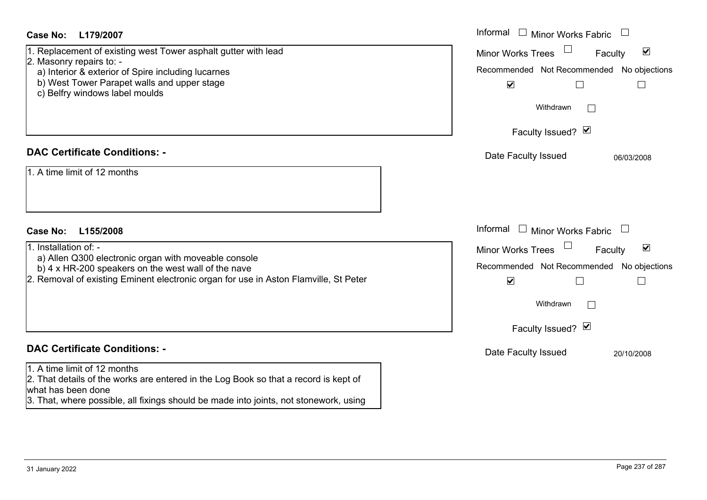| Case No:<br>L179/2007                                                                                                                                                                                                               | Informal<br><b>Minor Works Fabric</b>                                                                                            |
|-------------------------------------------------------------------------------------------------------------------------------------------------------------------------------------------------------------------------------------|----------------------------------------------------------------------------------------------------------------------------------|
| 1. Replacement of existing west Tower asphalt gutter with lead<br>2. Masonry repairs to: -<br>a) Interior & exterior of Spire including lucarnes                                                                                    | $\blacktriangledown$<br><b>Minor Works Trees</b><br>Faculty<br>Recommended Not Recommended No objections                         |
| b) West Tower Parapet walls and upper stage<br>c) Belfry windows label moulds                                                                                                                                                       | $\blacktriangledown$<br>Withdrawn<br>$\mathbb{R}^n$                                                                              |
|                                                                                                                                                                                                                                     | Faculty Issued? Ø                                                                                                                |
| <b>DAC Certificate Conditions: -</b>                                                                                                                                                                                                | Date Faculty Issued<br>06/03/2008                                                                                                |
| 1. A time limit of 12 months                                                                                                                                                                                                        |                                                                                                                                  |
| <b>Case No:</b><br>L155/2008                                                                                                                                                                                                        | Informal<br>$\Box$ Minor Works Fabric                                                                                            |
| 1. Installation of: -<br>a) Allen Q300 electronic organ with moveable console<br>b) 4 x HR-200 speakers on the west wall of the nave<br>2. Removal of existing Eminent electronic organ for use in Aston Flamville, St Peter        | $\blacktriangledown$<br><b>Minor Works Trees</b><br>Faculty<br>Recommended Not Recommended No objections<br>$\blacktriangledown$ |
|                                                                                                                                                                                                                                     | Withdrawn                                                                                                                        |
|                                                                                                                                                                                                                                     | Faculty Issued? Ø                                                                                                                |
| <b>DAC Certificate Conditions: -</b>                                                                                                                                                                                                | Date Faculty Issued<br>20/10/2008                                                                                                |
| 1. A time limit of 12 months<br>2. That details of the works are entered in the Log Book so that a record is kept of<br>what has been done<br>3. That, where possible, all fixings should be made into joints, not stonework, using |                                                                                                                                  |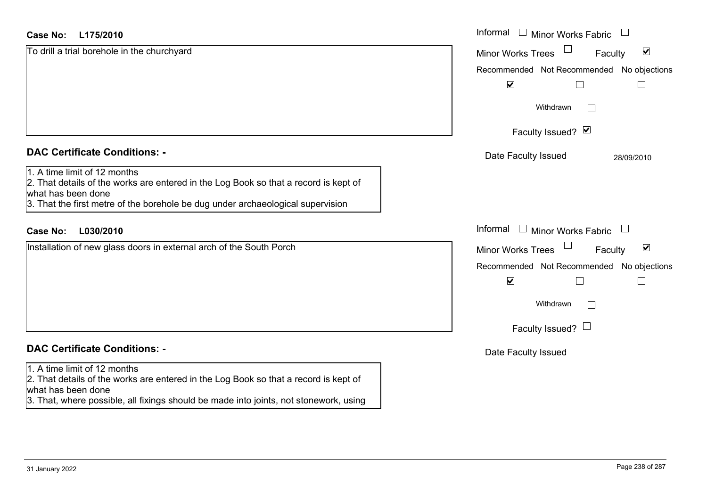| L175/2010<br>Case No:                                                                                                                                                                                                               | Informal<br>$\Box$ Minor Works Fabric                       |
|-------------------------------------------------------------------------------------------------------------------------------------------------------------------------------------------------------------------------------------|-------------------------------------------------------------|
| To drill a trial borehole in the churchyard                                                                                                                                                                                         | $\blacktriangledown$<br><b>Minor Works Trees</b><br>Faculty |
|                                                                                                                                                                                                                                     | Recommended Not Recommended No objections                   |
|                                                                                                                                                                                                                                     | $\blacktriangledown$                                        |
|                                                                                                                                                                                                                                     | Withdrawn                                                   |
|                                                                                                                                                                                                                                     | Faculty Issued? Ø                                           |
| <b>DAC Certificate Conditions: -</b>                                                                                                                                                                                                | Date Faculty Issued<br>28/09/2010                           |
| 1. A time limit of 12 months<br>2. That details of the works are entered in the Log Book so that a record is kept of<br>what has been done<br>3. That the first metre of the borehole be dug under archaeological supervision       |                                                             |
| L030/2010<br><b>Case No:</b>                                                                                                                                                                                                        | Informal<br>$\Box$ Minor Works Fabric                       |
| Installation of new glass doors in external arch of the South Porch                                                                                                                                                                 | $\blacktriangledown$<br><b>Minor Works Trees</b><br>Faculty |
|                                                                                                                                                                                                                                     | Recommended Not Recommended No objections                   |
|                                                                                                                                                                                                                                     | $\blacktriangledown$                                        |
|                                                                                                                                                                                                                                     | Withdrawn                                                   |
|                                                                                                                                                                                                                                     | Faculty Issued? $\Box$                                      |
| <b>DAC Certificate Conditions: -</b>                                                                                                                                                                                                | Date Faculty Issued                                         |
| 1. A time limit of 12 months<br>2. That details of the works are entered in the Log Book so that a record is kept of<br>what has been done<br>3. That, where possible, all fixings should be made into joints, not stonework, using |                                                             |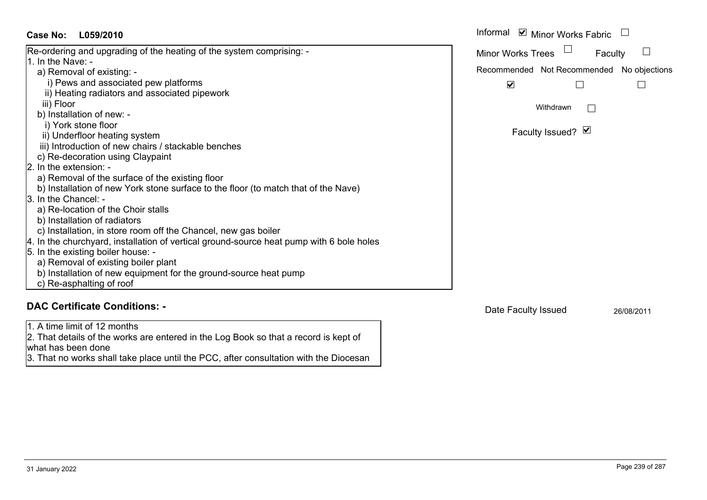| Case No:<br>L059/2010                                                                    | Informal ☑ Minor Works Fabric             |
|------------------------------------------------------------------------------------------|-------------------------------------------|
| Re-ordering and upgrading of the heating of the system comprising: -                     | <b>Minor Works Trees</b><br>Faculty       |
| 1. In the Nave: -                                                                        |                                           |
| a) Removal of existing: -                                                                | Recommended Not Recommended No objections |
| i) Pews and associated pew platforms                                                     | $\overline{\mathbf{v}}$                   |
| ii) Heating radiators and associated pipework                                            |                                           |
| iii) Floor                                                                               | Withdrawn                                 |
| b) Installation of new: -                                                                |                                           |
| i) York stone floor                                                                      |                                           |
| ii) Underfloor heating system                                                            | Faculty Issued? Ø                         |
| iii) Introduction of new chairs / stackable benches                                      |                                           |
| c) Re-decoration using Claypaint                                                         |                                           |
| 2. In the extension: -                                                                   |                                           |
| a) Removal of the surface of the existing floor                                          |                                           |
| b) Installation of new York stone surface to the floor (to match that of the Nave)       |                                           |
| 3. In the Chancel: -                                                                     |                                           |
| a) Re-location of the Choir stalls                                                       |                                           |
| b) Installation of radiators                                                             |                                           |
| c) Installation, in store room off the Chancel, new gas boiler                           |                                           |
| 4. In the churchyard, installation of vertical ground-source heat pump with 6 bole holes |                                           |
| 5. In the existing boiler house: -                                                       |                                           |
| a) Removal of existing boiler plant                                                      |                                           |
| b) Installation of new equipment for the ground-source heat pump                         |                                           |
| c) Re-asphalting of roof                                                                 |                                           |
| <b>DAC Certificate Conditions: -</b>                                                     | Date Faculty Issued                       |

1. A time limit of 12 months

what has been done

2. That details of the works are entered in the Log Book so that a record is kept of

3. That no works shall take place until the PCC, after consultation with the Diocesan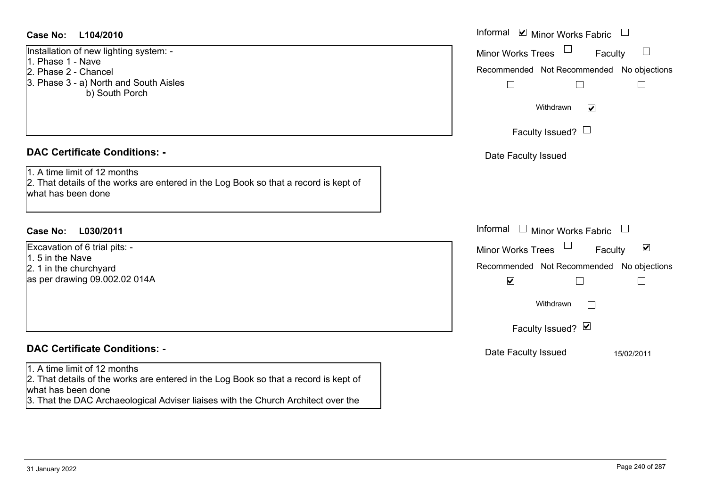#### **L104/2010Case No:** Informal

Installation of new lighting system: - 1. Phase 1 - Nave2. Phase 2 - Chancel3. Phase 3 - a) North and South Aisles b) South Porch

## **DAC Certificate Conditions: -**

1. A time limit of 12 months2. That details of the works are entered in the Log Book so that a record is kept of what has been done

## **L030/2011Case No:** Informal

Excavation of 6 trial pits: - 1. 5 in the Nave2. 1 in the churchyard as per drawing 09.002.02 014A

# **DAC Certificate Conditions: -**

#### 1. A time limit of 12 months

2. That details of the works are entered in the Log Book so that a record is kept of what has been done

3. That the DAC Archaeological Adviser liaises with the Church Architect over the

| Informal ☑ Minor Works Fabric<br><b>Minor Works Trees</b><br>Faculty<br>Recommended Not Recommended No objections<br>Withdrawn<br>M |
|-------------------------------------------------------------------------------------------------------------------------------------|
| Faculty Issued?                                                                                                                     |
| Date Faculty Issued                                                                                                                 |
| Informal<br><b>Minor Works Fabric</b>                                                                                               |
| $\blacktriangledown$<br><b>Minor Works Trees</b><br>Faculty                                                                         |
| Recommended Not Recommended No objections<br>$\blacktriangledown$<br>Withdrawn                                                      |
| Faculty Issued? Ø                                                                                                                   |
| Date Faculty Issued<br>15/02/2011                                                                                                   |
|                                                                                                                                     |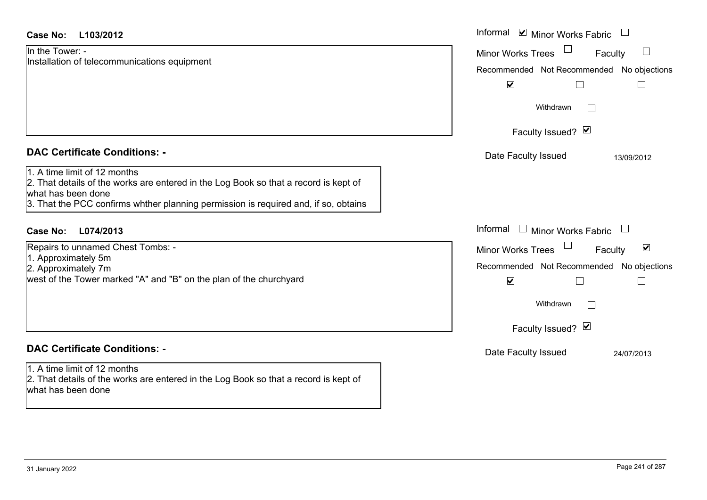| <b>Case No:</b><br>L103/2012                                                                                                                                                                                                                                              | Informal Ø Minor Works Fabric □                                                                                                                                                                                                                |
|---------------------------------------------------------------------------------------------------------------------------------------------------------------------------------------------------------------------------------------------------------------------------|------------------------------------------------------------------------------------------------------------------------------------------------------------------------------------------------------------------------------------------------|
| In the Tower: -<br>Installation of telecommunications equipment                                                                                                                                                                                                           | $\Box$<br><b>Minor Works Trees</b><br>Faculty<br>Recommended Not Recommended No objections<br>$\blacktriangledown$<br>$\Box$<br>$\Box$<br>Withdrawn<br>Faculty Issued? Ø                                                                       |
| <b>DAC Certificate Conditions: -</b><br>1. A time limit of 12 months<br>2. That details of the works are entered in the Log Book so that a record is kept of<br>what has been done<br>3. That the PCC confirms whther planning permission is required and, if so, obtains | Date Faculty Issued<br>13/09/2012                                                                                                                                                                                                              |
| Case No:<br>L074/2013<br>Repairs to unnamed Chest Tombs: -<br>1. Approximately 5m<br>2. Approximately 7m<br>west of the Tower marked "A" and "B" on the plan of the churchyard                                                                                            | Informal<br>□ Minor Works Fabric □<br>$\blacktriangledown$<br><b>Minor Works Trees</b><br>Faculty<br>Recommended Not Recommended No objections<br>$\blacktriangledown$<br>$\Box$<br>$\overline{\phantom{a}}$<br>Withdrawn<br>Faculty Issued? V |
| <b>DAC Certificate Conditions: -</b><br>1. A time limit of 12 months<br>2. That details of the works are entered in the Log Book so that a record is kept of<br>what has been done                                                                                        | Date Faculty Issued<br>24/07/2013                                                                                                                                                                                                              |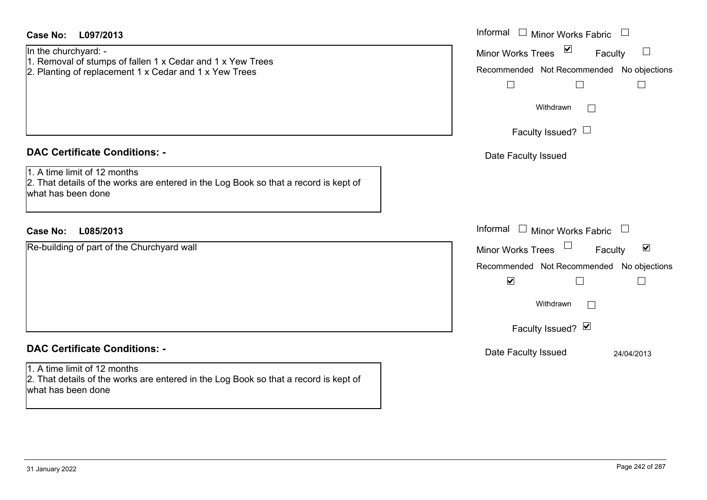| <b>Case No:</b><br>L097/2013                                                                                                                 | Informal<br>$\Box$ Minor Works Fabric $\;\Box$                                                                                   |
|----------------------------------------------------------------------------------------------------------------------------------------------|----------------------------------------------------------------------------------------------------------------------------------|
| In the churchyard: -<br>1. Removal of stumps of fallen 1 x Cedar and 1 x Yew Trees<br>2. Planting of replacement 1 x Cedar and 1 x Yew Trees | Minor Works Trees ⊠<br>Faculty<br>Recommended Not Recommended No objections<br>$\Box$<br>$\Box$<br>$\Box$<br>Withdrawn<br>$\sim$ |
|                                                                                                                                              | Faculty Issued? $\Box$                                                                                                           |
| <b>DAC Certificate Conditions: -</b>                                                                                                         | Date Faculty Issued                                                                                                              |
| 1. A time limit of 12 months<br>2. That details of the works are entered in the Log Book so that a record is kept of<br>what has been done   |                                                                                                                                  |
| <b>Case No:</b><br>L085/2013                                                                                                                 | Informal $\Box$ Minor Works Fabric $\Box$                                                                                        |
| Re-building of part of the Churchyard wall                                                                                                   | Minor Works Trees<br>$\blacktriangledown$<br>Faculty                                                                             |
|                                                                                                                                              | Recommended Not Recommended No objections                                                                                        |
|                                                                                                                                              | $\blacktriangledown$<br>$\Box$<br>$\overline{\phantom{a}}$                                                                       |
|                                                                                                                                              | Withdrawn<br>$\Box$                                                                                                              |
|                                                                                                                                              | Faculty Issued? Ø                                                                                                                |
| <b>DAC Certificate Conditions: -</b>                                                                                                         | Date Faculty Issued<br>24/04/2013                                                                                                |
| 1. A time limit of 12 months<br>2. That details of the works are entered in the Log Book so that a record is kept of<br>what has been done   |                                                                                                                                  |
|                                                                                                                                              |                                                                                                                                  |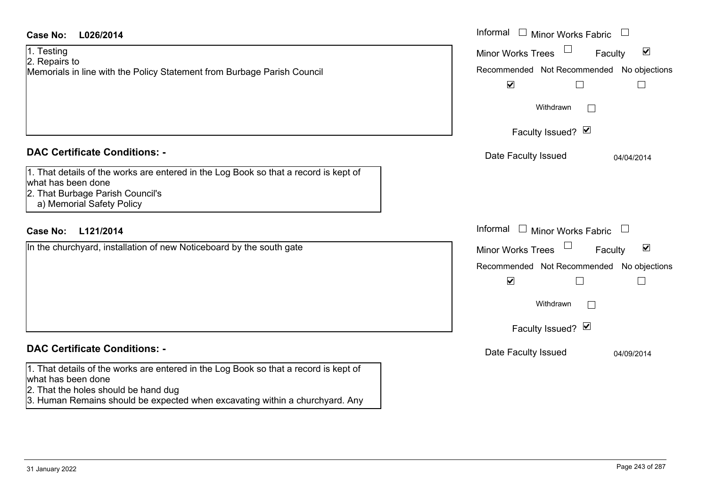| <b>Case No:</b><br>L026/2014                                                                                                                   | Informal $\Box$ Minor Works Fabric $\Box$                   |
|------------------------------------------------------------------------------------------------------------------------------------------------|-------------------------------------------------------------|
| 1. Testing                                                                                                                                     | $\blacktriangledown$<br><b>Minor Works Trees</b><br>Faculty |
| 2. Repairs to                                                                                                                                  |                                                             |
| Memorials in line with the Policy Statement from Burbage Parish Council                                                                        | Recommended Not Recommended No objections                   |
|                                                                                                                                                | $\blacktriangledown$<br>$\Box$<br>$\vert \ \ \vert$         |
|                                                                                                                                                | Withdrawn                                                   |
|                                                                                                                                                | Faculty Issued? Ø                                           |
| <b>DAC Certificate Conditions: -</b>                                                                                                           | Date Faculty Issued<br>04/04/2014                           |
| 1. That details of the works are entered in the Log Book so that a record is kept of<br>what has been done<br>2. That Burbage Parish Council's |                                                             |
| a) Memorial Safety Policy                                                                                                                      |                                                             |
| <b>Case No:</b><br>L121/2014                                                                                                                   | Informal $\Box$ Minor Works Fabric $\Box$                   |
| In the churchyard, installation of new Noticeboard by the south gate                                                                           | $\blacktriangledown$<br><b>Minor Works Trees</b><br>Faculty |
|                                                                                                                                                | Recommended Not Recommended No objections                   |
|                                                                                                                                                | $\blacktriangledown$<br>$\Box$<br>$\vert \ \ \vert$         |
|                                                                                                                                                | Withdrawn                                                   |
|                                                                                                                                                | Faculty Issued? Ø                                           |
| <b>DAC Certificate Conditions: -</b>                                                                                                           | Date Faculty Issued<br>04/09/2014                           |
| 1. That details of the works are entered in the Log Book so that a record is kept of                                                           |                                                             |
| what has been done                                                                                                                             |                                                             |
| 2. That the holes should be hand dug                                                                                                           |                                                             |
| 3. Human Remains should be expected when excavating within a churchyard. Any                                                                   |                                                             |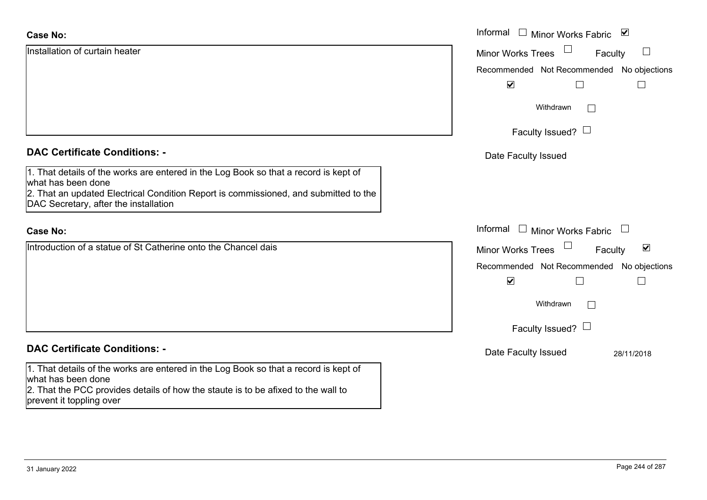| <b>Case No:</b>                                                                                                                                                                                                                             | Informal<br>$\Box$ Minor Works Fabric $\Box$                |
|---------------------------------------------------------------------------------------------------------------------------------------------------------------------------------------------------------------------------------------------|-------------------------------------------------------------|
| Installation of curtain heater                                                                                                                                                                                                              | $\Box$<br>$\Box$<br><b>Minor Works Trees</b><br>Faculty     |
|                                                                                                                                                                                                                                             | Recommended Not Recommended No objections                   |
|                                                                                                                                                                                                                                             | $\blacktriangledown$                                        |
|                                                                                                                                                                                                                                             | Withdrawn<br>$\perp$                                        |
|                                                                                                                                                                                                                                             | Faculty Issued? $\Box$                                      |
| <b>DAC Certificate Conditions: -</b>                                                                                                                                                                                                        | Date Faculty Issued                                         |
| 1. That details of the works are entered in the Log Book so that a record is kept of<br>what has been done<br>2. That an updated Electrical Condition Report is commissioned, and submitted to the<br>DAC Secretary, after the installation |                                                             |
| <b>Case No:</b>                                                                                                                                                                                                                             | Informal<br>$\Box$ Minor Works Fabric                       |
| Introduction of a statue of St Catherine onto the Chancel dais                                                                                                                                                                              | $\blacktriangledown$<br><b>Minor Works Trees</b><br>Faculty |
|                                                                                                                                                                                                                                             | Recommended Not Recommended No objections                   |
|                                                                                                                                                                                                                                             | $\blacktriangledown$<br>$\Box$                              |
|                                                                                                                                                                                                                                             | Withdrawn<br>$\vert \ \ \vert$                              |
|                                                                                                                                                                                                                                             | Faculty Issued? $\Box$                                      |
| <b>DAC Certificate Conditions: -</b>                                                                                                                                                                                                        | Date Faculty Issued<br>28/11/2018                           |
| 1. That details of the works are entered in the Log Book so that a record is kept of<br>what has been done<br>2. That the PCC provides details of how the staute is to be afixed to the wall to<br>prevent it toppling over                 |                                                             |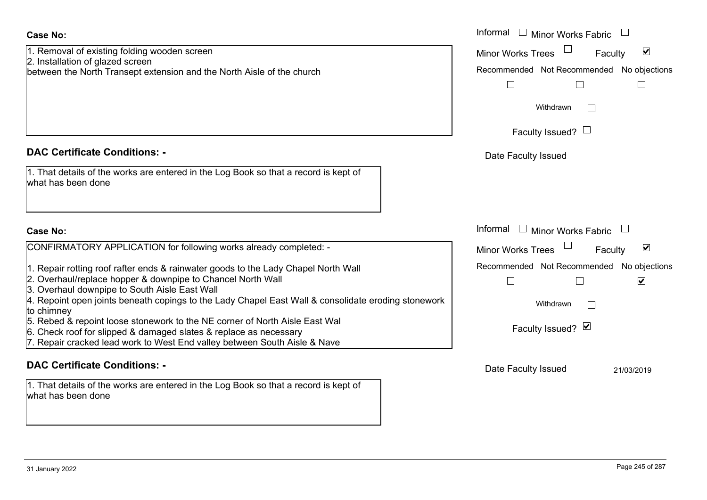| 1. Removal of existing folding wooden screen                           |
|------------------------------------------------------------------------|
| 2. Installation of glazed screen                                       |
| between the North Transept extension and the North Aisle of the church |

## **DAC Certificate Conditions: -**

| 1. That details of the works are entered in the Log Book so that a record is kept of |
|--------------------------------------------------------------------------------------|
| what has been done                                                                   |

#### **Case No:**

| CONFIRMATORY APPLICATION for following works already completed: - |  |  |
|-------------------------------------------------------------------|--|--|
|                                                                   |  |  |

- 1. Repair rotting roof rafter ends & rainwater goods to the Lady Chapel North Wall
- 2. Overhaul/replace hopper & downpipe to Chancel North Wall
- 3. Overhaul downpipe to South Aisle East Wall
- 4. Repoint open joints beneath copings to the Lady Chapel East Wall & consolidate eroding st to chimney
- 5. Rebed & repoint loose stonework to the NE corner of North Aisle East Wal
- 6. Check roof for slipped & damaged slates & replace as necessary
- 7. Repair cracked lead work to West End valley between South Aisle & Nave

### **DAC Certificate Conditions: -**

1. That details of the works are entered in the Log Book so that a record is kept of what has been done

|                                                                                                                                                                                                   | Informal $\square$<br><b>Minor Works Fabric</b>                   |
|---------------------------------------------------------------------------------------------------------------------------------------------------------------------------------------------------|-------------------------------------------------------------------|
| val of existing folding wooden screen<br>ation of glazed screen                                                                                                                                   | $\blacktriangledown$<br><b>Minor Works Trees</b><br>Faculty       |
| the North Transept extension and the North Aisle of the church                                                                                                                                    | Recommended Not Recommended No objections                         |
|                                                                                                                                                                                                   | Withdrawn<br>$\mathbb{R}^n$                                       |
|                                                                                                                                                                                                   | Faculty Issued? $\Box$                                            |
| rtificate Conditions: -                                                                                                                                                                           | Date Faculty Issued                                               |
| etails of the works are entered in the Log Book so that a record is kept of<br>been done                                                                                                          |                                                                   |
|                                                                                                                                                                                                   | Informal □ Minor Works Fabric                                     |
| MATORY APPLICATION for following works already completed: -                                                                                                                                       | $\blacktriangledown$<br><b>Minor Works Trees</b><br>Faculty       |
| rotting roof rafter ends & rainwater goods to the Lady Chapel North Wall<br>aul/replace hopper & downpipe to Chancel North Wall<br>aul downpipe to South Aisle East Wall                          | Recommended Not Recommended No objections<br>$\blacktriangledown$ |
| it open joints beneath copings to the Lady Chapel East Wall & consolidate eroding stonework<br>эу                                                                                                 | Withdrawn<br>$\mathbf{L}$                                         |
| & repoint loose stonework to the NE corner of North Aisle East Wal<br>roof for slipped & damaged slates & replace as necessary<br>cracked lead work to West End valley between South Aisle & Nave | Faculty Issued? Ø                                                 |
| rtificate Conditions: -                                                                                                                                                                           | Date Faculty Issued<br>21/03/2019                                 |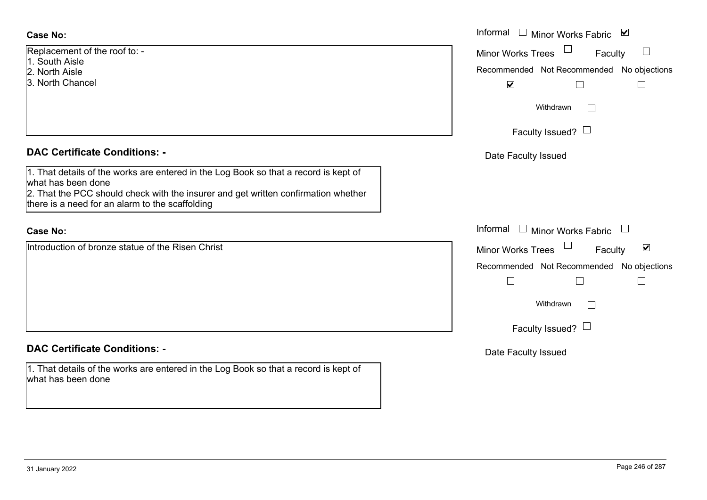| <b>Case No:</b>                                                                                                                                                                                                                                     | Informal $\square$<br>Minor Works Fabric ⊠                                          |
|-----------------------------------------------------------------------------------------------------------------------------------------------------------------------------------------------------------------------------------------------------|-------------------------------------------------------------------------------------|
| Replacement of the roof to: -<br>1. South Aisle                                                                                                                                                                                                     | $\Box$<br>Minor Works Trees<br>Faculty<br>Recommended Not Recommended No objections |
| 2. North Aisle<br>3. North Chancel                                                                                                                                                                                                                  | $\blacktriangleright$                                                               |
|                                                                                                                                                                                                                                                     | Withdrawn<br>$\mathbb{R}^n$                                                         |
|                                                                                                                                                                                                                                                     | Faculty Issued? $\Box$                                                              |
| <b>DAC Certificate Conditions: -</b>                                                                                                                                                                                                                | Date Faculty Issued                                                                 |
| 1. That details of the works are entered in the Log Book so that a record is kept of<br>what has been done<br>2. That the PCC should check with the insurer and get written confirmation whether<br>there is a need for an alarm to the scaffolding |                                                                                     |
| <b>Case No:</b>                                                                                                                                                                                                                                     | Informal $\Box$ Minor Works Fabric                                                  |
| Introduction of bronze statue of the Risen Christ                                                                                                                                                                                                   | $\blacktriangledown$<br>Minor Works Trees<br>Faculty                                |
|                                                                                                                                                                                                                                                     | Recommended Not Recommended No objections                                           |
|                                                                                                                                                                                                                                                     | Withdrawn                                                                           |
|                                                                                                                                                                                                                                                     | Faculty Issued? $\Box$                                                              |
| <b>DAC Certificate Conditions: -</b>                                                                                                                                                                                                                | Date Faculty Issued                                                                 |
| 1. That details of the works are entered in the Log Book so that a record is kept of<br>what has been done                                                                                                                                          |                                                                                     |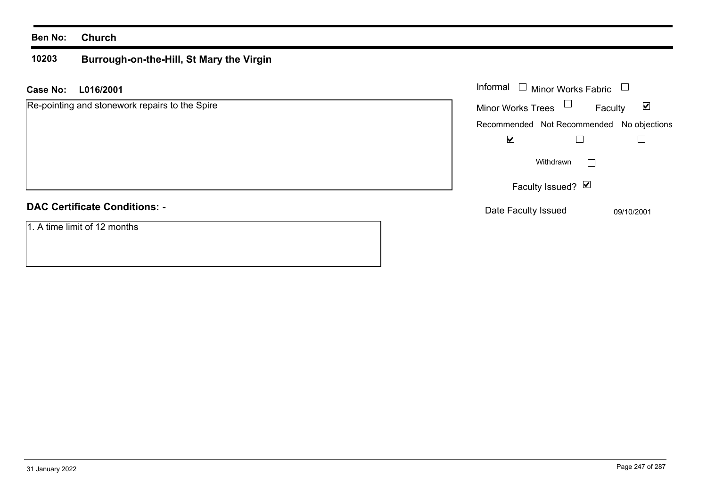#### **10203 Burrough-on-the-Hill, St Mary the Virgin**

**L016/2001 Case No:** Informal

| Re-pointing and stonework repairs to the Spire | <b>Minor Works Trees</b> | Faculty                                   | ☑          |
|------------------------------------------------|--------------------------|-------------------------------------------|------------|
|                                                |                          | Recommended Not Recommended No objections |            |
|                                                | ☑                        |                                           |            |
|                                                |                          | Withdrawn<br>$\vert \ \ \vert$            |            |
|                                                |                          | Faculty Issued? Ø                         |            |
| <b>DAC Certificate Conditions: -</b>           | Date Faculty Issued      |                                           | 09/10/2001 |
| 1. A time limit of 12 months                   |                          |                                           |            |

Minor Works Fabric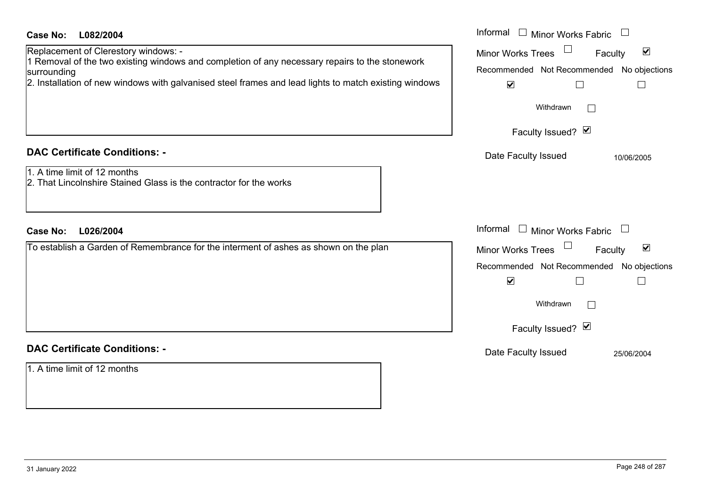| <b>Case No:</b><br>L082/2004<br>Replacement of Clerestory windows: -<br>I Removal of the two existing windows and completion of any necessary repairs to the stonework<br>surrounding<br>2. Installation of new windows with galvanised steel frames and lead lights to match existing windows | Informal $\Box$ Minor Works Fabric $\Box$<br>$\blacktriangledown$<br><b>Minor Works Trees</b><br>Faculty<br>Recommended Not Recommended No objections<br>$\blacktriangledown$<br>H<br>Withdrawn<br>Faculty Issued? Ø |
|------------------------------------------------------------------------------------------------------------------------------------------------------------------------------------------------------------------------------------------------------------------------------------------------|----------------------------------------------------------------------------------------------------------------------------------------------------------------------------------------------------------------------|
| <b>DAC Certificate Conditions: -</b>                                                                                                                                                                                                                                                           | Date Faculty Issued<br>10/06/2005                                                                                                                                                                                    |
| 1. A time limit of 12 months<br>2. That Lincolnshire Stained Glass is the contractor for the works                                                                                                                                                                                             |                                                                                                                                                                                                                      |
| <b>Case No:</b><br>L026/2004                                                                                                                                                                                                                                                                   | Informal $\Box$ Minor Works Fabric $\Box$                                                                                                                                                                            |
| To establish a Garden of Remembrance for the interment of ashes as shown on the plan                                                                                                                                                                                                           | $\blacktriangledown$<br>Minor Works Trees<br>Faculty                                                                                                                                                                 |
|                                                                                                                                                                                                                                                                                                | Recommended Not Recommended No objections<br>$\blacktriangledown$<br>П<br>$\overline{\phantom{a}}$                                                                                                                   |
|                                                                                                                                                                                                                                                                                                | Withdrawn                                                                                                                                                                                                            |
|                                                                                                                                                                                                                                                                                                | Faculty Issued? Ø                                                                                                                                                                                                    |
| <b>DAC Certificate Conditions: -</b>                                                                                                                                                                                                                                                           | Date Faculty Issued<br>25/06/2004                                                                                                                                                                                    |
| 1. A time limit of 12 months                                                                                                                                                                                                                                                                   |                                                                                                                                                                                                                      |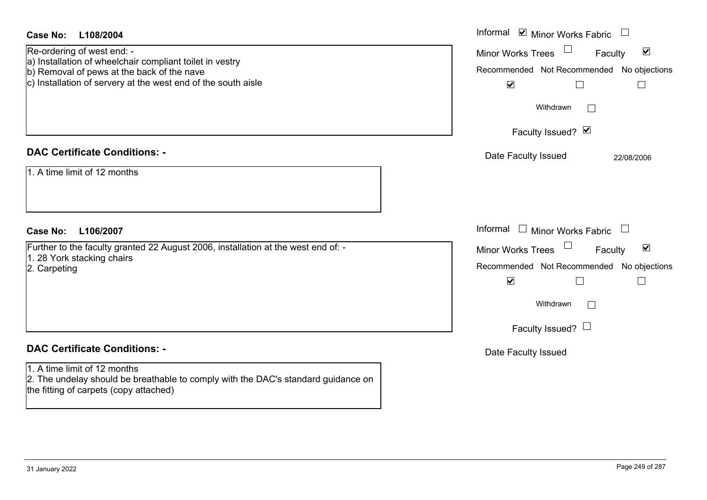| <b>Case No:</b><br>L108/2004                                                                                                                                                                          | Informal $\blacksquare$ Minor Works Fabric $\Box$                                                                                                                                                                  |
|-------------------------------------------------------------------------------------------------------------------------------------------------------------------------------------------------------|--------------------------------------------------------------------------------------------------------------------------------------------------------------------------------------------------------------------|
| Re-ordering of west end: -<br>a) Installation of wheelchair compliant toilet in vestry<br>b) Removal of pews at the back of the nave<br>c) Installation of servery at the west end of the south aisle | Minor Works Trees<br>$\blacktriangledown$<br>Faculty<br>Recommended Not Recommended No objections<br>$\blacktriangledown$<br>$\perp$<br>$\vert \ \ \vert$<br>Withdrawn<br>$\mathbb{R}^n$                           |
|                                                                                                                                                                                                       | Faculty Issued? Ø                                                                                                                                                                                                  |
| <b>DAC Certificate Conditions: -</b><br>1. A time limit of 12 months                                                                                                                                  | Date Faculty Issued<br>22/08/2006                                                                                                                                                                                  |
| <b>Case No:</b><br>L106/2007                                                                                                                                                                          | Informal<br>$\Box$ Minor Works Fabric $\Box$                                                                                                                                                                       |
| Further to the faculty granted 22 August 2006, installation at the west end of: -<br>1. 28 York stacking chairs<br>2. Carpeting                                                                       | Minor Works Trees<br>$\blacktriangledown$<br>Faculty<br>Recommended Not Recommended No objections<br>$\blacktriangledown$<br>$\perp$<br>$\vert \ \ \vert$<br>Withdrawn<br>$\mathbb{R}^n$<br>Faculty Issued? $\Box$ |
| <b>DAC Certificate Conditions: -</b>                                                                                                                                                                  | Date Faculty Issued                                                                                                                                                                                                |
| 1. A time limit of 12 months<br>2. The undelay should be breathable to comply with the DAC's standard guidance on<br>the fitting of carpets (copy attached)                                           |                                                                                                                                                                                                                    |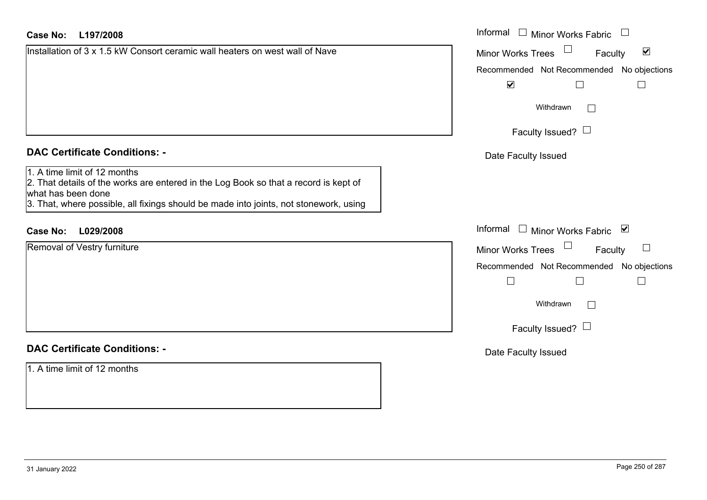| Installation of 3 x 1.5 kW Consort ceramic wall heaters on west wall of Nave |  |
|------------------------------------------------------------------------------|--|
|                                                                              |  |
|                                                                              |  |
|                                                                              |  |
|                                                                              |  |
|                                                                              |  |

#### **DAC Certificate Conditions: -**

|  |      |  |  | 1. A time limit of 12 months |
|--|------|--|--|------------------------------|
|  | la — |  |  |                              |

#### **DAC Certificate Conditions: -**

| <b>Case No:</b><br>L197/2008                                                                                                                                                                                                        | Informal $\Box$ Minor Works Fabric $\Box$            |
|-------------------------------------------------------------------------------------------------------------------------------------------------------------------------------------------------------------------------------------|------------------------------------------------------|
| Installation of 3 x 1.5 kW Consort ceramic wall heaters on west wall of Nave                                                                                                                                                        | $\blacktriangledown$<br>Minor Works Trees<br>Faculty |
|                                                                                                                                                                                                                                     | Recommended Not Recommended No objections            |
|                                                                                                                                                                                                                                     | $\blacktriangledown$<br>$\mathbf{I}$<br>$\mathsf{L}$ |
|                                                                                                                                                                                                                                     | Withdrawn                                            |
|                                                                                                                                                                                                                                     | Faculty Issued? $\Box$                               |
| <b>DAC Certificate Conditions: -</b>                                                                                                                                                                                                | Date Faculty Issued                                  |
| 1. A time limit of 12 months<br>2. That details of the works are entered in the Log Book so that a record is kept of<br>what has been done<br>3. That, where possible, all fixings should be made into joints, not stonework, using |                                                      |
| <b>Case No:</b><br>L029/2008                                                                                                                                                                                                        | Informal $\Box$ Minor Works Fabric $\Box$            |
| Removal of Vestry furniture                                                                                                                                                                                                         | Minor Works Trees<br>Faculty<br>$\Box$               |
|                                                                                                                                                                                                                                     | Recommended Not Recommended No objections            |
|                                                                                                                                                                                                                                     |                                                      |
|                                                                                                                                                                                                                                     | Withdrawn                                            |
|                                                                                                                                                                                                                                     | Faculty Issued? $\Box$                               |
| <b>DAC Certificate Conditions: -</b>                                                                                                                                                                                                | Date Faculty Issued                                  |
| 1. A time limit of 12 months                                                                                                                                                                                                        |                                                      |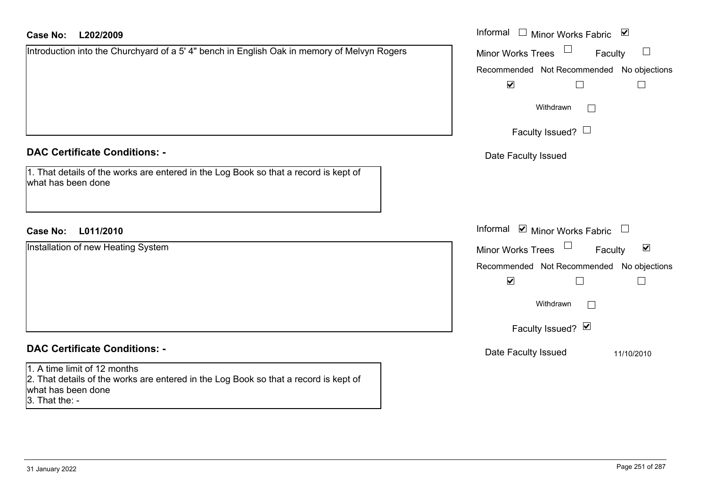#### **L202/2009Case No:**

| <b>Case No:</b><br>L202/2009                                                                                                               | Informal <u>I</u> Minor Works Fabric <b>⊻</b>                                 |
|--------------------------------------------------------------------------------------------------------------------------------------------|-------------------------------------------------------------------------------|
| Introduction into the Churchyard of a 5' 4" bench in English Oak in memory of Melvyn Rogers                                                | $\Box$<br>Minor Works Trees<br>Faculty                                        |
|                                                                                                                                            | Recommended Not Recommended No objections                                     |
|                                                                                                                                            | $\blacktriangledown$                                                          |
|                                                                                                                                            | Withdrawn<br>$\mathcal{L}^{\mathcal{L}}$                                      |
|                                                                                                                                            | Faculty Issued? $\Box$                                                        |
| <b>DAC Certificate Conditions: -</b>                                                                                                       | Date Faculty Issued                                                           |
| 1. That details of the works are entered in the Log Book so that a record is kept of<br>what has been done                                 |                                                                               |
|                                                                                                                                            |                                                                               |
| L011/2010<br><b>Case No:</b>                                                                                                               | Informal <b>☑</b> Minor Works Fabric<br>$\begin{array}{c} \hline \end{array}$ |
| Installation of new Heating System                                                                                                         | $\blacktriangledown$<br><b>Minor Works Trees</b><br>Faculty                   |
|                                                                                                                                            | Recommended Not Recommended No objections                                     |
|                                                                                                                                            | $\blacktriangledown$                                                          |
|                                                                                                                                            | Withdrawn<br>$\Box$                                                           |
|                                                                                                                                            | Faculty Issued? Ø                                                             |
| <b>DAC Certificate Conditions: -</b>                                                                                                       | Date Faculty Issued<br>11/10/2010                                             |
| 1. A time limit of 12 months<br>2. That details of the works are entered in the Log Book so that a record is kept of<br>what has been done |                                                                               |

3. That the: -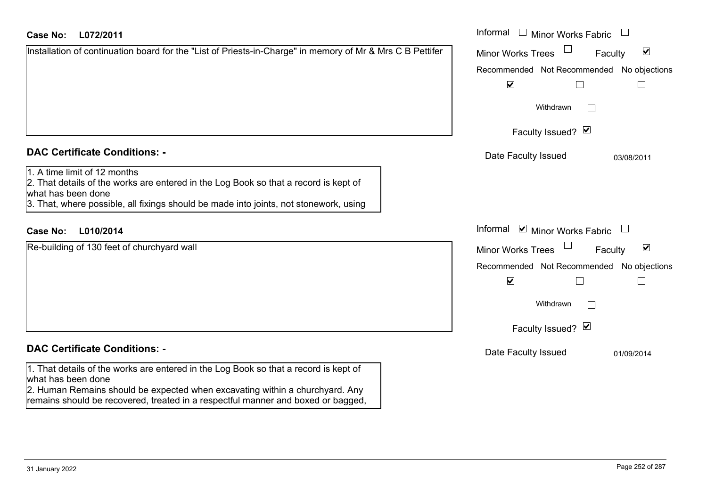| Case No: | L072/2011 |
|----------|-----------|
|----------|-----------|

| Installation of continuation board for the "List of Priests-in-Charge" in memory of Mr & Mrs C B Pettifer |  |
|-----------------------------------------------------------------------------------------------------------|--|
|                                                                                                           |  |
|                                                                                                           |  |
|                                                                                                           |  |
|                                                                                                           |  |

#### **DAC Certificate Conditions: -**

# 1. A time limit of 12 months

2. That details of the works are entered in the Log Book so that a record is kept of what has been done 3. That, where possible, all fixings should be made into joints, not stonework, using

# **L010/2014Case No:** Informal

Re-building of 130 feet of churchyard wall

# **DAC Certificate Conditions: -**

1. That details of the works are entered in the Log Book so that a record is kept of what has been done

2. Human Remains should be expected when excavating within a churchyard. Any remains should be recovered, treated in a respectful manner and boxed or bagged,

| L072/2011                                                                                                                                                                                                                              | Informal $\Box$ Minor Works Fabric $\Box$                                                                                                                                                                                             |
|----------------------------------------------------------------------------------------------------------------------------------------------------------------------------------------------------------------------------------------|---------------------------------------------------------------------------------------------------------------------------------------------------------------------------------------------------------------------------------------|
| on of continuation board for the "List of Priests-in-Charge" in memory of Mr & Mrs C B Pettifer                                                                                                                                        | $\blacktriangledown$<br><b>Minor Works Trees</b><br>Faculty<br>Recommended Not Recommended No objections<br>$\blacktriangledown$<br>Withdrawn<br>Faculty Issued? Ø                                                                    |
| rtificate Conditions: -<br>limit of 12 months<br>etails of the works are entered in the Log Book so that a record is kept of<br>been done<br>vhere possible, all fixings should be made into joints, not stonework, using              | Date Faculty Issued<br>03/08/2011                                                                                                                                                                                                     |
| L010/2014<br>ng of 130 feet of churchyard wall                                                                                                                                                                                         | Informal $\blacksquare$ Minor Works Fabric $\blacksquare$<br>$\blacktriangledown$<br><b>Minor Works Trees</b><br>Faculty<br>Recommended Not Recommended No objections<br>$\blacktriangledown$<br>Withdrawn<br>I.<br>Faculty Issued? Ø |
| rtificate Conditions: -<br>etails of the works are entered in the Log Book so that a record is kept of<br>been done<br>the contract of the contract of the contract of the contract of the contract of the contract of the contract of | Date Faculty Issued<br>01/09/2014                                                                                                                                                                                                     |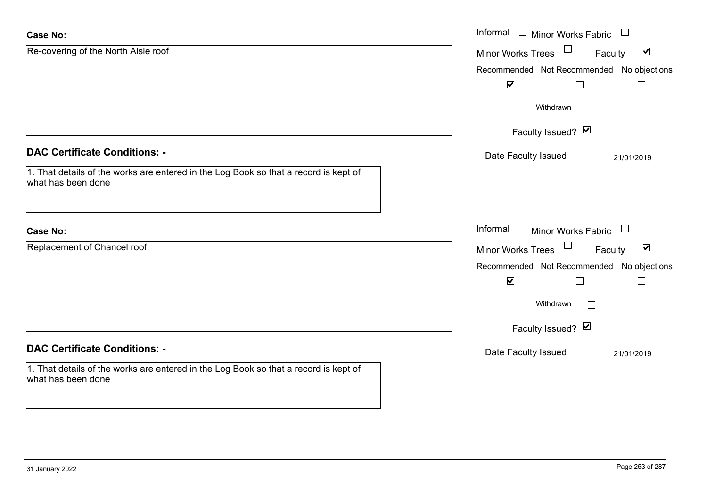| <b>Case No:</b>                                                                                            | Informal $\square$<br><b>Minor Works Fabric</b>             |
|------------------------------------------------------------------------------------------------------------|-------------------------------------------------------------|
| Re-covering of the North Aisle roof                                                                        | $\blacktriangledown$<br><b>Minor Works Trees</b><br>Faculty |
|                                                                                                            | No objections<br>Recommended Not Recommended                |
|                                                                                                            | $\blacktriangledown$                                        |
|                                                                                                            | Withdrawn                                                   |
|                                                                                                            | Faculty Issued? Ø                                           |
| <b>DAC Certificate Conditions: -</b>                                                                       | Date Faculty Issued<br>21/01/2019                           |
| 1. That details of the works are entered in the Log Book so that a record is kept of<br>what has been done |                                                             |
| <b>Case No:</b>                                                                                            | Informal<br>Minor Works Fabric $\Box$                       |
| Replacement of Chancel roof                                                                                | $\blacktriangledown$<br><b>Minor Works Trees</b><br>Faculty |
|                                                                                                            | Recommended Not Recommended No objections                   |
|                                                                                                            | $\blacktriangledown$                                        |
|                                                                                                            | Withdrawn                                                   |
|                                                                                                            | Faculty Issued? Ø                                           |
| <b>DAC Certificate Conditions: -</b>                                                                       | Date Faculty Issued<br>21/01/2019                           |
| 1. That details of the works are entered in the Log Book so that a record is kept of<br>what has been done |                                                             |

 $\sim$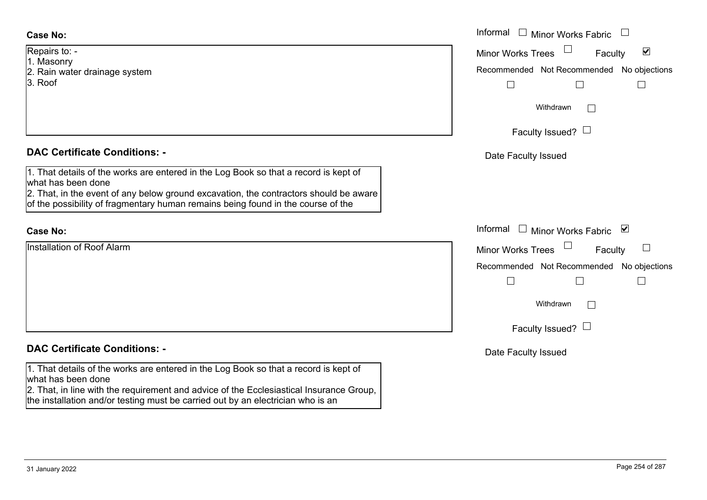### **Case No:**

- Repairs to: -
- 1. Masonry
- 2. Rain water drainage system
- 3. Roof

## **DAC Certificate Conditions: -**

1. That details of the works are entered in the Log Book so that a record is kept of what has been done

2. That, in the event of any below ground excavation, the contractors should be aware of the possibility of fragmentary human remains being found in the course of the

### **Case No:**

Installation of Roof Alarm

# **DAC Certificate Conditions: -**

1. That details of the works are entered in the Log Book so that a record is kept of what has been done

2. That, in line with the requirement and advice of the Ecclesiastical Insurance Group, the installation and/or testing must be carried out by an electrician who is an

|                                                                                                                                                                                                                                                    | Informal $\Box$ Minor Works Fabric                                                                |
|----------------------------------------------------------------------------------------------------------------------------------------------------------------------------------------------------------------------------------------------------|---------------------------------------------------------------------------------------------------|
| $O: -$<br>ıry<br>ater drainage system                                                                                                                                                                                                              | $\blacktriangledown$<br>Minor Works Trees<br>Faculty<br>Recommended Not Recommended No objections |
|                                                                                                                                                                                                                                                    | Withdrawn<br>Faculty Issued? $\Box$                                                               |
| rtificate Conditions: -                                                                                                                                                                                                                            | Date Faculty Issued                                                                               |
| etails of the works are entered in the Log Book so that a record is kept of<br>been done<br>n the event of any below ground excavation, the contractors should be aware<br>ssibility of fragmentary human remains being found in the course of the |                                                                                                   |
|                                                                                                                                                                                                                                                    | Informal<br>□ Minor Works Fabric $\vert \mathbf{v} \vert$                                         |
| on of Roof Alarm                                                                                                                                                                                                                                   | Minor Works Trees<br>Faculty                                                                      |
|                                                                                                                                                                                                                                                    | Recommended Not Recommended No objections                                                         |
|                                                                                                                                                                                                                                                    | Withdrawn                                                                                         |
|                                                                                                                                                                                                                                                    | Faculty Issued? $\Box$                                                                            |
| rtificate Conditions: -                                                                                                                                                                                                                            | Date Faculty Issued                                                                               |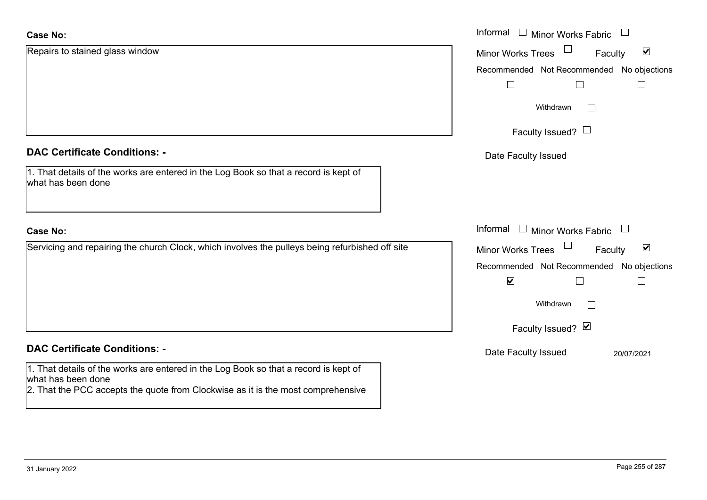| <b>Case No:</b>                                                                                                                                                                                | Informal □ Minor Works Fabric                               |
|------------------------------------------------------------------------------------------------------------------------------------------------------------------------------------------------|-------------------------------------------------------------|
| Repairs to stained glass window                                                                                                                                                                | $\blacktriangledown$<br><b>Minor Works Trees</b><br>Faculty |
|                                                                                                                                                                                                | Recommended Not Recommended<br>No objections                |
|                                                                                                                                                                                                |                                                             |
|                                                                                                                                                                                                | Withdrawn                                                   |
|                                                                                                                                                                                                | Faculty Issued? $\Box$                                      |
| <b>DAC Certificate Conditions: -</b>                                                                                                                                                           | Date Faculty Issued                                         |
| 1. That details of the works are entered in the Log Book so that a record is kept of<br>what has been done                                                                                     |                                                             |
| <b>Case No:</b>                                                                                                                                                                                | Informal<br>$\Box$ Minor Works Fabric                       |
| Servicing and repairing the church Clock, which involves the pulleys being refurbished off site                                                                                                | $\blacktriangledown$<br>Minor Works Trees<br>Faculty        |
|                                                                                                                                                                                                | Recommended Not Recommended No objections                   |
|                                                                                                                                                                                                | $\blacktriangledown$<br>$\overline{\phantom{a}}$            |
|                                                                                                                                                                                                | Withdrawn<br>$\mathbb{R}^n$                                 |
|                                                                                                                                                                                                | Faculty Issued? Ø                                           |
| <b>DAC Certificate Conditions: -</b>                                                                                                                                                           | Date Faculty Issued<br>20/07/2021                           |
| 1. That details of the works are entered in the Log Book so that a record is kept of<br>what has been done<br>2. That the PCC accepts the quote from Clockwise as it is the most comprehensive |                                                             |
|                                                                                                                                                                                                |                                                             |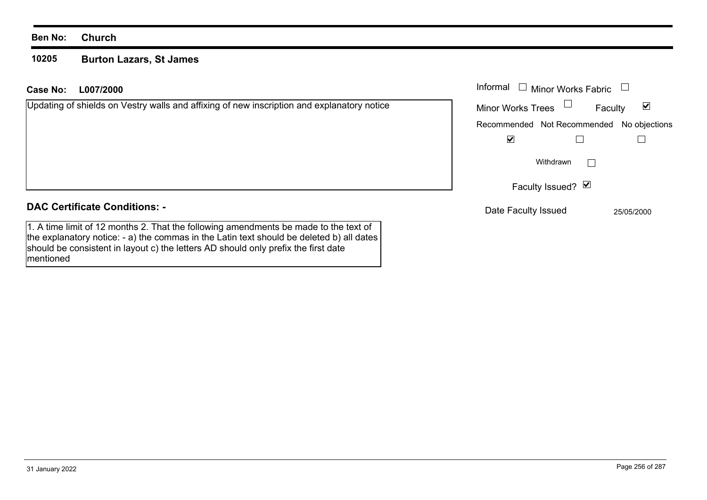### **Ben No: Church**

### **10205 Burton Lazars, St James**

| L007/2000<br>Case No:                                                                                                                                                                                                                                                  | Informal<br><b>Minor Works Fabric</b>        |
|------------------------------------------------------------------------------------------------------------------------------------------------------------------------------------------------------------------------------------------------------------------------|----------------------------------------------|
| Updating of shields on Vestry walls and affixing of new inscription and explanatory notice                                                                                                                                                                             | ☑<br><b>Minor Works Trees</b><br>Faculty     |
|                                                                                                                                                                                                                                                                        | Recommended Not Recommended<br>No objections |
|                                                                                                                                                                                                                                                                        | ⊻                                            |
|                                                                                                                                                                                                                                                                        | Withdrawn                                    |
|                                                                                                                                                                                                                                                                        | Faculty Issued? Ø                            |
| <b>DAC Certificate Conditions: -</b>                                                                                                                                                                                                                                   | Date Faculty Issued<br>25/05/2000            |
| 1. A time limit of 12 months 2. That the following amendments be made to the text of<br>the explanatory notice: - a) the commas in the Latin text should be deleted b) all dates<br>should be consistent in layout c) the letters AD should only prefix the first date |                                              |

mentioned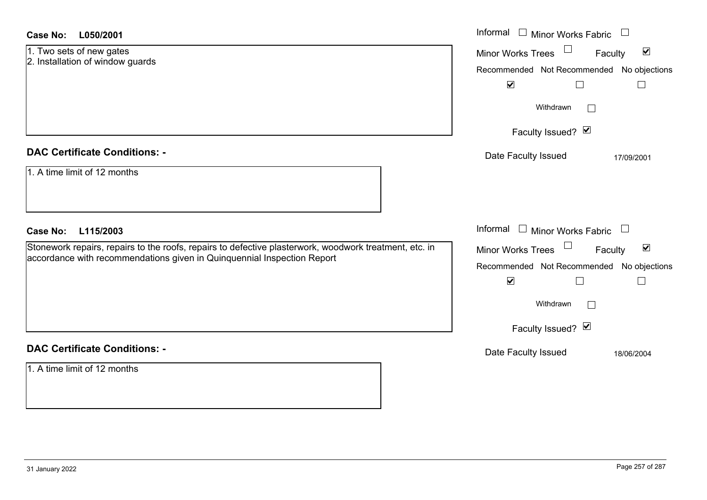| Case No: | L050/2001 |
|----------|-----------|
|----------|-----------|

| 1. Two sets of new gates         |  |
|----------------------------------|--|
| 2. Installation of window guards |  |

### **DAC Certificate Conditions: -**

| 1. A time limit of 12 months |  |  |
|------------------------------|--|--|
|                              |  |  |
|                              |  |  |

### **DAC Certificate Conditions: -**

1. A time limit of 12 months

| <b>Case No:</b><br>L050/2001                                                                                                                                                      | Informal □ Minor Works Fabric                                                                                                                                            |
|-----------------------------------------------------------------------------------------------------------------------------------------------------------------------------------|--------------------------------------------------------------------------------------------------------------------------------------------------------------------------|
| 1. Two sets of new gates<br>2. Installation of window guards                                                                                                                      | $\blacktriangledown$<br><b>Minor Works Trees</b><br>Faculty<br>Recommended Not Recommended No objections<br>$\blacktriangledown$                                         |
|                                                                                                                                                                                   | Withdrawn<br>Faculty Issued? Ø                                                                                                                                           |
| <b>DAC Certificate Conditions: -</b>                                                                                                                                              | Date Faculty Issued<br>17/09/2001                                                                                                                                        |
| 1. A time limit of 12 months                                                                                                                                                      |                                                                                                                                                                          |
| <b>Case No:</b><br>L115/2003                                                                                                                                                      | Informal $\Box$ Minor Works Fabric $\Box$                                                                                                                                |
| Stonework repairs, repairs to the roofs, repairs to defective plasterwork, woodwork treatment, etc. in<br>accordance with recommendations given in Quinquennial Inspection Report | $\blacktriangledown$<br>Minor Works Trees <sup>U</sup><br>Faculty<br>Recommended Not Recommended No objections<br>$\blacktriangledown$<br>Withdrawn<br>Faculty Issued? Ø |
| <b>DAC Certificate Conditions: -</b>                                                                                                                                              | Date Faculty Issued<br>18/06/2004                                                                                                                                        |
| $\overline{a}$ $\overline{a}$ $\overline{a}$<br>$\mathbf{r}$ $\mathbf{r}$ $\mathbf{r}$ $\mathbf{r}$ $\mathbf{r}$                                                                  |                                                                                                                                                                          |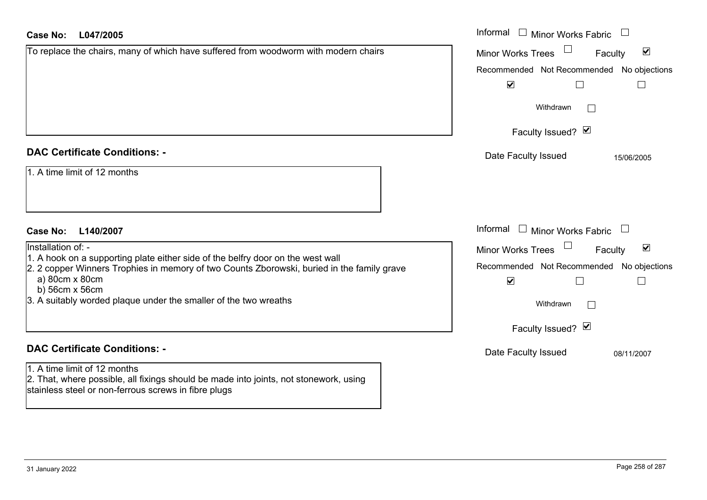| <b>Case No:</b><br>L047/2005                                                                                                                                                                    | Informal<br>$\mathbf{1}$<br><b>Minor Works Fabric</b>             |
|-------------------------------------------------------------------------------------------------------------------------------------------------------------------------------------------------|-------------------------------------------------------------------|
| To replace the chairs, many of which have suffered from woodworm with modern chairs                                                                                                             | $\blacktriangledown$<br><b>Minor Works Trees</b><br>Faculty       |
|                                                                                                                                                                                                 | Recommended Not Recommended No objections                         |
|                                                                                                                                                                                                 | $\blacktriangledown$                                              |
|                                                                                                                                                                                                 | Withdrawn<br>$\vert \hspace{.06cm} \vert$                         |
|                                                                                                                                                                                                 | Faculty Issued? Ø                                                 |
| <b>DAC Certificate Conditions: -</b>                                                                                                                                                            | Date Faculty Issued<br>15/06/2005                                 |
| 1. A time limit of 12 months                                                                                                                                                                    |                                                                   |
| <b>Case No:</b><br>L140/2007                                                                                                                                                                    | Informal<br>□ Minor Works Fabric $\Box$                           |
| Installation of: -                                                                                                                                                                              | $\blacktriangledown$<br><b>Minor Works Trees</b><br>Faculty       |
| 1. A hook on a supporting plate either side of the belfry door on the west wall<br>2. 2 copper Winners Trophies in memory of two Counts Zborowski, buried in the family grave<br>a) 80cm x 80cm | Recommended Not Recommended No objections<br>$\blacktriangledown$ |
| b) 56cm x 56cm<br>3. A suitably worded plaque under the smaller of the two wreaths                                                                                                              | Withdrawn                                                         |
|                                                                                                                                                                                                 | Faculty Issued? Ø                                                 |
| <b>DAC Certificate Conditions: -</b>                                                                                                                                                            | Date Faculty Issued<br>08/11/2007                                 |
| 1. A time limit of 12 months<br>2. That, where possible, all fixings should be made into joints, not stonework, using<br>stainless steel or non-ferrous screws in fibre plugs                   |                                                                   |

 $\sim$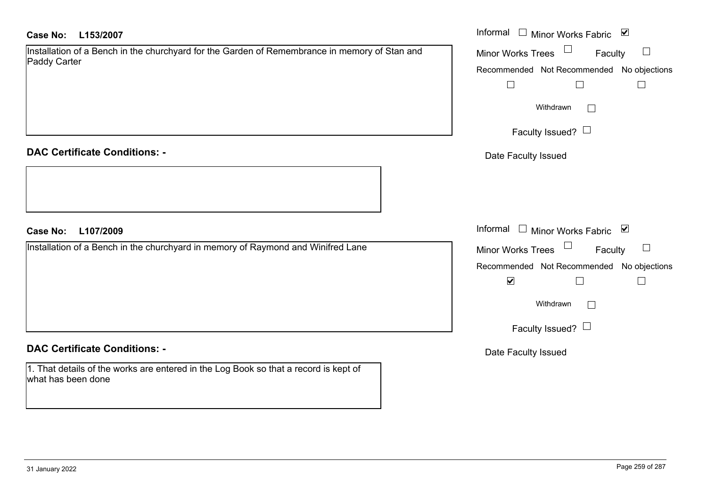### **L153/2007Case No:** Informal

Installation of a Bench in the churchyard for the Garden of Remembrance in memory of Stan and Paddy Carter

**DAC Certificate Conditions: -**

**L107/2009Case No:** Informal

Installation of a Bench in the churchyard in memory of Raymond and Winifred Lane

**DAC Certificate Conditions: -**

1. That details of the works are entered in the Log Book so that a record is kept of what has been done

| Informal<br>⊻<br><b>Minor Works Fabric</b> |
|--------------------------------------------|
| <b>Minor Works Trees</b><br>Faculty        |
| Recommended Not Recommended No objections  |
|                                            |
| Withdrawn                                  |
| Faculty Issued? $\Box$                     |
| Date Faculty Issued                        |
|                                            |
|                                            |
|                                            |
| Informal<br>⊻<br><b>Minor Works Fabric</b> |
| <b>Minor Works Trees</b><br>Faculty        |
| Recommended Not Recommended No objections  |
| ⊻                                          |
| Withdrawn                                  |
| Faculty Issued?                            |
|                                            |

Date Faculty Issued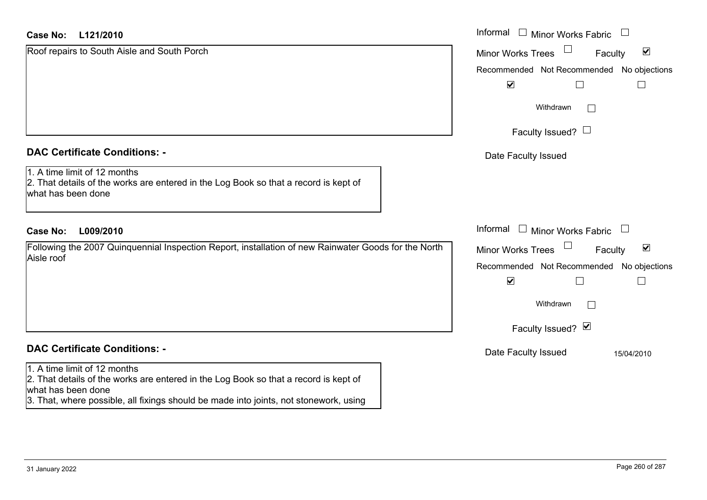| <b>Case No:</b><br>L121/2010                                                                                                               | Informal<br>$\Box$ Minor Works Fabric<br>$\Box$                             |
|--------------------------------------------------------------------------------------------------------------------------------------------|-----------------------------------------------------------------------------|
| Roof repairs to South Aisle and South Porch                                                                                                | $\blacktriangledown$<br><b>Minor Works Trees</b><br>Faculty                 |
|                                                                                                                                            | Recommended Not Recommended No objections                                   |
|                                                                                                                                            | $\blacktriangledown$                                                        |
|                                                                                                                                            | Withdrawn<br>$\Box$                                                         |
|                                                                                                                                            | Faculty Issued? $\Box$                                                      |
| <b>DAC Certificate Conditions: -</b>                                                                                                       | Date Faculty Issued                                                         |
| 1. A time limit of 12 months<br>2. That details of the works are entered in the Log Book so that a record is kept of<br>what has been done |                                                                             |
| <b>Case No:</b><br>L009/2010                                                                                                               | Informal $\Box$ Minor Works Fabric<br>$\begin{array}{c} \hline \end{array}$ |
| Following the 2007 Quinquennial Inspection Report, installation of new Rainwater Goods for the North<br>Aisle roof                         | $\blacktriangleright$<br>Faculty<br><b>Minor Works Trees</b>                |
|                                                                                                                                            | Recommended Not Recommended No objections                                   |
|                                                                                                                                            | $\blacktriangledown$                                                        |
|                                                                                                                                            | Withdrawn<br>$\Box$                                                         |
|                                                                                                                                            | Faculty Issued? Ø                                                           |
| <b>DAC Certificate Conditions: -</b>                                                                                                       | Date Faculty Issued<br>15/04/2010                                           |
| 1. A time limit of 12 months<br>2. That details of the works are entered in the Log Book so that a record is kept of<br>what has been done |                                                                             |
| 3. That, where possible, all fixings should be made into joints, not stonework, using                                                      |                                                                             |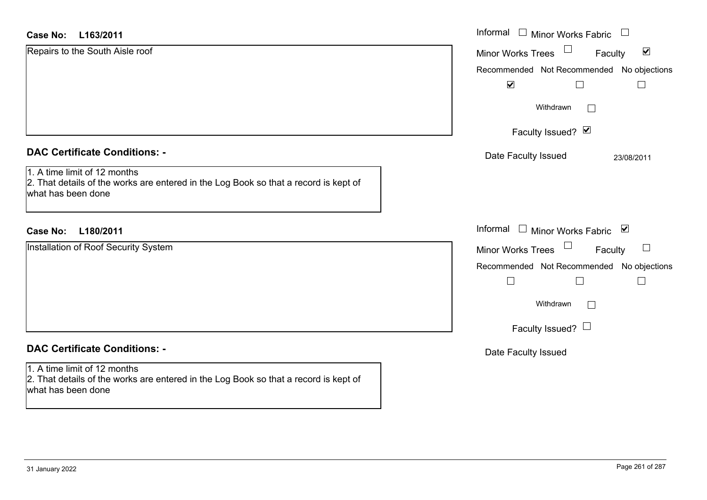| <b>Case No:</b><br>L163/2011                                                                                                               | Informal □ Minor Works Fabric<br>$\begin{array}{c} \hline \end{array}$ |
|--------------------------------------------------------------------------------------------------------------------------------------------|------------------------------------------------------------------------|
| Repairs to the South Aisle roof                                                                                                            | $\blacktriangledown$<br>Minor Works Trees<br>Faculty                   |
|                                                                                                                                            | Recommended Not Recommended No objections                              |
|                                                                                                                                            | $\blacktriangledown$                                                   |
|                                                                                                                                            | Withdrawn<br>$\perp$                                                   |
|                                                                                                                                            | Faculty Issued? Ø                                                      |
| <b>DAC Certificate Conditions: -</b>                                                                                                       | Date Faculty Issued<br>23/08/2011                                      |
| 1. A time limit of 12 months<br>2. That details of the works are entered in the Log Book so that a record is kept of<br>what has been done |                                                                        |
| <b>Case No:</b><br>L180/2011                                                                                                               | Informal □ Minor Works Fabric ⊠                                        |
| Installation of Roof Security System                                                                                                       | Minor Works Trees<br>Faculty                                           |
|                                                                                                                                            | Recommended Not Recommended No objections                              |
|                                                                                                                                            | $\Box$<br>$\overline{\phantom{0}}$                                     |
|                                                                                                                                            | Withdrawn<br>$\Box$                                                    |
|                                                                                                                                            | Faculty Issued? $\Box$                                                 |
| <b>DAC Certificate Conditions: -</b>                                                                                                       | Date Faculty Issued                                                    |
| 1. A time limit of 12 months<br>2. That details of the works are entered in the Log Book so that a record is kept of<br>what has been done |                                                                        |
|                                                                                                                                            |                                                                        |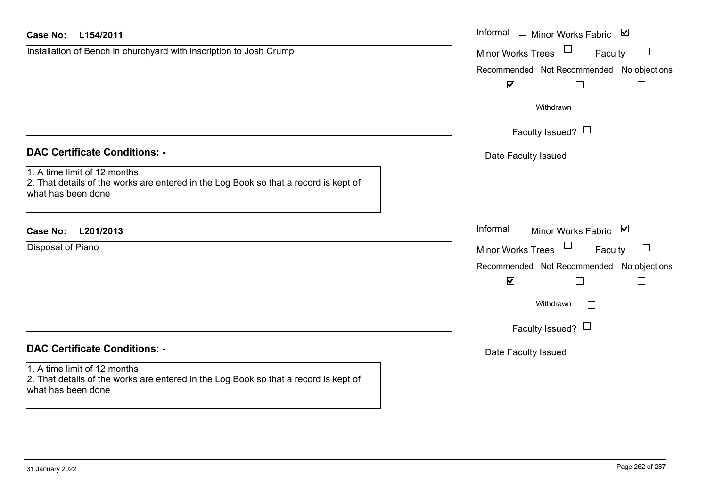| <b>Case No:</b><br>L154/2011                                                                                                               | Informal □ Minor Works Fabric ☑           |
|--------------------------------------------------------------------------------------------------------------------------------------------|-------------------------------------------|
| Installation of Bench in churchyard with inscription to Josh Crump                                                                         | Minor Works Trees<br>Faculty              |
|                                                                                                                                            | Recommended Not Recommended No objections |
|                                                                                                                                            | $\blacktriangledown$<br>$\Box$            |
|                                                                                                                                            | Withdrawn                                 |
|                                                                                                                                            | Faculty Issued? $\Box$                    |
| <b>DAC Certificate Conditions: -</b>                                                                                                       | Date Faculty Issued                       |
| 1. A time limit of 12 months<br>2. That details of the works are entered in the Log Book so that a record is kept of<br>what has been done |                                           |
| <b>Case No:</b><br>L201/2013                                                                                                               | Informal $\Box$ Minor Works Fabric $\Box$ |
| Disposal of Piano                                                                                                                          | Faculty<br>Minor Works Trees              |
|                                                                                                                                            | Recommended Not Recommended No objections |
|                                                                                                                                            | $\blacktriangledown$<br>$\Box$            |
|                                                                                                                                            | Withdrawn                                 |
|                                                                                                                                            | Faculty Issued? $\Box$                    |
| <b>DAC Certificate Conditions: -</b>                                                                                                       | Date Faculty Issued                       |
| 1. A time limit of 12 months                                                                                                               |                                           |
| 2. That details of the works are entered in the Log Book so that a record is kept of<br>what has been done                                 |                                           |
|                                                                                                                                            |                                           |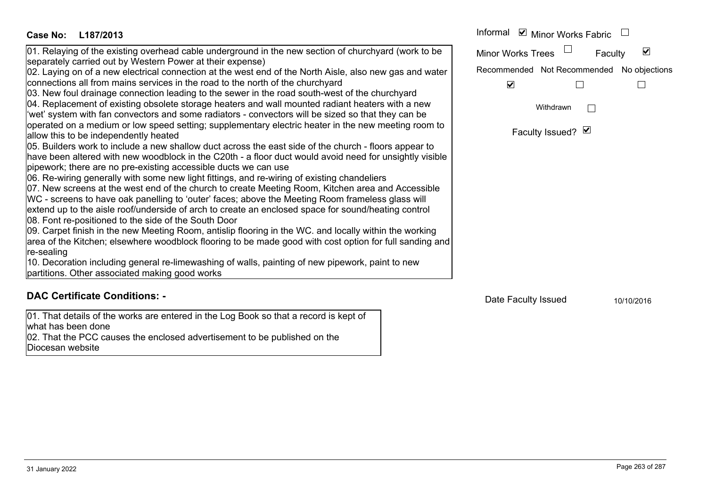| 01. Relaying of the existing overhead cable underground in the new section of churchyard (work to be<br>separately carried out by Western Power at their expense)<br>02. Laying on of a new electrical connection at the west end of the North Aisle, also new gas and water<br>connections all from mains services in the road to the north of the churchyard<br>03. New foul drainage connection leading to the sewer in the road south-west of the churchyard<br>04. Replacement of existing obsolete storage heaters and wall mounted radiant heaters with a new<br>'wet' system with fan convectors and some radiators - convectors will be sized so that they can be<br>operated on a medium or low speed setting; supplementary electric heater in the new meeting room to<br>allow this to be independently heated<br>05. Builders work to include a new shallow duct across the east side of the church - floors appear to<br>have been altered with new woodblock in the C20th - a floor duct would avoid need for unsightly visible<br>pipework; there are no pre-existing accessible ducts we can use<br>06. Re-wiring generally with some new light fittings, and re-wiring of existing chandeliers<br>07. New screens at the west end of the church to create Meeting Room, Kitchen area and Accessible<br>WC - screens to have oak panelling to 'outer' faces; above the Meeting Room frameless glass will<br>extend up to the aisle roof/underside of arch to create an enclosed space for sound/heating control<br>08. Font re-positioned to the side of the South Door<br>09. Carpet finish in the new Meeting Room, antislip flooring in the WC. and locally within the working<br>area of the Kitchen; elsewhere woodblock flooring to be made good with cost option for full sanding and<br>re-sealing<br>10. Decoration including general re-limewashing of walls, painting of new pipework, paint to new<br>partitions. Other associated making good works | $\vert\bm{\mathsf{v}}\vert$<br><b>Minor Works Trees</b><br>Faculty<br>Recommended Not Recommended No objections<br>$\blacktriangledown$<br>Withdrawn<br>Faculty Issued? Ø |
|-----------------------------------------------------------------------------------------------------------------------------------------------------------------------------------------------------------------------------------------------------------------------------------------------------------------------------------------------------------------------------------------------------------------------------------------------------------------------------------------------------------------------------------------------------------------------------------------------------------------------------------------------------------------------------------------------------------------------------------------------------------------------------------------------------------------------------------------------------------------------------------------------------------------------------------------------------------------------------------------------------------------------------------------------------------------------------------------------------------------------------------------------------------------------------------------------------------------------------------------------------------------------------------------------------------------------------------------------------------------------------------------------------------------------------------------------------------------------------------------------------------------------------------------------------------------------------------------------------------------------------------------------------------------------------------------------------------------------------------------------------------------------------------------------------------------------------------------------------------------------------------------------------------------------------------------------------------------------------------|---------------------------------------------------------------------------------------------------------------------------------------------------------------------------|
| <b>DAC Certificate Conditions: -</b>                                                                                                                                                                                                                                                                                                                                                                                                                                                                                                                                                                                                                                                                                                                                                                                                                                                                                                                                                                                                                                                                                                                                                                                                                                                                                                                                                                                                                                                                                                                                                                                                                                                                                                                                                                                                                                                                                                                                              | Date Faculty Issued<br>10/10/2016                                                                                                                                         |
| 01. That details of the works are entered in the Log Book so that a record is kept of<br>what has been done<br>02. That the PCC causes the enclosed advertisement to be published on the<br>Diocesan website                                                                                                                                                                                                                                                                                                                                                                                                                                                                                                                                                                                                                                                                                                                                                                                                                                                                                                                                                                                                                                                                                                                                                                                                                                                                                                                                                                                                                                                                                                                                                                                                                                                                                                                                                                      |                                                                                                                                                                           |

**L187/2013 Case No:** Informal

Minor Works Fabric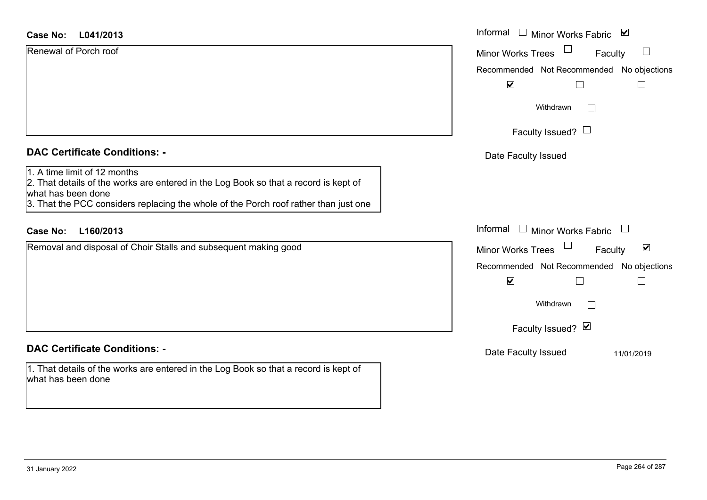| <b>Case No:</b><br>L041/2013                                                                                                                                                                                                       | Informal<br>□ Minor Works Fabric                            |
|------------------------------------------------------------------------------------------------------------------------------------------------------------------------------------------------------------------------------------|-------------------------------------------------------------|
| Renewal of Porch roof                                                                                                                                                                                                              | Minor Works Trees<br>$\mathbb{R}^n$<br>Faculty              |
|                                                                                                                                                                                                                                    | Recommended Not Recommended<br>No objections                |
|                                                                                                                                                                                                                                    | $\blacktriangledown$                                        |
|                                                                                                                                                                                                                                    | Withdrawn<br>$\vert \ \ \vert$                              |
|                                                                                                                                                                                                                                    | Faculty Issued? $\Box$                                      |
| <b>DAC Certificate Conditions: -</b>                                                                                                                                                                                               | Date Faculty Issued                                         |
| 1. A time limit of 12 months<br>2. That details of the works are entered in the Log Book so that a record is kept of<br>what has been done<br>3. That the PCC considers replacing the whole of the Porch roof rather than just one |                                                             |
| <b>Case No:</b><br>L160/2013                                                                                                                                                                                                       | Informal $\Box$ Minor Works Fabric $\Box$                   |
| Removal and disposal of Choir Stalls and subsequent making good                                                                                                                                                                    | $\blacktriangledown$<br><b>Minor Works Trees</b><br>Faculty |
|                                                                                                                                                                                                                                    | Recommended Not Recommended No objections                   |
|                                                                                                                                                                                                                                    | $\blacktriangledown$                                        |
|                                                                                                                                                                                                                                    | Withdrawn<br>$\Box$                                         |
|                                                                                                                                                                                                                                    | Faculty Issued? Ø                                           |
| <b>DAC Certificate Conditions: -</b>                                                                                                                                                                                               | Date Faculty Issued<br>11/01/2019                           |
| 1. That details of the works are entered in the Log Book so that a record is kept of                                                                                                                                               |                                                             |

what has been done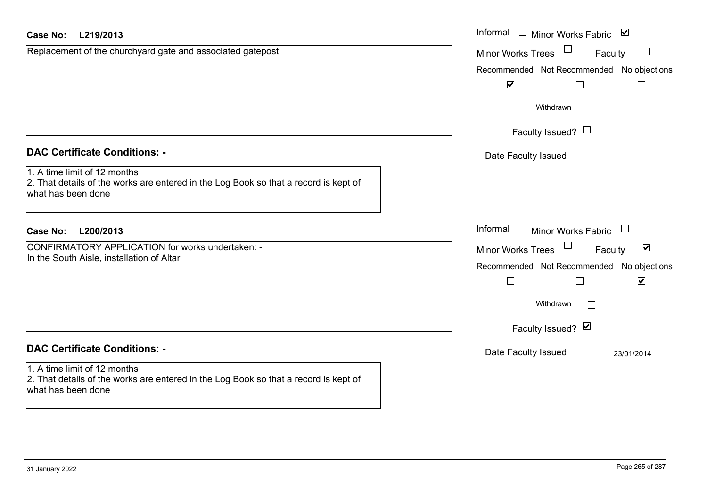| <b>Case No:</b><br>L219/2013                                                                                                               | Informal □ Minor Works Fabric ☑                                       |
|--------------------------------------------------------------------------------------------------------------------------------------------|-----------------------------------------------------------------------|
| Replacement of the churchyard gate and associated gatepost                                                                                 | $\Box$<br><b>Minor Works Trees</b><br>Faculty                         |
|                                                                                                                                            | Recommended Not Recommended No objections                             |
|                                                                                                                                            | $\blacktriangledown$                                                  |
|                                                                                                                                            | Withdrawn                                                             |
|                                                                                                                                            | Faculty Issued? $\Box$                                                |
| <b>DAC Certificate Conditions: -</b>                                                                                                       | Date Faculty Issued                                                   |
| 1. A time limit of 12 months<br>2. That details of the works are entered in the Log Book so that a record is kept of<br>what has been done |                                                                       |
| <b>Case No:</b><br>L200/2013                                                                                                               | Informal<br>$\Box$ Minor Works Fabric                                 |
| CONFIRMATORY APPLICATION for works undertaken: -                                                                                           | $\Box$<br>$\blacktriangledown$<br><b>Minor Works Trees</b><br>Faculty |
| In the South Aisle, installation of Altar                                                                                                  | Recommended Not Recommended No objections                             |
|                                                                                                                                            | $\blacktriangledown$<br>$\Box$                                        |
|                                                                                                                                            | Withdrawn                                                             |
|                                                                                                                                            | Faculty Issued? Ø                                                     |
| <b>DAC Certificate Conditions: -</b>                                                                                                       | Date Faculty Issued<br>23/01/2014                                     |
| 1. A time limit of 12 months<br>2. That details of the works are entered in the Log Book so that a record is kept of<br>what has been done |                                                                       |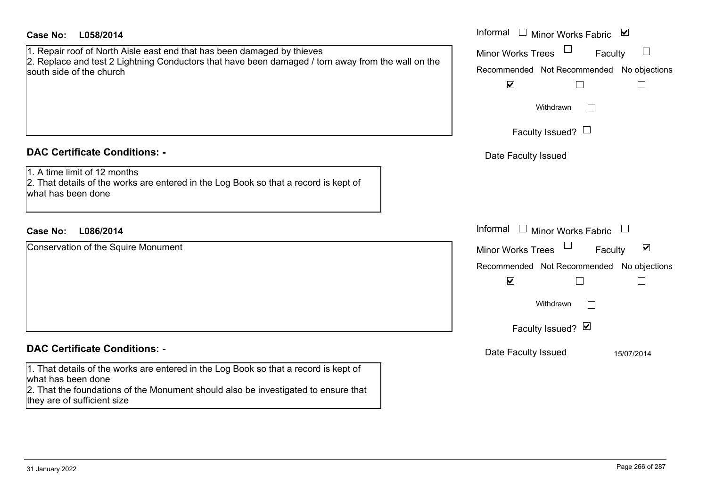| <b>Case No:</b><br>L058/2014                                                                                                                                                                                                    | Informal $\Box$ Minor Works Fabric $\Box$                                                                                                                                                                         |
|---------------------------------------------------------------------------------------------------------------------------------------------------------------------------------------------------------------------------------|-------------------------------------------------------------------------------------------------------------------------------------------------------------------------------------------------------------------|
| 1. Repair roof of North Aisle east end that has been damaged by thieves<br>2. Replace and test 2 Lightning Conductors that have been damaged / torn away from the wall on the<br>south side of the church                       | <b>Minor Works Trees</b><br>Faculty<br>Recommended Not Recommended No objections<br>$\blacktriangledown$<br>$\Box$<br>$\Box$                                                                                      |
|                                                                                                                                                                                                                                 | Withdrawn<br>Faculty Issued? $\Box$                                                                                                                                                                               |
| <b>DAC Certificate Conditions: -</b><br>1. A time limit of 12 months<br>2. That details of the works are entered in the Log Book so that a record is kept of<br>what has been done                                              | Date Faculty Issued                                                                                                                                                                                               |
| L086/2014<br><b>Case No:</b>                                                                                                                                                                                                    | Informal<br>$\Box$ Minor Works Fabric                                                                                                                                                                             |
| Conservation of the Squire Monument                                                                                                                                                                                             | $\blacktriangledown$<br><b>Minor Works Trees</b><br>Faculty<br>Recommended Not Recommended<br>No objections<br>$\blacktriangledown$<br>$\mathbf{L}$<br>$\overline{\phantom{a}}$<br>Withdrawn<br>Faculty Issued? Ø |
| <b>DAC Certificate Conditions: -</b>                                                                                                                                                                                            | Date Faculty Issued<br>15/07/2014                                                                                                                                                                                 |
| 1. That details of the works are entered in the Log Book so that a record is kept of<br>what has been done<br>2. That the foundations of the Monument should also be investigated to ensure that<br>they are of sufficient size |                                                                                                                                                                                                                   |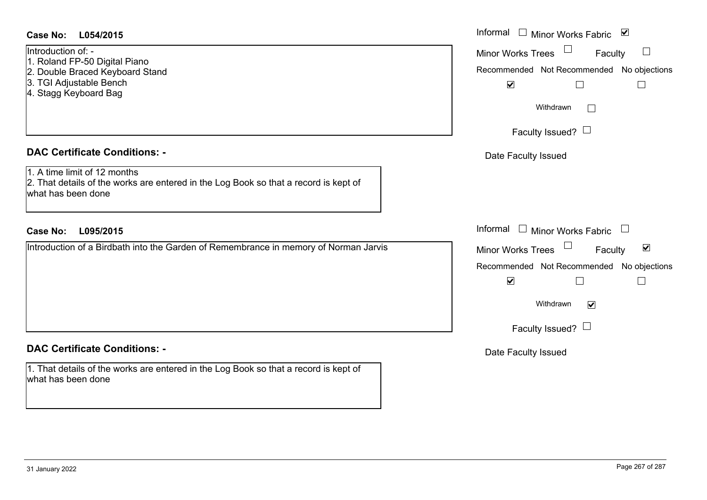### **L054/2015Case No:** Informal

### Introduction of: -

1. Roland FP-50 Digital Piano

- 2. Double Braced Keyboard Stand
- 3. TGI Adjustable Bench
- 4. Stagg Keyboard Bag

### **DAC Certificate Conditions: -**

1. A time limit of 12 months

2. That details of the works are entered in the Log Book so that a record is kept of what has been done

### **L095/2015Case No:** Informal

Introduction of a Birdbath into the Garden of Remembrance in memory of Norman Jarvis

# **DAC Certificate Conditions: -**

1. That details of the works are entered in the Log Book so that a record is kept of what has been done

| Informal<br>⊻<br><b>Minor Works Fabric</b> |
|--------------------------------------------|
| <b>Minor Works Trees</b><br>Faculty        |
| Recommended Not Recommended No objections  |
| $\blacktriangledown$                       |
| Withdrawn                                  |
| Faculty Issued? L                          |
| Date Faculty Issued                        |
|                                            |
|                                            |
|                                            |
| Informal<br>$\Box$ Minor Works Fabric      |
| ☑<br><b>Minor Works Trees</b><br>Faculty   |
| Recommended Not Recommended No objections  |
| $\blacktriangledown$                       |
| Withdrawn<br>M                             |
| Faculty Issued? $\Box$                     |
| Date Faculty Issued                        |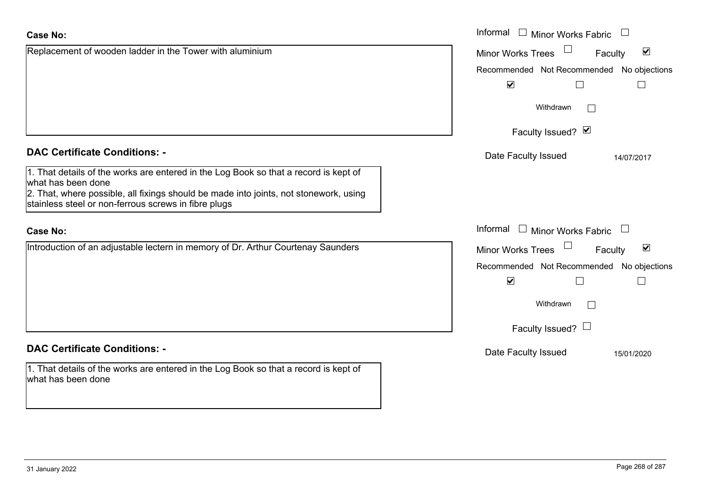| Replacement of wooden ladder in the Tower with aluminium | Minor W |
|----------------------------------------------------------|---------|
|                                                          | Recomm  |
|                                                          |         |

# **DAC Certificate Conditions: -**

| 1. That details of the works are entered in the Log Book so that a record is kept of  |
|---------------------------------------------------------------------------------------|
| what has been done                                                                    |
| 2. That, where possible, all fixings should be made into joints, not stonework, using |

stainless steel or non-ferrous screws in fibre plugs

## **Case No:**

|  |  | Introduction of an adjustable lectern in memory of Dr. Arthur Courtenay Saunders |
|--|--|----------------------------------------------------------------------------------|

# **DAC Certificate Conditions: -**

1. That details of the works are entered in the Log Book so that a record is kept of what has been done

|                                                                                                                                                                                                                        | Informal $\Box$ Minor Works Fabric                                                                                                                                               |
|------------------------------------------------------------------------------------------------------------------------------------------------------------------------------------------------------------------------|----------------------------------------------------------------------------------------------------------------------------------------------------------------------------------|
| nent of wooden ladder in the Tower with aluminium                                                                                                                                                                      | $\blacktriangledown$<br><b>Minor Works Trees</b><br>Faculty<br>Recommended Not Recommended No objections<br>$\blacktriangledown$                                                 |
|                                                                                                                                                                                                                        | Withdrawn<br>$\mathbf{L}$<br>Faculty Issued? Ø                                                                                                                                   |
| rtificate Conditions: -                                                                                                                                                                                                | Date Faculty Issued<br>14/07/2017                                                                                                                                                |
| etails of the works are entered in the Log Book so that a record is kept of<br>been done<br>where possible, all fixings should be made into joints, not stonework, using<br>steel or non-ferrous screws in fibre plugs |                                                                                                                                                                                  |
|                                                                                                                                                                                                                        | Informal $\Box$ Minor Works Fabric                                                                                                                                               |
| ion of an adjustable lectern in memory of Dr. Arthur Courtenay Saunders                                                                                                                                                | $\blacktriangledown$<br>Faculty<br>Minor Works Trees<br>Recommended Not Recommended No objections<br>$\blacktriangledown$<br>Withdrawn<br>$\mathbf{L}$<br>Faculty Issued? $\Box$ |
| rtificate Conditions: -                                                                                                                                                                                                | Date Faculty Issued<br>15/01/2020                                                                                                                                                |
| etails of the works are entered in the Log Book so that a record is kept of                                                                                                                                            |                                                                                                                                                                                  |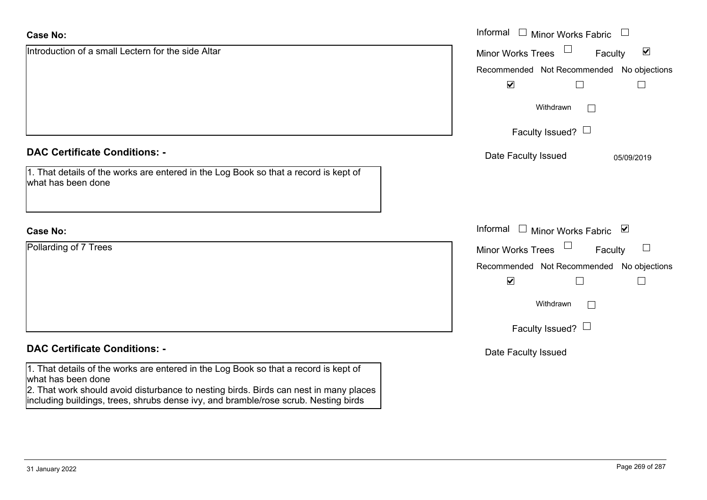| <b>Case No:</b>                                                                                                                                                                                                                                                                            | Informal $\Box$ Minor Works Fabric                          |
|--------------------------------------------------------------------------------------------------------------------------------------------------------------------------------------------------------------------------------------------------------------------------------------------|-------------------------------------------------------------|
| Introduction of a small Lectern for the side Altar                                                                                                                                                                                                                                         | $\blacktriangledown$<br><b>Minor Works Trees</b><br>Faculty |
|                                                                                                                                                                                                                                                                                            | Recommended Not Recommended No objections                   |
|                                                                                                                                                                                                                                                                                            | $\blacktriangledown$                                        |
|                                                                                                                                                                                                                                                                                            | Withdrawn<br>$\mathbb{R}^n$                                 |
|                                                                                                                                                                                                                                                                                            | Faculty Issued? $\Box$                                      |
| <b>DAC Certificate Conditions: -</b>                                                                                                                                                                                                                                                       | Date Faculty Issued<br>05/09/2019                           |
| 1. That details of the works are entered in the Log Book so that a record is kept of<br>what has been done                                                                                                                                                                                 |                                                             |
| <b>Case No:</b>                                                                                                                                                                                                                                                                            | Informal $\Box$ Minor Works Fabric $\Box$                   |
| Pollarding of 7 Trees                                                                                                                                                                                                                                                                      | Minor Works Trees<br>Faculty                                |
|                                                                                                                                                                                                                                                                                            | Recommended Not Recommended No objections                   |
|                                                                                                                                                                                                                                                                                            | $\blacktriangledown$<br>$\Box$<br>$\Box$                    |
|                                                                                                                                                                                                                                                                                            | Withdrawn<br>$\mathbb{R}^n$                                 |
|                                                                                                                                                                                                                                                                                            | Faculty Issued? $\Box$                                      |
| <b>DAC Certificate Conditions: -</b>                                                                                                                                                                                                                                                       | Date Faculty Issued                                         |
| 1. That details of the works are entered in the Log Book so that a record is kept of<br>what has been done<br>2. That work should avoid disturbance to nesting birds. Birds can nest in many places<br>including buildings, trees, shrubs dense ivy, and bramble/rose scrub. Nesting birds |                                                             |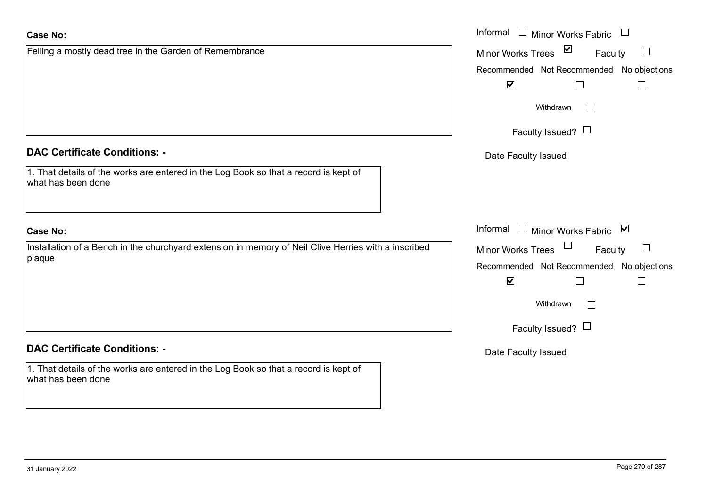| <b>Case No:</b>                                                                                                | Informal □ Minor Works Fabric<br>$\begin{array}{c} \hline \end{array}$ |
|----------------------------------------------------------------------------------------------------------------|------------------------------------------------------------------------|
| Felling a mostly dead tree in the Garden of Remembrance                                                        | Minor Works Trees ⊠<br>Faculty<br>$\Box$                               |
|                                                                                                                | Recommended Not Recommended No objections                              |
|                                                                                                                | $\blacktriangledown$<br>$\vert \ \ \vert$                              |
|                                                                                                                | Withdrawn<br>$\Box$                                                    |
|                                                                                                                | Faculty Issued? $\Box$                                                 |
| <b>DAC Certificate Conditions: -</b>                                                                           | Date Faculty Issued                                                    |
| 1. That details of the works are entered in the Log Book so that a record is kept of<br>what has been done     |                                                                        |
| <b>Case No:</b>                                                                                                | Informal □ Minor Works Fabric ☑                                        |
| Installation of a Bench in the churchyard extension in memory of Neil Clive Herries with a inscribed<br>plaque | Minor Works Trees $\Box$<br>Faculty                                    |
|                                                                                                                | Recommended Not Recommended No objections                              |
|                                                                                                                | $\blacktriangledown$                                                   |
|                                                                                                                | Withdrawn<br>$\vert \ \ \vert$                                         |
|                                                                                                                | Faculty Issued? $\Box$                                                 |
| <b>DAC Certificate Conditions: -</b>                                                                           | Date Faculty Issued                                                    |
| 1. That details of the works are entered in the Log Book so that a record is kept of<br>what has been done     |                                                                        |
|                                                                                                                |                                                                        |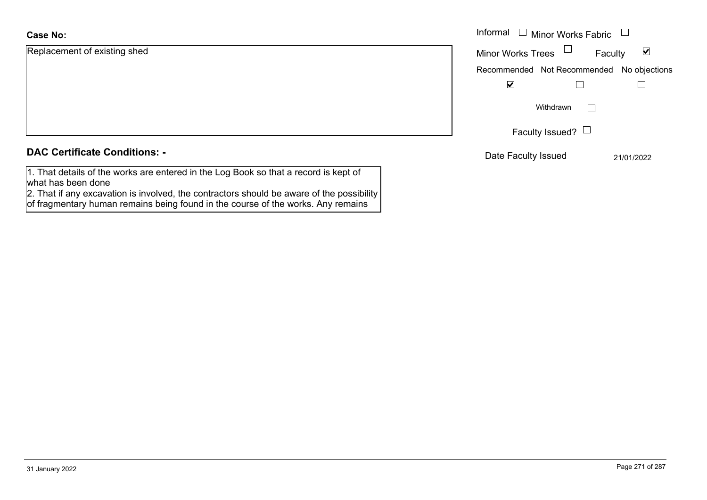### **Case No:**

| Informal |
|----------|
| Minor W  |
| Recomm   |
|          |
|          |
|          |
|          |
|          |

### **DAC Certificate Conditions: -**

1. That details of the works are entered in the Log Book so that a record is kept of what has been done

2. That if any excavation is involved, the contractors should be aware of the possibility of fragmentary human remains being found in the course of the works. Any remains

| Informal                                  | <b>Minor Works Fabric</b> |              |
|-------------------------------------------|---------------------------|--------------|
| <b>Minor Works Trees</b>                  |                           | M<br>Faculty |
| Recommended Not Recommended No objections |                           |              |
|                                           |                           |              |
|                                           | Withdrawn                 |              |
| Faculty Issued?                           |                           |              |
| Date Faculty Issued                       |                           | 21/01/2022   |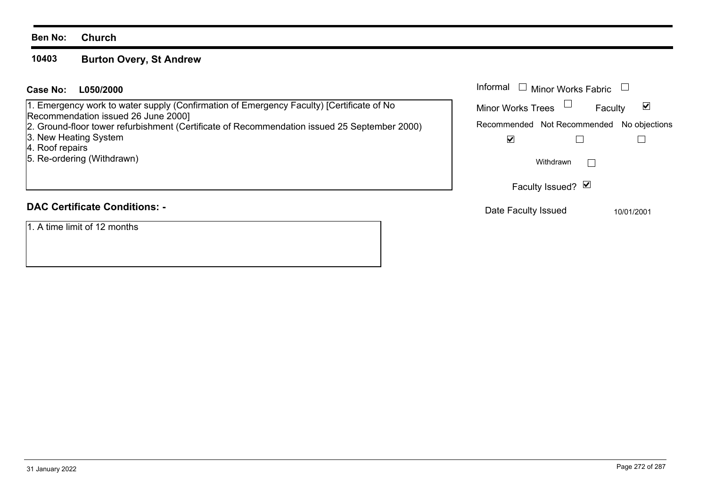### **Ben No: Church**

### **10403Burton Overy, St Andrew**

### **L050/2000Case No:** Informal

1. Emergency work to water supply (Confirmation of Emergency Faculty) [Certificate of No Recommendation issued 26 June 2000]

2. Ground-floor tower refurbishment (Certificate of Recommendation issued 25 September 2000)

3. New Heating System

4. Roof repairs

5. Re-ordering (Withdrawn)

# **DAC Certificate Conditions: -**

1. A time limit of 12 months

| Informal<br>$\Box$ Minor Works Fabric     |  |
|-------------------------------------------|--|
| <b>Minor Works Trees</b><br>Faculty       |  |
| Recommended Not Recommended No objections |  |
| V                                         |  |
| Withdrawn                                 |  |
| Faculty Issued? Ø                         |  |
| Dota Fooulty loouad                       |  |

Date Faculty Issued 10/01/2001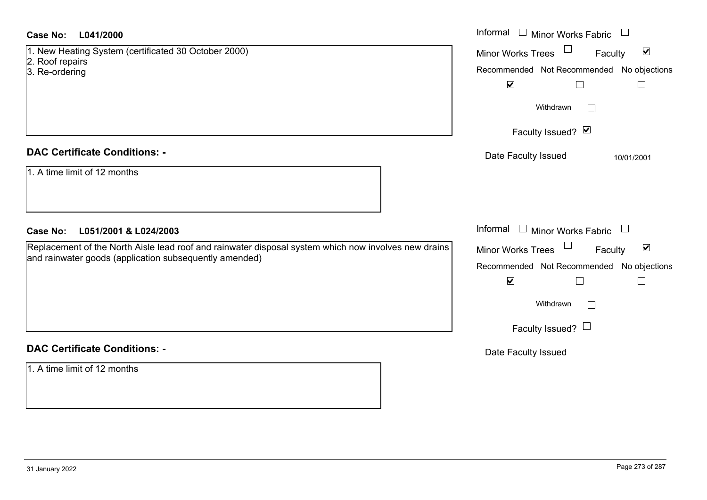| Case No:<br>L041/2000                                                                                | Informal $\Box$ Minor Works Fabric $\Box$                   |
|------------------------------------------------------------------------------------------------------|-------------------------------------------------------------|
| 1. New Heating System (certificated 30 October 2000)                                                 | $\blacktriangledown$<br>Minor Works Trees<br>Faculty        |
| 2. Roof repairs<br>3. Re-ordering                                                                    | Recommended Not Recommended No objections                   |
|                                                                                                      | $\blacktriangledown$<br>$\Box$<br>$\Box$                    |
|                                                                                                      | Withdrawn<br>$\Box$                                         |
|                                                                                                      | Faculty Issued? Ø                                           |
| <b>DAC Certificate Conditions: -</b>                                                                 | Date Faculty Issued<br>10/01/2001                           |
| 1. A time limit of 12 months                                                                         |                                                             |
| <b>Case No:</b><br>L051/2001 & L024/2003                                                             | Informal $\Box$ Minor Works Fabric $\Box$                   |
| Replacement of the North Aisle lead roof and rainwater disposal system which now involves new drains | $\blacktriangledown$<br><b>Minor Works Trees</b><br>Faculty |
| and rainwater goods (application subsequently amended)                                               | Recommended Not Recommended No objections                   |
|                                                                                                      | $\blacktriangledown$<br>$\Box$<br>$\overline{\phantom{a}}$  |
|                                                                                                      | Withdrawn                                                   |
|                                                                                                      | Faculty Issued? $\Box$                                      |
| <b>DAC Certificate Conditions: -</b>                                                                 | Date Faculty Issued                                         |
| 1. A time limit of 12 months                                                                         |                                                             |
|                                                                                                      |                                                             |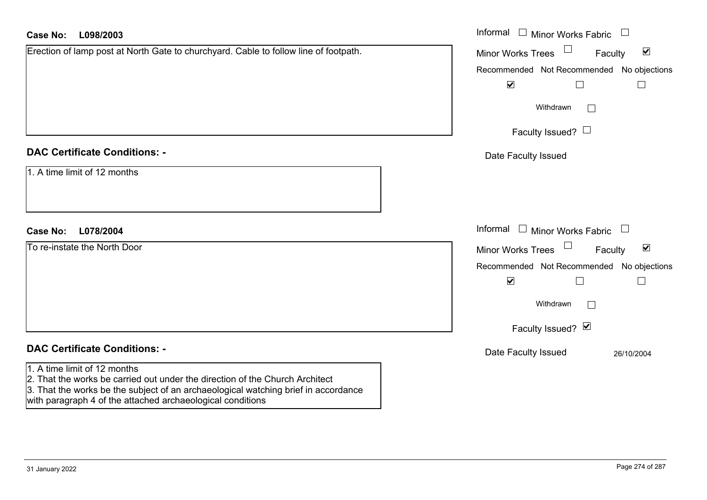| <b>Case No:</b><br>L098/2003                                                                                                                                                                       | Informal $\Box$ Minor Works Fabric $\Box$                      |
|----------------------------------------------------------------------------------------------------------------------------------------------------------------------------------------------------|----------------------------------------------------------------|
| Erection of lamp post at North Gate to churchyard. Cable to follow line of footpath.                                                                                                               | $\blacktriangledown$<br><b>Minor Works Trees</b><br>Faculty    |
|                                                                                                                                                                                                    | Recommended Not Recommended No objections                      |
|                                                                                                                                                                                                    | $\blacktriangledown$                                           |
|                                                                                                                                                                                                    | Withdrawn<br>$\mathbf{L}$                                      |
|                                                                                                                                                                                                    | Faculty Issued? $\Box$                                         |
| <b>DAC Certificate Conditions: -</b>                                                                                                                                                               | Date Faculty Issued                                            |
| 1. A time limit of 12 months                                                                                                                                                                       |                                                                |
| L078/2004<br><b>Case No:</b>                                                                                                                                                                       | Informal $\Box$ Minor Works Fabric $\Box$                      |
| To re-instate the North Door                                                                                                                                                                       | $\Box$<br>$\blacktriangledown$<br>Minor Works Trees<br>Faculty |
|                                                                                                                                                                                                    | Recommended Not Recommended No objections                      |
|                                                                                                                                                                                                    | $\blacktriangledown$                                           |
|                                                                                                                                                                                                    | Withdrawn                                                      |
|                                                                                                                                                                                                    | Faculty Issued? Ø                                              |
| <b>DAC Certificate Conditions: -</b>                                                                                                                                                               | Date Faculty Issued<br>26/10/2004                              |
| 1. A time limit of 12 months<br>2. That the works be carried out under the direction of the Church Architect<br>3. That the works be the subject of an archaeological watching brief in accordance |                                                                |

with paragraph 4 of the attached archaeological conditions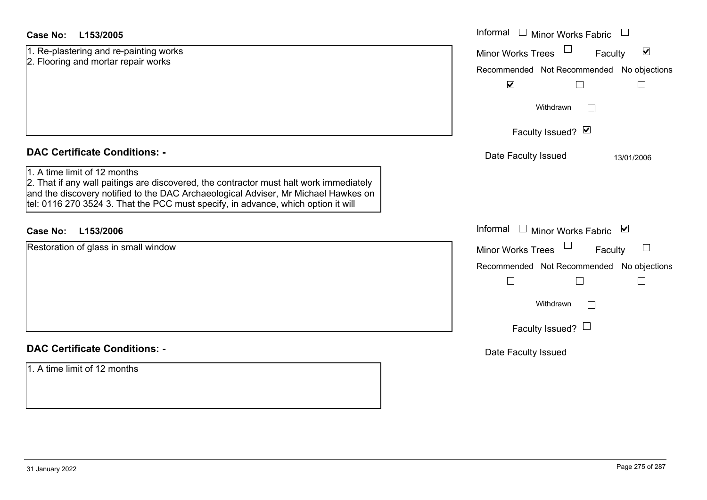| <b>Case No:</b><br>L153/2005                                                                                                                                                                                                                                      | Informal<br>$\Box$<br>Minor Works Fabric                                                                                  |
|-------------------------------------------------------------------------------------------------------------------------------------------------------------------------------------------------------------------------------------------------------------------|---------------------------------------------------------------------------------------------------------------------------|
| 1. Re-plastering and re-painting works<br>2. Flooring and mortar repair works                                                                                                                                                                                     | $\blacktriangledown$<br>Minor Works Trees<br>Faculty<br>Recommended Not Recommended No objections<br>$\blacktriangledown$ |
|                                                                                                                                                                                                                                                                   | Withdrawn<br>$\Box$                                                                                                       |
|                                                                                                                                                                                                                                                                   | Faculty Issued? Ø                                                                                                         |
| <b>DAC Certificate Conditions: -</b><br>1. A time limit of 12 months                                                                                                                                                                                              | Date Faculty Issued<br>13/01/2006                                                                                         |
| 2. That if any wall paitings are discovered, the contractor must halt work immediately<br>and the discovery notified to the DAC Archaeological Adviser, Mr Michael Hawkes on<br>tel: 0116 270 3524 3. That the PCC must specify, in advance, which option it will |                                                                                                                           |
| L153/2006<br><b>Case No:</b>                                                                                                                                                                                                                                      | Informal □ Minor Works Fabric<br>⊻                                                                                        |
| Restoration of glass in small window                                                                                                                                                                                                                              | <b>Minor Works Trees</b><br>Faculty                                                                                       |
|                                                                                                                                                                                                                                                                   | Recommended Not Recommended No objections                                                                                 |
|                                                                                                                                                                                                                                                                   |                                                                                                                           |
|                                                                                                                                                                                                                                                                   | Withdrawn<br>$\Box$                                                                                                       |
|                                                                                                                                                                                                                                                                   | Faculty Issued? $\Box$                                                                                                    |
| <b>DAC Certificate Conditions: -</b>                                                                                                                                                                                                                              | Date Faculty Issued                                                                                                       |
| 1. A time limit of 12 months                                                                                                                                                                                                                                      |                                                                                                                           |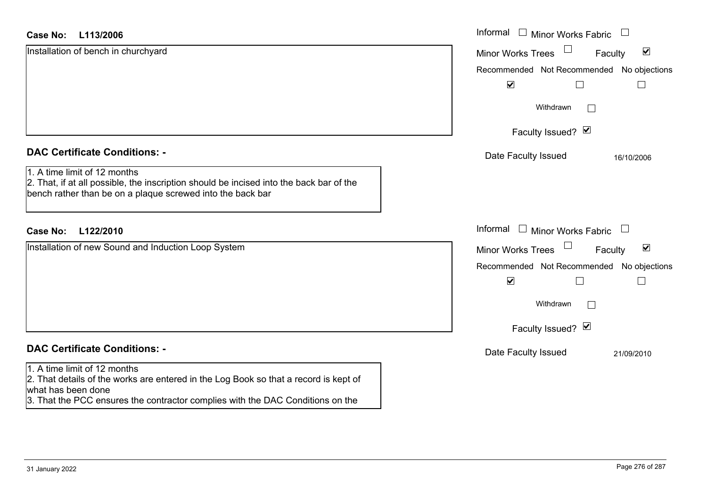| <b>Case No:</b><br>L113/2006                                                                                                                                                          | Informal<br>$\Box$<br><b>Minor Works Fabric</b><br>$\overline{\phantom{a}}$ |
|---------------------------------------------------------------------------------------------------------------------------------------------------------------------------------------|-----------------------------------------------------------------------------|
| Installation of bench in churchyard                                                                                                                                                   | $\blacktriangledown$<br><b>Minor Works Trees</b><br>Faculty                 |
|                                                                                                                                                                                       | Recommended Not Recommended No objections                                   |
|                                                                                                                                                                                       | $\blacktriangledown$                                                        |
|                                                                                                                                                                                       | Withdrawn                                                                   |
|                                                                                                                                                                                       | Faculty Issued? Ø                                                           |
| <b>DAC Certificate Conditions: -</b>                                                                                                                                                  | Date Faculty Issued<br>16/10/2006                                           |
| 1. A time limit of 12 months<br>2. That, if at all possible, the inscription should be incised into the back bar of the<br>bench rather than be on a plaque screwed into the back bar |                                                                             |
| L122/2010<br><b>Case No:</b>                                                                                                                                                          | Informal □ Minor Works Fabric<br>$\Box$                                     |
| Installation of new Sound and Induction Loop System                                                                                                                                   | $\blacktriangledown$<br>Minor Works Trees<br>Faculty                        |
|                                                                                                                                                                                       | Recommended Not Recommended No objections                                   |
|                                                                                                                                                                                       | $\blacktriangledown$                                                        |
|                                                                                                                                                                                       | Withdrawn<br>$\mathbf{L}$                                                   |
|                                                                                                                                                                                       | Faculty Issued? Ø                                                           |
| <b>DAC Certificate Conditions: -</b>                                                                                                                                                  | Date Faculty Issued<br>21/09/2010                                           |
| 1. A time limit of 12 months<br>2. That details of the works are entered in the Log Book so that a record is kept of<br>what has been done                                            |                                                                             |

3. That the PCC ensures the contractor complies with the DAC Conditions on the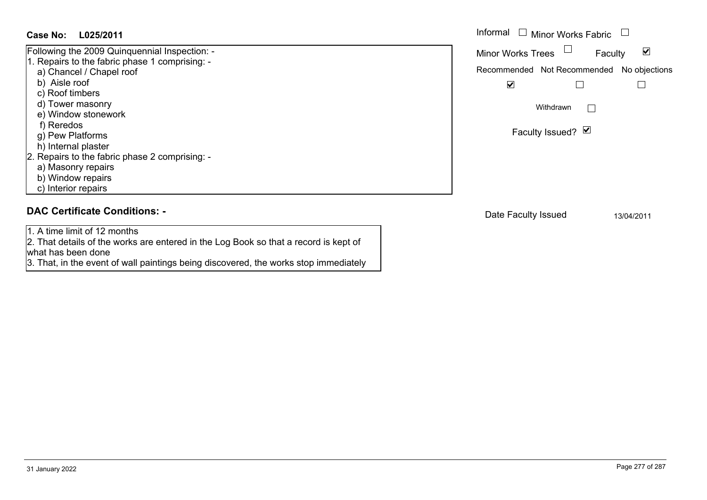### **L025/2011Case No:** Informal

Following the 2009 Quinquennial Inspection: - 1. Repairs to the fabric phase 1 comprising: a) Chancel / Chapel roof b) Aisle roof c) Roof timbers d) Tower masonry e) Window stonework f) Reredos g) Pew Platforms h) Internal plaster 2. Repairs to the fabric phase 2 comprising: a) Masonry repairs b) Window repairs c) Interior repairs

## **DAC Certificate Conditions: -**

1. A time limit of 12 months

2. That details of the works are entered in the Log Book so that a record is kept of what has been done

3. That, in the event of wall paintings being discovered, the works stop immediately

Informal  $\Box$  Minor Works Fabric  $\Box$  $\blacktriangledown$ Faculty Minor Works Trees Recommended Not Recommended No objections  $\Box$  $\overline{\mathbf{v}}$  $\Box$ Withdrawn $\Box$ Faculty Issued? Ø

Date Faculty Issued 13/04/2011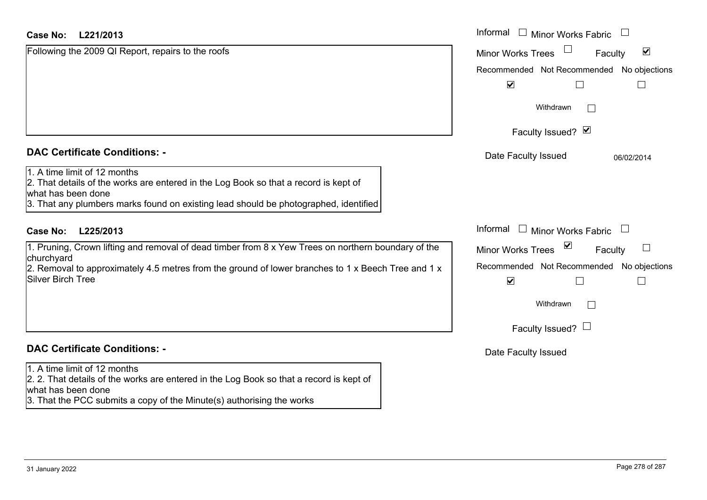|  | <b>DAC Certificate Conditions: -</b> |  |
|--|--------------------------------------|--|
|  |                                      |  |

# **DAC Certificate Conditions: -**

### 1. A time limit of 12 months

2. 2. That details of the works are entered in the Log Book so that a record is kept of what has been done

3. That the PCC submits a copy of the Minute(s) authorising the works

| Case No:<br>L221/2013                                                                                                                                                                                                                                                        | Informal □ Minor Works Fabric                                                                                                                                                                         |
|------------------------------------------------------------------------------------------------------------------------------------------------------------------------------------------------------------------------------------------------------------------------------|-------------------------------------------------------------------------------------------------------------------------------------------------------------------------------------------------------|
| Following the 2009 QI Report, repairs to the roofs                                                                                                                                                                                                                           | $\blacktriangledown$<br><b>Minor Works Trees</b><br>Faculty<br>Recommended Not Recommended<br>No objections<br>$\blacktriangledown$                                                                   |
|                                                                                                                                                                                                                                                                              | Withdrawn<br>Faculty Issued? Ø                                                                                                                                                                        |
| <b>DAC Certificate Conditions: -</b><br>1. A time limit of 12 months<br>2. That details of the works are entered in the Log Book so that a record is kept of<br>what has been done<br>3. That any plumbers marks found on existing lead should be photographed, identified   | Date Faculty Issued<br>06/02/2014                                                                                                                                                                     |
| <b>Case No:</b><br>L225/2013<br>1. Pruning, Crown lifting and removal of dead timber from 8 x Yew Trees on northern boundary of the<br>churchyard<br>2. Removal to approximately 4.5 metres from the ground of lower branches to 1 x Beech Tree and 1 x<br>Silver Birch Tree | Informal $\Box$ Minor Works Fabric<br>$\sum$<br>Minor Works Trees<br>Faculty<br>Recommended Not Recommended<br>No objections<br>$\blacktriangledown$<br>$\Box$<br>Withdrawn<br>Faculty Issued? $\Box$ |

Date Faculty Issued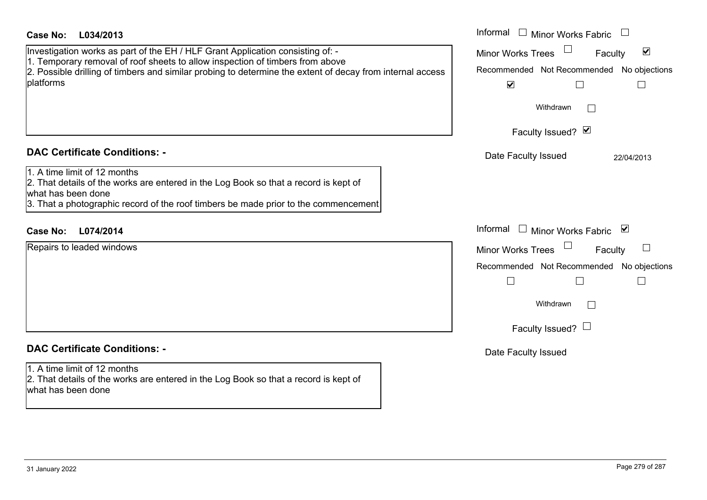| Case No:<br>L034/2013                                                                                                                                                                                                                                                                     | Informal $\Box$ Minor Works Fabric                                                                                                                                    |
|-------------------------------------------------------------------------------------------------------------------------------------------------------------------------------------------------------------------------------------------------------------------------------------------|-----------------------------------------------------------------------------------------------------------------------------------------------------------------------|
| Investigation works as part of the EH / HLF Grant Application consisting of: -<br>1. Temporary removal of roof sheets to allow inspection of timbers from above<br>2. Possible drilling of timbers and similar probing to determine the extent of decay from internal access<br>platforms | $\blacktriangledown$<br><b>Minor Works Trees</b><br>Faculty<br>Recommended Not Recommended No objections<br>$\blacktriangledown$<br>$\Box$<br>Withdrawn               |
| <b>DAC Certificate Conditions: -</b>                                                                                                                                                                                                                                                      | Faculty Issued? Ø                                                                                                                                                     |
| 1. A time limit of 12 months<br>2. That details of the works are entered in the Log Book so that a record is kept of<br>what has been done<br>3. That a photographic record of the roof timbers be made prior to the commencement                                                         | Date Faculty Issued<br>22/04/2013                                                                                                                                     |
| L074/2014<br><b>Case No:</b>                                                                                                                                                                                                                                                              | Informal<br>$\Box$ Minor Works Fabric $\Box$                                                                                                                          |
| Repairs to leaded windows                                                                                                                                                                                                                                                                 | <b>Minor Works Trees</b><br>$\mathbf{L}$<br>Faculty<br>Recommended Not Recommended No objections<br>$\Box$<br>$\Box$<br>$\Box$<br>Withdrawn<br>Faculty Issued? $\Box$ |
| <b>DAC Certificate Conditions: -</b>                                                                                                                                                                                                                                                      | Date Faculty Issued                                                                                                                                                   |
| 1. A time limit of 12 months<br>2. That details of the works are entered in the Log Book so that a record is kept of<br>what has been done                                                                                                                                                |                                                                                                                                                                       |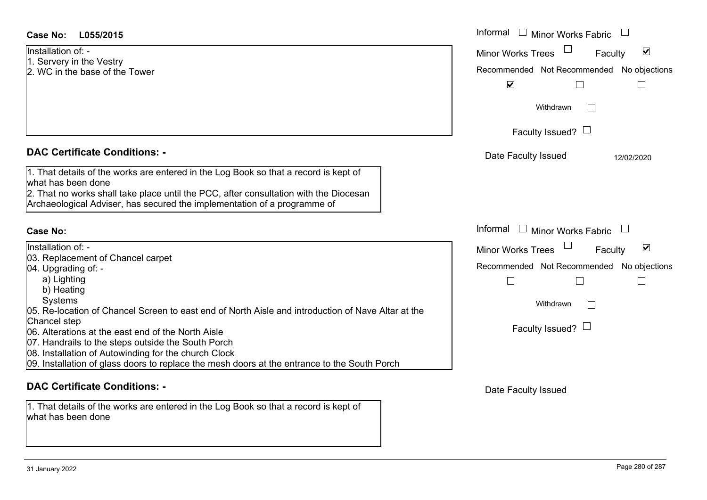| Case No:<br>L055/2015                                                                                       | Informal $\Box$ Minor Works Fabric $\Box$                   |
|-------------------------------------------------------------------------------------------------------------|-------------------------------------------------------------|
| Installation of: -                                                                                          | $\blacktriangledown$<br><b>Minor Works Trees</b><br>Faculty |
| 1. Servery in the Vestry<br>2. WC in the base of the Tower                                                  | Recommended Not Recommended No objections                   |
|                                                                                                             |                                                             |
|                                                                                                             | $\blacktriangledown$<br>$\Box$<br>$\overline{\phantom{0}}$  |
|                                                                                                             | Withdrawn                                                   |
|                                                                                                             | Faculty Issued? $\Box$                                      |
| <b>DAC Certificate Conditions: -</b>                                                                        | Date Faculty Issued<br>12/02/2020                           |
| 1. That details of the works are entered in the Log Book so that a record is kept of<br>lwhat has been done |                                                             |
| 2. That no works shall take place until the PCC, after consultation with the Diocesan                       |                                                             |
| Archaeological Adviser, has secured the implementation of a programme of                                    |                                                             |
|                                                                                                             |                                                             |
| <b>Case No:</b>                                                                                             | Informal $\Box$ Minor Works Fabric $\Box$                   |
| Installation of: -                                                                                          | $\blacktriangledown$<br><b>Minor Works Trees</b><br>Faculty |
| 03. Replacement of Chancel carpet                                                                           |                                                             |
| 04. Upgrading of: -                                                                                         | Recommended Not Recommended No objections                   |
| a) Lighting                                                                                                 | $\overline{\phantom{a}}$<br>$\Box$<br>$\Box$                |
| b) Heating<br><b>Systems</b>                                                                                |                                                             |
| 05. Re-location of Chancel Screen to east end of North Aisle and introduction of Nave Altar at the          | Withdrawn                                                   |
| Chancel step                                                                                                |                                                             |
| 06. Alterations at the east end of the North Aisle                                                          | Faculty Issued? $\Box$                                      |
| 07. Handrails to the steps outside the South Porch                                                          |                                                             |
| 08. Installation of Autowinding for the church Clock                                                        |                                                             |
| 09. Installation of glass doors to replace the mesh doors at the entrance to the South Porch                |                                                             |
| <b>DAC Certificate Conditions: -</b>                                                                        | Date Faculty Issued                                         |

1. That details of the works are entered in the Log Book so that a record is kept of what has been done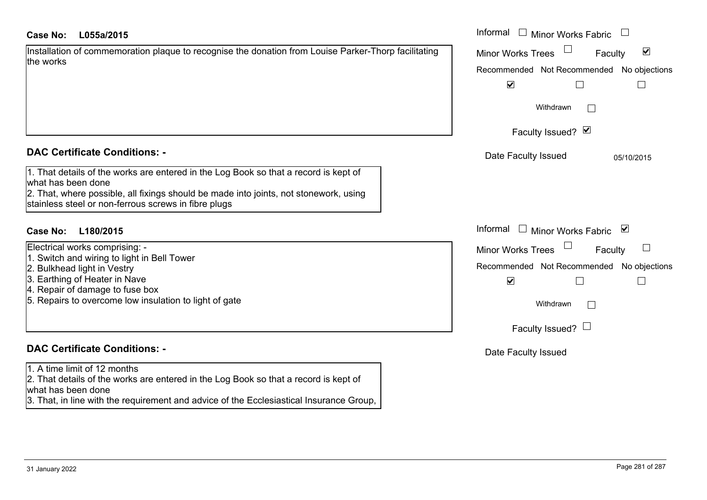| <b>Case No:</b> | L055a/2015 |
|-----------------|------------|
|-----------------|------------|

| Installation of commemoration plaque to recognise the donation from Louise Parker-Thorp facilitating |  |
|------------------------------------------------------------------------------------------------------|--|
| the works                                                                                            |  |

### **DAC Certificate Conditions: -**

| 1. That details of the works are entered in the Log Book so that a record is kept of  |  |
|---------------------------------------------------------------------------------------|--|
| what has been done                                                                    |  |
| 2. That, where possible, all fixings should be made into joints, not stonework, using |  |

stainless steel or non-ferrous screws in fibre plugs

## **L180/2015Case No:** Informal

- Electrical works comprising: -
- 1. Switch and wiring to light in Bell Tower
- 2. Bulkhead light in Vestry
- 3. Earthing of Heater in Nave
- 4. Repair of damage to fuse box
- 5. Repairs to overcome low insulation to light of gate

# **DAC Certificate Conditions: -**

1. A time limit of 12 months

2. That details of the works are entered in the Log Book so that a record is kept of what has been done

3. That, in line with the requirement and advice of the Ecclesiastical Insurance Group,

| L055a/2015                                                                                                                                                                                                             | Informal $\Box$ Minor Works Fabric                                                                                                                                        |
|------------------------------------------------------------------------------------------------------------------------------------------------------------------------------------------------------------------------|---------------------------------------------------------------------------------------------------------------------------------------------------------------------------|
| on of commemoration plaque to recognise the donation from Louise Parker-Thorp facilitating                                                                                                                             | $\blacktriangledown$<br><b>Minor Works Trees</b><br>Faculty<br>Recommended Not Recommended No objections<br>$\blacktriangledown$                                          |
|                                                                                                                                                                                                                        | Withdrawn<br>L<br>Faculty Issued? Ø                                                                                                                                       |
| rtificate Conditions: -                                                                                                                                                                                                | Date Faculty Issued<br>05/10/2015                                                                                                                                         |
| etails of the works are entered in the Log Book so that a record is kept of<br>been done<br>vhere possible, all fixings should be made into joints, not stonework, using<br>steel or non-ferrous screws in fibre plugs |                                                                                                                                                                           |
| L180/2015                                                                                                                                                                                                              | Informal<br>$\Box$ Minor Works Fabric $\Box$                                                                                                                              |
| works comprising: -<br>and wiring to light in Bell Tower<br>ad light in Vestry<br>ng of Heater in Nave<br>of damage to fuse box<br>s to overcome low insulation to light of gate                                       | <b>Minor Works Trees</b><br>$\Box$<br>Faculty<br>Recommended Not Recommended No objections<br>$\blacktriangledown$<br>Withdrawn<br>$\mathbf{L}$<br>Faculty Issued? $\Box$ |
| rtificate Conditions: -                                                                                                                                                                                                | Date Faculty Issued                                                                                                                                                       |
| limit of 12 months                                                                                                                                                                                                     |                                                                                                                                                                           |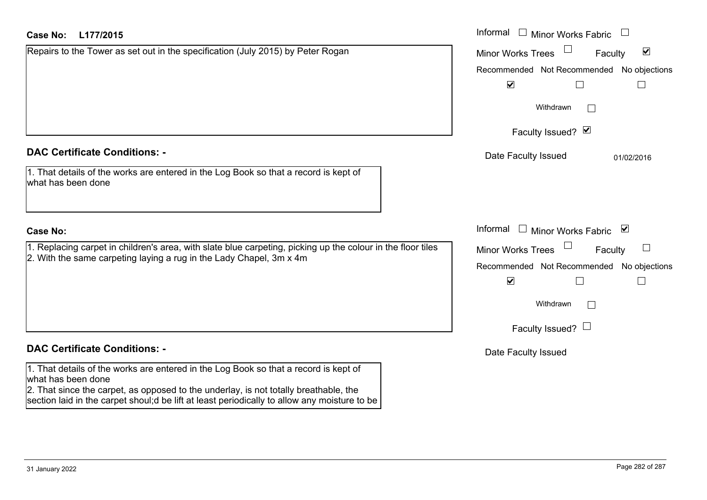| <b>Case No:</b><br>L177/2015                                                                                                                                                                                                                                                                       | Informal □ Minor Works Fabric                        |
|----------------------------------------------------------------------------------------------------------------------------------------------------------------------------------------------------------------------------------------------------------------------------------------------------|------------------------------------------------------|
| Repairs to the Tower as set out in the specification (July 2015) by Peter Rogan                                                                                                                                                                                                                    | $\blacktriangledown$<br>Minor Works Trees<br>Faculty |
|                                                                                                                                                                                                                                                                                                    | Recommended Not Recommended No objections            |
|                                                                                                                                                                                                                                                                                                    | $\blacktriangledown$<br>$\perp$                      |
|                                                                                                                                                                                                                                                                                                    | Withdrawn                                            |
|                                                                                                                                                                                                                                                                                                    | Faculty Issued? Ø                                    |
| <b>DAC Certificate Conditions: -</b>                                                                                                                                                                                                                                                               | Date Faculty Issued<br>01/02/2016                    |
| 1. That details of the works are entered in the Log Book so that a record is kept of<br>what has been done                                                                                                                                                                                         |                                                      |
| <b>Case No:</b>                                                                                                                                                                                                                                                                                    | Informal<br>$\Box$ Minor Works Fabric $\Box$         |
| 1. Replacing carpet in children's area, with slate blue carpeting, picking up the colour in the floor tiles<br>2. With the same carpeting laying a rug in the Lady Chapel, 3m x 4m                                                                                                                 | <b>Minor Works Trees</b><br>Faculty                  |
|                                                                                                                                                                                                                                                                                                    | Recommended Not Recommended No objections            |
|                                                                                                                                                                                                                                                                                                    | $\blacktriangledown$                                 |
|                                                                                                                                                                                                                                                                                                    | Withdrawn                                            |
|                                                                                                                                                                                                                                                                                                    | Faculty Issued? $\Box$                               |
| <b>DAC Certificate Conditions: -</b>                                                                                                                                                                                                                                                               | Date Faculty Issued                                  |
| 1. That details of the works are entered in the Log Book so that a record is kept of<br>what has been done<br>2. That since the carpet, as opposed to the underlay, is not totally breathable, the<br>section laid in the carpet shoul;d be lift at least periodically to allow any moisture to be |                                                      |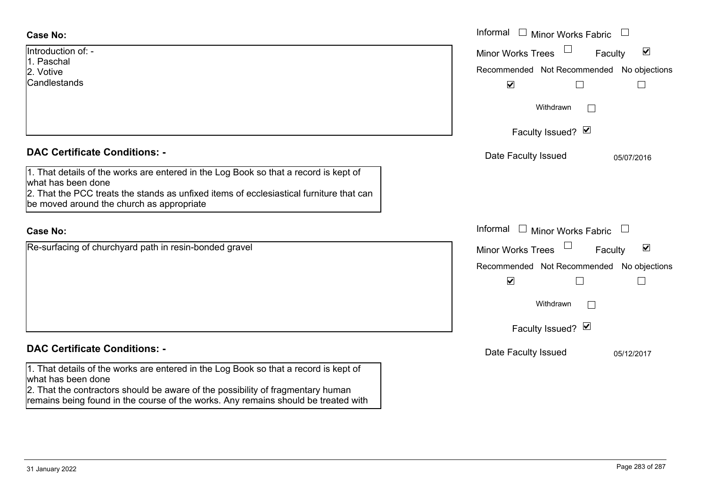| <b>Case No:</b>                                                                                                                                                                               | Informal $\Box$ Minor Works Fabric $\Box$                   |
|-----------------------------------------------------------------------------------------------------------------------------------------------------------------------------------------------|-------------------------------------------------------------|
| Introduction of: -<br>1. Paschal                                                                                                                                                              | $\blacktriangledown$<br><b>Minor Works Trees</b><br>Faculty |
| 2. Votive                                                                                                                                                                                     | Recommended Not Recommended No objections                   |
| Candlestands                                                                                                                                                                                  | $\blacktriangledown$<br>$\mathbf{L}$                        |
|                                                                                                                                                                                               | Withdrawn<br>$\mathbb{R}$                                   |
|                                                                                                                                                                                               | Faculty Issued? Ø                                           |
| <b>DAC Certificate Conditions: -</b>                                                                                                                                                          | Date Faculty Issued<br>05/07/2016                           |
| 1. That details of the works are entered in the Log Book so that a record is kept of<br>what has been done                                                                                    |                                                             |
| 2. That the PCC treats the stands as unfixed items of ecclesiastical furniture that can<br>be moved around the church as appropriate                                                          |                                                             |
| <b>Case No:</b>                                                                                                                                                                               | Informal $\Box$ Minor Works Fabric $\Box$                   |
| Re-surfacing of churchyard path in resin-bonded gravel                                                                                                                                        | $\blacktriangledown$<br>Minor Works Trees<br>Faculty        |
|                                                                                                                                                                                               | Recommended Not Recommended No objections                   |
|                                                                                                                                                                                               | $\blacktriangledown$                                        |
|                                                                                                                                                                                               | Withdrawn<br>$\sim$                                         |
|                                                                                                                                                                                               | Faculty Issued? Ø                                           |
| <b>DAC Certificate Conditions: -</b>                                                                                                                                                          | Date Faculty Issued<br>05/12/2017                           |
| 1. That details of the works are entered in the Log Book so that a record is kept of<br>what has been done<br>2. That the contractors should be aware of the possibility of fragmentary human |                                                             |

remains being found in the course of the works. Any remains should be treated with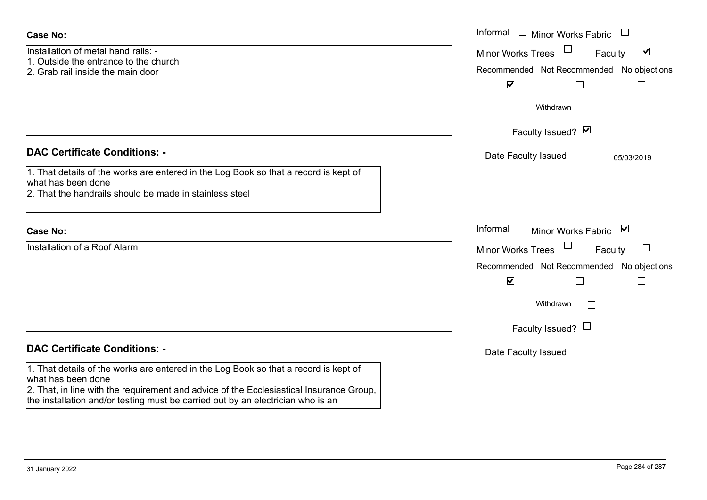| <b>Case No:</b>                                                                                            | Informal $\Box$ Minor Works Fabric $\Box$                   |
|------------------------------------------------------------------------------------------------------------|-------------------------------------------------------------|
| Installation of metal hand rails: -<br>1. Outside the entrance to the church                               | $\blacktriangledown$<br><b>Minor Works Trees</b><br>Faculty |
| 2. Grab rail inside the main door                                                                          | Recommended Not Recommended No objections                   |
|                                                                                                            | $\blacktriangledown$<br>$\Box$                              |
|                                                                                                            | Withdrawn                                                   |
|                                                                                                            | Faculty Issued? Ø                                           |
| <b>DAC Certificate Conditions: -</b>                                                                       | Date Faculty Issued<br>05/03/2019                           |
| 1. That details of the works are entered in the Log Book so that a record is kept of                       |                                                             |
| what has been done                                                                                         |                                                             |
| 2. That the handrails should be made in stainless steel                                                    |                                                             |
|                                                                                                            |                                                             |
| <b>Case No:</b>                                                                                            | Informal<br>$\Box$ Minor Works Fabric $\Box$                |
| Installation of a Roof Alarm                                                                               | $\Box$<br>Minor Works Trees<br>Faculty                      |
|                                                                                                            | Recommended Not Recommended No objections                   |
|                                                                                                            | $\blacktriangledown$<br>$\Box$                              |
|                                                                                                            | Withdrawn                                                   |
|                                                                                                            | Faculty Issued? $\Box$                                      |
| <b>DAC Certificate Conditions: -</b>                                                                       | Date Faculty Issued                                         |
| 1. That details of the works are entered in the Log Book so that a record is kept of<br>what has been done |                                                             |
| 2. That, in line with the requirement and advice of the Ecclesiastical Insurance Group,                    |                                                             |
| the installation and/or testing must be carried out by an electrician who is an                            |                                                             |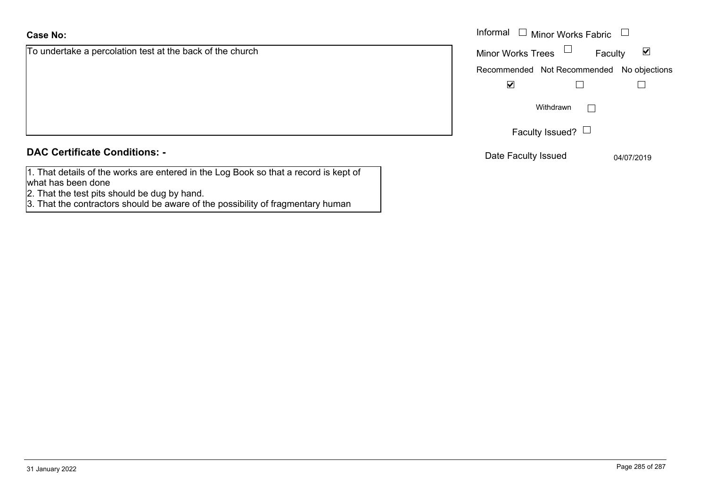| <b>Case No:</b> |  |
|-----------------|--|
|                 |  |

To undertake a percolation test at the back of the church

**DAC Certificate Conditions: -**

- 1. That details of the works are entered in the Log Book so that a record is kept of what has been done
- 2. That the test pits should be dug by hand.
- 3. That the contractors should be aware of the possibility of fragmentary human

|                                                   | Informal $\Box$ Minor Works Fabric $\Box$ |                                 |
|---------------------------------------------------|-------------------------------------------|---------------------------------|
| take a percolation test at the back of the church | Minor Works Trees $\Box$                  | $\blacktriangledown$<br>Faculty |
|                                                   | Recommended Not Recommended No objections |                                 |
|                                                   | $\blacktriangledown$                      |                                 |
|                                                   | Withdrawn                                 |                                 |
|                                                   | Faculty Issued? $\Box$                    |                                 |
| rtificate Conditions: -                           | Date Faculty Issued                       | 04/07/2019                      |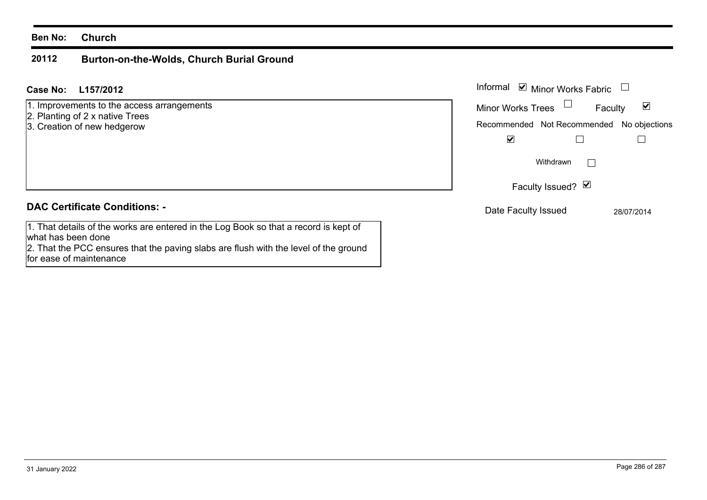### **Ben No: Church**

### **20112Burton-on-the-Wolds, Church Burial Ground**

### **L157/2012Case No:** Informal

- 1. Improvements to the access arrangements
- 2. Planting of 2 x native Trees
- 3. Creation of new hedgerow

### **DAC Certificate Conditions: -**

1. That details of the works are entered in the Log Book so that a record is kept of what has been done 2. That the PCC ensures that the paving slabs are flush with the level of the ground for ease of maintenance

Informal  $\vee$  Minor Works Fabric  $\Box$  $\blacktriangledown$ Faculty Minor Works Trees Recommended Not Recommended No objections  $\overline{\mathbf{v}}$  $\Box$  $\Box$  $\Box$ WithdrawnFaculty Issued? Ø Date Faculty Issued 28/07/2014